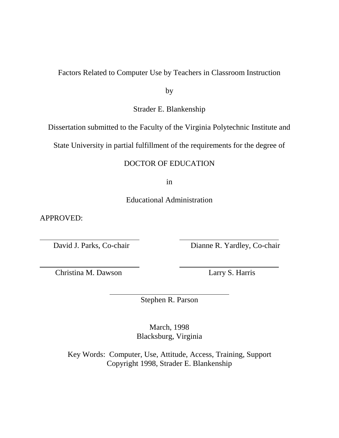# Factors Related to Computer Use by Teachers in Classroom Instruction

by

Strader E. Blankenship

Dissertation submitted to the Faculty of the Virginia Polytechnic Institute and

State University in partial fulfillment of the requirements for the degree of

# DOCTOR OF EDUCATION

in

Educational Administration

APPROVED:

David J. Parks, Co-chair Dianne R. Yardley, Co-chair

Christina M. Dawson Larry S. Harris

Stephen R. Parson

March, 1998 Blacksburg, Virginia

Key Words: Computer, Use, Attitude, Access, Training, Support Copyright 1998, Strader E. Blankenship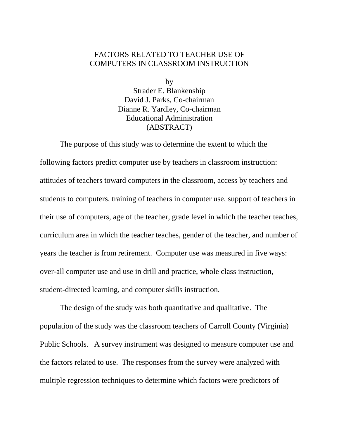# FACTORS RELATED TO TEACHER USE OF COMPUTERS IN CLASSROOM INSTRUCTION

by

Strader E. Blankenship David J. Parks, Co-chairman Dianne R. Yardley, Co-chairman Educational Administration (ABSTRACT)

The purpose of this study was to determine the extent to which the following factors predict computer use by teachers in classroom instruction: attitudes of teachers toward computers in the classroom, access by teachers and students to computers, training of teachers in computer use, support of teachers in their use of computers, age of the teacher, grade level in which the teacher teaches, curriculum area in which the teacher teaches, gender of the teacher, and number of years the teacher is from retirement. Computer use was measured in five ways: over-all computer use and use in drill and practice, whole class instruction, student-directed learning, and computer skills instruction.

The design of the study was both quantitative and qualitative. The population of the study was the classroom teachers of Carroll County (Virginia) Public Schools. A survey instrument was designed to measure computer use and the factors related to use. The responses from the survey were analyzed with multiple regression techniques to determine which factors were predictors of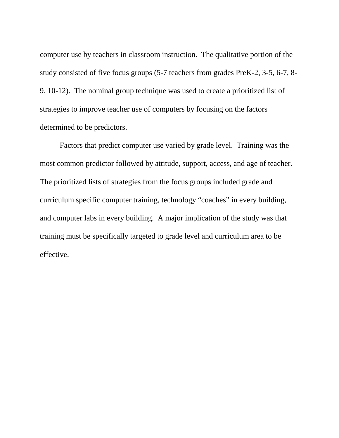computer use by teachers in classroom instruction. The qualitative portion of the study consisted of five focus groups (5-7 teachers from grades PreK-2, 3-5, 6-7, 8- 9, 10-12). The nominal group technique was used to create a prioritized list of strategies to improve teacher use of computers by focusing on the factors determined to be predictors.

Factors that predict computer use varied by grade level. Training was the most common predictor followed by attitude, support, access, and age of teacher. The prioritized lists of strategies from the focus groups included grade and curriculum specific computer training, technology "coaches" in every building, and computer labs in every building. A major implication of the study was that training must be specifically targeted to grade level and curriculum area to be effective.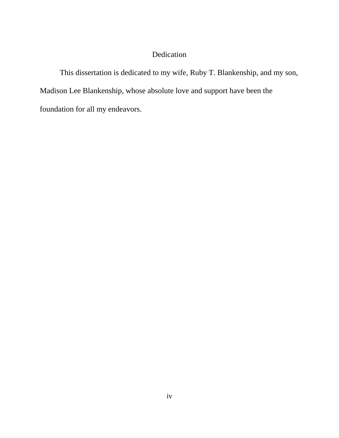# Dedication

This dissertation is dedicated to my wife, Ruby T. Blankenship, and my son, Madison Lee Blankenship, whose absolute love and support have been the foundation for all my endeavors.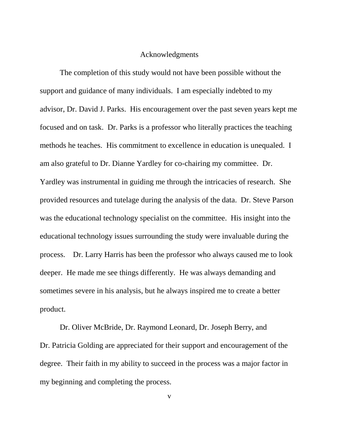#### Acknowledgments

The completion of this study would not have been possible without the support and guidance of many individuals. I am especially indebted to my advisor, Dr. David J. Parks. His encouragement over the past seven years kept me focused and on task. Dr. Parks is a professor who literally practices the teaching methods he teaches. His commitment to excellence in education is unequaled. I am also grateful to Dr. Dianne Yardley for co-chairing my committee. Dr. Yardley was instrumental in guiding me through the intricacies of research. She provided resources and tutelage during the analysis of the data. Dr. Steve Parson was the educational technology specialist on the committee. His insight into the educational technology issues surrounding the study were invaluable during the process. Dr. Larry Harris has been the professor who always caused me to look deeper. He made me see things differently. He was always demanding and sometimes severe in his analysis, but he always inspired me to create a better product.

Dr. Oliver McBride, Dr. Raymond Leonard, Dr. Joseph Berry, and Dr. Patricia Golding are appreciated for their support and encouragement of the degree. Their faith in my ability to succeed in the process was a major factor in my beginning and completing the process.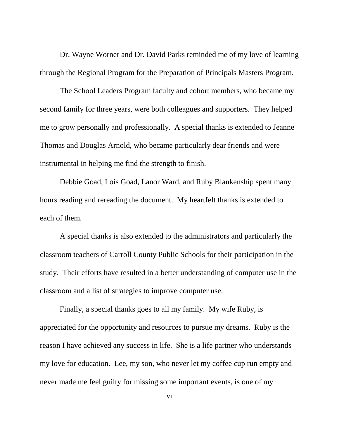Dr. Wayne Worner and Dr. David Parks reminded me of my love of learning through the Regional Program for the Preparation of Principals Masters Program.

The School Leaders Program faculty and cohort members, who became my second family for three years, were both colleagues and supporters. They helped me to grow personally and professionally. A special thanks is extended to Jeanne Thomas and Douglas Arnold, who became particularly dear friends and were instrumental in helping me find the strength to finish.

Debbie Goad, Lois Goad, Lanor Ward, and Ruby Blankenship spent many hours reading and rereading the document. My heartfelt thanks is extended to each of them.

A special thanks is also extended to the administrators and particularly the classroom teachers of Carroll County Public Schools for their participation in the study. Their efforts have resulted in a better understanding of computer use in the classroom and a list of strategies to improve computer use.

Finally, a special thanks goes to all my family. My wife Ruby, is appreciated for the opportunity and resources to pursue my dreams. Ruby is the reason I have achieved any success in life. She is a life partner who understands my love for education. Lee, my son, who never let my coffee cup run empty and never made me feel guilty for missing some important events, is one of my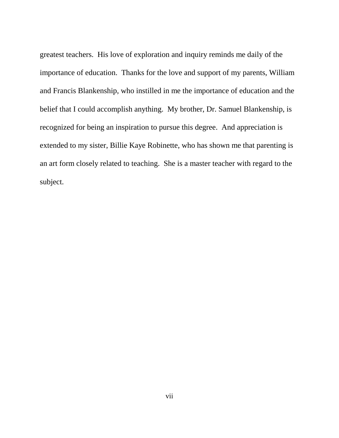greatest teachers. His love of exploration and inquiry reminds me daily of the importance of education. Thanks for the love and support of my parents, William and Francis Blankenship, who instilled in me the importance of education and the belief that I could accomplish anything. My brother, Dr. Samuel Blankenship, is recognized for being an inspiration to pursue this degree. And appreciation is extended to my sister, Billie Kaye Robinette, who has shown me that parenting is an art form closely related to teaching. She is a master teacher with regard to the subject.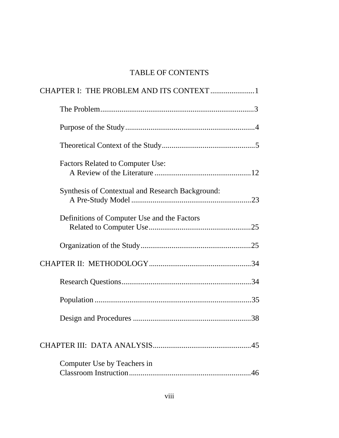# TABLE OF CONTENTS

| CHAPTER I: THE PROBLEM AND ITS CONTEXT 1                |
|---------------------------------------------------------|
|                                                         |
|                                                         |
|                                                         |
| <b>Factors Related to Computer Use:</b>                 |
| <b>Synthesis of Contextual and Research Background:</b> |
| Definitions of Computer Use and the Factors             |
|                                                         |
|                                                         |
|                                                         |
|                                                         |
|                                                         |
|                                                         |
| Computer Use by Teachers in<br>46                       |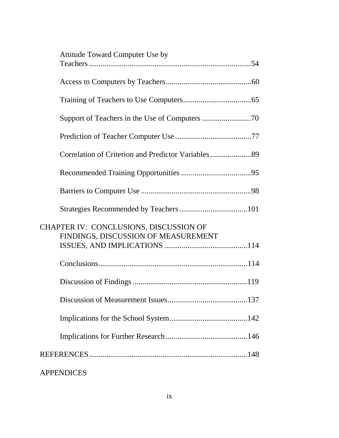| <b>Attitude Toward Computer Use by</b>                                        |  |
|-------------------------------------------------------------------------------|--|
|                                                                               |  |
|                                                                               |  |
|                                                                               |  |
|                                                                               |  |
|                                                                               |  |
|                                                                               |  |
|                                                                               |  |
|                                                                               |  |
|                                                                               |  |
| CHAPTER IV: CONCLUSIONS, DISCUSSION OF<br>FINDINGS, DISCUSSION OF MEASUREMENT |  |
|                                                                               |  |
|                                                                               |  |
|                                                                               |  |
|                                                                               |  |
|                                                                               |  |
|                                                                               |  |
|                                                                               |  |
|                                                                               |  |

# APPENDICES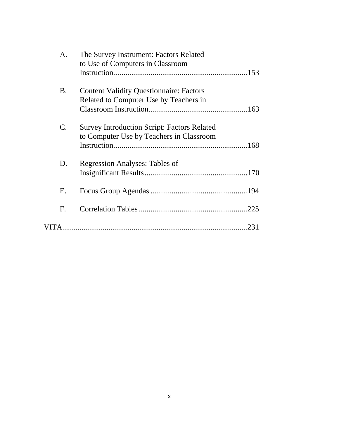| A.             | The Survey Instrument: Factors Related<br>to Use of Computers in Classroom |
|----------------|----------------------------------------------------------------------------|
|                |                                                                            |
| <b>B.</b>      | <b>Content Validity Questionnaire: Factors</b>                             |
|                | Related to Computer Use by Teachers in                                     |
|                |                                                                            |
| $\mathbf{C}$ . | <b>Survey Introduction Script: Factors Related</b>                         |
|                | to Computer Use by Teachers in Classroom                                   |
|                |                                                                            |
| D.             | <b>Regression Analyses: Tables of</b>                                      |
|                |                                                                            |
| Ε.             |                                                                            |
| F.             |                                                                            |
|                | 231                                                                        |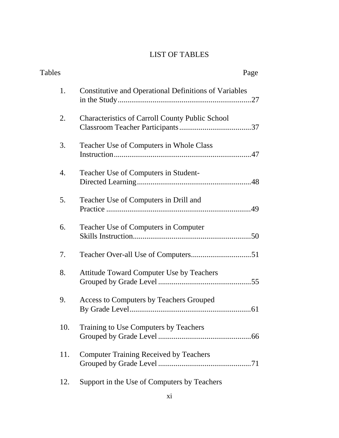# LIST OF TABLES

| Tables | Page                                                         |
|--------|--------------------------------------------------------------|
| 1.     | <b>Constitutive and Operational Definitions of Variables</b> |
| 2.     | <b>Characteristics of Carroll County Public School</b>       |
| 3.     | Teacher Use of Computers in Whole Class                      |
| 4.     | Teacher Use of Computers in Student-                         |
| 5.     | Teacher Use of Computers in Drill and                        |
| 6.     | <b>Teacher Use of Computers in Computer</b>                  |
| 7.     |                                                              |
| 8.     | Attitude Toward Computer Use by Teachers                     |
| 9.     | <b>Access to Computers by Teachers Grouped</b>               |
| 10.    | Training to Use Computers by Teachers                        |
| 11.    | <b>Computer Training Received by Teachers</b>                |
| 12.    | Support in the Use of Computers by Teachers                  |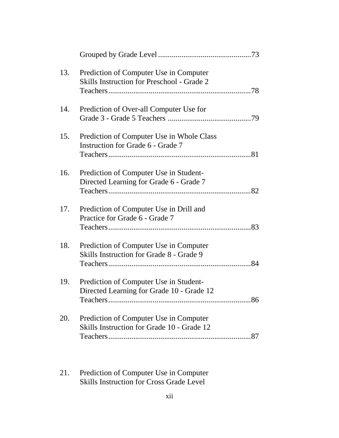| 13. | Prediction of Computer Use in Computer<br>Skills Instruction for Preschool - Grade 2 |  |
|-----|--------------------------------------------------------------------------------------|--|
| 14. | Prediction of Over-all Computer Use for                                              |  |
| 15. | Prediction of Computer Use in Whole Class<br>Instruction for Grade 6 - Grade 7       |  |
| 16. | Prediction of Computer Use in Student-<br>Directed Learning for Grade 6 - Grade 7    |  |
| 17. | Prediction of Computer Use in Drill and<br>Practice for Grade 6 - Grade 7            |  |
| 18. | Prediction of Computer Use in Computer<br>Skills Instruction for Grade 8 - Grade 9   |  |
| 19. | Prediction of Computer Use in Student-<br>Directed Learning for Grade 10 - Grade 12  |  |
| 20. | Prediction of Computer Use in Computer<br>Skills Instruction for Grade 10 - Grade 12 |  |
|     |                                                                                      |  |

[21. Prediction of Computer Use in Computer](#page-106-0) Skills Instruction for Cross Grade Level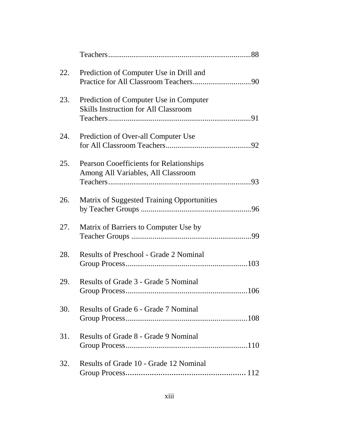| 22. | Prediction of Computer Use in Drill and                                               |  |
|-----|---------------------------------------------------------------------------------------|--|
| 23. | Prediction of Computer Use in Computer<br><b>Skills Instruction for All Classroom</b> |  |
| 24. | Prediction of Over-all Computer Use                                                   |  |
| 25. | <b>Pearson Cooefficients for Relationships</b><br>Among All Variables, All Classroom  |  |
| 26. | Matrix of Suggested Training Opportunities                                            |  |
| 27. | Matrix of Barriers to Computer Use by                                                 |  |
| 28. | <b>Results of Preschool - Grade 2 Nominal</b>                                         |  |
| 29. | Results of Grade 3 - Grade 5 Nominal                                                  |  |
| 30. | Results of Grade 6 - Grade 7 Nominal                                                  |  |
| 31. | Results of Grade 8 - Grade 9 Nominal                                                  |  |
| 32. | Results of Grade 10 - Grade 12 Nominal                                                |  |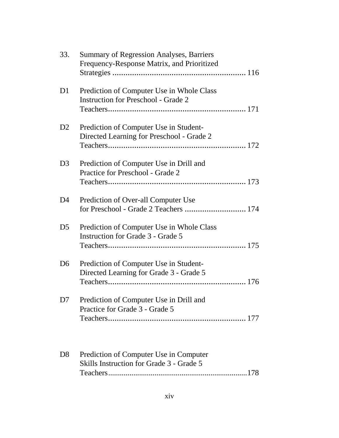| 33.            | <b>Summary of Regression Analyses, Barriers</b><br>Frequency-Response Matrix, and Prioritized |  |
|----------------|-----------------------------------------------------------------------------------------------|--|
| D <sub>1</sub> | Prediction of Computer Use in Whole Class<br><b>Instruction for Preschool - Grade 2</b>       |  |
| D2             | Prediction of Computer Use in Student-<br>Directed Learning for Preschool - Grade 2           |  |
| D <sub>3</sub> | Prediction of Computer Use in Drill and<br>Practice for Preschool - Grade 2                   |  |
| D <sub>4</sub> | Prediction of Over-all Computer Use<br>for Preschool - Grade 2 Teachers  174                  |  |
| D <sub>5</sub> | Prediction of Computer Use in Whole Class<br><b>Instruction for Grade 3 - Grade 5</b>         |  |
| D <sub>6</sub> | Prediction of Computer Use in Student-<br>Directed Learning for Grade 3 - Grade 5             |  |
| D <sub>7</sub> | Prediction of Computer Use in Drill and<br>Practice for Grade 3 - Grade 5                     |  |
| D <sub>8</sub> | Prediction of Computer Use in Computer<br>Skills Instruction for Grade 3 - Grade 5            |  |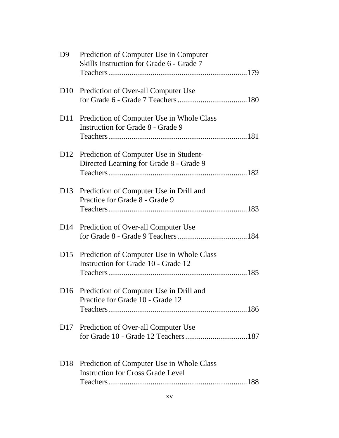| D <sup>9</sup>  | Prediction of Computer Use in Computer<br>Skills Instruction for Grade 6 - Grade 7    |
|-----------------|---------------------------------------------------------------------------------------|
| D10             | Prediction of Over-all Computer Use                                                   |
| D11             | Prediction of Computer Use in Whole Class<br><b>Instruction for Grade 8 - Grade 9</b> |
| D12             | Prediction of Computer Use in Student-<br>Directed Learning for Grade 8 - Grade 9     |
| D <sub>13</sub> | Prediction of Computer Use in Drill and<br>Practice for Grade 8 - Grade 9             |
| D <sub>14</sub> | Prediction of Over-all Computer Use                                                   |
|                 | D15 Prediction of Computer Use in Whole Class<br>Instruction for Grade 10 - Grade 12  |
|                 | D16 Prediction of Computer Use in Drill and<br>Practice for Grade 10 - Grade 12       |
| D <sub>17</sub> | Prediction of Over-all Computer Use                                                   |
| D <sub>18</sub> | Prediction of Computer Use in Whole Class<br><b>Instruction for Cross Grade Level</b> |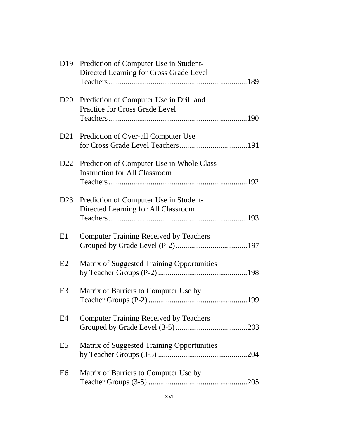|                 | D19 Prediction of Computer Use in Student-<br>Directed Learning for Cross Grade Level |  |
|-----------------|---------------------------------------------------------------------------------------|--|
| D <sub>20</sub> | Prediction of Computer Use in Drill and<br><b>Practice for Cross Grade Level</b>      |  |
|                 | D21 Prediction of Over-all Computer Use                                               |  |
|                 | D22 Prediction of Computer Use in Whole Class<br><b>Instruction for All Classroom</b> |  |
| D23             | Prediction of Computer Use in Student-<br>Directed Learning for All Classroom         |  |
| E1              | <b>Computer Training Received by Teachers</b>                                         |  |
| E2              | Matrix of Suggested Training Opportunities                                            |  |
| E <sub>3</sub>  | Matrix of Barriers to Computer Use by                                                 |  |
| E4              | <b>Computer Training Received by Teachers</b>                                         |  |
| E <sub>5</sub>  | Matrix of Suggested Training Opportunities                                            |  |
| E <sub>6</sub>  | Matrix of Barriers to Computer Use by                                                 |  |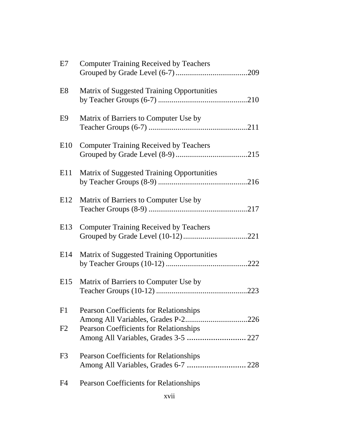| E7             | <b>Computer Training Received by Teachers</b>  |  |
|----------------|------------------------------------------------|--|
| E8             | Matrix of Suggested Training Opportunities     |  |
| E9             | Matrix of Barriers to Computer Use by          |  |
| E10            | <b>Computer Training Received by Teachers</b>  |  |
|                | E11 Matrix of Suggested Training Opportunities |  |
| E12            | Matrix of Barriers to Computer Use by          |  |
| E13            | <b>Computer Training Received by Teachers</b>  |  |
| E14            | Matrix of Suggested Training Opportunities     |  |
| E15            | Matrix of Barriers to Computer Use by          |  |
| F1             | <b>Pearson Coefficients for Relationships</b>  |  |
| F2             | <b>Pearson Coefficients for Relationships</b>  |  |
| F <sub>3</sub> | <b>Pearson Coefficients for Relationships</b>  |  |
| F4             | <b>Pearson Coefficients for Relationships</b>  |  |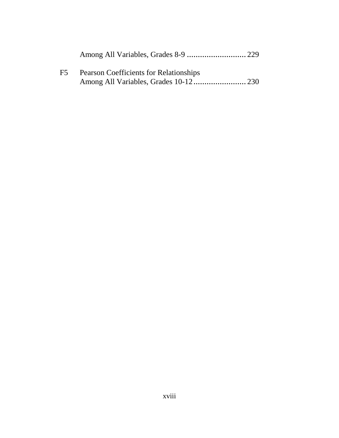| F5 | <b>Pearson Coefficients for Relationships</b> |  |
|----|-----------------------------------------------|--|
|    |                                               |  |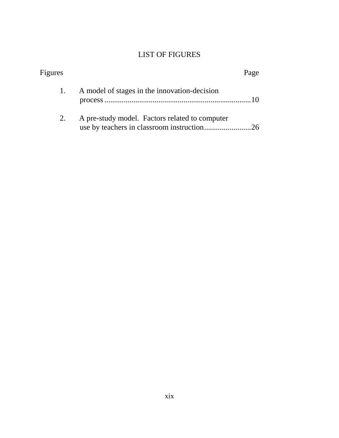# LIST OF FIGURES

| <b>Figures</b> |                                                | Page |
|----------------|------------------------------------------------|------|
|                | A model of stages in the innovation-decision   |      |
|                | A pre-study model. Factors related to computer |      |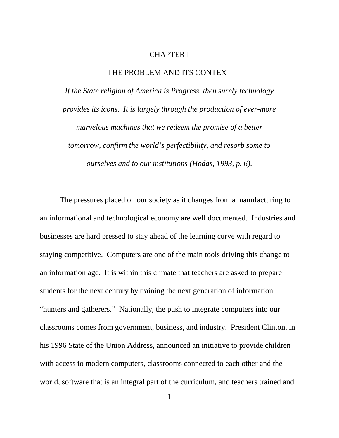#### CHAPTER I

#### THE PROBLEM AND ITS CONTEXT

<span id="page-19-0"></span>*If the State religion of America is Progress, then surely technology provides its icons. It is largely through the production of ever-more marvelous machines that we redeem the promise of a better tomorrow, confirm the world's perfectibility, and resorb some to ourselves and to our institutions (Hodas, 1993, p. 6).*

The pressures placed on our society as it changes from a manufacturing to an informational and technological economy are well documented. Industries and businesses are hard pressed to stay ahead of the learning curve with regard to staying competitive. Computers are one of the main tools driving this change to an information age. It is within this climate that teachers are asked to prepare students for the next century by training the next generation of information "hunters and gatherers." Nationally, the push to integrate computers into our classrooms comes from government, business, and industry. President Clinton, in his 1996 State of the Union Address, announced an initiative to provide children with access to modern computers, classrooms connected to each other and the world, software that is an integral part of the curriculum, and teachers trained and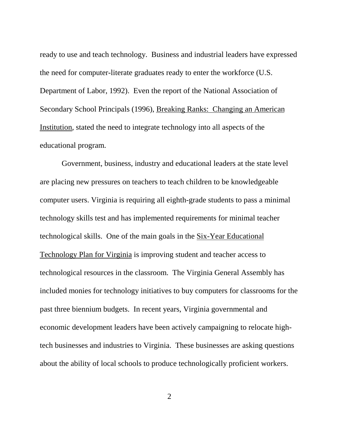ready to use and teach technology. Business and industrial leaders have expressed the need for computer-literate graduates ready to enter the workforce (U.S. Department of Labor, 1992). Even the report of the National Association of Secondary School Principals (1996), Breaking Ranks: Changing an American Institution, stated the need to integrate technology into all aspects of the educational program.

 Government, business, industry and educational leaders at the state level are placing new pressures on teachers to teach children to be knowledgeable computer users. Virginia is requiring all eighth-grade students to pass a minimal technology skills test and has implemented requirements for minimal teacher technological skills. One of the main goals in the Six-Year Educational Technology Plan for Virginia is improving student and teacher access to technological resources in the classroom. The Virginia General Assembly has included monies for technology initiatives to buy computers for classrooms for the past three biennium budgets. In recent years, Virginia governmental and economic development leaders have been actively campaigning to relocate hightech businesses and industries to Virginia. These businesses are asking questions about the ability of local schools to produce technologically proficient workers.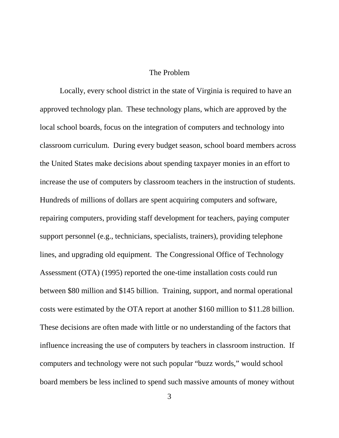### The Problem

<span id="page-21-0"></span>Locally, every school district in the state of Virginia is required to have an approved technology plan. These technology plans, which are approved by the local school boards, focus on the integration of computers and technology into classroom curriculum. During every budget season, school board members across the United States make decisions about spending taxpayer monies in an effort to increase the use of computers by classroom teachers in the instruction of students. Hundreds of millions of dollars are spent acquiring computers and software, repairing computers, providing staff development for teachers, paying computer support personnel (e.g., technicians, specialists, trainers), providing telephone lines, and upgrading old equipment. The Congressional Office of Technology Assessment (OTA) (1995) reported the one-time installation costs could run between \$80 million and \$145 billion. Training, support, and normal operational costs were estimated by the OTA report at another \$160 million to \$11.28 billion. These decisions are often made with little or no understanding of the factors that influence increasing the use of computers by teachers in classroom instruction. If computers and technology were not such popular "buzz words," would school board members be less inclined to spend such massive amounts of money without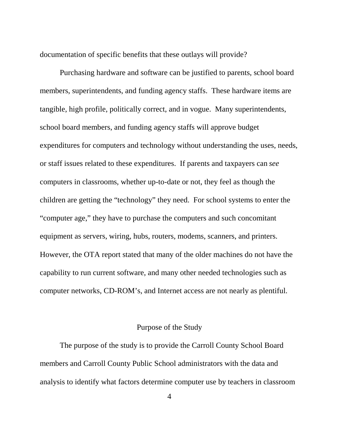documentation of specific benefits that these outlays will provide?

<span id="page-22-0"></span>Purchasing hardware and software can be justified to parents, school board members, superintendents, and funding agency staffs. These hardware items are tangible, high profile, politically correct, and in vogue. Many superintendents, school board members, and funding agency staffs will approve budget expenditures for computers and technology without understanding the uses, needs, or staff issues related to these expenditures. If parents and taxpayers can *see* computers in classrooms, whether up-to-date or not, they feel as though the children are getting the "technology" they need. For school systems to enter the "computer age," they have to purchase the computers and such concomitant equipment as servers, wiring, hubs, routers, modems, scanners, and printers. However, the OTA report stated that many of the older machines do not have the capability to run current software, and many other needed technologies such as computer networks, CD-ROM's, and Internet access are not nearly as plentiful.

## Purpose of the Study

The purpose of the study is to provide the Carroll County School Board members and Carroll County Public School administrators with the data and analysis to identify what factors determine computer use by teachers in classroom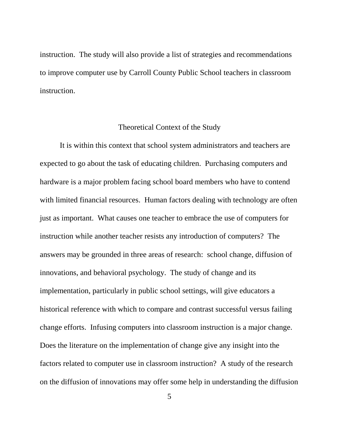<span id="page-23-0"></span>instruction. The study will also provide a list of strategies and recommendations to improve computer use by Carroll County Public School teachers in classroom instruction.

#### Theoretical Context of the Study

It is within this context that school system administrators and teachers are expected to go about the task of educating children. Purchasing computers and hardware is a major problem facing school board members who have to contend with limited financial resources. Human factors dealing with technology are often just as important. What causes one teacher to embrace the use of computers for instruction while another teacher resists any introduction of computers? The answers may be grounded in three areas of research: school change, diffusion of innovations, and behavioral psychology. The study of change and its implementation, particularly in public school settings, will give educators a historical reference with which to compare and contrast successful versus failing change efforts. Infusing computers into classroom instruction is a major change. Does the literature on the implementation of change give any insight into the factors related to computer use in classroom instruction? A study of the research on the diffusion of innovations may offer some help in understanding the diffusion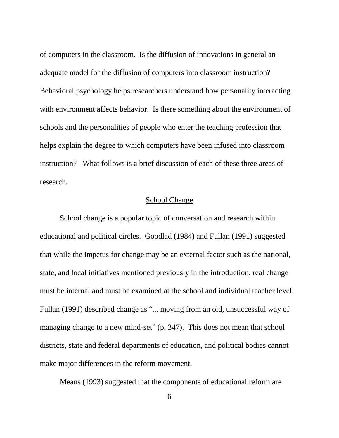of computers in the classroom. Is the diffusion of innovations in general an adequate model for the diffusion of computers into classroom instruction? Behavioral psychology helps researchers understand how personality interacting with environment affects behavior. Is there something about the environment of schools and the personalities of people who enter the teaching profession that helps explain the degree to which computers have been infused into classroom instruction? What follows is a brief discussion of each of these three areas of research.

### School Change

School change is a popular topic of conversation and research within educational and political circles. Goodlad (1984) and Fullan (1991) suggested that while the impetus for change may be an external factor such as the national, state, and local initiatives mentioned previously in the introduction, real change must be internal and must be examined at the school and individual teacher level. Fullan (1991) described change as "... moving from an old, unsuccessful way of managing change to a new mind-set" (p. 347). This does not mean that school districts, state and federal departments of education, and political bodies cannot make major differences in the reform movement.

Means (1993) suggested that the components of educational reform are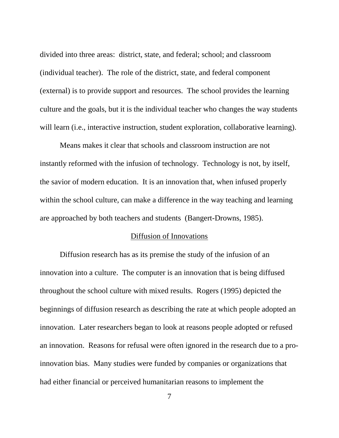divided into three areas: district, state, and federal; school; and classroom (individual teacher). The role of the district, state, and federal component (external) is to provide support and resources. The school provides the learning culture and the goals, but it is the individual teacher who changes the way students will learn (*i.e.*, interactive instruction, student exploration, collaborative learning).

Means makes it clear that schools and classroom instruction are not instantly reformed with the infusion of technology. Technology is not, by itself, the savior of modern education. It is an innovation that, when infused properly within the school culture, can make a difference in the way teaching and learning are approached by both teachers and students (Bangert-Drowns, 1985).

## Diffusion of Innovations

Diffusion research has as its premise the study of the infusion of an innovation into a culture. The computer is an innovation that is being diffused throughout the school culture with mixed results. Rogers (1995) depicted the beginnings of diffusion research as describing the rate at which people adopted an innovation. Later researchers began to look at reasons people adopted or refused an innovation. Reasons for refusal were often ignored in the research due to a proinnovation bias. Many studies were funded by companies or organizations that had either financial or perceived humanitarian reasons to implement the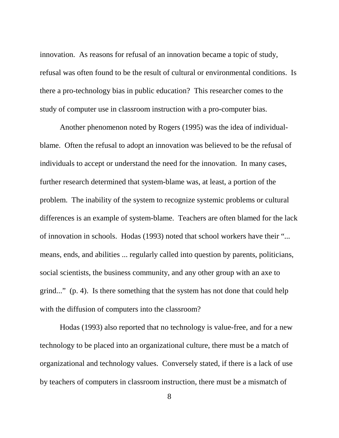innovation. As reasons for refusal of an innovation became a topic of study, refusal was often found to be the result of cultural or environmental conditions. Is there a pro-technology bias in public education? This researcher comes to the study of computer use in classroom instruction with a pro-computer bias.

Another phenomenon noted by Rogers (1995) was the idea of individualblame. Often the refusal to adopt an innovation was believed to be the refusal of individuals to accept or understand the need for the innovation. In many cases, further research determined that system-blame was, at least, a portion of the problem. The inability of the system to recognize systemic problems or cultural differences is an example of system-blame. Teachers are often blamed for the lack of innovation in schools. Hodas (1993) noted that school workers have their "... means, ends, and abilities ... regularly called into question by parents, politicians, social scientists, the business community, and any other group with an axe to grind..." (p. 4). Is there something that the system has not done that could help with the diffusion of computers into the classroom?

Hodas (1993) also reported that no technology is value-free, and for a new technology to be placed into an organizational culture, there must be a match of organizational and technology values. Conversely stated, if there is a lack of use by teachers of computers in classroom instruction, there must be a mismatch of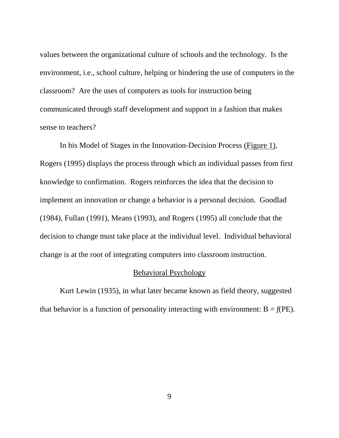values between the organizational culture of schools and the technology. Is the environment, i.e., school culture, helping or hindering the use of computers in the classroom? Are the uses of computers as tools for instruction being communicated through staff development and support in a fashion that makes sense to teachers?

In his Model of Stages in the Innovation-Decision Process (Figure 1), Rogers (1995) displays the process through which an individual passes from first knowledge to confirmation. Rogers reinforces the idea that the decision to implement an innovation or change a behavior is a personal decision. Goodlad (1984), Fullan (1991), Means (1993), and Rogers (1995) all conclude that the decision to change must take place at the individual level. Individual behavioral change is at the root of integrating computers into classroom instruction.

#### Behavioral Psychology

Kurt Lewin (1935), in what later became known as field theory, suggested that behavior is a function of personality interacting with environment:  $B = f(PE)$ .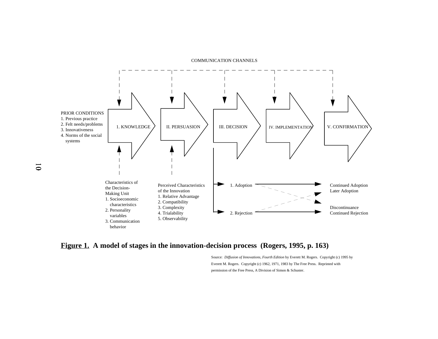#### COMMUNICATION CHANNELS



### <span id="page-28-0"></span>**Figure 1. A model of stages in the innovation-decision process (Rogers, 1995, p. 163)**

Source: *Diffusion of Innovations, Fourth Edition* by Everett M. Rogers. Copyright (c) 1995 by Everett M. Rogers. Copyright (c) 1962, 1971, 1983 by The Free Press. Reprinted with permission of the Free Press, A Division of Simon & Schuster.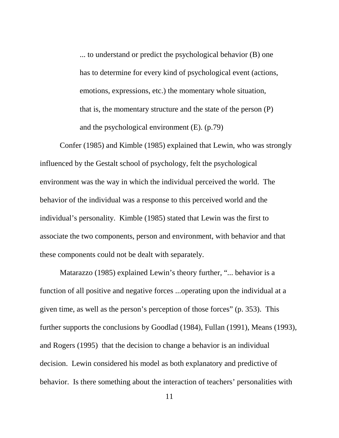... to understand or predict the psychological behavior (B) one has to determine for every kind of psychological event (actions, emotions, expressions, etc.) the momentary whole situation, that is, the momentary structure and the state of the person (P) and the psychological environment (E). (p.79)

Confer (1985) and Kimble (1985) explained that Lewin, who was strongly influenced by the Gestalt school of psychology, felt the psychological environment was the way in which the individual perceived the world. The behavior of the individual was a response to this perceived world and the individual's personality. Kimble (1985) stated that Lewin was the first to associate the two components, person and environment, with behavior and that these components could not be dealt with separately.

Matarazzo (1985) explained Lewin's theory further, "... behavior is a function of all positive and negative forces ...operating upon the individual at a given time, as well as the person's perception of those forces" (p. 353). This further supports the conclusions by Goodlad (1984), Fullan (1991), Means (1993), and Rogers (1995) that the decision to change a behavior is an individual decision. Lewin considered his model as both explanatory and predictive of behavior. Is there something about the interaction of teachers' personalities with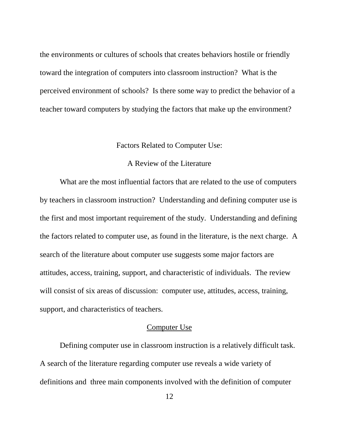<span id="page-30-0"></span>the environments or cultures of schools that creates behaviors hostile or friendly toward the integration of computers into classroom instruction? What is the perceived environment of schools? Is there some way to predict the behavior of a teacher toward computers by studying the factors that make up the environment?

#### Factors Related to Computer Use:

### A Review of the Literature

What are the most influential factors that are related to the use of computers by teachers in classroom instruction? Understanding and defining computer use is the first and most important requirement of the study. Understanding and defining the factors related to computer use, as found in the literature, is the next charge. A search of the literature about computer use suggests some major factors are attitudes, access, training, support, and characteristic of individuals. The review will consist of six areas of discussion: computer use, attitudes, access, training, support, and characteristics of teachers.

#### Computer Use

Defining computer use in classroom instruction is a relatively difficult task. A search of the literature regarding computer use reveals a wide variety of definitions and three main components involved with the definition of computer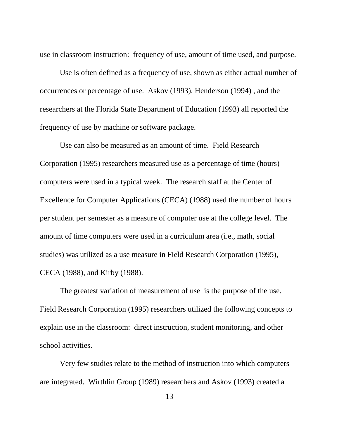use in classroom instruction: frequency of use, amount of time used, and purpose.

Use is often defined as a frequency of use, shown as either actual number of occurrences or percentage of use. Askov (1993), Henderson (1994) , and the researchers at the Florida State Department of Education (1993) all reported the frequency of use by machine or software package.

Use can also be measured as an amount of time. Field Research Corporation (1995) researchers measured use as a percentage of time (hours) computers were used in a typical week. The research staff at the Center of Excellence for Computer Applications (CECA) (1988) used the number of hours per student per semester as a measure of computer use at the college level. The amount of time computers were used in a curriculum area (i.e., math, social studies) was utilized as a use measure in Field Research Corporation (1995), CECA (1988), and Kirby (1988).

The greatest variation of measurement of use is the purpose of the use. Field Research Corporation (1995) researchers utilized the following concepts to explain use in the classroom: direct instruction, student monitoring, and other school activities.

Very few studies relate to the method of instruction into which computers are integrated. Wirthlin Group (1989) researchers and Askov (1993) created a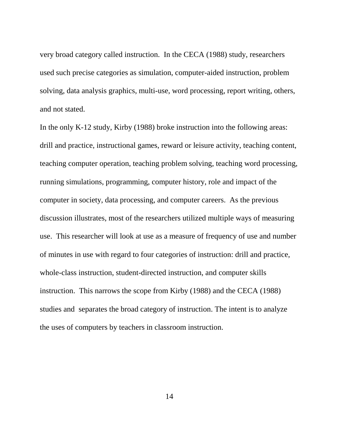very broad category called instruction. In the CECA (1988) study, researchers used such precise categories as simulation, computer-aided instruction, problem solving, data analysis graphics, multi-use, word processing, report writing, others, and not stated.

In the only K-12 study, Kirby (1988) broke instruction into the following areas: drill and practice, instructional games, reward or leisure activity, teaching content, teaching computer operation, teaching problem solving, teaching word processing, running simulations, programming, computer history, role and impact of the computer in society, data processing, and computer careers. As the previous discussion illustrates, most of the researchers utilized multiple ways of measuring use. This researcher will look at use as a measure of frequency of use and number of minutes in use with regard to four categories of instruction: drill and practice, whole-class instruction, student-directed instruction, and computer skills instruction. This narrows the scope from Kirby (1988) and the CECA (1988) studies and separates the broad category of instruction. The intent is to analyze the uses of computers by teachers in classroom instruction.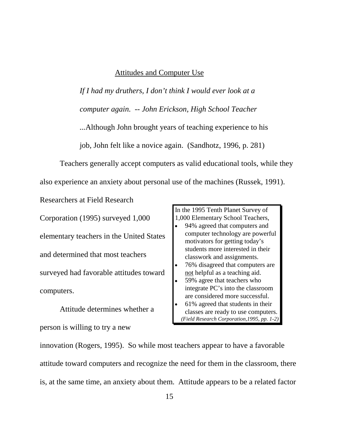### Attitudes and Computer Use

*If I had my druthers, I don't think I would ever look at a computer again. -- John Erickson, High School Teacher ...*Although John brought years of teaching experience to his job, John felt like a novice again. (Sandhotz, 1996, p. 281)

Teachers generally accept computers as valid educational tools, while they also experience an anxiety about personal use of the machines (Russek, 1991).

Corporation (1995) surveyed 1,000 elementary teachers in the United States and determined that most teachers surveyed had favorable attitudes toward computers.

Researchers at Field Research

Attitude determines whether a person is willing to try a new

In the 1995 Tenth Planet Survey of 1,000 Elementary School Teachers,

- $\overline{a}$  94% agreed that computers and computer technology are powerful motivators for getting today's students more interested in their classwork and assignments.  $\overline{a}$
- 76% disagreed that computers are not helpful as a teaching aid.
- $\overline{a}$  59% agree that teachers who integrate PC's into the classroom are considered more successful.
- $\overline{a}$  61% agreed that students in their classes are ready to use computers. *(Field Research Corporation,1995, pp. 1-2)*

innovation (Rogers, 1995). So while most teachers appear to have a favorable attitude toward computers and recognize the need for them in the classroom, there is, at the same time, an anxiety about them. Attitude appears to be a related factor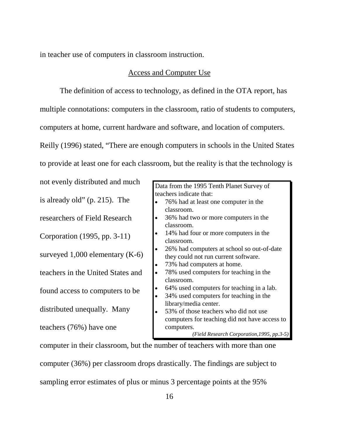in teacher use of computers in classroom instruction.

### Access and Computer Use

The definition of access to technology, as defined in the OTA report, has multiple connotations: computers in the classroom, ratio of students to computers, computers at home, current hardware and software, and location of computers. Reilly (1996) stated, "There are enough computers in schools in the United States to provide at least one for each classroom, but the reality is that the technology is

not evenly distributed and much is already old" (p. 215). The researchers of Field Research Corporation (1995, pp. 3-11) surveyed 1,000 elementary (K-6) teachers in the United States and found access to computers to be distributed unequally. Many teachers (76%) have one

Data from the 1995 Tenth Planet Survey of teachers indicate that:

- $\bullet$  76% had at least one computer in the classroom.
- $\overline{a}$  36% had two or more computers in the classroom.
- $\overline{a}$  14% had four or more computers in the classroom.
- $\overline{a}$  26% had computers at school so out-of-date they could not run current software.
- $\overline{a}$ 73% had computers at home.
- $\overline{a}$  78% used computers for teaching in the classroom.
- $\overline{a}$ 64% used computers for teaching in a lab.
- $\overline{a}$  34% used computers for teaching in the library/media center.
- $\overline{a}$  53% of those teachers who did not use computers for teaching did not have access to computers.

*(Field Research Corporation,1995, pp.3-5)*

computer in their classroom, but the number of teachers with more than one computer (36%) per classroom drops drastically. The findings are subject to sampling error estimates of plus or minus 3 percentage points at the 95%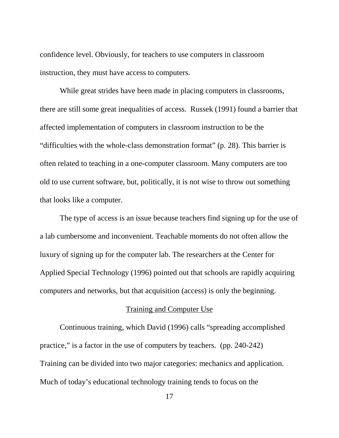confidence level. Obviously, for teachers to use computers in classroom instruction, they must have access to computers.

While great strides have been made in placing computers in classrooms, there are still some great inequalities of access. Russek (1991) found a barrier that affected implementation of computers in classroom instruction to be the "difficulties with the whole-class demonstration format" (p. 28). This barrier is often related to teaching in a one-computer classroom. Many computers are too old to use current software, but, politically, it is not wise to throw out something that looks like a computer.

The type of access is an issue because teachers find signing up for the use of a lab cumbersome and inconvenient. Teachable moments do not often allow the luxury of signing up for the computer lab. The researchers at the Center for Applied Special Technology (1996) pointed out that schools are rapidly acquiring computers and networks, but that acquisition (access) is only the beginning.

#### Training and Computer Use

Continuous training, which David (1996) calls "spreading accomplished practice," is a factor in the use of computers by teachers. (pp. 240-242) Training can be divided into two major categories: mechanics and application. Much of today's educational technology training tends to focus on the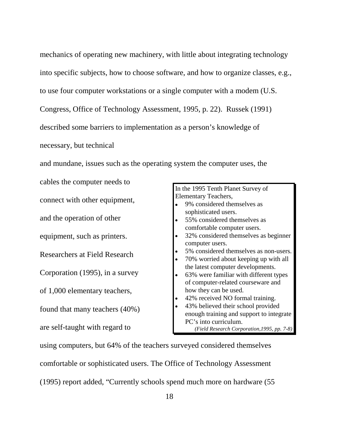mechanics of operating new machinery, with little about integrating technology into specific subjects, how to choose software, and how to organize classes, e.g., to use four computer workstations or a single computer with a modem (U.S. Congress, Office of Technology Assessment, 1995, p. 22). Russek (1991) described some barriers to implementation as a person's knowledge of necessary, but technical

and mundane, issues such as the operating system the computer uses, the

cables the computer needs to connect with other equipment, and the operation of other equipment, such as printers. Researchers at Field Research Corporation (1995), in a survey of 1,000 elementary teachers, found that many teachers (40%)

are self-taught with regard to

In the 1995 Tenth Planet Survey of Elementary Teachers,  $\overline{a}$  9% considered themselves as sophisticated users.  $\overline{a}$  55% considered themselves as comfortable computer users.  $\overline{a}$  32% considered themselves as beginner computer users.  $\overline{a}$  5% considered themselves as non-users.  $\overline{a}$  70% worried about keeping up with all the latest computer developments.  $\overline{a}$  63% were familiar with different types of computer-related courseware and how they can be used.  $\overline{a}$  42% received NO formal training.  $\overline{a}$  43% believed their school provided enough training and support to integrate PC's into curriculum. *(Field Research Corporation,1995, pp. 7-8)*

using computers, but 64% of the teachers surveyed considered themselves comfortable or sophisticated users. The Office of Technology Assessment (1995) report added, "Currently schools spend much more on hardware (55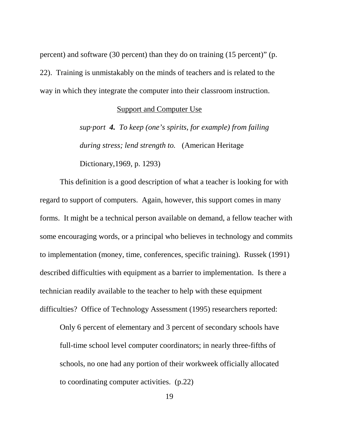percent) and software (30 percent) than they do on training (15 percent)" (p. 22). Training is unmistakably on the minds of teachers and is related to the way in which they integrate the computer into their classroom instruction.

#### Support and Computer Use

*sup·port 4. To keep (one's spirits, for example) from failing during stress; lend strength to.* (American Heritage

Dictionary,1969, p. 1293)

This definition is a good description of what a teacher is looking for with regard to support of computers. Again, however, this support comes in many forms. It might be a technical person available on demand, a fellow teacher with some encouraging words, or a principal who believes in technology and commits to implementation (money, time, conferences, specific training). Russek (1991) described difficulties with equipment as a barrier to implementation. Is there a technician readily available to the teacher to help with these equipment difficulties? Office of Technology Assessment (1995) researchers reported:

Only 6 percent of elementary and 3 percent of secondary schools have full-time school level computer coordinators; in nearly three-fifths of schools, no one had any portion of their workweek officially allocated to coordinating computer activities. (p.22)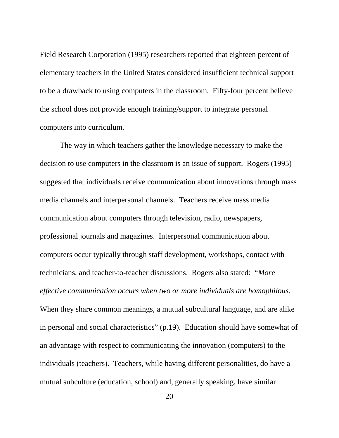Field Research Corporation (1995) researchers reported that eighteen percent of elementary teachers in the United States considered insufficient technical support to be a drawback to using computers in the classroom. Fifty-four percent believe the school does not provide enough training/support to integrate personal computers into curriculum.

The way in which teachers gather the knowledge necessary to make the decision to use computers in the classroom is an issue of support. Rogers (1995) suggested that individuals receive communication about innovations through mass media channels and interpersonal channels. Teachers receive mass media communication about computers through television, radio, newspapers, professional journals and magazines. Interpersonal communication about computers occur typically through staff development, workshops, contact with technicians, and teacher-to-teacher discussions. Rogers also stated: "*More effective communication occurs when two or more individuals are homophilous.* When they share common meanings, a mutual subcultural language, and are alike in personal and social characteristics" (p.19). Education should have somewhat of an advantage with respect to communicating the innovation (computers) to the individuals (teachers). Teachers, while having different personalities, do have a mutual subculture (education, school) and, generally speaking, have similar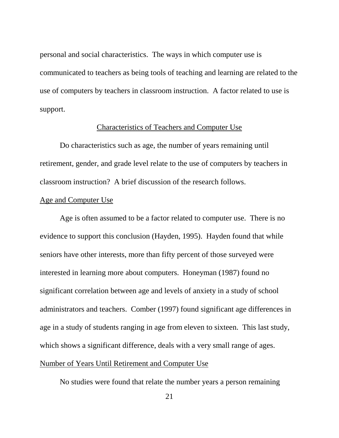personal and social characteristics. The ways in which computer use is communicated to teachers as being tools of teaching and learning are related to the use of computers by teachers in classroom instruction. A factor related to use is support.

#### Characteristics of Teachers and Computer Use

Do characteristics such as age, the number of years remaining until retirement, gender, and grade level relate to the use of computers by teachers in classroom instruction? A brief discussion of the research follows.

#### Age and Computer Use

Age is often assumed to be a factor related to computer use. There is no evidence to support this conclusion (Hayden, 1995). Hayden found that while seniors have other interests, more than fifty percent of those surveyed were interested in learning more about computers. Honeyman (1987) found no significant correlation between age and levels of anxiety in a study of school administrators and teachers. Comber (1997) found significant age differences in age in a study of students ranging in age from eleven to sixteen. This last study, which shows a significant difference, deals with a very small range of ages. Number of Years Until Retirement and Computer Use

No studies were found that relate the number years a person remaining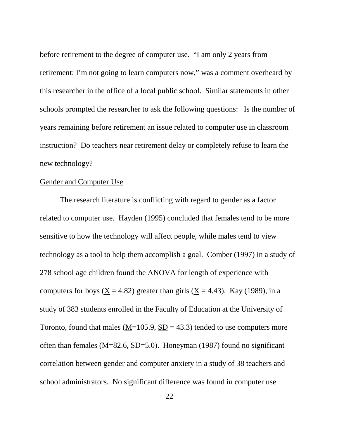before retirement to the degree of computer use. "I am only 2 years from retirement; I'm not going to learn computers now," was a comment overheard by this researcher in the office of a local public school. Similar statements in other schools prompted the researcher to ask the following questions: Is the number of years remaining before retirement an issue related to computer use in classroom instruction? Do teachers near retirement delay or completely refuse to learn the new technology?

#### Gender and Computer Use

The research literature is conflicting with regard to gender as a factor related to computer use. Hayden (1995) concluded that females tend to be more sensitive to how the technology will affect people, while males tend to view technology as a tool to help them accomplish a goal. Comber (1997) in a study of 278 school age children found the ANOVA for length of experience with computers for boys ( $\underline{X} = 4.82$ ) greater than girls ( $\underline{X} = 4.43$ ). Kay (1989), in a study of 383 students enrolled in the Faculty of Education at the University of Toronto, found that males ( $M=105.9$ ,  $SD = 43.3$ ) tended to use computers more often than females (M=82.6, SD=5.0). Honeyman (1987) found no significant correlation between gender and computer anxiety in a study of 38 teachers and school administrators. No significant difference was found in computer use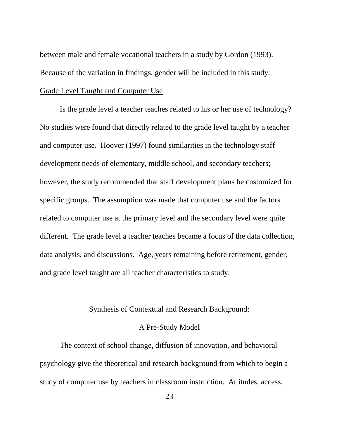between male and female vocational teachers in a study by Gordon (1993). Because of the variation in findings, gender will be included in this study. Grade Level Taught and Computer Use

Is the grade level a teacher teaches related to his or her use of technology? No studies were found that directly related to the grade level taught by a teacher and computer use. Hoover (1997) found similarities in the technology staff development needs of elementary, middle school, and secondary teachers; however, the study recommended that staff development plans be customized for specific groups. The assumption was made that computer use and the factors related to computer use at the primary level and the secondary level were quite different. The grade level a teacher teaches became a focus of the data collection, data analysis, and discussions. Age, years remaining before retirement, gender, and grade level taught are all teacher characteristics to study.

#### Synthesis of Contextual and Research Background:

#### A Pre-Study Model

The context of school change, diffusion of innovation, and behavioral psychology give the theoretical and research background from which to begin a study of computer use by teachers in classroom instruction. Attitudes, access,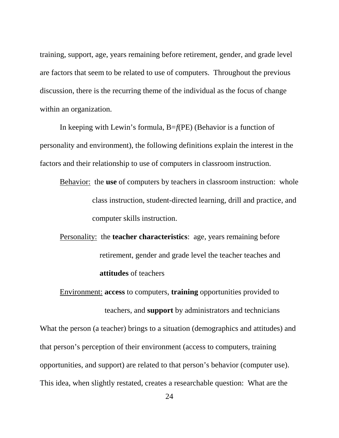training, support, age, years remaining before retirement, gender, and grade level are factors that seem to be related to use of computers. Throughout the previous discussion, there is the recurring theme of the individual as the focus of change within an organization.

In keeping with Lewin's formula, B=*f*(PE) (Behavior is a function of personality and environment), the following definitions explain the interest in the factors and their relationship to use of computers in classroom instruction.

- Behavior: the **use** of computers by teachers in classroom instruction: whole class instruction, student-directed learning, drill and practice, and computer skills instruction.
- Personality:the **teacher characteristics**: age, years remaining before retirement, gender and grade level the teacher teaches and **attitudes** of teachers

Environment: **access** to computers, **training** opportunities provided to

teachers, and **support** by administrators and technicians What the person (a teacher) brings to a situation (demographics and attitudes) and that person's perception of their environment (access to computers, training opportunities, and support) are related to that person's behavior (computer use). This idea, when slightly restated, creates a researchable question: What are the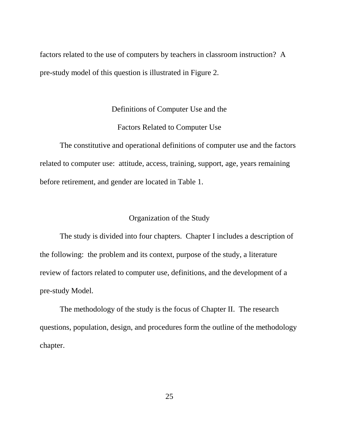factors related to the use of computers by teachers in classroom instruction? A pre-study model of this question is illustrated in Figure 2.

#### Definitions of Computer Use and the

#### Factors Related to Computer Use

The constitutive and operational definitions of computer use and the factors related to computer use: attitude, access, training, support, age, years remaining before retirement, and gender are located in Table 1.

#### Organization of the Study

The study is divided into four chapters. Chapter I includes a description of the following: the problem and its context, purpose of the study, a literature review of factors related to computer use, definitions, and the development of a pre-study Model.

The methodology of the study is the focus of Chapter II. The research questions, population, design, and procedures form the outline of the methodology chapter.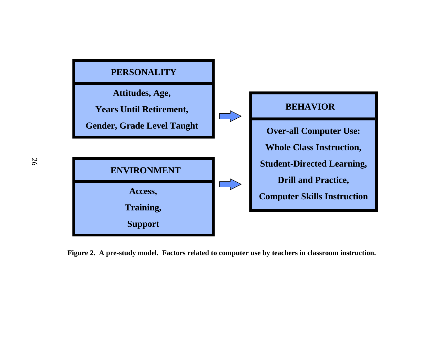

**Figure 2. A pre-study model. Factors related to computer use by teachers in classroom instruction.**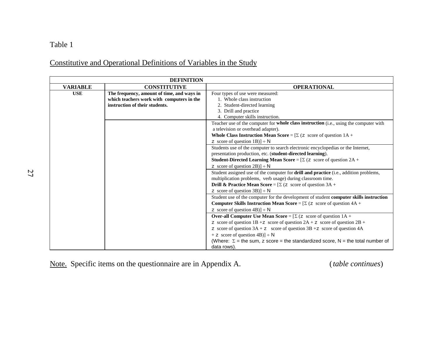# Constitutive and Operational Definitions of Variables in the Study

|                 | <b>DEFINITION</b>                          |                                                                                              |
|-----------------|--------------------------------------------|----------------------------------------------------------------------------------------------|
| <b>VARIABLE</b> | <b>CONSTITUTIVE</b>                        | <b>OPERATIONAL</b>                                                                           |
| <b>USE</b>      | The frequency, amount of time, and ways in | Four types of use were measured:                                                             |
|                 | which teachers work with computers in the  | 1. Whole class instruction                                                                   |
|                 | instruction of their students.             | 2. Student-directed learning                                                                 |
|                 |                                            | 3. Drill and practice                                                                        |
|                 |                                            | 4. Computer skills instruction.                                                              |
|                 |                                            | Teacher use of the computer for whole class instruction (i.e., using the computer with       |
|                 |                                            | a television or overhead adapter).                                                           |
|                 |                                            | <b>Whole Class Instruction Mean Score</b> = $[\Sigma (z \text{ score of question } 1A +$     |
|                 |                                            | z score of question $1B$ )] ÷ N                                                              |
|                 |                                            | Students use of the computer to search electronic encyclopedias or the Internet,             |
|                 |                                            | presentation production, etc. (student-directed learning).                                   |
|                 |                                            | <b>Student-Directed Learning Mean Score</b> = $[\Sigma (z \text{ score of question } 2A +$   |
|                 |                                            | z score of question $2B$ )] ÷ N                                                              |
|                 |                                            | Student assigned use of the computer for drill and practice (i.e., addition problems,        |
|                 |                                            | multiplication problems, verb usage) during classroom time.                                  |
|                 |                                            | <b>Drill &amp; Practice Mean Score</b> = $[\Sigma (z \text{ score of question } 3A +$        |
|                 |                                            | z score of question $3B$ )] $\div N$                                                         |
|                 |                                            | Student use of the computer for the development of student computer skills instruction       |
|                 |                                            | <b>Computer Skills Instruction Mean Score</b> = $[\Sigma (z \text{ score of question } 4A +$ |
|                 |                                            | z score of question $4B$ )] $\div N$                                                         |
|                 |                                            | <b>Over-all Computer Use Mean Score</b> = $[\Sigma (z \text{ score of question } 1A +$       |
|                 |                                            | z score of question $1B + z$ score of question $2A + z$ score of question $2B + z$           |
|                 |                                            | z score of question $3A + z$ score of question $3B + z$ score of question 4A                 |
|                 |                                            | $+ z$ score of question 4B)] $\div$ N                                                        |
|                 |                                            | (Where: $\Sigma$ = the sum, z score = the standardized score, N = the total number of        |
|                 |                                            | data rows).                                                                                  |

Note. Specific items on the questionnaire are in Appendix A. (*table continues*)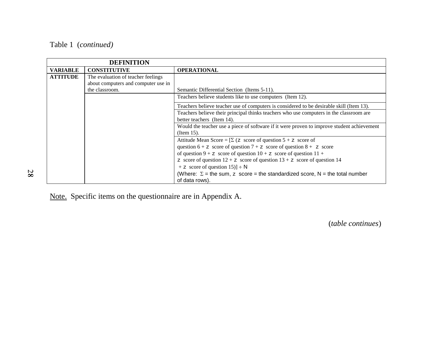|                 | <b>DEFINITION</b>                   |                                                                                            |
|-----------------|-------------------------------------|--------------------------------------------------------------------------------------------|
| <b>VARIABLE</b> | <b>CONSTITUTIVE</b>                 | <b>OPERATIONAL</b>                                                                         |
| <b>ATTITUDE</b> | The evaluation of teacher feelings  |                                                                                            |
|                 | about computers and computer use in |                                                                                            |
|                 | the classroom.                      | Semantic Differential Section (Items 5-11).                                                |
|                 |                                     | Teachers believe students like to use computers (Item 12).                                 |
|                 |                                     | Teachers believe teacher use of computers is considered to be desirable skill (Item 13).   |
|                 |                                     | Teachers believe their principal thinks teachers who use computers in the classroom are    |
|                 |                                     | better teachers (Item 14).                                                                 |
|                 |                                     | Would the teacher use a piece of software if it were proven to improve student achievement |
|                 |                                     | (Item $15$ ).                                                                              |
|                 |                                     | Attitude Mean Score = $[\Sigma (z \text{ score of question } 5 + z \text{ score of }$      |
|                 |                                     | question $6 + z$ score of question $7 + z$ score of question $8 + z$ score                 |
|                 |                                     | of question $9 + z$ score of question $10 + z$ score of question $11 + z$                  |
|                 |                                     | z score of question $12 + z$ score of question $13 + z$ score of question 14               |
|                 |                                     | + z score of question $15$ ) – N                                                           |
|                 |                                     | (Where: $\Sigma$ = the sum, z score = the standardized score, N = the total number         |
|                 |                                     | of data rows).                                                                             |

Note. Specific items on the questionnaire are in Appendix A.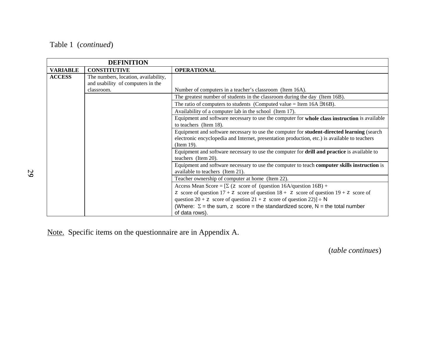|                 | <b>DEFINITION</b>                                                         |                                                                                                                                                                                                           |
|-----------------|---------------------------------------------------------------------------|-----------------------------------------------------------------------------------------------------------------------------------------------------------------------------------------------------------|
| <b>VARIABLE</b> | <b>CONSTITUTIVE</b>                                                       | <b>OPERATIONAL</b>                                                                                                                                                                                        |
| <b>ACCESS</b>   | The numbers, location, availability,<br>and usability of computers in the |                                                                                                                                                                                                           |
|                 | classroom.                                                                | Number of computers in a teacher's classroom (Item 16A).                                                                                                                                                  |
|                 |                                                                           | The greatest number of students in the classroom during the day (Item 16B).                                                                                                                               |
|                 |                                                                           | The ratio of computers to students (Computed value = Item $16A$ $\rightarrow$ $16B$ ).                                                                                                                    |
|                 |                                                                           | Availability of a computer lab in the school (Item 17).                                                                                                                                                   |
|                 |                                                                           | Equipment and software necessary to use the computer for whole class instruction is available<br>to teachers (Item 18).                                                                                   |
|                 |                                                                           | Equipment and software necessary to use the computer for student-directed learning (search<br>electronic encyclopedia and Internet, presentation production, etc.) is available to teachers<br>(Item 19). |
|                 |                                                                           | Equipment and software necessary to use the computer for <b>drill and practice</b> is available to<br>teachers (Item 20).                                                                                 |
|                 |                                                                           | Equipment and software necessary to use the computer to teach computer skills instruction is<br>available to teachers (Item 21).                                                                          |
|                 |                                                                           | Teacher ownership of computer at home (Item 22).                                                                                                                                                          |
|                 |                                                                           | Access Mean Score = $[\Sigma (z \text{ score of (question 16A/question 16B) +}$                                                                                                                           |
|                 |                                                                           | z score of question $17 + z$ score of question $18 + z$ score of question $19 + z$ score of                                                                                                               |
|                 |                                                                           | question 20 + z score of question 21 + z score of question 22)] ÷ N                                                                                                                                       |
|                 |                                                                           | (Where: $\Sigma$ = the sum, z score = the standardized score, N = the total number<br>of data rows).                                                                                                      |

Note. Specific items on the questionnaire are in Appendix A.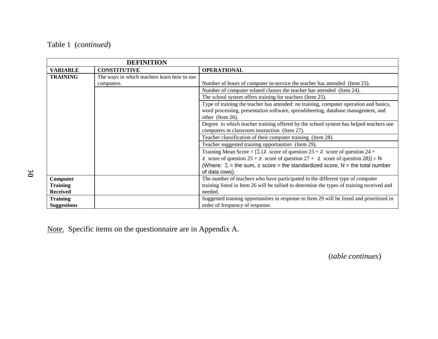|                    | <b>DEFINITION</b>                           |                                                                                                      |
|--------------------|---------------------------------------------|------------------------------------------------------------------------------------------------------|
| <b>VARIABLE</b>    | <b>CONSTITUTIVE</b>                         | <b>OPERATIONAL</b>                                                                                   |
| <b>TRAINING</b>    | The ways in which teachers learn how to use |                                                                                                      |
|                    | computers.                                  | Number of hours of computer in-service the teacher has attended (Item 23).                           |
|                    |                                             | Number of computer related classes the teacher has attended (Item 24).                               |
|                    |                                             | The school system offers training for teachers (Item 25).                                            |
|                    |                                             | Type of training the teacher has attended: no training, computer operation and basics,               |
|                    |                                             | word processing, presentation software, spreadsheeting, database management, and                     |
|                    |                                             | other (Item 26).                                                                                     |
|                    |                                             | Degree to which teacher training offered by the school system has helped teachers use                |
|                    |                                             | computers in classroom instruction (Item 27).                                                        |
|                    |                                             | Teacher classification of their computer training (Item 28).                                         |
|                    |                                             | Teacher suggested training opportunities (Item 29).                                                  |
|                    |                                             | Training Mean Score = $[\Sigma (z \text{ score of question } 23 + z \text{ score of question } 24 +$ |
|                    |                                             | z score of question $25 + z$ score of question $27 + z$ score of question $28$ ) ÷ N                 |
|                    |                                             | (Where: $\Sigma$ = the sum, z score = the standardized score, N = the total number                   |
|                    |                                             | of data rows).                                                                                       |
| Computer           |                                             | The number of teachers who have participated in the different type of computer                       |
| <b>Training</b>    |                                             | training listed in Item 26 will be tallied to determine the types of training received and           |
| <b>Received</b>    |                                             | needed.                                                                                              |
| <b>Training</b>    |                                             | Suggested training opportunities in response to Item 29 will be listed and prioritized in            |
| <b>Suggestions</b> |                                             | order of frequency of response.                                                                      |

Note. Specific items on the questionnaire are in Appendix A.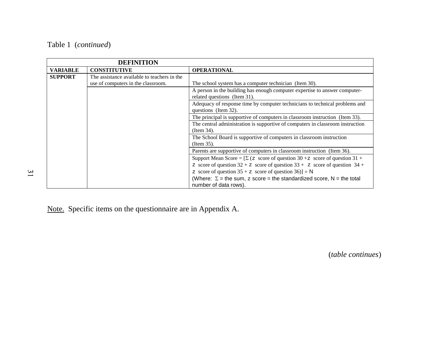|                 | <b>DEFINITION</b>                           |                                                                                                     |
|-----------------|---------------------------------------------|-----------------------------------------------------------------------------------------------------|
| <b>VARIABLE</b> | <b>CONSTITUTIVE</b>                         | <b>OPERATIONAL</b>                                                                                  |
| <b>SUPPORT</b>  | The assistance available to teachers in the |                                                                                                     |
|                 | use of computers in the classroom.          | The school system has a computer technician (Item 30).                                              |
|                 |                                             | A person in the building has enough computer expertise to answer computer-                          |
|                 |                                             | related questions (Item 31).                                                                        |
|                 |                                             | Adequacy of response time by computer technicians to technical problems and                         |
|                 |                                             | questions (Item 32).                                                                                |
|                 |                                             | The principal is supportive of computers in classroom instruction (Item 33).                        |
|                 |                                             | The central administration is supportive of computers in classroom instruction                      |
|                 |                                             | (Item 34).                                                                                          |
|                 |                                             | The School Board is supportive of computers in classroom instruction                                |
|                 |                                             | (Item 35).                                                                                          |
|                 |                                             | Parents are supportive of computers in classroom instruction (Item 36).                             |
|                 |                                             | Support Mean Score = $[\Sigma (z \text{ score of question } 30 + z \text{ score of question } 31 +$ |
|                 |                                             | z score of question $32 + z$ score of question $33 + z$ score of question $34 + z$                  |
|                 |                                             | z score of question $35 + z$ score of question $36$ ] ÷ N                                           |
|                 |                                             | (Where: $\Sigma$ = the sum, z score = the standardized score, N = the total                         |
|                 |                                             | number of data rows).                                                                               |

Note. Specific items on the questionnaire are in Appendix A.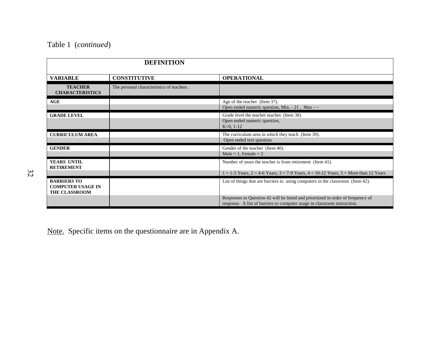|                                                                        | <b>DEFINITION</b>                         |                                                                                                                                                              |
|------------------------------------------------------------------------|-------------------------------------------|--------------------------------------------------------------------------------------------------------------------------------------------------------------|
| <b>VARIABLE</b>                                                        | <b>CONSTITUTIVE</b>                       | <b>OPERATIONAL</b>                                                                                                                                           |
| <b>TEACHER</b><br><b>CHARACTERISTICS</b>                               | The personal characteristics of teachers. |                                                                                                                                                              |
| AGE                                                                    |                                           | Age of the teacher (Item 37).<br>Open ended numeric question, Min. - 21, Max - $\sim$                                                                        |
| <b>GRADE LEVEL</b>                                                     |                                           | Grade level the teacher teaches (Item 38).<br>Open ended numeric question,<br>$K=0, 1-12$                                                                    |
| <b>CURRICULUM AREA</b>                                                 |                                           | The curriculum area in which they teach (Item 39).<br>Open ended text question.                                                                              |
| <b>GENDER</b>                                                          |                                           | Gender of the teacher (Item 40).<br>Male = 1, Female = $2$                                                                                                   |
| YEARS UNTIL<br><b>RETIREMENT</b>                                       |                                           | Number of years the teacher is from retirement (Item 41).                                                                                                    |
|                                                                        |                                           | $1 = 1-3$ Years, $2 = 4-6$ Years, $3 = 7-9$ Years, $4 = 10-12$ Years, $5 =$ More than 12 Years                                                               |
| <b>BARRIERS TO</b><br><b>COMPUTER USAGE IN</b><br><b>THE CLASSROOM</b> |                                           | List of things that are barriers to using computers in the classroom (Item 42).                                                                              |
|                                                                        |                                           | Responses to Question 42 will be listed and prioritized in order of frequency of<br>response. A list of barriers to computer usage in classroom instruction. |

Note. Specific items on the questionnaire are in Appendix A.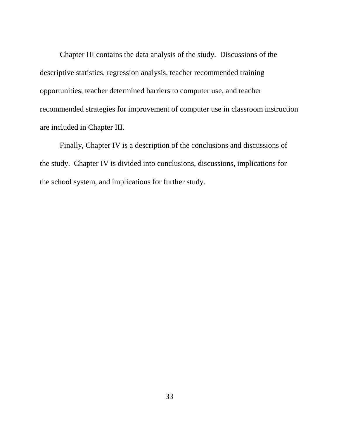Chapter III contains the data analysis of the study. Discussions of the descriptive statistics, regression analysis, teacher recommended training opportunities, teacher determined barriers to computer use, and teacher recommended strategies for improvement of computer use in classroom instruction are included in Chapter III.

Finally, Chapter IV is a description of the conclusions and discussions of the study. Chapter IV is divided into conclusions, discussions, implications for the school system, and implications for further study.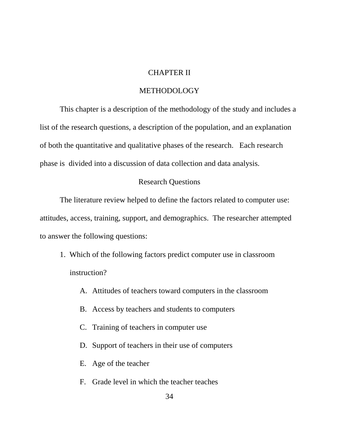#### CHAPTER II

#### METHODOLOGY

This chapter is a description of the methodology of the study and includes a list of the research questions, a description of the population, and an explanation of both the quantitative and qualitative phases of the research. Each research phase is divided into a discussion of data collection and data analysis.

#### Research Questions

The literature review helped to define the factors related to computer use: attitudes, access, training, support, and demographics. The researcher attempted to answer the following questions:

- 1. Which of the following factors predict computer use in classroom instruction?
	- A. Attitudes of teachers toward computers in the classroom
	- B. Access by teachers and students to computers
	- C. Training of teachers in computer use
	- D. Support of teachers in their use of computers
	- E. Age of the teacher
	- F. Grade level in which the teacher teaches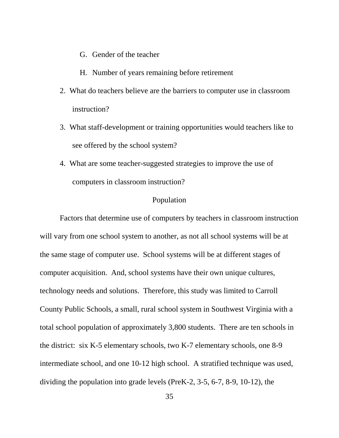- G. Gender of the teacher
- H. Number of years remaining before retirement
- 2. What do teachers believe are the barriers to computer use in classroom instruction?
- 3. What staff-development or training opportunities would teachers like to see offered by the school system?
- 4. What are some teacher-suggested strategies to improve the use of computers in classroom instruction?

#### Population

Factors that determine use of computers by teachers in classroom instruction will vary from one school system to another, as not all school systems will be at the same stage of computer use. School systems will be at different stages of computer acquisition. And, school systems have their own unique cultures, technology needs and solutions. Therefore, this study was limited to Carroll County Public Schools, a small, rural school system in Southwest Virginia with a total school population of approximately 3,800 students. There are ten schools in the district: six K-5 elementary schools, two K-7 elementary schools, one 8-9 intermediate school, and one 10-12 high school. A stratified technique was used, dividing the population into grade levels (PreK-2, 3-5, 6-7, 8-9, 10-12), the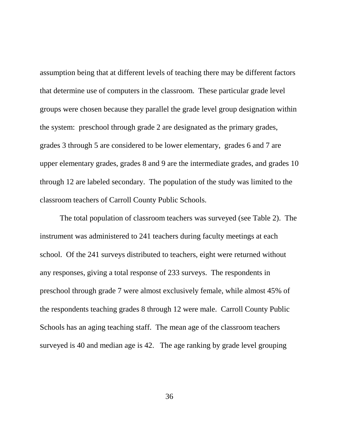assumption being that at different levels of teaching there may be different factors that determine use of computers in the classroom. These particular grade level groups were chosen because they parallel the grade level group designation within the system: preschool through grade 2 are designated as the primary grades, grades 3 through 5 are considered to be lower elementary, grades 6 and 7 are upper elementary grades, grades 8 and 9 are the intermediate grades, and grades 10 through 12 are labeled secondary. The population of the study was limited to the classroom teachers of Carroll County Public Schools.

The total population of classroom teachers was surveyed (see Table 2). The instrument was administered to 241 teachers during faculty meetings at each school. Of the 241 surveys distributed to teachers, eight were returned without any responses, giving a total response of 233 surveys. The respondents in preschool through grade 7 were almost exclusively female, while almost 45% of the respondents teaching grades 8 through 12 were male. Carroll County Public Schools has an aging teaching staff. The mean age of the classroom teachers surveyed is 40 and median age is 42. The age ranking by grade level grouping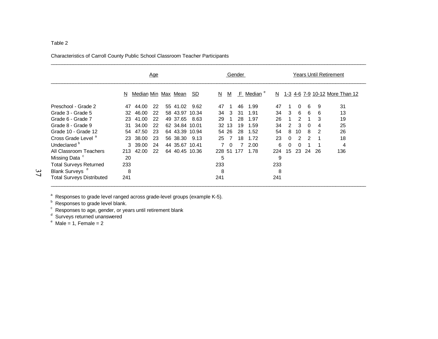#### Characteristics of Carroll County Public School Classroom Teacher Participants

|                                  |     | <u>Age</u>          |    |                |           | Gender |                |     | <b>Years Until Retirement</b> |     |          |          |    |    |                                |
|----------------------------------|-----|---------------------|----|----------------|-----------|--------|----------------|-----|-------------------------------|-----|----------|----------|----|----|--------------------------------|
|                                  | N   | Median Min Max Mean |    |                | <u>SD</u> | N      | M              | E   | Median                        | N   |          |          |    |    | 1-3 4-6 7-9 10-12 More Than 12 |
| Preschool - Grade 2              | 47  | 44.00               | 22 | 55 41.02       | 9.62      | 47     |                | 46  | 1.99                          | 47  |          | $\Omega$ | 6  | 9  | 31                             |
| Grade 3 - Grade 5                | 32  | 46.00               | 22 | 58 43.97 10.34 |           | 34     | -3             | -31 | 1.91                          | 34  | 3        | 6        | 6  | 6  | 13                             |
| Grade 6 - Grade 7                | 23  | 41.00               | 22 | 49 37.65       | 8.63      | 29     |                | 28  | 1.97                          | 26  |          | 2        |    | 3  | 19                             |
| Grade 8 - Grade 9                | 31  | 34.00               | 22 | 62 34.84 10.01 |           |        | 32 13          | 19  | 1.59                          | 34  | 2        | 3        | 0  | 4  | 25                             |
| Grade 10 - Grade 12              | 54  | 47.50               | 23 | 64 43.39 10.94 |           |        | 54 26          | 28  | 1.52                          | 54  | 8        | 10       | 8  | 2  | 26                             |
| Cross Grade Level <sup>a</sup>   | 23  | 38.00               | 23 | 56 38.30       | 9.13      | 25     | $\overline{7}$ | 18  | 1.72                          | 23  | $\Omega$ | 2        | 2  |    | 18                             |
| Undeclared <sup>b</sup>          |     | 3 39.00             | 24 | 44 35.67 10.41 |           |        | $\Omega$       |     | 2.00                          | 6   | $\Omega$ | 0        |    |    | 4                              |
| All Classroom Teachers           | 213 | 42.00               | 22 | 64 40.45 10.36 |           | 228 51 |                | 177 | 1.78                          | 224 | 15       | 23       | 24 | 26 | 136                            |
| Missing Data                     | 20  |                     |    |                |           | 5      |                |     |                               | 9   |          |          |    |    |                                |
| <b>Total Surveys Returned</b>    | 233 |                     |    |                |           | 233    |                |     |                               | 233 |          |          |    |    |                                |
| Blank Surveys <sup>d</sup>       | 8   |                     |    |                |           | 8      |                |     |                               | 8   |          |          |    |    |                                |
| <b>Total Surveys Distributed</b> | 241 |                     |    |                |           | 241    |                |     |                               | 241 |          |          |    |    |                                |

\_\_\_\_\_\_\_\_\_\_\_\_\_\_\_\_\_\_\_\_\_\_\_\_\_\_\_\_\_\_\_\_\_\_\_\_\_\_\_\_\_\_\_\_\_\_\_\_\_\_\_\_\_\_\_\_\_\_\_\_\_\_\_\_\_\_\_\_\_\_\_\_\_\_\_\_\_\_\_\_\_\_\_\_\_\_\_\_\_\_\_\_\_\_\_\_\_\_\_\_\_\_\_\_\_\_\_\_\_\_\_\_\_\_

\_\_\_\_\_\_\_\_\_\_\_\_\_\_\_\_\_\_\_\_\_\_\_\_\_\_\_\_\_\_\_\_\_\_\_\_\_\_\_\_\_\_\_\_\_\_\_\_\_\_\_\_\_\_\_\_\_\_\_\_\_\_\_\_\_\_\_\_\_\_\_\_\_\_\_\_\_\_\_\_\_\_\_\_\_\_\_\_\_\_\_\_\_\_\_\_\_\_\_\_\_\_\_\_\_\_\_\_\_\_\_\_\_\_

<sup>a</sup> Responses to grade level ranged across grade-level groups (example K-5).<br>
<sup>b</sup> Responses to grade level blank.<br>
<sup>c</sup> Responses to age, gender, or years until retirement blank<br>
<sup>d</sup> Surveys returned unanswered<br>
<sup>e</sup> Male =

 $37$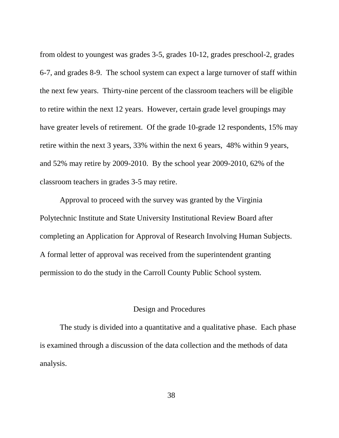from oldest to youngest was grades 3-5, grades 10-12, grades preschool-2, grades 6-7, and grades 8-9. The school system can expect a large turnover of staff within the next few years. Thirty-nine percent of the classroom teachers will be eligible to retire within the next 12 years. However, certain grade level groupings may have greater levels of retirement. Of the grade 10-grade 12 respondents, 15% may retire within the next 3 years, 33% within the next 6 years, 48% within 9 years, and 52% may retire by 2009-2010. By the school year 2009-2010, 62% of the classroom teachers in grades 3-5 may retire.

Approval to proceed with the survey was granted by the Virginia Polytechnic Institute and State University Institutional Review Board after completing an Application for Approval of Research Involving Human Subjects. A formal letter of approval was received from the superintendent granting permission to do the study in the Carroll County Public School system.

### Design and Procedures

The study is divided into a quantitative and a qualitative phase. Each phase is examined through a discussion of the data collection and the methods of data analysis.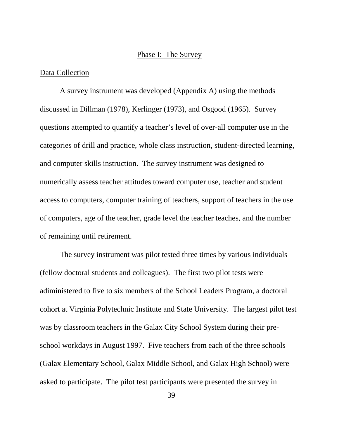#### Phase I: The Survey

#### Data Collection

A survey instrument was developed (Appendix A) using the methods discussed in Dillman (1978), Kerlinger (1973), and Osgood (1965). Survey questions attempted to quantify a teacher's level of over-all computer use in the categories of drill and practice, whole class instruction, student-directed learning, and computer skills instruction. The survey instrument was designed to numerically assess teacher attitudes toward computer use, teacher and student access to computers, computer training of teachers, support of teachers in the use of computers, age of the teacher, grade level the teacher teaches, and the number of remaining until retirement.

The survey instrument was pilot tested three times by various individuals (fellow doctoral students and colleagues). The first two pilot tests were adiministered to five to six members of the School Leaders Program, a doctoral cohort at Virginia Polytechnic Institute and State University. The largest pilot test was by classroom teachers in the Galax City School System during their preschool workdays in August 1997. Five teachers from each of the three schools (Galax Elementary School, Galax Middle School, and Galax High School) were asked to participate. The pilot test participants were presented the survey in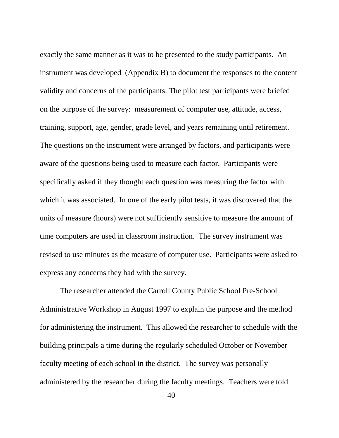exactly the same manner as it was to be presented to the study participants. An instrument was developed (Appendix B) to document the responses to the content validity and concerns of the participants. The pilot test participants were briefed on the purpose of the survey: measurement of computer use, attitude, access, training, support, age, gender, grade level, and years remaining until retirement. The questions on the instrument were arranged by factors, and participants were aware of the questions being used to measure each factor. Participants were specifically asked if they thought each question was measuring the factor with which it was associated. In one of the early pilot tests, it was discovered that the units of measure (hours) were not sufficiently sensitive to measure the amount of time computers are used in classroom instruction. The survey instrument was revised to use minutes as the measure of computer use. Participants were asked to express any concerns they had with the survey.

The researcher attended the Carroll County Public School Pre-School Administrative Workshop in August 1997 to explain the purpose and the method for administering the instrument. This allowed the researcher to schedule with the building principals a time during the regularly scheduled October or November faculty meeting of each school in the district. The survey was personally administered by the researcher during the faculty meetings. Teachers were told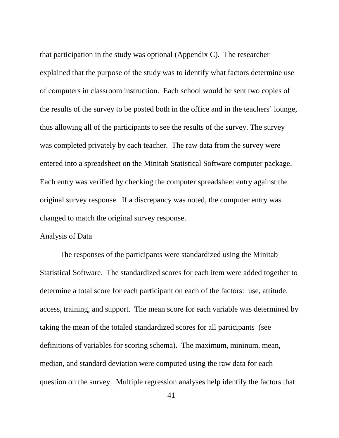that participation in the study was optional (Appendix C). The researcher explained that the purpose of the study was to identify what factors determine use of computers in classroom instruction. Each school would be sent two copies of the results of the survey to be posted both in the office and in the teachers' lounge, thus allowing all of the participants to see the results of the survey. The survey was completed privately by each teacher. The raw data from the survey were entered into a spreadsheet on the Minitab Statistical Software computer package. Each entry was verified by checking the computer spreadsheet entry against the original survey response. If a discrepancy was noted, the computer entry was changed to match the original survey response.

#### Analysis of Data

The responses of the participants were standardized using the Minitab Statistical Software. The standardized scores for each item were added together to determine a total score for each participant on each of the factors: use, attitude, access, training, and support. The mean score for each variable was determined by taking the mean of the totaled standardized scores for all participants (see definitions of variables for scoring schema). The maximum, mininum, mean, median, and standard deviation were computed using the raw data for each question on the survey. Multiple regression analyses help identify the factors that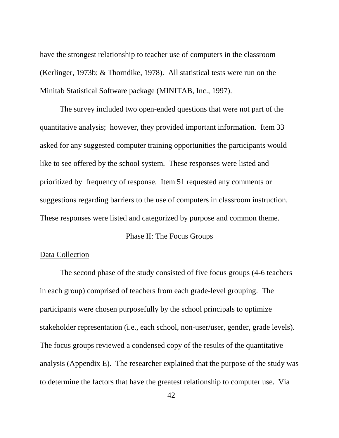have the strongest relationship to teacher use of computers in the classroom (Kerlinger, 1973b; & Thorndike, 1978). All statistical tests were run on the Minitab Statistical Software package (MINITAB, Inc., 1997).

The survey included two open-ended questions that were not part of the quantitative analysis; however, they provided important information. Item 33 asked for any suggested computer training opportunities the participants would like to see offered by the school system. These responses were listed and prioritized by frequency of response. Item 51 requested any comments or suggestions regarding barriers to the use of computers in classroom instruction. These responses were listed and categorized by purpose and common theme.

#### Phase II: The Focus Groups

#### Data Collection

The second phase of the study consisted of five focus groups (4-6 teachers in each group) comprised of teachers from each grade-level grouping. The participants were chosen purposefully by the school principals to optimize stakeholder representation (i.e., each school, non-user/user, gender, grade levels). The focus groups reviewed a condensed copy of the results of the quantitative analysis (Appendix E). The researcher explained that the purpose of the study was to determine the factors that have the greatest relationship to computer use. Via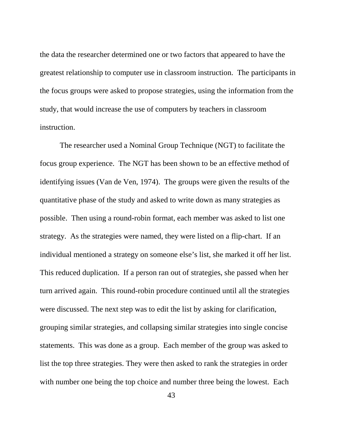the data the researcher determined one or two factors that appeared to have the greatest relationship to computer use in classroom instruction. The participants in the focus groups were asked to propose strategies, using the information from the study, that would increase the use of computers by teachers in classroom instruction.

The researcher used a Nominal Group Technique (NGT) to facilitate the focus group experience. The NGT has been shown to be an effective method of identifying issues (Van de Ven, 1974). The groups were given the results of the quantitative phase of the study and asked to write down as many strategies as possible. Then using a round-robin format, each member was asked to list one strategy. As the strategies were named, they were listed on a flip-chart. If an individual mentioned a strategy on someone else's list, she marked it off her list. This reduced duplication. If a person ran out of strategies, she passed when her turn arrived again. This round-robin procedure continued until all the strategies were discussed. The next step was to edit the list by asking for clarification, grouping similar strategies, and collapsing similar strategies into single concise statements. This was done as a group. Each member of the group was asked to list the top three strategies. They were then asked to rank the strategies in order with number one being the top choice and number three being the lowest. Each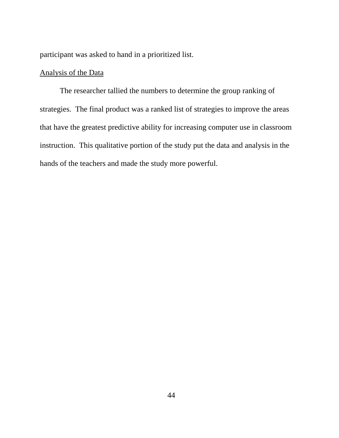participant was asked to hand in a prioritized list.

#### Analysis of the Data

The researcher tallied the numbers to determine the group ranking of strategies. The final product was a ranked list of strategies to improve the areas that have the greatest predictive ability for increasing computer use in classroom instruction. This qualitative portion of the study put the data and analysis in the hands of the teachers and made the study more powerful.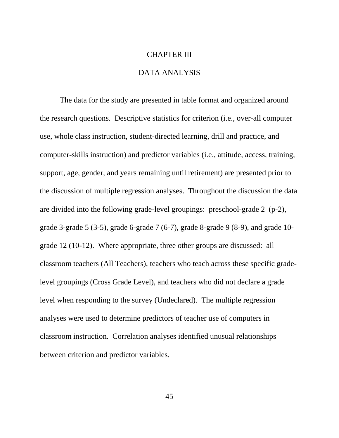# CHAPTER III DATA ANALYSIS

The data for the study are presented in table format and organized around the research questions. Descriptive statistics for criterion (i.e., over-all computer use, whole class instruction, student-directed learning, drill and practice, and computer-skills instruction) and predictor variables (i.e., attitude, access, training, support, age, gender, and years remaining until retirement) are presented prior to the discussion of multiple regression analyses. Throughout the discussion the data are divided into the following grade-level groupings: preschool-grade 2 (p-2), grade 3-grade 5 (3-5), grade 6-grade 7 (6-7), grade 8-grade 9 (8-9), and grade 10 grade 12 (10-12). Where appropriate, three other groups are discussed: all classroom teachers (All Teachers), teachers who teach across these specific gradelevel groupings (Cross Grade Level), and teachers who did not declare a grade level when responding to the survey (Undeclared). The multiple regression analyses were used to determine predictors of teacher use of computers in classroom instruction. Correlation analyses identified unusual relationships between criterion and predictor variables.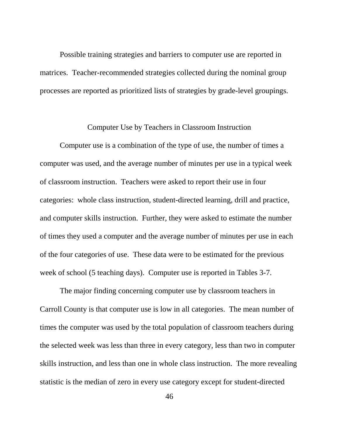Possible training strategies and barriers to computer use are reported in matrices. Teacher-recommended strategies collected during the nominal group processes are reported as prioritized lists of strategies by grade-level groupings.

#### Computer Use by Teachers in Classroom Instruction

Computer use is a combination of the type of use, the number of times a computer was used, and the average number of minutes per use in a typical week of classroom instruction. Teachers were asked to report their use in four categories: whole class instruction, student-directed learning, drill and practice, and computer skills instruction. Further, they were asked to estimate the number of times they used a computer and the average number of minutes per use in each of the four categories of use. These data were to be estimated for the previous week of school (5 teaching days). Computer use is reported in Tables 3-7.

The major finding concerning computer use by classroom teachers in Carroll County is that computer use is low in all categories. The mean number of times the computer was used by the total population of classroom teachers during the selected week was less than three in every category, less than two in computer skills instruction, and less than one in whole class instruction. The more revealing statistic is the median of zero in every use category except for student-directed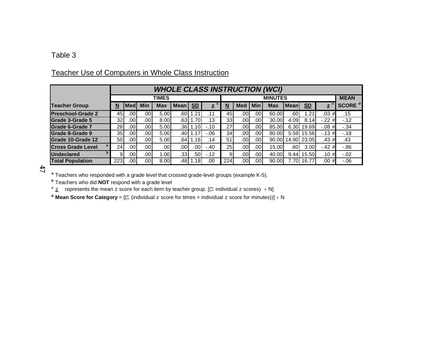#### Table 3

|                               |     | <b>WHOLE CLASS INSTRUCTION (WCI)</b> |                  |            |                  |           |                   |                 |             |                  |            |         |                           |                         |                    |
|-------------------------------|-----|--------------------------------------|------------------|------------|------------------|-----------|-------------------|-----------------|-------------|------------------|------------|---------|---------------------------|-------------------------|--------------------|
|                               |     |                                      |                  | TIMES      |                  |           |                   |                 | <b>MEAN</b> |                  |            |         |                           |                         |                    |
| <b>Teacher Group</b>          | N   | Medl                                 | <b>Min</b>       | <b>Max</b> | <b>Mean</b>      | <b>SD</b> | с<br>$\mathbf{z}$ | N               | <b>Med</b>  | <b>Min</b>       | <b>Max</b> | l Meanl | $\underline{\mathbf{SD}}$ | $\overline{\mathbf{z}}$ | SCORE <sup>d</sup> |
| <b>Preschool-Grade 2</b>      | 45  | .001                                 | .00 <sub>1</sub> | 5.00       | .60I             | 1.21      | .11               | 45              | .00         | .00I             | 60.00      | .60     | .21                       | .03#                    | .15                |
| Grade 3-Grade 5               | 32  | .001                                 | .00              | 8.00       | .631             | 1.70      | .13               | 33 <sub>l</sub> | .00         | .001             | 30.00      | 4.09    | 8.14                      | $-.22#$                 | $-12$              |
| Grade 6-Grade 7               | 28  | .001                                 | .00 <sub>1</sub> | 5.00       | .36I             | 1.10      | $-.10$            | 27              | .00         | .00I             | 85.00      | 6.30    | 19.69                     | $-.08#$                 | $-34$              |
| Grade 8-Grade 9               | 35  | .001                                 | .00 <sub>1</sub> | 5.00       | .40 <sub>l</sub> | 1.17      | $-06$             | 34              | .00         | .00I             | 80.00      | 5.59    | 15.56                     | $-.13#$                 | $-.18$             |
| Grade 10-Grade 12             | 50  | .001                                 | .00 <sub>1</sub> | 5.00       | .641             | 1.16      | .14               | 51              | .00         | .001             | 90.00      |         | 14.90 23.05               | .43#                    | .43                |
| a<br><b>Cross Grade Level</b> | 24  | .001                                 | .00 <sub>1</sub> | .001       | .00              | .001      | $-.40$            | 25 <sub>1</sub> | .00         | .00 <sub>l</sub> | 15.00      | .60     | 3.00                      | $-.42$<br>#             | $-86$              |
| b<br><b>Undeclared</b>        |     | .001                                 | .00              | .001       | .331             | .50l      | $-12$             | 9               | .00         | .00I             | 40.00      | 9.44    | 15.50                     | .10#                    | $-.02$             |
| <b>Total Population</b>       | 223 | .001                                 | .00'             | 8.00       | ا48.             | 1.18      | .00               | 224             | .00         | 100.             | 90.00      | 7.70    | 16.77                     | .00#                    | $-0.06$            |

## Teacher Use of Computers in Whole Class Instruction

 $47$ 

**a** Teachers who responded with a grade level that crossed grade-level groups (example K-5).

**b** Teachers who did **NOT** respond with a grade level **c** z represents the mean z score for each item by teacher group. [( individual z scores) - N]

**d** Mean Score for Category = [( $\Sigma$  (individual  $z$  score for times + individual  $z$  score for minutes))] ÷ N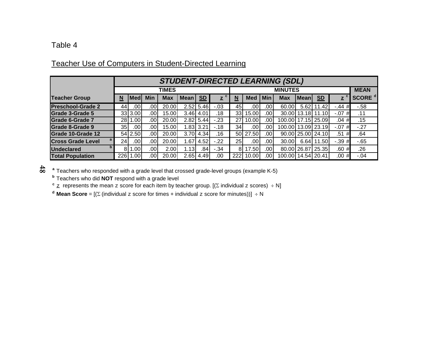# Teacher Use of Computers in Student-Directed Learning

|                          |     | <b>STUDENT-DIRECTED LEARNING (SDL)</b> |     |              |             |             |              |            |             |                  |                    |             |                           |              |                    |
|--------------------------|-----|----------------------------------------|-----|--------------|-------------|-------------|--------------|------------|-------------|------------------|--------------------|-------------|---------------------------|--------------|--------------------|
|                          |     |                                        |     | <b>TIMES</b> |             |             |              |            | <b>MEAN</b> |                  |                    |             |                           |              |                    |
| <b>Teacher Group</b>     | N   | Medl                                   | Min | <b>Max</b>   | <b>Mean</b> | <b>SD</b>   | $\mathbf{z}$ | N          | <b>Med</b>  | <b>Min</b>       | Max                | <b>Mean</b> | $\underline{\mathsf{SD}}$ | $\mathbf{z}$ | SCORE <sup>d</sup> |
| <b>Preschool-Grade 2</b> | 44  | .00                                    | .00 | 20.00        |             | 2.52 5.46   | $-.03$       | 45         | .001        | .001             | 60.00              | 5.62        | 1.42                      | $-.44 \#$    | $-58$              |
| Grade 3-Grade 5          |     | 33 3.00                                | 00. | 15.00        |             | $3.46$ 4.01 | .18          | 33         | 15.00       | .001             |                    |             | 30.00 13.18 11.10         | $-.07$<br>#  | .11                |
| Grade 6-Grade 7          | 28  | .001                                   | .00 | 20.00        |             | $2.82$ 5.44 | $-23$        | 27 I       | 10.00       | .00              | 100.00 17.15 25.09 |             |                           | .04#         | .15                |
| Grade 8-Grade 9          | 35  | .00                                    | .00 | 15.00        | 1.83        | 3.21        | $-18$        | 34I        | .00         | .00 <sup>1</sup> | 100.00 13.09 23.19 |             |                           | $-.07#$      | $-.27$             |
| Grade 10-Grade 12        |     | 54 2.50                                | .00 | 20.00        |             | 3.70 4.34   | .16          |            | 50 27.50    | .001             |                    |             | 90.00 25.00 24.10         | .51#         | .64                |
| <b>Cross Grade Level</b> | 24  | .00l                                   | .00 | 20.00        | 1.67        | 4.52        | $-.22$       | 25 I       | .00         | .001             | 30.00              | $6.64$ 1    | 1.50                      | $-.39#$      | $-65$              |
| <b>Undeclared</b>        |     | .00 <sub>1</sub>                       | .00 | 2.00         | 1.13        | .84I        | $-34$        | 81         | 17.50       | .00              |                    |             | 80.00 26.87 25.35         | .60#         | .26                |
| <b>Total Population</b>  | 226 | .001                                   | .00 | 20.00        | 2.65        | 4.49        | .00          | <b>222</b> | 10.00       | .00              | 100.00 14.54 20.41 |             |                           | .00#         | $-.04$             |

**a** Teachers who responded with a grade level that crossed grade-level groups (example K-5)

**b** Teachers who did **NOT** respond with a grade level

 $\mathsf{^c}$   $\mathsf{z}\,$  represents the mean  $\mathsf{z}\,$  score for each item by teacher group. [( $\mathsf{\Sigma}\,$  individual  $\mathsf{z}\,$  scores)  $\,$  ÷ N]

**d** Mean Score =  $[(\Sigma \text{ (individual } z \text{ score for times } + \text{ individual } z \text{ score for minutes}))] \div N$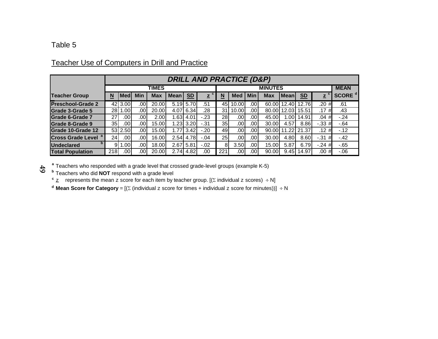## Teacher Use of Computers in Drill and Practice

|                                       |                 | <b>DRILL AND PRACTICE (D&amp;P)</b> |                  |            |             |                   |              |     |             |                  |            |              |                |              |                    |
|---------------------------------------|-----------------|-------------------------------------|------------------|------------|-------------|-------------------|--------------|-----|-------------|------------------|------------|--------------|----------------|--------------|--------------------|
|                                       |                 |                                     |                  | TIMES      |             |                   |              |     | <b>MEAN</b> |                  |            |              |                |              |                    |
| <b>Teacher Group</b>                  | N               | <b>Medl</b>                         | <b>Min</b>       | <b>Max</b> | <b>Mean</b> | S <sub>D</sub>    | $\mathbf{z}$ | N   | <b>Med</b>  | <b>Min</b>       | <b>Max</b> | <b>Meanl</b> | S <sub>D</sub> | $\mathbf{z}$ | SCORE <sup>d</sup> |
| <b>Preschool-Grade 2</b>              | 42              | 3.00                                | .00              | 20.00      | 5.19        | 5.70              | .51          | 45  | 10.00       | .001             |            | 60.00 12.40  | 12.76          | .20<br>#     | .61                |
| <b>Grade 3-Grade 5</b>                | <b>28</b>       | 1.001                               | .00              | 20.00      | 4.07        | 6.34              | .28          | 31  | 10.00       | .00 <sub>1</sub> |            | 80.00 12.03  | 15.51          | .17<br>#     | .43                |
| <b>Grade 6-Grade 7</b>                | 27              | .001                                | .00              | 2.00       | 1.63        | 4.01              | $-23$        | 28I | .001        | .00              | 45.00      | 1.00         | 14.91          | #<br>.04     | $-.24$             |
| Grade 8-Grade 9                       | 35 <sub>l</sub> | .001                                | .00              | 15.00      | 1.23        | 3.20 <sub>l</sub> | $-31$        | 35I | .001        | $.00 \cdot$      | 30.00      | 4.57         | 8.86           | $-.33#$      | $-64$              |
| Grade 10-Grade 12                     |                 | 53 2.50                             | .00              | 15.00      | 1.77        | 3.42              | $-.20$       | 491 | .001        | .00              |            | 90.00 11.22  | 21.37          | .12#         | $-12$              |
| <b>Cross Grade Level <sup>a</sup></b> | 24 <sub>l</sub> | .001                                | .00 <sub>1</sub> | 16.00      | 2.54        | 4.78              | $-.04$       | 25  | .001        | .00              | 30.00      | 4.80         | 8.60           | $-31$<br>#   | $-42$              |
| D<br><b>Undeclared</b>                |                 | .00                                 | .00              | 18.00      | 2.67        | 5.81              | $-0.02$      | 8   | 3.50        | .001             | 15.00      | 5.87         | 6.79           | $-.24#$      | $-65$              |
| <b>Total Population</b>               | 218             | .001                                | .00              | 20.00      | 2.74        | 4.82              | .00          | 221 | .001        | .00              | 90.00      | 9.45         | 14.97          | .00<br>#     | $-0.06$            |

<sup>a</sup> Teachers who responded with a grade level that crossed grade-level groups (example K-5)<br><sup>b</sup> Teachers who did **NOT** respond with a grade level<br><sup>c</sup> <u>z</u> represents the mean z score for each item by teacher group. [

**d** Mean Score for Category = [( $\Sigma$  (individual z score for times + individual z score for minutes))] ÷ N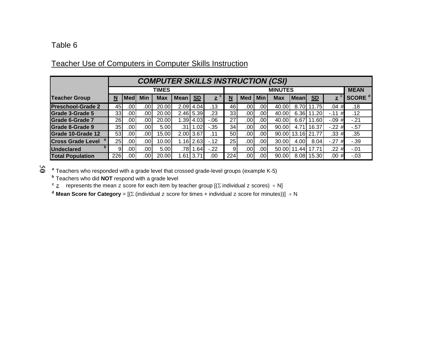# Teacher Use of Computers in Computer Skills Instruction

|                                |     | <b>COMPUTER SKILLS INSTRUCTION (CSI)</b> |               |              |                  |                           |                   |                          |                  |            |       |                   |                           |                         |                    |
|--------------------------------|-----|------------------------------------------|---------------|--------------|------------------|---------------------------|-------------------|--------------------------|------------------|------------|-------|-------------------|---------------------------|-------------------------|--------------------|
|                                |     |                                          |               | <b>TIMES</b> |                  |                           |                   |                          | <b>MEAN</b>      |            |       |                   |                           |                         |                    |
| <b>Teacher Group</b>           | N   | <b>Med</b>                               | <b>Min</b>    | Max          | Mean             | $\underline{\mathsf{SD}}$ | c<br>$\mathbf{z}$ | $\underline{\mathbf{N}}$ | <b>Med</b>       | <b>Min</b> | Max   | l Meanl           | $\underline{\mathbf{SD}}$ | $\overline{\mathbf{z}}$ | SCORE <sup>d</sup> |
| <b>Preschool-Grade 2</b>       | 451 | .001                                     | .00           | 20.00        | 2.09             | 4.04                      | .13               | 46                       | .00              | .00I       | 40.00 | 8.70              | 11.75                     | .04                     | .18                |
| Grade 3-Grade 5                | 33  | .001                                     | .00           | 20.00        | 2.46             | 5.39                      | .23               | 33                       | .00              | ا00.       | 40.00 | 6.36              | 11.20                     | $-.11$<br>#             | .12                |
| Grade 6-Grade 7                | 26  | .001                                     | $.00^{\circ}$ | 20.00        | .39 <sub>1</sub> | 4.03                      | $-.06$            | 27                       | .00              | ا00.       | 40.00 | 6.67              | 11.60                     | $-09#$                  | $-21$              |
| <b>Grade 8-Grade 9</b>         | 35  | .001                                     | ا00.          | 5.00         | .31              | 1.02                      | $-35$             | 34                       | .00              | .001       | 90.00 | 4.71              | 16.37                     | $-22#$                  | $-57$              |
| Grade 10-Grade 12              | 53  | .001                                     | .00           | 15.00        |                  | 2.00 3.67                 | .11               | 50 l                     | .00              | .001       |       | 90.00 13.16 21.77 |                           | .33#                    | .35                |
| Cross Grade Level <sup>a</sup> | 25  | .00                                      | ا00.          | 10.00        | 1.16             | 2.63                      | $-.12$            | 25 <sub>l</sub>          | .00              | .001       | 30.00 | 4.00              | 8.04                      | $-27$<br>#              | $-39$              |
| <b>Undeclared</b>              | 9   | .001                                     | ا00.          | 5.00         | 78۱.             | 1.64                      | $-22$             | 9                        | .00              | .001       |       | 50.00   11.44     | 17.71                     | .22#                    | $-.01$             |
| <b>Total Population</b>        | 226 | .00                                      | .00           | 20.00        | .61              | 3.71                      | .00               | 224                      | .00 <sub>1</sub> | .00I       | 90.00 | 8.08              | 15.30                     | .00#                    | $-03$              |

**a** Teachers who responded with a grade level that crossed grade-level groups (example K-5)

**b** Teachers who did **NOT** respond with a grade level

 $\rm \frac{c}$   $\rm \frac{z}{z}$  represents the mean  $\rm z$  score for each item by teacher group [( $\rm \Sigma$  individual  $\rm z$  scores)  $\rm \div$  N]

**d Mean Score for Category** = [( $\Sigma$  (individual z score for times + individual z score for minutes))] ÷ N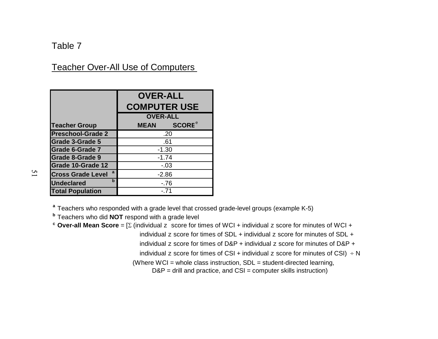## Table 7

## Teacher Over-All Use of Computers

|                                  | <b>OVER-ALL</b><br><b>COMPUTER USE</b>   |
|----------------------------------|------------------------------------------|
|                                  | <b>OVER-ALL</b>                          |
| <b>Teacher Group</b>             | <b>SCORE</b> <sup>e</sup><br><b>MEAN</b> |
| <b>Preschool-Grade 2</b>         | .20                                      |
| <b>Grade 3-Grade 5</b>           | .61                                      |
| <b>Grade 6-Grade 7</b>           | $-1.30$                                  |
| <b>Grade 8-Grade 9</b>           | $-1.74$                                  |
| <b>Grade 10-Grade 12</b>         | $-.03$                                   |
| a<br><b>Cross Grade Level</b>    | $-2.86$                                  |
| $\mathbf b$<br><b>Undeclared</b> | -.76                                     |
| <b>Total Population</b>          | $-.71$                                   |

 $\overline{2}$ 

**a** Teachers who responded with a grade level that crossed grade-level groups (example K-5)

**b** Teachers who did **NOT** respond with a grade level

 $\mathsf{c}\,$  **Over-all Mean Score** = [ $\Sigma$  (individual  $\mathrm{z}\,$  score for times of WCI + individual  $\mathrm{z}\,$  score for minutes of WCI +

individual z score for times of  $SDL +$  individual z score for minutes of  $SDL +$ 

individual z score for times of  $D&P +$  individual z score for minutes of  $D&P +$ 

individual z score for times of CSI + individual z score for minutes of CSI)  $\div N$ 

(Where WCI = whole class instruction, SDL = student-directed learning,

 $D\&P =$  drill and practice, and  $CSI =$  computer skills instruction)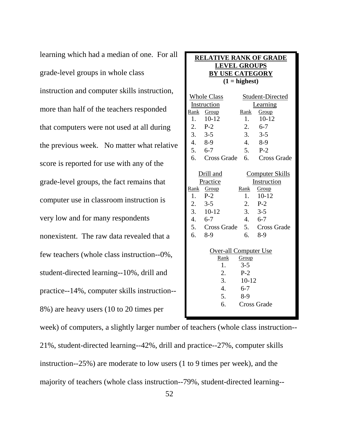learning which had a median of one. For all grade-level groups in whole class instruction and computer skills instruction, more than half of the teachers responded that computers were not used at all during the previous week. No matter what relative score is reported for use with any of the grade-level groups, the fact remains that computer use in classroom instruction is very low and for many respondents nonexistent. The raw data revealed that a few teachers (whole class instruction--0%, student-directed learning--10%, drill and practice--14%, computer skills instruction-- 8%) are heavy users (10 to 20 times per

| <b>RELATIVE RANK OF GRADE</b><br><b>LEVEL GROUPS</b><br><b>BY USE CATEGORY</b> |                                                                                                           |                                                                            |                                                                                                                         |
|--------------------------------------------------------------------------------|-----------------------------------------------------------------------------------------------------------|----------------------------------------------------------------------------|-------------------------------------------------------------------------------------------------------------------------|
| $(1 =$ highest)                                                                |                                                                                                           |                                                                            |                                                                                                                         |
| 1.<br>4. 8-9                                                                   | <b>Whole Class</b><br>Instruction<br>Rank Group<br>$10-12$<br>$2.$ P-2<br>$3. 3-5$                        | Rank<br>1.<br>2.<br>3.<br>4.                                               | Student-Directed<br>Learning<br>Group<br>$10-12$<br>$6 - 7$<br>$3 - 5$<br>8-9                                           |
| 5.                                                                             | $6 - 7$                                                                                                   | 5.                                                                         | $P-2$                                                                                                                   |
|                                                                                |                                                                                                           |                                                                            | 6. Cross Grade 6. Cross Grade                                                                                           |
| 1.<br>2.<br>3.<br>$\overline{4}$ .<br>6.                                       | Drill and<br>Practice<br>Rank Group<br>$P-2$<br>$3 - 5$<br>$10-12$<br>$6 - 7$<br>5. Cross Grade 5.<br>8-9 | Rank<br>$\mathbf{1}$ .<br>$\overline{2}$ .<br>3.<br>$\overline{4}$ .<br>6. | <b>Computer Skills</b><br>Instruction<br>Group<br>$10-12$<br>$P-2$<br>$3 - 5$<br>$6 - 7$<br><b>Cross Grade</b><br>$8-9$ |
| Over-all Computer Use                                                          |                                                                                                           |                                                                            |                                                                                                                         |
| Rank<br>Group<br>$3 - 5$<br>1.                                                 |                                                                                                           |                                                                            |                                                                                                                         |
|                                                                                | 2.                                                                                                        | $P-2$                                                                      |                                                                                                                         |
| 3.<br>$10 - 12$                                                                |                                                                                                           |                                                                            |                                                                                                                         |
|                                                                                | 4.                                                                                                        | $6 - 7$                                                                    |                                                                                                                         |
| 5.<br>$8-9$<br>6.<br><b>Cross Grade</b>                                        |                                                                                                           |                                                                            |                                                                                                                         |
|                                                                                |                                                                                                           |                                                                            |                                                                                                                         |

week) of computers, a slightly larger number of teachers (whole class instruction-- 21%, student-directed learning--42%, drill and practice--27%, computer skills instruction--25%) are moderate to low users (1 to 9 times per week), and the majority of teachers (whole class instruction--79%, student-directed learning--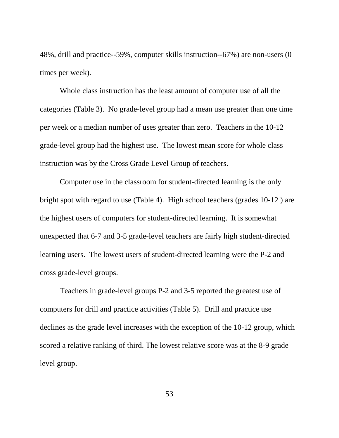48%, drill and practice--59%, computer skills instruction--67%) are non-users (0 times per week).

Whole class instruction has the least amount of computer use of all the categories (Table 3). No grade-level group had a mean use greater than one time per week or a median number of uses greater than zero. Teachers in the 10-12 grade-level group had the highest use. The lowest mean score for whole class instruction was by the Cross Grade Level Group of teachers.

Computer use in the classroom for student-directed learning is the only bright spot with regard to use (Table 4). High school teachers (grades 10-12 ) are the highest users of computers for student-directed learning. It is somewhat unexpected that 6-7 and 3-5 grade-level teachers are fairly high student-directed learning users. The lowest users of student-directed learning were the P-2 and cross grade-level groups.

Teachers in grade-level groups P-2 and 3-5 reported the greatest use of computers for drill and practice activities (Table 5). Drill and practice use declines as the grade level increases with the exception of the 10-12 group, which scored a relative ranking of third. The lowest relative score was at the 8-9 grade level group.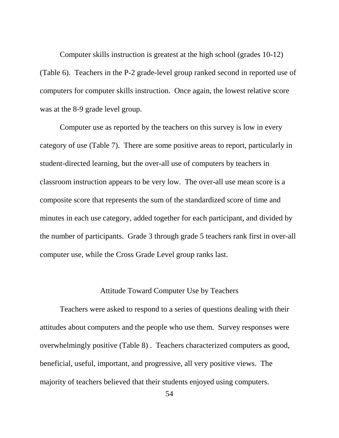Computer skills instruction is greatest at the high school (grades 10-12) (Table 6). Teachers in the P-2 grade-level group ranked second in reported use of computers for computer skills instruction. Once again, the lowest relative score was at the 8-9 grade level group.

Computer use as reported by the teachers on this survey is low in every category of use (Table 7). There are some positive areas to report, particularly in student-directed learning, but the over-all use of computers by teachers in classroom instruction appears to be very low. The over-all use mean score is a composite score that represents the sum of the standardized score of time and minutes in each use category, added together for each participant, and divided by the number of participants. Grade 3 through grade 5 teachers rank first in over-all computer use, while the Cross Grade Level group ranks last.

#### Attitude Toward Computer Use by Teachers

Teachers were asked to respond to a series of questions dealing with their attitudes about computers and the people who use them. Survey responses were overwhelmingly positive (Table 8) . Teachers characterized computers as good, beneficial, useful, important, and progressive, all very positive views. The majority of teachers believed that their students enjoyed using computers.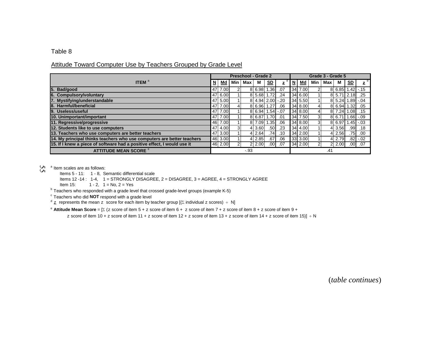#### Attitude Toward Computer Use by Teachers Grouped by Grade Level

|                                                                         |                          |         |     | <b>Preschool - Grade 2</b> |                      |                  |             |          |           | Grade 3 - Grade 5 |                |        |                  |             |
|-------------------------------------------------------------------------|--------------------------|---------|-----|----------------------------|----------------------|------------------|-------------|----------|-----------|-------------------|----------------|--------|------------------|-------------|
| <b>ITEM</b> $^{\mathrm{a}}$                                             | $\underline{\mathsf{N}}$ | Md      | Min | Max                        | м                    | <u>SD</u>        | z           | <u>N</u> | <u>Md</u> | Min               | Max            | м      | <u>SD</u>        | z           |
| 5. Bad/good                                                             | 47                       | 7.00    |     |                            | 8 6.98               | .36 <sup>1</sup> | .07         |          | 34 7.00   |                   |                | 8 6.85 |                  | $.42 - .15$ |
| 6. Compulsory/voluntary                                                 |                          | 47 6.00 |     |                            | 8 5.68               | 1.72I            | .24         |          | 34 6.00   |                   |                |        | 8 5.71 2.18      | .25         |
| 7. Mystifying/understandable                                            |                          | 47 5.00 |     |                            | $8$ 4.94 $2.00$ - 20 |                  |             |          | 34 5.50   |                   |                |        | 8 5.24 1.89 -.04 |             |
| 8. Harmful/beneficial                                                   |                          | 47 7.00 | 41  |                            | 8 6.96               | 1.271            | .06         |          | 34 8.00   | 41                |                |        | 8 6.94 1.32      | .05         |
| 9. Useless/useful                                                       |                          | 47 7.00 |     |                            | 8 6.94               |                  | $1.54 - 07$ |          | 34 8.00   |                   | 81             | 7.24   | 1.08             | .15         |
| 10. Unimportant/important                                               |                          | 47 7.00 |     |                            | 8 6.87               | 01. 1.70         |             |          | 34 7.50   | 31                |                | 8 6.71 | $1.66 - 0.09$    |             |
| 11. Regressive/progressive                                              |                          | 46 7.00 |     |                            | 8 7.09               | .35 <sub>1</sub> | .06         |          | 34 8.00   | 3                 |                | 8 6.97 |                  | $.45 - .03$ |
| 12. Students like to use computers                                      |                          | 47 4.00 | 3I  |                            | 4 3.60               | .501             | .23         |          | 34 4.00   |                   |                | 4 3.56 | .99              | .18         |
| 13. Teachers who use computers are better teachers                      |                          | 47 3.00 |     |                            | 4 2.64               | .741             | .10         |          | 34 2.00   |                   | 41             | 2.56   | .751             | .00.        |
| 14. My principal thinks teachers who use computers are better teachers  |                          | 46 3.00 |     |                            | 4 2.85               | .671             | .06         |          | 33 3.00   |                   |                | 4 2.79 |                  | $.82 - .02$ |
| 15. If I knew a piece of software had a positive effect, I would use it |                          | 46 2.00 | 21  |                            | 2 2.00               | .001             | .07         |          | 34 2.00   | $\overline{2}$    | $\overline{2}$ | 2.00   |                  | .0007       |
| <b>ATTITUDE MEAN SCORE<sup>e</sup></b>                                  |                          |         |     | $-.93$                     |                      |                  |             |          |           |                   | .41            |        |                  |             |

<sup>a</sup> Item scales are as follows:

Items 5 - 11: 1 - 8, Semantic differential scale

Items 12 -14 : 1-4, 1 = STRONGLY DISAGREE, 2 = DISAGREE, 3 = AGREE, 4 = STRONGLY AGREE

Item 15:  $1 - 2$ ,  $1 = No$ ,  $2 = Yes$ 

 $^{\text{\tiny{\rm{b}}} }$  Teachers who responded with a grade level that crossed grade-level groups (example K-5)

 $\textdegree$  Teachers who did **NOT** respond with a grade level

 $^d$  z represents the mean z score for each item by teacher group [( $\Sigma$  individual z scores)  $\div$  N]

 $^{\rm e}$  **Attitude Mean Score** = [Σ ( ${\rm z}$  score of item 5 +  ${\rm z}$  score of item 6 +  ${\rm z}$  score of item 8 +  ${\rm z}$  score of item 9 +

z score of item 10 + z score of item 11 + z score of item 12 + z score of item 13 + z score of item 14 + z score of item 15)]  $\div N$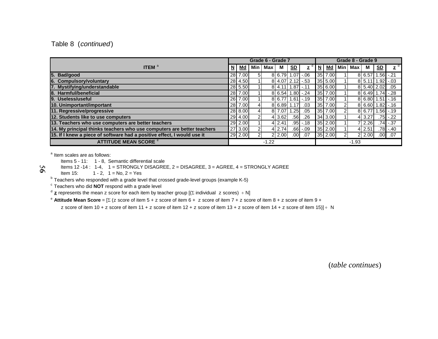#### Table 8 (continued)

|                                                                         |   |         |            | Grade 6 - Grade 7 |          |                        |              |     |           |       | Grade 8 - Grade 9 |                    |                           |                   |
|-------------------------------------------------------------------------|---|---------|------------|-------------------|----------|------------------------|--------------|-----|-----------|-------|-------------------|--------------------|---------------------------|-------------------|
| <b>ITEM</b> $^a$                                                        | N | Md      | <b>Min</b> | Max               | м        | S <sub>D</sub>         | $\mathbf{z}$ | $N$ | Md        | Min l | Max               | м                  | $\underline{\mathsf{SD}}$ | d<br>$\mathbf{z}$ |
| 5. Bad/good                                                             |   | 28 7.00 | 51         |                   |          | $816.7911.071 - .06$   |              |     | 35 7.00   |       |                   | 8 6.57 1.56        |                           | $-.21$            |
| 6. Compulsory/voluntary                                                 |   | 28 4.50 |            |                   |          | $8$   4.07  2.12  -.53 |              |     | 35 5.00   |       |                   | 8 5.11 1.92        |                           | $-0.03$           |
| 7. Mystifying/understandable                                            |   | 28 5.50 |            |                   |          | $8$ 4.11 1.87 -.11     |              |     | 35 6.00   |       |                   | 8 5.40 2.02        |                           | .05               |
| 8. Harmful/beneficial                                                   |   | 28 7.00 |            |                   |          | 8 6.54 1.80 -.24       |              |     | 35 7.00   |       |                   | 8 6.49 1.74        |                           | $-.28$            |
| 9. Useless/useful                                                       |   | 26 7.00 |            |                   |          | $816.7711.611-.19$     |              |     | 35 7.00   |       |                   | $8$ 6.80 1.51 -.16 |                           |                   |
| 10. Unimportant/important                                               |   | 28 7.00 |            |                   | 8 6.89   | 1.17                   | .03          |     | 35 7.00   |       |                   | 816.6011.82        |                           |                   |
| 11. Regressive/progressive                                              |   | 28 8.00 |            |                   | 8 7.07   | .251                   | .05          |     | 35 7.00   |       |                   | 8 6.77             |                           | $1.56 - 19$       |
| 12. Students like to use computers                                      |   | 29 4.00 |            |                   | 4 3.62   | .561                   | .26          |     | 34 3.00   |       |                   | 4 3.27             | .751                      | $-.22$            |
| 13. Teachers who use computers are better teachers                      |   | 29 2.00 |            |                   | 412.41   |                        | $.95 - 18$   |     | 35 2.00   |       |                   | 7 2.26             |                           | $.74 - .37$       |
| 14. My principal thinks teachers who use computers are better teachers  |   | 27 3.00 |            |                   | $4$ 2.74 |                        | $.66 - .09$  |     | $35$ 2.00 |       |                   | $4$ 2.51           |                           | $.78 - .40$       |
| 15. If I knew a piece of software had a positive effect, I would use it |   | 29 2.00 |            |                   | 2 2.00   | .00 <sub>l</sub>       | .07          |     | 35 2.00   |       |                   | 2 2.00             | .00.                      | .07               |
| <b>ATTITUDE MEAN SCORE<sup>e</sup></b>                                  |   |         |            | $-1.22$           |          |                        |              |     |           |       | $-1.93$           |                    |                           |                   |

<sup>a</sup> Item scales are as follows:

Items 5 - 11: 1 - 8, Semantic differential scale

Items 12 -14 : 1-4, 1 = STRONGLY DISAGREE, 2 = DISAGREE, 3 = AGREE, 4 = STRONGLY AGREE

56

Item 15:  $1 - 2$ ,  $1 = No$ ,  $2 = Yes$ 

 $^{\rm b}$  Teachers who responded with a grade level that crossed grade-level groups (example K-5)

 $\textdegree$  Teachers who did **NOT** respond with a grade level

 $d$  **z** represents the mean z score for each item by teacher group [( $\Sigma$  individual z scores) ÷ N]

e **Attitude Mean Score** = [ (z score of item 5 + z score of item 6 + z score of item 7 + z score of item 8 + z score of item 9 +

z score of item 10 + z score of item 11 + z score of item 12 + z score of item 13 + z score of item 14 + z score of item 15)] ÷ N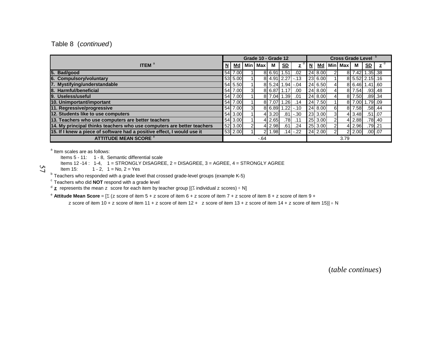#### Table 8 (continued)

|                                                                         |   |         |          | Grade 10 - Grade 12 |                     |                  |           |             |                | Cross Grade Level b |        |                 |           |
|-------------------------------------------------------------------------|---|---------|----------|---------------------|---------------------|------------------|-----------|-------------|----------------|---------------------|--------|-----------------|-----------|
| <b>ITEM</b> $^a$                                                        | N | Md      |          | Min   Max           | м                   | S <sub>D</sub>   | z         | <u>N Md</u> |                | Min Max             | М      | SD              | z         |
| 5. Bad/good                                                             |   | 54 7.00 |          |                     | 8 6.91 1.51         |                  | .02       | 24 8.00     |                |                     |        | 8 7.42 1.35 38  |           |
| 6. Compulsory/voluntary                                                 |   | 53 5.00 |          |                     | 8 4.91 2.27         |                  | 'l -.13   | 23 6.00     |                |                     |        | 8 5.52 2.15 .16 |           |
| 7. Mystifying/understandable                                            |   | 54 5.50 |          |                     | $8$ 5.24 1.94 -.04  |                  |           | 24 6.50     |                |                     |        | 8 6.46 1.41 60  |           |
| 8. Harmful/beneficial                                                   |   | 54 7.00 | 31       |                     | 8 6.87              | 1.17             | .00       | 24 8.00     |                |                     | 8 7.54 |                 | $.93$ .48 |
| 9. Useless/useful                                                       |   | 54 7.00 |          |                     | 8 7.04              | 1.39             | .01       | 24 8.00     |                |                     | 8 7.50 |                 | $.89$ .34 |
| 10. Unimportant/important                                               |   | 54 7.00 |          |                     | 8 7.07              | .261             | .14       | 24 7.50     |                |                     |        | 8 7.00 1.79 .09 |           |
| 11. Regressive/progressive                                              |   | 54 7.00 | 31       |                     | $816.8911.221 - 10$ |                  |           | 24 8.00     | 61             |                     | 8 7.58 |                 | $.58$ .44 |
| 12. Students like to use computers                                      |   | 54 3.00 |          |                     | 4 3.20              |                  | $.81$ .30 | 23 3.00     |                |                     | 4 3.48 | $.51$ .07       |           |
| 13. Teachers who use computers are better teachers                      |   | 54 3.00 |          |                     | 4 2.65              | 78               | .11       | 25 3.00     | $\overline{2}$ |                     | 4 2.88 |                 | $.78$ .40 |
| 14. My principal thinks teachers who use computers are better teachers  |   | 52 3.00 | $\Omega$ |                     | 4 2.98              | .61 <sub>1</sub> | .24       | 25 3.00     | $\mathcal{P}$  |                     | 4 2.96 | $.79$ .21       |           |
| 15. If I knew a piece of software had a positive effect, I would use it |   | 53 2.00 |          | 21                  | .981                |                  | $.14$ .22 | 24 2.00     | $\mathcal{P}$  |                     | 2 2.00 | $.00$ .07       |           |
| <b>ATTITUDE MEAN SCORE<sup>e</sup></b>                                  |   |         |          | $-64$               |                     |                  |           |             |                | 3.79                |        |                 |           |

<sup>a</sup> Item scales are as follows:

57

Items 5 - 11: 1 - 8, Semantic differential scale

Items 12 -14 :  $1-4$ ,  $1 =$  STRONGLY DISAGREE, 2 = DISAGREE, 3 = AGREE, 4 = STRONGLY AGREE

Item 15:  $1 - 2$ ,  $1 = No$ ,  $2 = Yes$ 

 $^{\text{b}}$  Teachers who responded with a grade level that crossed grade-level groups (example K-5)

 $^{\circ}$  Teachers who did **NOT** respond with a grade level<br><sup>d</sup> **z** represents the mean  $\rm z$  score for each item by teacher group [(Σ individual  $\rm z$  scores) ÷ N]

e **Attitude Mean Score** = [ (z score of item 5 + z score of item 6 + z score of item 7 + z score of item 8 + z score of item 9 +

z score of item 10 + z score of item 11 + z score of item 12 + z score of item 13 + z score of item 14 + z score of item 15)]  $\div$  N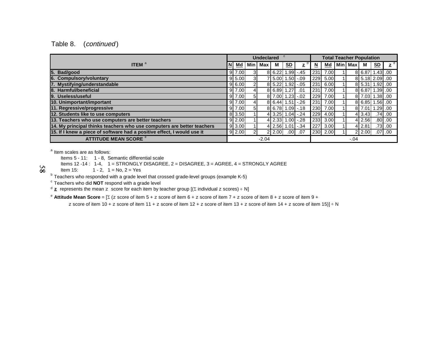#### Table 8. (continued)

|                                                                         |                    |            | <b>Undeclared</b> |          |                  |                |            |      | <b>Total Teacher Population</b> |         |                |             |
|-------------------------------------------------------------------------|--------------------|------------|-------------------|----------|------------------|----------------|------------|------|---------------------------------|---------|----------------|-------------|
| <b>ITEM</b> <sup>a</sup>                                                | Md                 | <b>Min</b> | <b>Max</b>        | M        | S <sub>D</sub>   | z              | <u>ผ</u>   | Md   | <b>Min   Max</b>                | М       | <b>SD</b>      | z           |
| Bad/good<br>15.                                                         | 9 7.00             | зı         |                   | 8 6.22   |                  | $.99 - .45$    | 231        | 7.00 |                                 |         | 8 6.87 1.43 00 |             |
| 6. Compulsory/voluntary                                                 | 9 5.00             | зI         |                   | 7 5.00   | $1.50 - 0.09$    |                | 229        | 5.00 |                                 |         | 8 5.18 2.09 00 |             |
| 7. Mystifying/understandable                                            | 9 6.00             | 21         |                   | 8 5.22   | $1.92 - 05$      |                | 231        | 6.00 |                                 |         | 8 5.31 1.92 00 |             |
| Harmful/beneficial<br>18.                                               | 9 7.00             |            |                   | 8 6.89   | .27 <sub>l</sub> | .01            | 231        | 7.00 |                                 | 8 6.87  | 1.39.00        |             |
| 9. Useless/useful                                                       | $9$ 7.00           | 51         |                   | 8 7.00   | $1.23 - 0.02$    |                | 229        | 7.00 |                                 |         | 8 7.03 1.38 00 |             |
| 10. Unimportant/important                                               | 9 7.00             |            |                   | 8 6.44   | $1.51 - 26$      |                | 231        | 7.00 |                                 |         | 8 6.85 1.56 00 |             |
| 11. Regressive/progressive                                              | $9 \mid 7.00 \mid$ | 51         |                   | 8 6.78   |                  | $.09$ .18      | <b>230</b> | 7.00 |                                 | 817.011 | $1.29$ .00     |             |
| 12. Students like to use computers                                      | 8 3.50             |            |                   | 4 3.25   |                  | $.04$ . $-.24$ | 229        | 4.00 |                                 | 3.43    |                | $.74$ .00   |
| 13. Teachers who use computers are better teachers                      | 9 2.00             |            |                   | 4 2.33 1 |                  | $.00$ 28       | 233        | 3.00 |                                 | 2.56    |                | $.80$ .00.  |
| 14. My principal thinks teachers who use computers are better teachers  | $9 \mid 3.00 \mid$ |            |                   | 4 2.56 I |                  | 1.01 -.34      | 227        | 3.00 |                                 | 2.81    |                | $.73$ $.00$ |
| 15. If I knew a piece of software had a positive effect, I would use it | 9 2.00             | 21         |                   | 2 2.00   | .00 l            | .07            | 230        | 2.00 |                                 | 2 2.00  |                | $.07$ $.00$ |
| <b>ATTITUDE MEAN SCORE <sup>e</sup></b>                                 |                    |            | $-2.04$           |          |                  |                |            |      | $-.04$                          |         |                |             |

<sup>a</sup> Item scales are as follows:

 $\overline{8}$ 

Items 5 - 11: 1 - 8, Semantic differential scale

Items 12 -14 : 1-4, 1 = STRONGLY DISAGREE, 2 = DISAGREE, 3 = AGREE, 4 = STRONGLY AGREE

Item 15:  $1 - 2$ ,  $1 = No$ ,  $2 = Yes$ 

 $^{\rm b}$  Teachers who responded with a grade level that crossed grade-level groups (example K-5)

 $\textdegree$  Teachers who did **NOT** respond with a grade level

 $^{\text{d}}$   $\mathbf z$  represents the mean  $\text{z}\;$  score for each item by teacher group [( $\Sigma$  individual  $\text{z}\;$  scores) ÷ N]

e **Attitude Mean Score** = [ (z score of item 5 + z score of item 6 + z score of item 7 + z score of item 8 + z score of item 9 +

z score of item 10 + z score of item 11 + z score of item 12 + z score of item 13 + z score of item 14 + z score of item 15)]  $\div$  N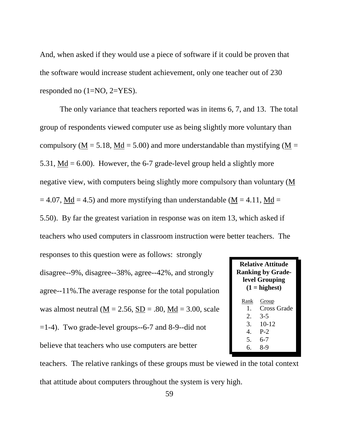And, when asked if they would use a piece of software if it could be proven that the software would increase student achievement, only one teacher out of 230 responded no (1=NO, 2=YES).

The only variance that teachers reported was in items 6, 7, and 13. The total group of respondents viewed computer use as being slightly more voluntary than compulsory ( $M = 5.18$ ,  $Md = 5.00$ ) and more understandable than mystifying ( $M =$ 5.31, Md =  $6.00$ ). However, the 6-7 grade-level group held a slightly more negative view, with computers being slightly more compulsory than voluntary (M  $= 4.07$ , Md  $= 4.5$ ) and more mystifying than understandable (M  $= 4.11$ , Md  $= 4.11$ 5.50). By far the greatest variation in response was on item 13, which asked if teachers who used computers in classroom instruction were better teachers. The

responses to this question were as follows: strongly disagree--9%, disagree--38%, agree--42%, and strongly agree--11%.The average response for the total population was almost neutral ( $M = 2.56$ ,  $SD = .80$ ,  $Md = 3.00$ , scale  $=1-4$ ). Two grade-level groups--6-7 and 8-9--did not believe that teachers who use computers are better

|                                                | <b>Relative Attitude</b><br><b>Ranking by Grade-</b><br>level Grouping<br>$(1 =$ highest) |  |  |  |  |  |  |  |  |  |  |  |  |
|------------------------------------------------|-------------------------------------------------------------------------------------------|--|--|--|--|--|--|--|--|--|--|--|--|
| Group<br>Rank<br><b>Cross Grade</b><br>$1_{-}$ |                                                                                           |  |  |  |  |  |  |  |  |  |  |  |  |
|                                                |                                                                                           |  |  |  |  |  |  |  |  |  |  |  |  |
| 2.                                             | $3-5$                                                                                     |  |  |  |  |  |  |  |  |  |  |  |  |
| 3.                                             | $10 - 12$                                                                                 |  |  |  |  |  |  |  |  |  |  |  |  |
| 4.                                             | $P-2$                                                                                     |  |  |  |  |  |  |  |  |  |  |  |  |
| 5.                                             | 6-7                                                                                       |  |  |  |  |  |  |  |  |  |  |  |  |
| რ.                                             | 8-9                                                                                       |  |  |  |  |  |  |  |  |  |  |  |  |

teachers. The relative rankings of these groups must be viewed in the total context that attitude about computers throughout the system is very high.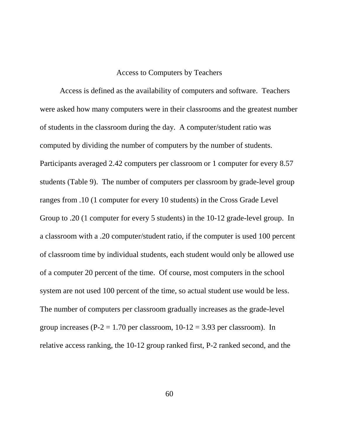#### Access to Computers by Teachers

Access is defined as the availability of computers and software. Teachers were asked how many computers were in their classrooms and the greatest number of students in the classroom during the day. A computer/student ratio was computed by dividing the number of computers by the number of students. Participants averaged 2.42 computers per classroom or 1 computer for every 8.57 students (Table 9). The number of computers per classroom by grade-level group ranges from .10 (1 computer for every 10 students) in the Cross Grade Level Group to .20 (1 computer for every 5 students) in the 10-12 grade-level group. In a classroom with a .20 computer/student ratio, if the computer is used 100 percent of classroom time by individual students, each student would only be allowed use of a computer 20 percent of the time. Of course, most computers in the school system are not used 100 percent of the time, so actual student use would be less. The number of computers per classroom gradually increases as the grade-level group increases ( $P-2 = 1.70$  per classroom,  $10-12 = 3.93$  per classroom). In relative access ranking, the 10-12 group ranked first, P-2 ranked second, and the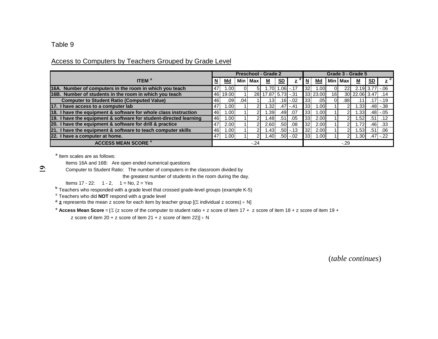#### Access to Computers by Teachers Grouped by Grade Level

|                                                                   |                         |                  |       |               | <b>Preschool - Grade 2</b> |           |             |                 |          |                 |           | Grade 3 - Grade 5 |                  |             |
|-------------------------------------------------------------------|-------------------------|------------------|-------|---------------|----------------------------|-----------|-------------|-----------------|----------|-----------------|-----------|-------------------|------------------|-------------|
| <b>ITEM</b> <sup>a</sup>                                          | $\overline{\mathsf{M}}$ | <u>Md</u>        | Min l | Max           | <u>м</u>                   | <u>SD</u> | z           | N               | Md       |                 | Min   Max | <u>м</u>          | <u>SD</u>        |             |
| 16A. Number of computers in the room in which you teach           | 47                      | .001             |       | 51            | l.70L1                     |           | l.06 -.17   | 32              | .001     |                 |           |                   | 2.19 3.77        | $-.06$      |
| 16B. Number of students in the room in which you teach            |                         | 46 19.00         |       |               | 28 17.87 5.73 -.31         |           |             |                 | 33 23.00 | 16 <sup>1</sup> |           | 30 22.06 3.47     |                  | .14         |
| <b>Computer to Student Ratio (Computed Value)</b>                 | 46I                     | .09 <sub>l</sub> | .041  |               | .131                       |           | $.16 - .02$ | <b>331</b>      | .051     |                 | .88       |                   | .171             | $-.19$      |
| 17. I have access to a computer lab                               | 47                      | 1.001            |       | 21            | .321                       |           | $.47 - .41$ | 33              | 1.00     |                 |           | .331              | ا48.             | $-38$       |
| 18. I have the equipment & software for whole class instruction   | 46I                     | 1.00             |       | $\mathcal{P}$ | .391                       | .491      | .07         | 33 <sub>l</sub> | 1.00     |                 |           | .331              |                  | $.48$ - .05 |
| 19. I have the equipment & software for student-directed learning | 46I                     | 1.00             |       | 21            | l.48l                      | .51       | .05         | 33I             | 2.00     |                 |           | .521              | .51 <sub>1</sub> | $.12 \,$    |
| 20. I have the equipment & software for drill & practice          | 47                      | 2.00             |       | 21            | 2.60                       | .501      | .08         | 32 <sub>l</sub> | 2.00     |                 |           | .72               | .46              | .33         |
| 21. I have the equipment & software to teach computer skills      | 46                      | 1.00             |       | $\mathcal{P}$ | l.43l                      |           | $.50 - 13$  | 32 <sub>l</sub> | 2.00     |                 |           | .531              | .51'             | .06         |
| 22. I have a computer at home.                                    | 47                      | 1.00             |       | 21            | l.40l                      |           | $.50 - 02$  | 33              | 1.00     |                 |           | .301              | .471             | $-.22$      |
| <b>ACCESS MEAN SCORE<sup>e</sup></b>                              |                         |                  |       | $-.24$        |                            |           |             |                 |          |                 | $-.29$    |                   |                  |             |

**a** Item scales are as follows:

Items 16A and 16B: Are open ended numerical questions

Computer to Student Ratio: The number of computers in the classroom divided by

the greatest number of students in the room during the day.

Items  $17 - 22$ :  $1 - 2$ ,  $1 = No$ ,  $2 = Yes$ 

**b** Teachers who responded with a grade level that crossed grade-level groups (example K-5)

**c** Teachers who did **NOT** respond with a grade level

**d <u>z</u>** represents the mean z score for each item by teacher group [( $\Sigma$  individual z scores) ÷ N]

**e Access Mean Score** <sup>=</sup> (z score of the computer to student ratio + z score of item 17 + z score of item 18 + z score of item 19 +

z score of item 20 + z score of item 21 + z score of item 22)] ÷ N

(*table continues*)

 $\overline{6}$ 

#### Table 9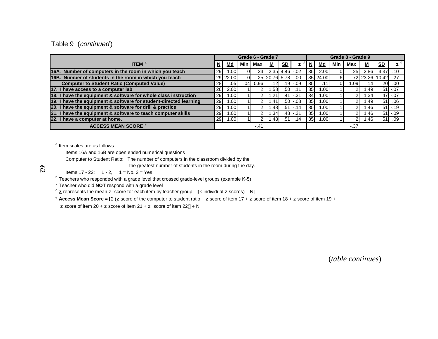#### Table 9 (continued)

|                                                                   |           |           |     |        | Grade 6 - Grade 7 |                     |              |                          |                   |     | Grade 8 - Grade 9 |                |           |              |
|-------------------------------------------------------------------|-----------|-----------|-----|--------|-------------------|---------------------|--------------|--------------------------|-------------------|-----|-------------------|----------------|-----------|--------------|
| <b>ITEM</b> <sup>a</sup>                                          | N         | <u>Md</u> | Min | Max    | <u>M</u>          | <u>SD</u>           | z            | $\underline{\mathsf{N}}$ | <u>Md</u>         | Min | Max               | <u>м</u>       | <u>SD</u> | d<br>z       |
| 16A. Number of computers in the room in which you teach           | 29        | .00       | 01  | 24     |                   | $2.35$ 4.46 $-0.02$ |              | 35 <sup>1</sup>          | 2.00              |     | 25                | 2.86           | 4.37      | .10          |
| 16B. Number of students in the room in which you teach            |           | 29 22.00  | 01  |        | 25 20.76 5.78     |                     | .00          |                          | 35 24.00          | 61  |                   | 72 23.26 10.42 |           | .27          |
| <b>Computer to Student Ratio (Computed Value)</b>                 | 28        | .05       | .04 | 0.96   |                   |                     | .19 -.09     | 35 <sup>1</sup>          |                   |     | .09 <sub>l</sub>  | .141           | .201      | .00          |
| 17. I have access to a computer lab                               | <b>26</b> | 2.00      |     |        | .581              | .501                | .11          | 35 <sub>l</sub>          | 1.00 <sub>l</sub> |     |                   | .49            |           | .51 - .07    |
| 18. I have the equipment & software for whole class instruction   | <b>29</b> | ا 00. ،   |     |        | .21               |                     | .41 - .31    | 34                       | 1.00              |     |                   | .34            |           | $.47 - .07$  |
| 19. I have the equipment & software for student-directed learning | 29        | 001       |     |        | 4٠.               |                     | $.50$ -.08   | 35 <sup>1</sup>          | 1.00 <sub>l</sub> |     |                   | ا49.           | .51       | .06          |
| 20. I have the equipment & software for drill & practice          | 29        | ∣.001     |     |        | .481              |                     | $.51$ - .14  | 35 <sub>l</sub>          | 1.00              |     |                   | .46            |           | $.51$ $-.19$ |
| 21. I have the equipment & software to teach computer skills      | 29        | ∣.001     |     |        | .341              |                     | $.48$ $-.31$ | 35 <sup>1</sup>          | 1.00              |     |                   | .46            | .51       | $1 - 09$     |
| 22. I have a computer at home.                                    | <b>29</b> | .00       |     |        | .481              | .511                | .14          | 35 <sub>l</sub>          | 1.00              |     |                   | ا46.           | .51       | .09          |
| <b>ACCESS MEAN SCORE<sup>e</sup></b>                              |           |           |     | $-.41$ |                   |                     |              |                          |                   |     | $-37$             |                |           |              |

<sup>a</sup> Item scales are as follows:

Items 16A and 16B are open ended numerical questions

Computer to Student Ratio: The number of computers in the classroom divided by the

the greatest number of students in the room during the day.

 $\mathcal{S}_{\mathcal{A}}$ 

Items  $17 - 22$ :  $1 - 2$ ,  $1 = No$ ,  $2 = Yes$ 

 $^{\rm b}$  Teachers who responded with a grade level that crossed grade-level groups (example K-5)

 $\mathrm{^c}$  Teacher who did **NOT** respond with a grade level

 $\sigma$  **z** represents the mean z score for each item by teacher group  $[(\Sigma \text{ individual } z \text{ scores}) \div N]$ 

e **Access Mean Score** <sup>=</sup> (z score of the computer to student ratio + z score of item 17 + z score of item 18 + z score of item 19 +

 $\rm z$  score of item 20 +  $\rm z$  score of item 21 +  $\rm z$   $\,$  score of item 22)]  $\rm \div$  N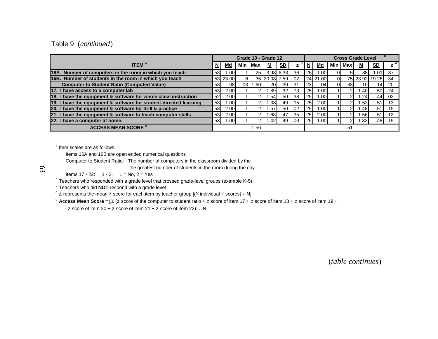#### Table 9 (continued)

|                                                                   |                 |          |                  |                 | Grade 10 - Grade 12 |                  |              |                 |          |    |           | <b>Cross Grade Level</b> |           |               |
|-------------------------------------------------------------------|-----------------|----------|------------------|-----------------|---------------------|------------------|--------------|-----------------|----------|----|-----------|--------------------------|-----------|---------------|
| <b>ITEM</b> <sup>a</sup>                                          | N               | $Md$     | Min              | <b>Max</b>      | <u>м</u>            | <u>SD</u>        | $\mathbf{z}$ | N               | Md       |    | Min   Max | <u>м</u>                 | <u>SD</u> | d<br>z        |
| 16A. Number of computers in the room in which you teach           | 53 <sub>l</sub> | 1.00     |                  | 25 <sub>l</sub> |                     | $3.93$ 6.33      | .36          | 25 <sup>1</sup> | 1.00     |    | 51        | .88                      | 1.01      | $-.37$        |
| 16B. Number of students in the room in which you teach            |                 | 53 23.00 | 61               |                 | 35 20.08 7.59 -.07  |                  |              |                 | 24 21.00 | ΟI |           | 75 23.92 19.26           |           | .34           |
| <b>Computer to Student Ratio (Computed Value)</b>                 | 53              | .081     | .03 <sub>1</sub> | .601            | .201                | .30 <sub>l</sub> | .31          | <b>231</b>      | .04      | 01 | .631      | .101                     | 14۱.      | $-.20$        |
| 17. I have access to a computer lab                               | 53 <sub>l</sub> | 2.00     |                  |                 | .891                | .321             | .73          | 25              | .00      |    |           | .401                     |           | $.50$ $-.24$  |
| 18. I have the equipment & software for whole class instruction   | 52 <sub>1</sub> | 2.00     |                  |                 | .54                 | .501             | .38          | 25              | ا00. ا   |    | ⌒         | .24                      |           | $.44$ -.02    |
| 19. I have the equipment & software for student-directed learning | 53              | 1.00l    |                  |                 | .38 <sub>1</sub>    |                  | $.49 - 15$   | 25 <sub>l</sub> | 2.00     |    | ົ         | .521                     | .51       | .13           |
| 20. I have the equipment & software for drill & practice          | 53 <sub>l</sub> | 2.00     |                  |                 | .57                 | .501             | .02          | 25              | 1.00     |    |           | ا48.                     |           | $.51$ - $.15$ |
| 21. I have the equipment & software to teach computer skills      | 53              | 2.00     |                  |                 | .68                 | .47              | .35          | 25              | 2.00     |    | 2         | .561                     | .51       | .12           |
| 22. I have a computer at home.                                    | 53              | 1.00I    |                  | 21              | .421                | .491             | .00          | 25 <sub>1</sub> | 1.00     |    | 2         | .32 <sub>0</sub>         |           | .48 -.19      |
| <b>ACCESS MEAN SCORE <sup>e</sup></b>                             |                 |          |                  | 1.56            |                     |                  |              |                 |          |    | -.51      |                          |           |               |

<sup>a</sup> Item scales are as follows:

Items 16A and 16B are open ended numerical questions

Computer to Student Ratio: The number of computers in the classroom divided by the

the greatest number of students in the room during the day.

Items  $17 - 22$ :  $1 - 2$ ,  $1 = No$ ,  $2 = Yes$ 

 $^{\text{b}}$  Teachers who responded with a grade level that crossed grade-level groups (example K-5)

 $\textdegree$  Teachers who did **NOT** respond with a grade level

 $^{\text{d}}$  **z** represents the mean z score for each item by teacher group [( $\Sigma$  individual z scores) ÷ N]

e **Access Mean Score** = (z score of the computer to student ratio + z score of item 17 + z score of item 18 + z score of item 19 +

z score of item 20 + z score of item 21 + z score of item 22)] ÷ N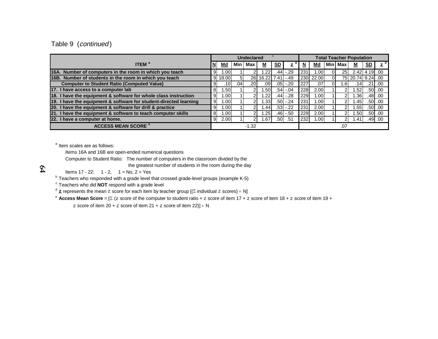#### Table 9 (continued)

|                                                                   |          |         |     | <b>Undeclared</b> |                    |           |             |                         |           |                 | <b>Total Teacher Population</b> |           |             |
|-------------------------------------------------------------------|----------|---------|-----|-------------------|--------------------|-----------|-------------|-------------------------|-----------|-----------------|---------------------------------|-----------|-------------|
| <b>ITEM</b> <sup>a</sup>                                          | N        | Md      | Min | Max               | М                  | <u>SD</u> | z           | $\overline{\mathsf{M}}$ | <u>Md</u> | Min Max         | Μ                               | <u>SD</u> | d           |
| 16A. Number of computers in the room in which you teach           | 9        | .001    |     |                   | .22                | .44       | $-.29$      | 231                     | 1.00      | 25 <sub>l</sub> | $2.42$ 4.19 .00                 |           |             |
| 16B. Number of students in the room in which you teach            |          | 9 18.00 | 51  |                   | 26 16.22 7.41 -.49 |           |             |                         | 230 22.00 |                 | 75 20.74 9.24 .00               |           |             |
| <b>Computer to Student Ratio (Computed Value)</b>                 | 9        | .10     | .04 | .20I              | .091               |           | .05 -.20    | 227                     | .07       | .61             | .14                             |           | .21 .00     |
| 17. I have access to a computer lab                               | 81       | .501    |     |                   | .501               |           | $.54$ - .04 | 228                     | 2.00      |                 | .521                            |           | $.50$ .00   |
| 18. I have the equipment & software for whole class instruction   | 9        | .001    |     |                   | .22 <sub>1</sub>   |           | .44 -.28    | 229                     | 1.00      |                 | .361                            |           | $.48$ .00   |
| 19. I have the equipment & software for student-directed learning | 9        | .001    |     | 21                | .331               |           | .50 -.24    | 231                     | $1.00 \,$ |                 | .451                            |           | $.50$ .00   |
| 20. I have the equipment & software for drill & practice          | 9        | .00     |     |                   | .44                |           | $.53 - .22$ | 231                     | 2.00      |                 | .55                             |           | $.50$ $.00$ |
| 21. I have the equipment & software to teach computer skills      | 8        | .001    |     | າ                 | .25                |           | .46 -.50    | 229                     | 2.00      |                 | .50                             |           | $.50$ .00   |
| 22. I have a computer at home.                                    | $9 \mid$ | 2.00    |     | 2                 | .67                | .50       | .51         | 232                     | 1.00      |                 | .41                             |           | $.49$ .00   |
| <b>ACCESS MEAN SCORE <sup>e</sup></b>                             |          |         |     | $-1.32$           |                    |           |             |                         |           | .07             |                                 |           |             |

<sup>a</sup> Item scales are as follows:

Items 16A and 16B are open-ended numerical questions

Computer to Student Ratio: The number of computers in the classroom divided by the

the greatest number of students in the room during the day

 $\mathfrak{D}$ 

Items 17 - 22:  $1 - 2$ ,  $1 = No$ ,  $2 = Yes$ 

 $^{\rm b}$  Teachers who responded with a grade level that crossed grade-level groups (example K-5)

 $\textdegree$  Teachers who did **NOT** respond with a grade level

 $^{\text{d}}$  **z** represents the mean  $z$  score for each item by teacher group [( $\Sigma$  individual  $z$  scores) ÷ N]

e **Access Mean Score** <sup>=</sup> (z score of the computer to student ratio + z score of item 17 + z score of item 18 + z score of item 19 +

 $\rm z$  score of item 20 +  $\rm z$  score of item 21 +  $\rm z$  score of item 22)]  $\div$  N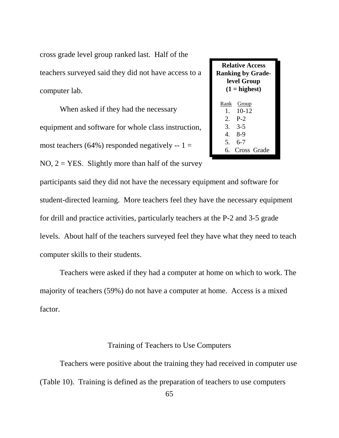cross grade level group ranked last. Half of the teachers surveyed said they did not have access to a computer lab.

When asked if they had the necessary equipment and software for whole class instruction, most teachers (64%) responded negatively  $-1 =$  $NO, 2 = YES$ . Slightly more than half of the survey

### **Relative Access Ranking by Gradelevel Group**  $(1 = \text{highest})$  Rank Group 1. 10-12 2. P-2 3. 3-5 4. 8-9 5. 6-7 6. Cross Grade

participants said they did not have the necessary equipment and software for student-directed learning. More teachers feel they have the necessary equipment for drill and practice activities, particularly teachers at the P-2 and 3-5 grade levels. About half of the teachers surveyed feel they have what they need to teach computer skills to their students.

Teachers were asked if they had a computer at home on which to work. The majority of teachers (59%) do not have a computer at home. Access is a mixed factor.

#### Training of Teachers to Use Computers

Teachers were positive about the training they had received in computer use (Table 10). Training is defined as the preparation of teachers to use computers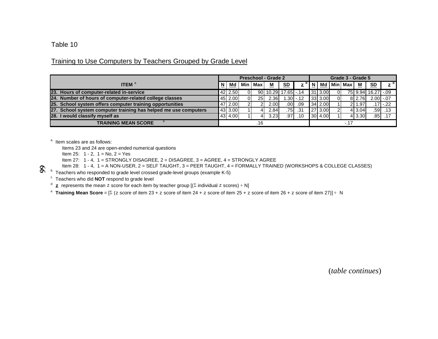Training to Use Computers by Teachers Grouped by Grade Level

|                                                                 |   |         |    |                 | <b>Preschool - Grade 2</b> |                     |           |     |         |    | Grade 3 - Grade 5 |             |                           |                               |
|-----------------------------------------------------------------|---|---------|----|-----------------|----------------------------|---------------------|-----------|-----|---------|----|-------------------|-------------|---------------------------|-------------------------------|
| <b>ITEM</b> <sup>a</sup>                                        | N | Md      |    | Min   Max       | <u>M</u>                   | SD                  | z         | . N | Md      |    | Min Max I         | M           | $\underline{\mathsf{SD}}$ | $\overline{z}^{\overline{d}}$ |
| 23. Hours of computer-related in-service                        |   | 42 2.50 | ΩI |                 |                            | 90 10.29 17.65 -.14 |           |     | 31 3.00 | ΩI |                   |             | 75 9.94 16.27 -.09        |                               |
| 24. Number of hours of computer-related college classes         |   | 45 2.00 | ΩI | 25 <sub>1</sub> | 2.36                       |                     | 1.30 - 12 |     | 33 3.00 | ΩI |                   | 8 2.76      | $2.00 - 0.07$             |                               |
| 25. School system offers computer training opportunities        |   | 47 2.00 |    |                 | 2.00                       | .00                 | .09       |     | 34 2.00 |    |                   | .97<br>2I 1 |                           | .171 -.22                     |
| 27. School system computer training has helped me use computers |   | 43 3.00 |    |                 | 2.84                       | .75                 | .31       |     | 27 3.00 |    |                   | 4 3.04      | .591                      | .13                           |
| 28. I would classify myself as                                  |   | 43 4.00 |    |                 | 3.23                       | .97                 | .10       |     | 30 4.00 |    |                   | 4 3.30      | .851                      | .17                           |
| <b>TRAINING MEAN SCORE</b>                                      |   |         |    | .16             |                            |                     |           |     |         |    | $-.17$            |             |                           |                               |

<sup>a</sup> Item scales are as follows:

Items 23 and 24 are open-ended numerical questions

Item 25:  $1 - 2$ ,  $1 = No$ ,  $2 = Yes$ 

Item 27:  $1 - 4$ ,  $1 =$  STRONGLY DISAGREE,  $2 =$  DISAGREE,  $3 =$  AGREE,  $4 =$  STRONGLY AGREE

Item 28: 1 - 4, 1 = A NON-USER, 2 = SELF TAUGHT, 3 = PEER TAUGHT, 4 = FORMALLY TRAINED (WORKSHOPS & COLLEGE CLASSES)

 $\overline{b}$  Teachers who responded to grade level crossed grade-level groups (example K-5)

Teachers who did **NOT** respond to grade level

 $d$  **z** represents the mean z score for each item by teacher group [( $\Sigma$  individual z scores) ÷ N]

 $\texttt{e}\,$  **Training Mean Score** = [Σ ( $\texttt{z}$  score of item 23 +  $\texttt{z}$  score of item 24 +  $\texttt{z}$  score of item 25 +  $\texttt{z}$  score of item 26 +  $\texttt{z}$  score of item 27)] ÷ N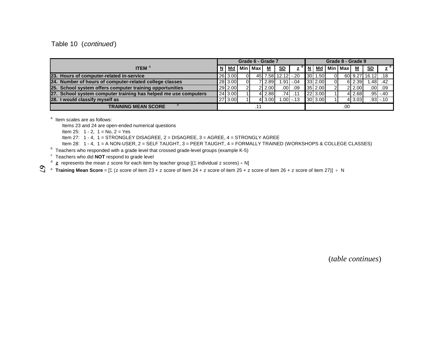#### Table 10 (continued)

|                                                                 |         |    | Grade 6 - Grade 7 |        |                    |             |         |                | Grade 8 - Grade 9  |          |                   |             |
|-----------------------------------------------------------------|---------|----|-------------------|--------|--------------------|-------------|---------|----------------|--------------------|----------|-------------------|-------------|
| <b>ITEM</b> <sup>a</sup>                                        | Md      |    | l Min I Max       | M      | <u>SD</u>          | z           |         |                | N   Md   Min   Max | M        | S <sub>D</sub>    | d l         |
| 23. Hours of computer-related in-service                        | 26 3.00 | ΟI |                   |        | 45 7.58 12.12 -.20 |             | 30 1.50 | $\overline{0}$ |                    |          | 60 9.27 16.12 .18 |             |
| 24. Number of hours of computer-related college classes         | 28 3.00 |    |                   | 12.89L |                    | $1.91 - 04$ | 33 2.00 | $\Omega$       |                    | 6 2.39   | .481              | .42         |
| 25. School system offers computer training opportunities        | 29 2.00 |    |                   | 212.00 | $.00 \mid$         | .09         | 35 2.00 | 21             |                    | 2 2.00   | .001              | .09         |
| 27. School system computer training has helped me use computers | 24 3.00 |    |                   | 4 2.88 | .741               | .11         | 22 3.00 |                |                    | 4l 2.68l |                   | $.95 - .40$ |
| 28. I would classify myself as                                  | 27 3.00 |    |                   | 4 3.00 |                    | $.00$ .13   | 30 3.00 |                |                    | 4 3.03   |                   | $.93 - 10$  |
| <b>TRAINING MEAN SCORE</b>                                      |         |    |                   |        |                    |             |         |                | .00                |          |                   |             |

<sup>a</sup> Item scales are as follows:

Items 23 and 24 are open-ended numerical questions

Item 25:  $1 - 2$ ,  $1 = No$ ,  $2 = Yes$ 

Item 27: 1 - 4, 1 = STRONGLEY DISAGREE, 2 = DISAGREE, 3 = AGREE, 4 = STRONGLY AGREE

Item 28: 1 - 4, 1 = A NON-USER, 2 = SELF TAUGHT, 3 = PEER TAUGHT, 4 = FORMALLY TRAINED (WORKSHOPS & COLLEGE CLASSES)

 $^{\circ}$  Teachers who responded with a grade level that crossed grade-level groups (example K-5)

c Teachers who did **NOT** respond to grade level

 $^{\text{d}}$  **z** represents the mean z score for each item by teacher group [( $\Sigma$  individual z scores) ÷ N]

 $\texttt{e}$  Tra**ining Mean Score** = [Σ ( $\texttt{z}$  score of item 23 +  $\texttt{z}$  score of item 24 +  $\texttt{z}$  score of item 25 +  $\texttt{z}$  score of item 26 +  $\texttt{z}$  score of item 27)]  $\texttt{+}$  N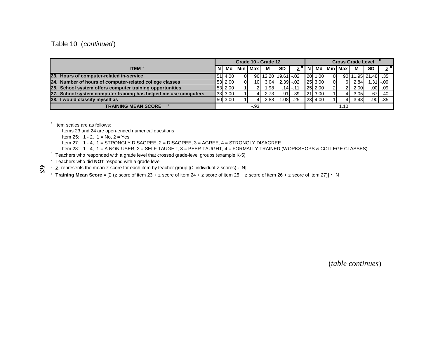Table 10 (continued)

|                                                                 |           |           | Grade 10 - Grade 12 |                     |                  |         |           | <b>Cross Grade Level</b> |                   |              |
|-----------------------------------------------------------------|-----------|-----------|---------------------|---------------------|------------------|---------|-----------|--------------------------|-------------------|--------------|
| <b>ITEM</b> <sup>6</sup>                                        | <u>Md</u> | Min   Max | м                   | <u>SD</u>           | $z^{\mathsf{a}}$ | $N$ Md  | Min   Max | <u>М</u>                 | S <sub>D</sub>    | d            |
| 23. Hours of computer-related in-service                        | 51 4.00   |           |                     | 90 12.20 19.61 -.02 |                  | 20 1.00 |           |                          | 90 11.95 21.48 35 |              |
| 24. Number of hours of computer-related college classes         | 53 2.00   | 10I       | 3.04                | $2.39 - 02$         |                  | 25 3.00 | 6         | 2.84                     |                   | $.311 - .09$ |
| 25. School system offers computer training opportunities        | 53 2.00   |           | .981                |                     | $.14$ - 11       | 25 2.00 |           | 2.00                     |                   | $.00$ . 09   |
| 27. School system computer training has helped me use computers | 33 3.00   |           | 2.73                | .91 l               | $-.39$           | 21 3.00 |           | 3.05I                    | .67               | .40          |
| 28. I would classify myself as                                  | 50 3.00   |           | 2.88                | .081                | $-.25$           | 23 4.00 |           | 3.48                     | .90               | .35          |
| <b>TRAINING MEAN SCORE</b>                                      |           | -.93      |                     |                     |                  |         | 1.10      |                          |                   |              |

<sup>a</sup> Item scales are as follows:

 $\overline{8}$ 

Items 23 and 24 are open-ended numerical questions

Item 25:  $1 - 2$ ,  $1 = No$ ,  $2 = Yes$ 

Item 27: 1 - 4, 1 = STRONGLY DISAGREE, 2 = DISAGREE, 3 = AGREE, 4 = STRONGLY DISAGREE

Item 28: 1 - 4, 1 = A NON-USER, 2 = SELF TAUGHT, 3 = PEER TAUGHT, 4 = FORMALLY TRAINED (WORKSHOPS & COLLEGE CLASSES)

 $^{\circ}$  Teachers who responded with a grade level that crossed grade-level groups (example K-5)

<sup>c</sup> Teachers who did **NOT** respond with a grade level<br><sup>d</sup> <sub>**z** represents the mean z score for each item by teacher group [(Σ individual z scores) ÷ N]</sub>

 $\texttt{e}$  Tra**ining Mean Score** = [Σ ( $\texttt{z}$  score of item 23 +  $\texttt{z}$  score of item 24 +  $\texttt{z}$  score of item 26 +  $\texttt{z}$  score of item 27)] ÷ N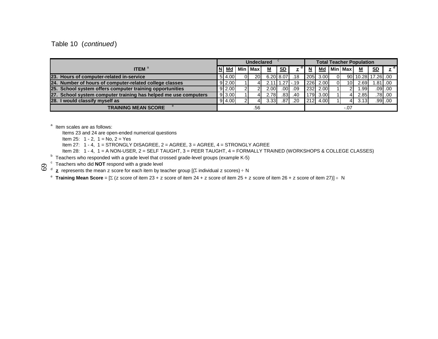Table 10 (continued)

|                                                                 |               | <b>Undeclared</b> |     |       |          |                   |     | <b>Total Teacher Population</b> |      |                |                 |                   |           |                  |
|-----------------------------------------------------------------|---------------|-------------------|-----|-------|----------|-------------------|-----|---------------------------------|------|----------------|-----------------|-------------------|-----------|------------------|
| <b>ITEM</b> <sup>8</sup>                                        |               | Md                | Min | l Max | <u>м</u> | SD                | z   | N                               | Md   |                | Min Max         | <u>м</u>          | <u>SD</u> | $\overline{z}^d$ |
| 23. Hours of computer-related in-service                        |               | 5 4.00            |     | 20I   |          | 6.20 8.07         | .18 | 205                             | 3.00 | $\overline{0}$ |                 | 90 10.28 17.26 00 |           |                  |
| 24. Number of hours of computer-related college classes         |               | $9 \, 2.00$       |     |       |          | $2.11$ 1.27 $-19$ |     | 226                             | 2.00 | $\overline{0}$ | 10 <sup>1</sup> | 2.69              |           | $.81$ .00        |
| 25. School system offers computer training opportunities        |               | $9 \, 2.00$       |     |       | 2.00I    | .001              | .09 | 232                             | 2.00 |                | 21              | ا99.              |           | $.09$ . 00.      |
| 27. School system computer training has helped me use computers |               | $9 \, 3.00$       |     |       | 2.78     | .831              | .40 | 1791                            | 3.00 |                |                 | 2.85              |           | .78 .00          |
| <b>28.</b> I<br>I would classify myself as                      |               | 9 4.00            |     |       | 3.33     | .871              | .20 | 212                             | 4.00 |                | 41              | 3.13              |           | $.99-.00$        |
| <b>TRAINING MEAN SCORE</b>                                      | .56<br>$-.07$ |                   |     |       |          |                   |     |                                 |      |                |                 |                   |           |                  |

<sup>a</sup> Item scales are as follows:

Items 23 and 24 are open-ended numerical questions

Item 25:  $1 - 2$ ,  $1 = No$ ,  $2 = Yes$ 

Item 27:  $1 - 4$ ,  $1 = STRONGLY DISAGREE$ ,  $2 = AGREE$ ,  $3 = AGREE$ ,  $4 = STRONGLY AGREE$ 

Item 28: 1 - 4, 1 = A NON-USER, 2 = SELF TAUGHT, 3 = PEER TAUGHT, 4 = FORMALLY TRAINED (WORKSHOPS & COLLEGE CLASSES)

 $^{\circ}$  Teachers who responded with a grade level that crossed grade-level groups (example K-5)

**δ** <sup>c</sup> Teachers who did **NOT** respond with a grade level<br> **δ** <sup>d</sup> **z** represents the mean z score for each item by teacher group [(Σ individual z scores) ÷ N

 $\texttt{e}$  Training Mean Score = [Σ ( $\texttt{z}$  score of item 23 +  $\texttt{z}$  score of item 24 +  $\texttt{z}$  score of item 25 +  $\texttt{z}$  score of item 26 +  $\texttt{z}$  score of item 27)]  $\texttt{+}$  N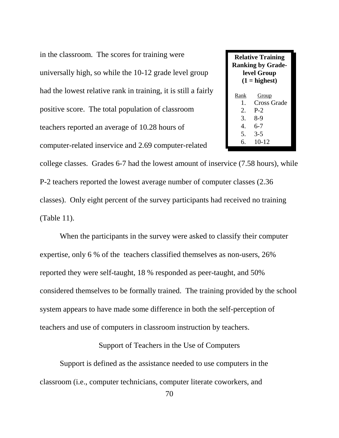in the classroom. The scores for training were universally high, so while the 10-12 grade level group had the lowest relative rank in training, it is still a fairly positive score. The total population of classroom teachers reported an average of 10.28 hours of computer-related inservice and 2.69 computer-related

**Relative Training Ranking by Gradelevel Group**  $(1 = \text{highest})$  Rank Group 1. Cross Grade 2. P-2 3. 8-9 4. 6-7 5. 3-5 6. 10-12

college classes. Grades 6-7 had the lowest amount of inservice (7.58 hours), while P-2 teachers reported the lowest average number of computer classes (2.36 classes). Only eight percent of the survey participants had received no training (Table 11).

When the participants in the survey were asked to classify their computer expertise, only 6 % of the teachers classified themselves as non-users, 26% reported they were self-taught, 18 % responded as peer-taught, and 50% considered themselves to be formally trained. The training provided by the school system appears to have made some difference in both the self-perception of teachers and use of computers in classroom instruction by teachers.

Support of Teachers in the Use of Computers

Support is defined as the assistance needed to use computers in the classroom (i.e., computer technicians, computer literate coworkers, and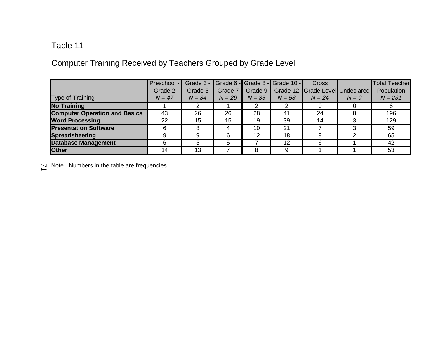# Computer Training Received by Teachers Grouped by Grade Level

|                                      | Preschool -<br>Grade 2 | Grade 3 -<br>Grade 5 | Grade 7  | Grade 9  | Grade 6 - Grade 8 - Grade 10 - | <b>Cross</b><br>Grade 12 Grade Level Undeclared |         | <b>Total Teacher</b><br>Population |
|--------------------------------------|------------------------|----------------------|----------|----------|--------------------------------|-------------------------------------------------|---------|------------------------------------|
| Type of Training                     | $N = 47$               | $N = 34$             | $N = 29$ | $N = 35$ | $N = 53$                       | $N = 24$                                        | $N = 9$ | $N = 231$                          |
| <b>No Training</b>                   |                        |                      |          |          |                                |                                                 |         |                                    |
| <b>Computer Operation and Basics</b> | 43                     | 26                   | 26       | 28       | 41                             | 24                                              |         | 196                                |
| <b>Word Processing</b>               | 22                     | 15                   | 15       | 19       | 39                             | 14                                              |         | 129                                |
| <b>Presentation Software</b>         | 6                      | 8                    | 4        | 10       | 21                             |                                                 |         | 59                                 |
| <b>Spreadsheeting</b>                | 9                      | 9                    | 6        | 12       | 18                             | 9                                               |         | 65                                 |
| <b>Database Management</b>           |                        | 5                    | 5        |          | 12                             | 6                                               |         | 42                                 |
| <b>Other</b>                         | 14                     | 13                   |          | 8        | 9                              |                                                 |         | 53                                 |

 $\geq$  Note. Numbers in the table are frequencies.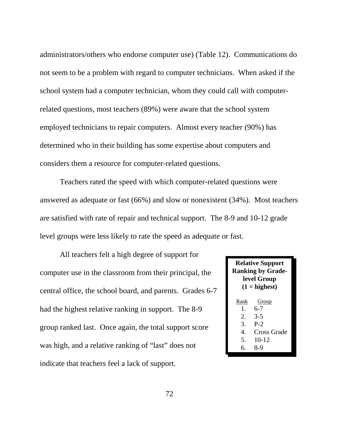administrators/others who endorse computer use) (Table 12). Communications do not seem to be a problem with regard to computer technicians. When asked if the school system had a computer technician, whom they could call with computerrelated questions, most teachers (89%) were aware that the school system employed technicians to repair computers. Almost every teacher (90%) has determined who in their building has some expertise about computers and considers them a resource for computer-related questions.

Teachers rated the speed with which computer-related questions were answered as adequate or fast (66%) and slow or nonexistent (34%). Most teachers are satisfied with rate of repair and technical support. The 8-9 and 10-12 grade level groups were less likely to rate the speed as adequate or fast.

All teachers felt a high degree of support for computer use in the classroom from their principal, the central office, the school board, and parents. Grades 6-7 had the highest relative ranking in support. The 8-9 group ranked last. Once again, the total support score was high, and a relative ranking of "last" does not indicate that teachers feel a lack of support.

|                      | <b>Relative Support</b><br><b>Ranking by Grade-</b><br>level Group<br>$(1 =$ highest) |  |  |  |  |  |  |  |  |  |  |  |
|----------------------|---------------------------------------------------------------------------------------|--|--|--|--|--|--|--|--|--|--|--|
| Rank                 | Group                                                                                 |  |  |  |  |  |  |  |  |  |  |  |
| $1_{-}$              | 6-7                                                                                   |  |  |  |  |  |  |  |  |  |  |  |
| 2.                   | $3-5$                                                                                 |  |  |  |  |  |  |  |  |  |  |  |
| 3.                   | $P-2$                                                                                 |  |  |  |  |  |  |  |  |  |  |  |
| $\mathbf{4}_{\cdot}$ | Cross Grade                                                                           |  |  |  |  |  |  |  |  |  |  |  |
| 5.                   | $10 - 12$                                                                             |  |  |  |  |  |  |  |  |  |  |  |
| 6                    | 8-9                                                                                   |  |  |  |  |  |  |  |  |  |  |  |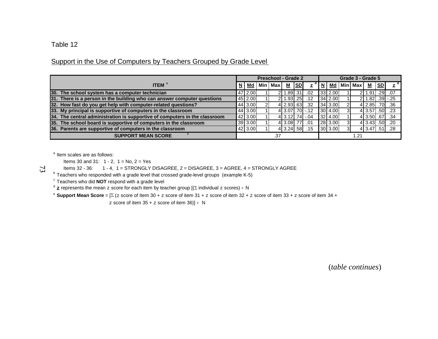# Support in the Use of Computers by Teachers Grouped by Grade Level

|                                                                            | Preschool - Grade 2 |             |      |           |                | Grade 3 - Grade 5 |                    |  |           |    |                        |                             |           |                |
|----------------------------------------------------------------------------|---------------------|-------------|------|-----------|----------------|-------------------|--------------------|--|-----------|----|------------------------|-----------------------------|-----------|----------------|
| <b>ITEM</b> <sup>a</sup>                                                   |                     | Md          |      | Min   Max | М              | SD                | $z^{\alpha}$       |  |           |    | I N I Md I Min I Max I | M                           | <u>SD</u> | z <sup>d</sup> |
| 30. The school system has a computer technician                            |                     | 47 2.00     |      |           | 2 1.89 31      |                   | .02                |  | $33$ 2.00 |    |                        | $2$ 1.91                    |           | $.29-.07$      |
| 31. There is a person in the building who can answer computer questions    |                     | 45 2.00     |      |           | 2 1.93 25      |                   | .12                |  | 34 2.00   |    |                        | $2$   1.82 $ $ .39 $ $ -.25 |           |                |
| 32. How fast do you get help with computer-related questions?              |                     | 44 3.00     |      |           |                |                   | 4 2.93 63 32       |  | 34 3.00   |    |                        | 4 2.85 70 36                |           |                |
| 33. My principal is supportive of computers in the classroom               |                     | 44 3.00     |      |           |                |                   | 4 3.07 .70 -.12    |  | 30 4.00   |    |                        | 4 3.57 .50 .23              |           |                |
| 34. The central administration is supportive of computers in the classroom |                     | $ 42 $ 3.00 |      |           |                |                   | $4$ 3.12 .74 $-04$ |  | $32$ 4.00 |    |                        | 4 3.50 67 34                |           |                |
| 35. The school board is supportive of computers in the classroom           |                     | 39 3.00     |      |           | 4 3.08 77      |                   | .01                |  | 28 3.00   |    |                        | 4 3.43 .50 .20              |           |                |
| 36. Parents are supportive of computers in the classroom                   |                     | 42 3.00     |      |           | 4 3.24 .58 .15 |                   |                    |  | 30 3.00   | зI |                        | 4 3.47 51 3.47              |           |                |
| <b>SUPPORT MEAN SCORE</b>                                                  | .37                 |             | 1.21 |           |                |                   |                    |  |           |    |                        |                             |           |                |

<sup>a</sup> Item scales are as follows:

Items 30 and 31:  $1 - 2$ ,  $1 = No$ ,  $2 = Yes$ 

Items 32 - 36: 1 - 4, 1 = STRONGLY DISAGREE, 2 = DISAGREE, 3 = AGREE, 4 = STRONGLY AGREE

<sup>b</sup> Teachers who responded with a grade level that crossed grade-level groups (example K-5)

 $\textdegree$  Teachers who did **NOT** respond with a grade level

 $^{\text{d}}$   $\frac{\text{z}}{\text{z}}$  represents the mean z score for each item by teacher group [( $\Sigma$  individual z scores) ÷ N

e **Support Mean Score** = [ (z score of Item 30 + z score of item 31 + z score of item 32 + z score of item 33 + z score of item 34 +

z score of item 35 + z score of item 36)]  $\div$  N

 $\mathbb{Z}$ 

(*table continues*)

Table 12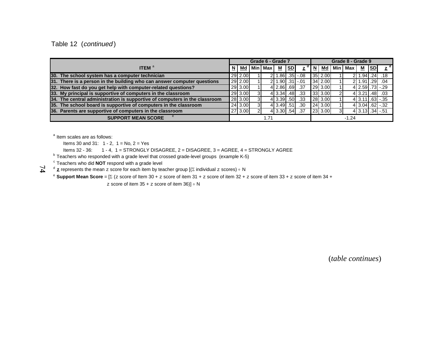Table 12 (continued)

|                                                                            | Grade 6 - Grade 7 |         |  |                |                |    | Grade 8 - Grade 9         |        |              |  |           |                                          |    |                           |
|----------------------------------------------------------------------------|-------------------|---------|--|----------------|----------------|----|---------------------------|--------|--------------|--|-----------|------------------------------------------|----|---------------------------|
| <b>ITEM</b> $^a$                                                           |                   |         |  | Md   Min   Max | М              | SD | $\mathbf{z}^{\mathsf{a}}$ | 'I N I | Md           |  | Min   Max | $\underline{\mathsf{M}}$                 | SD | $\mathbf{z}^{\mathsf{d}}$ |
| 30. The school system has a computer technician                            |                   | 29 2.00 |  |                |                |    | .86. 35. <b>38.</b> 08    |        | 35 2.00      |  |           | $211.94$ . 24, 18                        |    |                           |
| 31. There is a person in the building who can answer computer questions    |                   | 29 2.00 |  |                |                |    | .901 - 311 - 01           |        | $34 \, 2.00$ |  |           | 2 1.91 .29 .04                           |    |                           |
| 32. How fast do you get help with computer-related questions?              |                   | 29 3.00 |  |                | 4 2.86 69 37   |    |                           |        | 29 3.00      |  |           | 4 2.59 .73 -.29                          |    |                           |
| 33. My principal is supportive of computers in the classroom               |                   | 29 3.00 |  |                | 4 3.34 48      |    | .33                       |        | 33 3.00      |  |           | $4$   3.21   .48   .03                   |    |                           |
| 34. The central administration is supportive of computers in the classroom |                   | 28 3.00 |  |                | 4 3.39 .50     |    | .33                       |        | 28 3.00      |  |           | $413.11$ .63 $-35$                       |    |                           |
| 35. The school board is supportive of computers in the classroom           |                   | 24 3.00 |  |                | $4$ 3.49 $.51$ |    | .30 <sub>1</sub>          |        | 24 3.00      |  |           | $4$ 3.04 .62 $-32$                       |    |                           |
| 36. Parents are supportive of computers in the classroom                   |                   | 27 3.00 |  |                | 4 3.30 .54     |    | .37                       |        | 23 3.00      |  |           | $4 \overline{)3.13 \overline{.34}}$ - 51 |    |                           |
| <b>SUPPORT MEAN SCORE</b>                                                  | 1.71              |         |  |                |                |    |                           |        | $-1.24$      |  |           |                                          |    |                           |

<sup>a</sup> Item scales are as follows:

 $\mathcal{I}$ 

Items 30 and 31:  $1 - 2$ ,  $1 = No$ ,  $2 = Yes$ 

Items 32 - 36: 1 - 4, 1 = STRONGLY DISAGREE, 2 = DISAGREE, 3 = AGREE, 4 = STRONGLY AGREE

<sup>b</sup> Teachers who responded with a grade level that crossed grade-level groups (example K-5)

 $\textdegree$  Teachers who did **NOT** respond with a grade level

 $^{\text{d}}$  **z** represents the mean  $z$  score for each item by teacher group [( $\Sigma$  individual  $z$  scores) ÷ N

e **Support Mean Score** = [ (z score of Item 30 + z score of item 31 + z score of item 32 + z score of item 33 + z score of item 34 +

z score of item 35 + z score of item 36)] ÷ N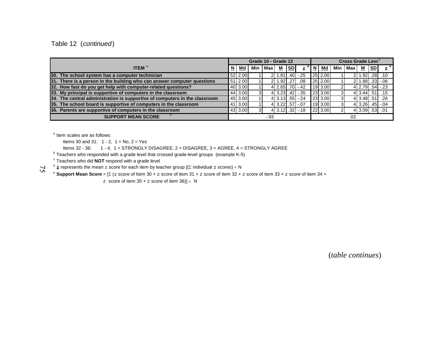Table 12 (continued)

|                                                                            | Grade 10 - Grade 12 |         |     |       |                |    | Cross Grade Leve <sup>o</sup> |       |             |     |         |                |    |                          |
|----------------------------------------------------------------------------|---------------------|---------|-----|-------|----------------|----|-------------------------------|-------|-------------|-----|---------|----------------|----|--------------------------|
| <b>ITEM</b> $^{\mathrm{a}}$                                                | . N                 | Md      | Min | Max l | −              | SD | $\mathbf{z}$                  | . N ' | l Md        | Min | l Max I | −              | SD | $z^{d}$                  |
| 30. The school system has a computer technician                            |                     | 52 2.00 |     |       |                |    | $1.81$ . $40$ . $25$          |       | $25$ 2.00   |     |         |                |    | 10. 28. 1.92             |
| 31. There is a person in the building who can answer computer questions    |                     | 51 2.00 |     |       | $1.92$ . $27$  |    | .08                           |       | $25$   2.00 |     |         |                |    | $1.88$ . $33$ . $06$     |
| 32. How fast do you get help with computer-related questions?              |                     | 40 3.00 |     |       |                |    | $4$ 2.65 .70 $-42$            |       | 19 3.00     |     |         |                |    | $4$   2.79   .54   $-23$ |
| 33. My principal is supportive of computers in the classroom               |                     | 44 3.00 |     |       |                |    | $4$ 3.23 .42 $-35$            |       | $23$ 3.00   |     |         |                |    | 4 3.44 51 15             |
| 34. The central administration is supportive of computers in the classroom |                     | 45 3.00 |     |       |                |    | $4$ 3.13 $.55$ $-.24$         |       | 23 3.00     |     |         | $4$ 3.48 .51   |    | .26                      |
| 35. The school board is supportive of computers in the classroom           |                     | 41 3.00 |     |       | 4 3.22 57 -.07 |    |                               |       | 19 3.00     |     |         |                |    | $4$ 3.26 .45 $-04$       |
| 36. Parents are supportive of computers in the classroom                   |                     | 43 3.00 |     |       |                |    | $4$   3.12  .32  -.18         |       | 22 3.00     |     |         | 4 3.09 .53 .01 |    |                          |
| <b>SUPPORT MEAN SCORE</b>                                                  | -.93<br>.02         |         |     |       |                |    |                               |       |             |     |         |                |    |                          |

<sup>a</sup> Item scales are as follows:

Items 30 and 31:  $1 - 2$ ,  $1 = No$ ,  $2 = Yes$ 

Items 32 - 36: 1 - 4, 1 = STRONGLY DISAGREE, 2 = DISAGREE, 3 = AGREE, 4 = STRONGLY AGREE

 $^{\circ}$  Teachers who responded with a grade level that crossed grade-level groups (example K-5)

 $\mathrm{^{\circ}}$  Teachers who did **NOT** respond with a grade level

 $72$  $^{\text{d}}$   $\underline{\mathbf{z}}$  represents the mean  $z$  score for each item by teacher group [( $\Sigma$  individual  $z$  scores) ÷ N

e **Support Mean Score** = [ (z score of Item 30 + z score of item 31 + z score of item 32 + z score of item 33 + z score of item 34 +

z score of item  $35 + z$  score of item  $36$ ] ÷ N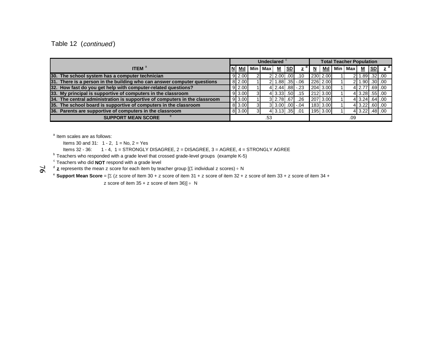# Table 12 (continued)

|                                                                            | Undeclared <sup>c</sup> |                    |   |         |                         | <b>Total Teacher Population</b> |     |   |          |  |           |                  |            |  |
|----------------------------------------------------------------------------|-------------------------|--------------------|---|---------|-------------------------|---------------------------------|-----|---|----------|--|-----------|------------------|------------|--|
| <b>ITEM</b> $^a$                                                           |                         | Md                 |   | Min Max | <u>м</u>                | SD                              | z   | N | Md       |  | Min   Max | M                | <u> SD</u> |  |
| 30. The school system has a computer technician                            |                         | 9 2.00             |   |         | 2 2.00 00               |                                 | .10 |   | 230 2.00 |  |           | 2 1.89 32 .00    |            |  |
| 31. There is a person in the building who can answer computer questions    |                         | 8 2.00             |   |         | $2$   1.88  .35  -.06   |                                 |     |   | 226 2.00 |  |           | $2$ 1.90 .30 .00 |            |  |
| 32. How fast do you get help with computer-related questions?              |                         | $9 \, 2.00$        |   |         | $4$   2.44   .88   -.23 |                                 |     |   | 204 3.00 |  |           | 4 2.77 69 00     |            |  |
| 33. My principal is supportive of computers in the classroom               |                         | $9 \mid 3.00 \mid$ |   |         | 4 3.33 .50              |                                 | .15 |   | 212 3.00 |  |           | 4 3.28 .55 .00   |            |  |
| 34. The central administration is supportive of computers in the classroom |                         | $9 \, 3.00$        |   |         | 3 2.78 67               |                                 | .26 |   | 207 3.00 |  |           | $4$ 3.24 .64 .00 |            |  |
| 35. The school board is supportive of computers in the classroom           |                         | 8 3.00             |   |         | $3 3.00 $ .00. -.04     |                                 |     |   | 183 3.00 |  |           | $4$ 3.22 .60 .00 |            |  |
| 36. Parents are supportive of computers in the classroom                   |                         | 8 3.00             | 3 |         | 4 3.13 35               |                                 | .01 |   | 195 3.00 |  |           | 4 3.22 48 .00    |            |  |
| <b>SUPPORT MEAN SCORE</b>                                                  | .53                     |                    |   | .09     |                         |                                 |     |   |          |  |           |                  |            |  |

<sup>a</sup> Item scales are as follows:

Items 30 and 31:  $1 - 2$ ,  $1 = No$ ,  $2 = Yes$ 

Items  $32 - 36$ : 1 - 4, 1 = STRONGLY DISAGREE, 2 = DISAGREE, 3 = AGREE, 4 = STRONGLY AGREE

 $^{\rm b}$  Teachers who responded with a grade level that crossed grade-level groups (example K-5)

 $\textdegree$  Teachers who did **NOT** respond with a grade level

 $\sigma$  **z** represents the mean z score for each item by teacher group [( $\Sigma$  individual z scores) ÷ N

<sup>e</sup> Support Mean Score = [ $\Sigma$  (z score of Item 30 + z score of item 31 + z score of item 32 + z score of item 33 + z score of item 34 +

 $z$  score of item 35 +  $z$  score of item 36)]  $\div$  N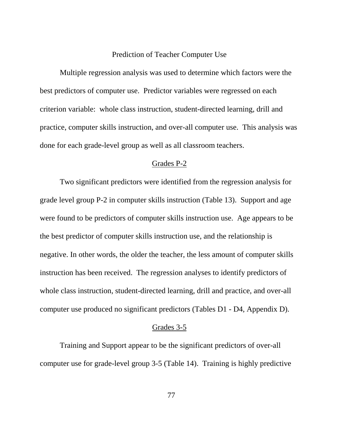#### Prediction of Teacher Computer Use

Multiple regression analysis was used to determine which factors were the best predictors of computer use. Predictor variables were regressed on each criterion variable: whole class instruction, student-directed learning, drill and practice, computer skills instruction, and over-all computer use. This analysis was done for each grade-level group as well as all classroom teachers.

#### Grades P-2

Two significant predictors were identified from the regression analysis for grade level group P-2 in computer skills instruction (Table 13). Support and age were found to be predictors of computer skills instruction use. Age appears to be the best predictor of computer skills instruction use, and the relationship is negative. In other words, the older the teacher, the less amount of computer skills instruction has been received. The regression analyses to identify predictors of whole class instruction, student-directed learning, drill and practice, and over-all computer use produced no significant predictors (Tables D1 - D4, Appendix D).

#### Grades 3-5

Training and Support appear to be the significant predictors of over-all computer use for grade-level group 3-5 (Table 14). Training is highly predictive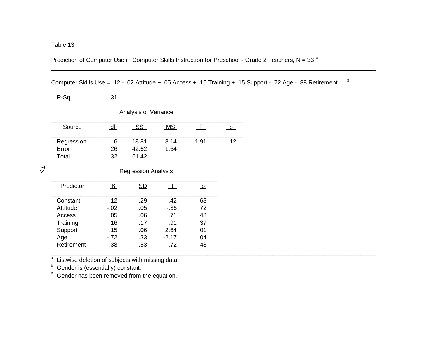Prediction of Computer Use in Computer Skills Instruction for Preschool - Grade 2 Teachers, N = 33<sup>a</sup>

Computer Skills Use = .12 - .02 Attitude + .05 Access + .16 Training + .15 Support - .72 Age - .38 Retirement <sup>b</sup>

\_\_\_\_\_\_\_\_\_\_\_\_\_\_\_\_\_\_\_\_\_\_\_\_\_\_\_\_\_\_\_\_\_\_\_\_\_\_\_\_\_\_\_\_\_\_\_\_\_\_\_\_\_\_\_\_\_\_\_\_\_\_\_\_\_\_\_\_\_\_\_\_\_\_\_\_\_\_\_\_\_\_\_\_\_\_\_\_\_\_\_\_\_\_\_\_\_\_\_\_

R-Sq .31

| <b>Analysis of Variance</b> |    |       |           |      |     |  |  |  |  |  |
|-----------------------------|----|-------|-----------|------|-----|--|--|--|--|--|
| Source                      | df | SS    | <b>MS</b> |      |     |  |  |  |  |  |
| Regression                  | 6  | 18.81 | 3.14      | 1.91 | .12 |  |  |  |  |  |
| Error                       | 26 | 42.62 | 1.64      |      |     |  |  |  |  |  |
| Total                       | 32 | 61.42 |           |      |     |  |  |  |  |  |

 $\mathbf{87}$ 

Regression Analysis

| Predictor  |       | SD  |         | p.  |
|------------|-------|-----|---------|-----|
| Constant   | .12   | .29 | .42     | .68 |
| Attitude   | $-02$ | .05 | - 36    | .72 |
| Access     | .05   | .06 | .71     | .48 |
| Training   | .16   | .17 | .91     | .37 |
| Support    | .15   | .06 | 2.64    | .01 |
| Age        | $-72$ | .33 | $-2.17$ | .04 |
| Retirement | $-38$ | .53 | $-72$   | .48 |
|            |       |     |         |     |

 $\frac{a}{b}$  Listwise deletion of subjects with missing data.<br><sup>b</sup> Gender is (essentially) constant.

<sup>b</sup> Gender has been removed from the equation.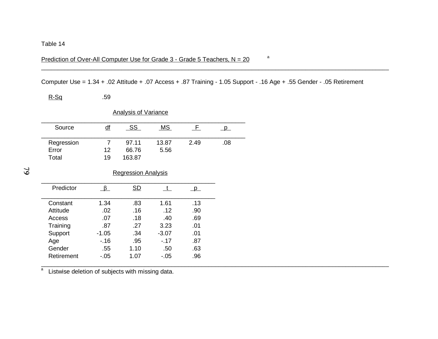Prediction of Over-All Computer Use for Grade  $3$  - Grade 5 Teachers, N = 20  $^a$ 

Computer Use = 1.34 + .02 Attitude + .07 Access + .87 Training - 1.05 Support - .16 Age + .55 Gender - .05 Retirement

\_\_\_\_\_\_\_\_\_\_\_\_\_\_\_\_\_\_\_\_\_\_\_\_\_\_\_\_\_\_\_\_\_\_\_\_\_\_\_\_\_\_\_\_\_\_\_\_\_\_\_\_\_\_\_\_\_\_\_\_\_\_\_\_\_\_\_\_\_\_\_\_\_\_\_\_\_\_\_\_\_\_\_\_\_\_\_\_\_\_\_\_\_\_\_\_\_\_\_\_\_\_\_\_

\_\_\_\_\_\_\_\_\_\_\_\_\_\_\_\_\_\_\_\_\_\_\_\_\_\_\_\_\_\_\_\_\_\_\_\_\_\_\_\_\_\_\_\_\_\_\_\_\_\_\_\_\_\_\_\_\_\_\_\_\_\_\_\_\_\_\_\_\_\_\_\_\_\_\_\_\_\_\_\_\_\_\_\_\_\_\_\_\_\_\_\_\_\_\_\_\_\_\_\_\_\_\_\_

R-Sq .59

|                              |                 | <b>Analysis of Variance</b> |               |          |          |
|------------------------------|-----------------|-----------------------------|---------------|----------|----------|
| Source                       | $\overline{df}$ | <u>SS</u>                   | MS            | F.       | $\Box$ p |
| Regression<br>Error<br>Total | 7<br>12<br>19   | 97.11<br>66.76<br>163.87    | 13.87<br>5.56 | 2.49     | .08      |
|                              |                 | <b>Regression Analysis</b>  |               |          |          |
| Predictor                    | B.              | <u>SD</u>                   | $\mathbf{t}$  | $\Box$ p |          |
| Constant                     | 1.34            | .83                         | 1.61          | .13      |          |
| Attitude                     | .02             | .16                         | .12           | .90      |          |
| Access                       | .07             | .18                         | .40           | .69      |          |
| Training                     | .87             | .27                         | 3.23          | .01      |          |
| Support                      | $-1.05$         | .34                         | $-3.07$       | .01      |          |
| Age                          | $-16$           | .95                         | $-17$         | .87      |          |
| Gender                       | .55             | 1.10                        | .50           | .63      |          |
| Retirement                   | $-0.05$         | 1.07                        | $-0.05$       | .96      |          |

<sup>a</sup> Listwise deletion of subjects with missing data.

 $\mathfrak{L}$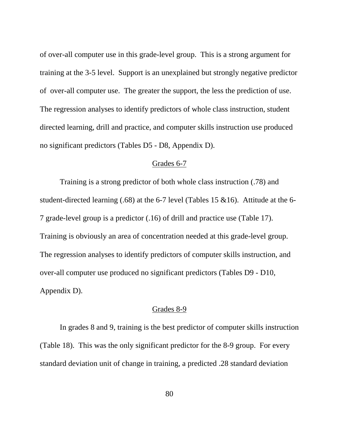of over-all computer use in this grade-level group. This is a strong argument for training at the 3-5 level. Support is an unexplained but strongly negative predictor of over-all computer use. The greater the support, the less the prediction of use. The regression analyses to identify predictors of whole class instruction, student directed learning, drill and practice, and computer skills instruction use produced no significant predictors (Tables D5 - D8, Appendix D).

#### Grades 6-7

Training is a strong predictor of both whole class instruction (.78) and student-directed learning (.68) at the 6-7 level (Tables 15 &16). Attitude at the 6- 7 grade-level group is a predictor (.16) of drill and practice use (Table 17). Training is obviously an area of concentration needed at this grade-level group. The regression analyses to identify predictors of computer skills instruction, and over-all computer use produced no significant predictors (Tables D9 - D10, Appendix D).

#### Grades 8-9

In grades 8 and 9, training is the best predictor of computer skills instruction (Table 18). This was the only significant predictor for the 8-9 group. For every standard deviation unit of change in training, a predicted .28 standard deviation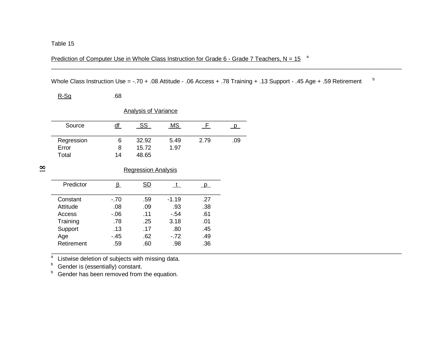Prediction of Computer Use in Whole Class Instruction for Grade 6 - Grade 7 Teachers, N = 15  $a$ 

Whole Class Instruction Use = -.70 + .08 Attitude - .06 Access + .78 Training + .13 Support - .45 Age + .59 Retirement b

\_\_\_\_\_\_\_\_\_\_\_\_\_\_\_\_\_\_\_\_\_\_\_\_\_\_\_\_\_\_\_\_\_\_\_\_\_\_\_\_\_\_\_\_\_\_\_\_\_\_\_\_\_\_\_\_\_\_\_\_\_\_\_\_\_\_\_\_\_\_\_\_\_\_\_\_\_\_\_\_\_\_\_\_\_\_\_\_\_\_\_\_\_\_\_\_\_\_\_\_\_\_\_\_\_\_\_\_

| R-Sq | .68 |
|------|-----|
|------|-----|

|            |    | <b>Analysis of Variance</b> |      |      |     |
|------------|----|-----------------------------|------|------|-----|
| Source     |    | SS                          | МS   |      |     |
| Regression | 6  | 32.92                       | 5.49 | 2.79 | .09 |
| Error      | 8  | 15.72                       | 1.97 |      |     |
| Total      | 14 | 48.65                       |      |      |     |

 $\overline{\mathbf{8}}$ 

#### Regression Analysis

|        | SD  |         |     |
|--------|-----|---------|-----|
| $-.70$ | .59 | $-1.19$ | -27 |
| .08    | .09 | .93     | .38 |
| $-06$  | .11 | $-54$   | .61 |
| .78    | .25 | 3.18    | .01 |
| .13    | .17 | .80     | .45 |
| - 45   | .62 | $-72$   | .49 |
| .59    | .60 | .98     | .36 |
|        |     |         |     |

a<br>a Listwise deletion of subjects with missing data. a

b<sup>o</sup> Gender is (essentially) constant.

<sup>b</sup> Gender has been removed from the equation.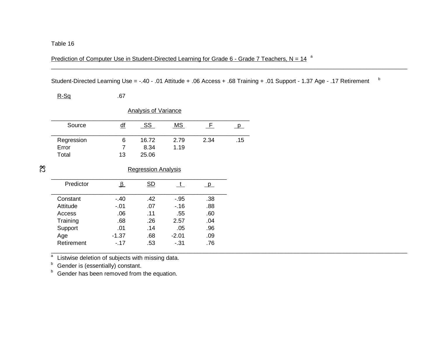Prediction of Computer Use in Student-Directed Learning for Grade 6 - Grade 7 Teachers, N =  $14^{-a}$ 

Student-Directed Learning Use = -.40 - .01 Attitude + .06 Access + .68 Training + .01 Support - 1.37 Age - .17 Retirement <sup>b</sup>

\_\_\_\_\_\_\_\_\_\_\_\_\_\_\_\_\_\_\_\_\_\_\_\_\_\_\_\_\_\_\_\_\_\_\_\_\_\_\_\_\_\_\_\_\_\_\_\_\_\_\_\_\_\_\_\_\_\_\_\_\_\_\_\_\_\_\_\_\_\_\_\_\_\_\_\_\_\_\_\_\_\_\_\_\_\_\_\_\_\_\_\_\_\_\_\_\_\_\_\_\_\_\_\_\_\_\_\_\_\_

 $R-Sq$  .67

| <b>Analysis of Variance</b>  |           |                        |              |      |     |
|------------------------------|-----------|------------------------|--------------|------|-----|
| Source                       | <u>df</u> | SS                     | МS           |      |     |
| Regression<br>Error<br>Total | 6<br>13   | 16.72<br>8.34<br>25.06 | 2.79<br>1.19 | 2.34 | .15 |

 $82$ 

Regression Analysis

|         | SD  |         |     |
|---------|-----|---------|-----|
| $-40$   | .42 | -.95    | .38 |
| $-01$   | .07 | - 16    | .88 |
| .06     | .11 | .55     | .60 |
| .68     | .26 | 2.57    | .04 |
| .01     | .14 | .05     | .96 |
| $-1.37$ | .68 | $-2.01$ | .09 |
| $-17$   | .53 | - 31    | .76 |
|         |     |         |     |

 $\frac{a}{b}$  Listwise deletion of subjects with missing data.<br> $\frac{b}{b}$  Gender is (essentially) constant.

<sup>b</sup> Gender has been removed from the equation.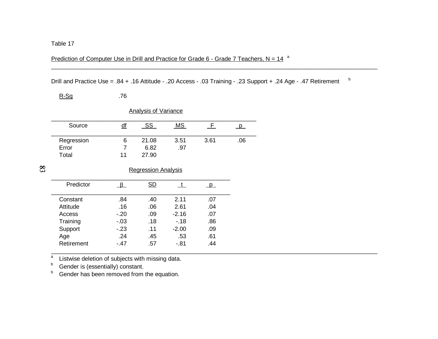#### Prediction of Computer Use in Drill and Practice for Grade 6 - Grade 7 Teachers,  $N = 14$ <sup>a</sup>

Drill and Practice Use = .84 + .16 Attitude - .20 Access - .03 Training - .23 Support + .24 Age - .47 Retirement b

\_\_\_\_\_\_\_\_\_\_\_\_\_\_\_\_\_\_\_\_\_\_\_\_\_\_\_\_\_\_\_\_\_\_\_\_\_\_\_\_\_\_\_\_\_\_\_\_\_\_\_\_\_\_\_\_\_\_\_\_\_\_\_\_\_\_\_\_\_\_\_\_\_\_\_\_\_\_\_\_\_\_\_\_\_\_\_\_\_\_\_\_\_\_\_\_\_\_\_\_\_

| <b>Analysis of Variance</b> |           |           |           |      |     |
|-----------------------------|-----------|-----------|-----------|------|-----|
| Source                      | <u>df</u> | <b>SS</b> | <b>MS</b> |      |     |
| Regression                  | 6         | 21.08     | 3.51      | 3.61 | .06 |
| Error                       |           | 6.82      | .97       |      |     |
| Total                       | 11        | 27.90     |           |      |     |

 $\infty$ 

#### Regression Analysis

| Predictor  |       | SD  |         |     |
|------------|-------|-----|---------|-----|
| Constant   | .84   | .40 | 2.11    | .07 |
| Attitude   | .16   | .06 | 2.61    | .04 |
| Access     | $-20$ | .09 | $-2.16$ | .07 |
| Training   | $-03$ | .18 | $-18$   | .86 |
| Support    | $-23$ | .11 | $-2.00$ | .09 |
| Age        | .24   | .45 | .53     | .61 |
| Retirement | $-47$ | .57 | -.81    | .44 |
|            |       |     |         |     |

a<br>a Listwise deletion of subjects with missing data. a

bGender is (essentially) constant.

R-Sq .76

bGender has been removed from the equation.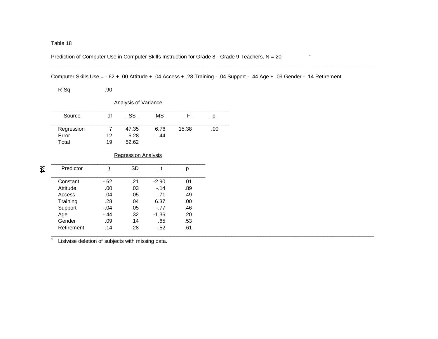#### Prediction of Computer Use in Computer Skills Instruction for Grade 8 - Grade 9 Teachers,  $N = 20$

#### Computer Skills Use = -.62 + .00 Attitude + .04 Access + .28 Training - .04 Support - .44 Age + .09 Gender - .14 Retirement

R-Sq .90

|  | Analvsis of Variance |
|--|----------------------|
|  |                      |

| Source     | uı | SS    | ΜS   |       |     |
|------------|----|-------|------|-------|-----|
| Regression |    | 47.35 | 6.76 | 15.38 | .00 |
| Error      | 12 | 5.28  | .44  |       |     |
| Total      | 19 | 52.62 |      |       |     |

#### Regression Analysis

| $\frac{8}{4}$ | Predictor  |        | SD  |         |     |  |
|---------------|------------|--------|-----|---------|-----|--|
|               | Constant   | -.62   | .21 | $-2.90$ | .01 |  |
|               | Attitude   | .00    | .03 | $-.14$  | .89 |  |
|               | Access     | .04    | .05 | .71     | .49 |  |
|               | Training   | .28    | .04 | 6.37    | .00 |  |
|               | Support    | $-.04$ | .05 | $-.77$  | .46 |  |
|               | Age        | $-.44$ | .32 | $-1.36$ | .20 |  |
|               | Gender     | .09    | .14 | .65     | .53 |  |
|               | Retirement | $-.14$ | .28 | $-.52$  | .61 |  |
|               |            |        |     |         |     |  |

a<br>a Listwise deletion of subjects with missing data. a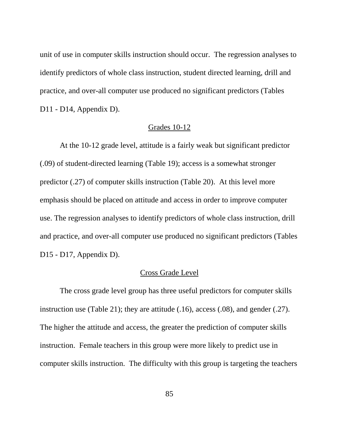unit of use in computer skills instruction should occur. The regression analyses to identify predictors of whole class instruction, student directed learning, drill and practice, and over-all computer use produced no significant predictors (Tables D11 - D14, Appendix D).

#### Grades 10-12

At the 10-12 grade level, attitude is a fairly weak but significant predictor (.09) of student-directed learning (Table 19); access is a somewhat stronger predictor (.27) of computer skills instruction (Table 20). At this level more emphasis should be placed on attitude and access in order to improve computer use. The regression analyses to identify predictors of whole class instruction, drill and practice, and over-all computer use produced no significant predictors (Tables D15 - D17, Appendix D).

#### Cross Grade Level

The cross grade level group has three useful predictors for computer skills instruction use (Table 21); they are attitude (.16), access (.08), and gender (.27). The higher the attitude and access, the greater the prediction of computer skills instruction. Female teachers in this group were more likely to predict use in computer skills instruction. The difficulty with this group is targeting the teachers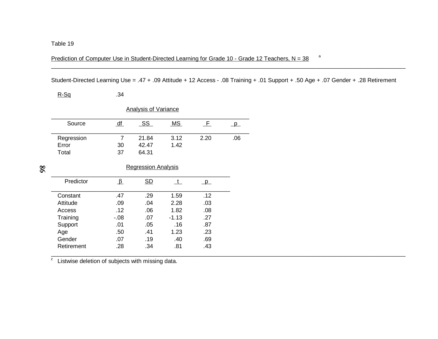Prediction of Computer Use in Student-Directed Learning for Grade 10 - Grade 12 Teachers, N =  $38$ <sup>a</sup>

Student-Directed Learning Use = .47 + .09 Attitude + 12 Access - .08 Training + .01 Support + .50 Age + .07 Gender + .28 Retirement

\_\_\_\_\_\_\_\_\_\_\_\_\_\_\_\_\_\_\_\_\_\_\_\_\_\_\_\_\_\_\_\_\_\_\_\_\_\_\_\_\_\_\_\_\_\_\_\_\_\_\_\_\_\_\_\_\_\_\_\_\_\_\_\_\_\_\_\_\_\_\_\_\_\_\_\_\_\_\_\_\_\_\_\_\_\_\_\_\_\_\_\_\_\_\_\_\_\_\_\_\_\_\_\_\_\_\_\_\_\_\_

 $R-Sq$  .34

| Analysis of Variance |          |                |              |      |     |
|----------------------|----------|----------------|--------------|------|-----|
| Source               |          | SS             | MS           |      |     |
| Regression           |          | 21.84<br>42.47 | 3.12<br>1.42 | 2.20 | .06 |
| Error<br>Total       | 30<br>37 | 64.31          |              |      |     |

 $\overline{98}$ 

Regression Analysis

| Predictor  |         | SD  |         |     |  |
|------------|---------|-----|---------|-----|--|
| Constant   | .47     | .29 | 1.59    | .12 |  |
| Attitude   | .09     | .04 | 2.28    | .03 |  |
| Access     | .12     | .06 | 1.82    | .08 |  |
| Training   | $-0.08$ | .07 | $-1.13$ | .27 |  |
| Support    | .01     | .05 | .16     | .87 |  |
| Age        | .50     | .41 | 1.23    | .23 |  |
| Gender     | .07     | .19 | .40     | .69 |  |
| Retirement | .28     | .34 | .81     | .43 |  |
|            |         |     |         |     |  |

z<br>Listwise deletion of subjects with missing data.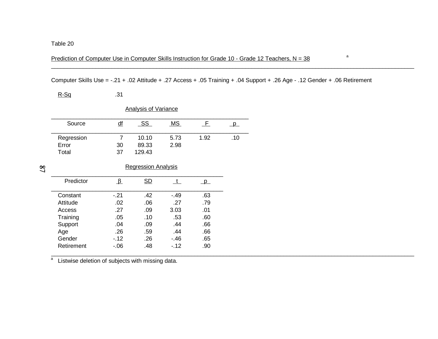Prediction of Computer Use in Computer Skills Instruction for Grade 10 - Grade 12 Teachers,  $N = 38$ 

Computer Skills Use = -.21 + .02 Attitude + .27 Access + .05 Training + .04 Support + .26 Age - .12 Gender + .06 Retirement

\_\_\_\_\_\_\_\_\_\_\_\_\_\_\_\_\_\_\_\_\_\_\_\_\_\_\_\_\_\_\_\_\_\_\_\_\_\_\_\_\_\_\_\_\_\_\_\_\_\_\_\_\_\_\_\_\_\_\_\_\_\_\_\_\_\_\_\_\_\_\_\_\_\_\_\_\_\_\_\_\_\_\_\_\_\_\_\_\_\_\_\_\_\_\_\_\_\_\_\_\_\_\_\_\_\_\_\_\_\_\_\_\_\_

 $R-Sq$  .31

|                              |          | <b>Analysis of Variance</b> |              |      |     |
|------------------------------|----------|-----------------------------|--------------|------|-----|
| Source                       | df       | SS                          | <b>MS</b>    |      |     |
| Regression<br>Error<br>Total | 30<br>37 | 10.10<br>89.33<br>129.43    | 5.73<br>2.98 | 1.92 | .10 |

 $\overline{S}$ 

| <b>Regression Analysis</b> |  |
|----------------------------|--|
|                            |  |
|                            |  |

| Predictor  |       | SD  |       |     |
|------------|-------|-----|-------|-----|
| Constant   | $-21$ | .42 | $-49$ | .63 |
| Attitude   | .02   | .06 | .27   | .79 |
| Access     | .27   | .09 | 3.03  | .01 |
| Training   | .05   | .10 | .53   | .60 |
| Support    | .04   | .09 | .44   | .66 |
| Age        | .26   | .59 | .44   | .66 |
| Gender     | $-12$ | .26 | $-46$ | .65 |
| Retirement | -.06  | .48 | $-12$ | .90 |
|            |       |     |       |     |

a Listwise deletion of subjects with missing data.<br>a Listwise deletion of subjects with missing data.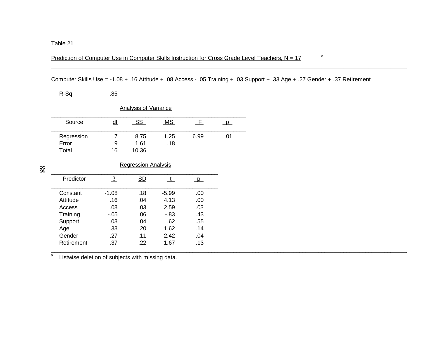Prediction of Computer Use in Computer Skills Instruction for Cross Grade Level Teachers,  $N = 17$  a

Computer Skills Use = -1.08 + .16 Attitude + .08 Access - .05 Training + .03 Support + .33 Age + .27 Gender + .37 Retirement

\_\_\_\_\_\_\_\_\_\_\_\_\_\_\_\_\_\_\_\_\_\_\_\_\_\_\_\_\_\_\_\_\_\_\_\_\_\_\_\_\_\_\_\_\_\_\_\_\_\_\_\_\_\_\_\_\_\_\_\_\_\_\_\_\_\_\_\_\_\_\_\_\_\_\_\_\_\_\_\_\_\_\_\_\_\_\_\_\_\_\_\_\_\_\_\_\_\_\_\_\_\_\_\_\_\_\_\_\_\_\_\_\_\_

R-Sq .85

| <b>Analysis of Variance</b> |    |       |      |      |     |  |  |  |
|-----------------------------|----|-------|------|------|-----|--|--|--|
| Source                      | df | SS    | MS.  |      |     |  |  |  |
| Regression                  |    | 8.75  | 1.25 | 6.99 | .01 |  |  |  |
| Error                       | 9  | 1.61  | .18  |      |     |  |  |  |
| Total                       | 16 | 10.36 |      |      |     |  |  |  |

 $88$ 

#### Regression Analysis

| Predictor  |         | <b>SD</b> |         |     |
|------------|---------|-----------|---------|-----|
| Constant   | $-1.08$ | .18       | $-5.99$ | .00 |
| Attitude   | .16     | .04       | 4.13    | .00 |
| Access     | .08     | .03       | 2.59    | .03 |
| Training   | - 05    | .06       | $-83$   | .43 |
| Support    | .03     | .04       | .62     | .55 |
| Age        | .33     | .20       | 1.62    | .14 |
| Gender     | .27     | .11       | 2.42    | .04 |
| Retirement | .37     | -22       | 1.67    | .13 |
|            |         |           |         |     |

and a contribution of subjects with missing data.<br>a clistwise deletion of subjects with missing data. a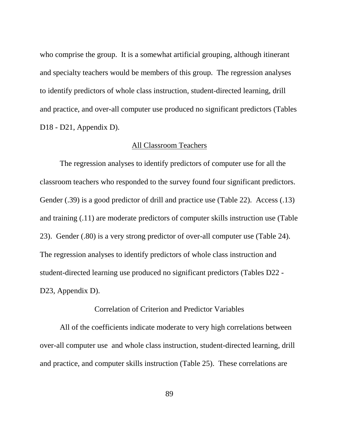who comprise the group. It is a somewhat artificial grouping, although itinerant and specialty teachers would be members of this group. The regression analyses to identify predictors of whole class instruction, student-directed learning, drill and practice, and over-all computer use produced no significant predictors (Tables D<sub>18</sub> - D<sub>21</sub>, Appendix D).

#### All Classroom Teachers

The regression analyses to identify predictors of computer use for all the classroom teachers who responded to the survey found four significant predictors. Gender (.39) is a good predictor of drill and practice use (Table 22). Access (.13) and training (.11) are moderate predictors of computer skills instruction use (Table 23). Gender (.80) is a very strong predictor of over-all computer use (Table 24). The regression analyses to identify predictors of whole class instruction and student-directed learning use produced no significant predictors (Tables D22 - D23, Appendix D).

#### Correlation of Criterion and Predictor Variables

All of the coefficients indicate moderate to very high correlations between over-all computer use and whole class instruction, student-directed learning, drill and practice, and computer skills instruction (Table 25). These correlations are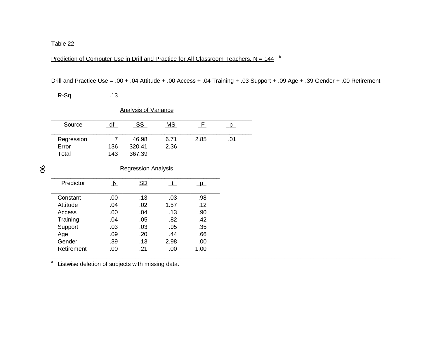Prediction of Computer Use in Drill and Practice for All Classroom Teachers,  $N = 144$ <sup>a</sup>

Drill and Practice Use = .00 + .04 Attitude + .00 Access + .04 Training + .03 Support + .09 Age + .39 Gender + .00 Retirement

R-Sq .13

| <b>Analysis of Variance</b> |     |        |           |      |     |  |  |
|-----------------------------|-----|--------|-----------|------|-----|--|--|
| Source                      | df  | SS     | <u>MS</u> |      |     |  |  |
| Regression                  |     | 46.98  | 6.71      | 2.85 | .01 |  |  |
| Error                       | 136 | 320.41 | 2.36      |      |     |  |  |
| Total                       | 143 | 367.39 |           |      |     |  |  |

 $\delta$ 

## Regression Analysis

| Predictor  |      | SD  |      |      |
|------------|------|-----|------|------|
| Constant   | .00. | .13 | .03  | .98  |
| Attitude   | .04  | .02 | 1.57 | .12  |
| Access     | .00. | .04 | .13  | .90  |
| Training   | .04  | .05 | .82  | .42  |
| Support    | .03  | .03 | .95  | .35  |
| Age        | .09  | .20 | .44  | .66  |
| Gender     | .39  | .13 | 2.98 | .00  |
| Retirement | .00  | .21 | .00  | 1.00 |
|            |      |     |      |      |

a<br>a Listwise deletion of subjects with missing data. a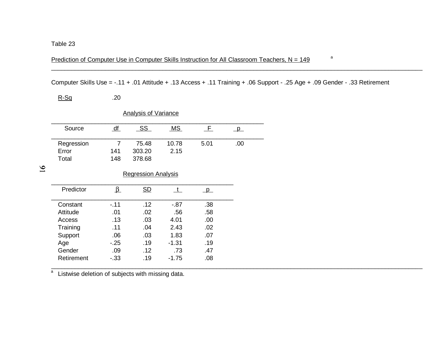Prediction of Computer Use in Computer Skills Instruction for All Classroom Teachers,  $N = 149$ <sup>a</sup>

Computer Skills Use = -.11 + .01 Attitude + .13 Access + .11 Training + .06 Support - .25 Age + .09 Gender - .33 Retirement

\_\_\_\_\_\_\_\_\_\_\_\_\_\_\_\_\_\_\_\_\_\_\_\_\_\_\_\_\_\_\_\_\_\_\_\_\_\_\_\_\_\_\_\_\_\_\_\_\_\_\_\_\_\_\_\_\_\_\_\_\_\_\_\_\_\_\_\_\_\_\_\_\_\_\_\_\_\_\_\_\_\_\_\_\_\_\_\_\_\_\_\_\_\_\_\_\_\_\_\_\_\_\_\_\_\_\_\_\_\_\_

 $R-Sq$  .20

|            |                | <b>Analysis of Variance</b> |              |          |                         |
|------------|----------------|-----------------------------|--------------|----------|-------------------------|
| Source     | df             | SS                          | MS           | F.       | $\overline{\mathsf{p}}$ |
| Regression | $\overline{7}$ | 75.48                       | 10.78        | 5.01     | .00                     |
| Error      | 141            | 303.20                      | 2.15         |          |                         |
| Total      | 148            | 378.68                      |              |          |                         |
|            |                |                             |              |          |                         |
|            |                | <b>Regression Analysis</b>  |              |          |                         |
| Predictor  | $\beta$        | SD                          | $\mathbf{t}$ | $\Box$ p |                         |
| Constant   | $-.11$         | .12                         | $-0.87$      | .38      |                         |
| Attitude   | .01            | .02                         | .56          | .58      |                         |
| Access     | .13            | .03                         | 4.01         | .00      |                         |
| Training   | .11            | .04                         | 2.43         | .02      |                         |
| Support    | .06            | .03                         | 1.83         | .07      |                         |
| Age        | $-25$          | .19                         | -1.31        | .19      |                         |
| Gender     | .09            | .12                         | .73          | .47      |                         |
| Retirement | $-33$          | .19                         | $-1.75$      | .08      |                         |

a<br>a Listwise deletion of subjects with missing data. a

 $\mathfrak{D}1$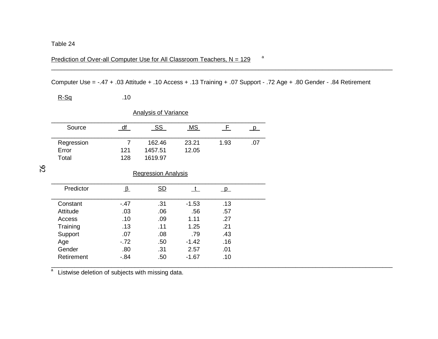Prediction of Over-all Computer Use for All Classroom Teachers,  $N = 129$ <sup>a</sup>

Computer Use = -.47 + .03 Attitude + .10 Access + .13 Training + .07 Support - .72 Age + .80 Gender - .84 Retirement

 $R-Sq$  .10

| <b>Analysis of Variance</b>  |                              |                |                            |          |  |  |  |
|------------------------------|------------------------------|----------------|----------------------------|----------|--|--|--|
| df                           | <u>SS</u>                    | MS             | -F.                        | <b>p</b> |  |  |  |
| $\overline{7}$<br>121<br>128 | 162.46<br>1457.51<br>1619.97 | 23.21<br>12.05 | 1.93                       | .07      |  |  |  |
|                              |                              |                |                            |          |  |  |  |
| $\overline{v}$               | $\underline{\mathsf{SD}}$    | t              | $\Box$ p                   |          |  |  |  |
| $-.47$                       | .31                          | $-1.53$        | .13                        |          |  |  |  |
| .03                          | .06                          | .56            | .57                        |          |  |  |  |
| .10                          | .09                          | 1.11           | .27                        |          |  |  |  |
| .13                          | .11                          | 1.25           | .21                        |          |  |  |  |
| .07                          | .08                          | .79            | .43                        |          |  |  |  |
| $-.72$                       | .50                          | $-1.42$        | .16                        |          |  |  |  |
| .80                          | .31                          | 2.57           | .01                        |          |  |  |  |
| - 84                         | .50                          | -1.67          | .10                        |          |  |  |  |
|                              |                              |                | <b>Regression Analysis</b> |          |  |  |  |

<del>a</del><br>a Listwise deletion of subjects with missing data.

 $\mathfrak{D}2$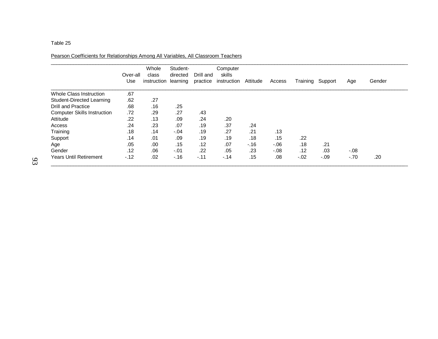Pearson Coefficients for Relationships Among All Variables, All Classroom Teachers

|                                    | Over-all<br>Use | Whole<br>class<br>instruction | Student-<br>directed<br>learning | Drill and<br>practice | Computer<br>skills<br>instruction | Attitude | Access | Training | Support | Age     | Gender |
|------------------------------------|-----------------|-------------------------------|----------------------------------|-----------------------|-----------------------------------|----------|--------|----------|---------|---------|--------|
| <b>Whole Class Instruction</b>     | .67             |                               |                                  |                       |                                   |          |        |          |         |         |        |
| Student-Directed Learning          | .62             | .27                           |                                  |                       |                                   |          |        |          |         |         |        |
| <b>Drill and Practice</b>          | .68             | .16                           | .25                              |                       |                                   |          |        |          |         |         |        |
| <b>Computer Skills Instruction</b> | .72             | .29                           | .27                              | .43                   |                                   |          |        |          |         |         |        |
| Attitude                           | .22             | .13                           | .09                              | .24                   | .20                               |          |        |          |         |         |        |
| Access                             | .24             | .23                           | .07                              | .19                   | .37                               | .24      |        |          |         |         |        |
| Training                           | .18             | .14                           | $-.04$                           | .19                   | .27                               | .21      | .13    |          |         |         |        |
| Support                            | .14             | .01                           | .09                              | .19                   | .19                               | .18      | .15    | .22      |         |         |        |
| Age                                | .05             | .00                           | .15                              | .12                   | .07                               | $-16$    | $-06$  | .18      | .21     |         |        |
| Gender                             | .12             | .06                           | $-.01$                           | .22                   | .05                               | .23      | $-08$  | .12      | .03     | $-0.08$ |        |
| <b>Years Until Retirement</b>      | $-.12$          | .02                           | $-.16$                           | $-.11$                | $-.14$                            | .15      | .08    | $-.02$   | $-.09$  | $-.70$  | .20    |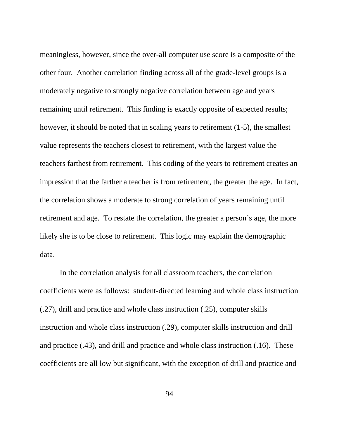meaningless, however, since the over-all computer use score is a composite of the other four. Another correlation finding across all of the grade-level groups is a moderately negative to strongly negative correlation between age and years remaining until retirement. This finding is exactly opposite of expected results; however, it should be noted that in scaling years to retirement (1-5), the smallest value represents the teachers closest to retirement, with the largest value the teachers farthest from retirement. This coding of the years to retirement creates an impression that the farther a teacher is from retirement, the greater the age. In fact, the correlation shows a moderate to strong correlation of years remaining until retirement and age. To restate the correlation, the greater a person's age, the more likely she is to be close to retirement. This logic may explain the demographic data.

In the correlation analysis for all classroom teachers, the correlation coefficients were as follows: student-directed learning and whole class instruction (.27), drill and practice and whole class instruction (.25), computer skills instruction and whole class instruction (.29), computer skills instruction and drill and practice (.43), and drill and practice and whole class instruction (.16). These coefficients are all low but significant, with the exception of drill and practice and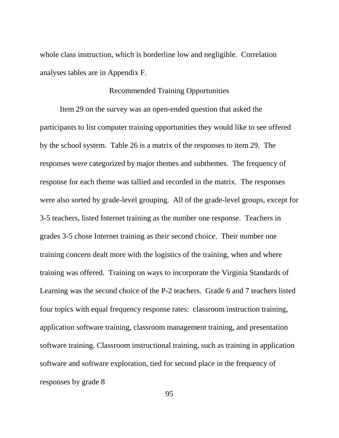whole class instruction, which is borderline low and negligible. Correlation analyses tables are in Appendix F.

### Recommended Training Opportunities

Item 29 on the survey was an open-ended question that asked the participants to list computer training opportunities they would like to see offered by the school system. Table 26 is a matrix of the responses to item 29. The responses were categorized by major themes and subthemes. The frequency of response for each theme was tallied and recorded in the matrix. The responses were also sorted by grade-level grouping. All of the grade-level groups, except for 3-5 teachers, listed Internet training as the number one response. Teachers in grades 3-5 chose Internet training as their second choice. Their number one training concern dealt more with the logistics of the training, when and where training was offered. Training on ways to incorporate the Virginia Standards of Learning was the second choice of the P-2 teachers. Grade 6 and 7 teachers listed four topics with equal frequency response rates: classroom instruction training, application software training, classroom management training, and presentation software training. Classroom instructional training, such as training in application software and software exploration, tied for second place in the frequency of responses by grade 8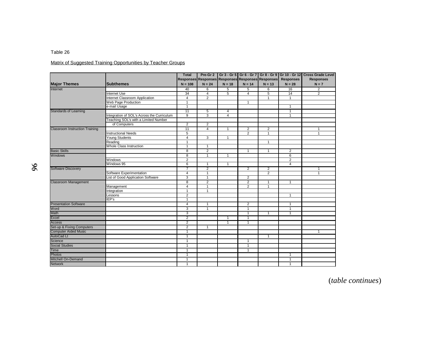### Matrix of Suggested Training Opportunities by Teacher Groups

|                                       |                                            | <b>Total</b>    |                |                |                                                   |                |                  | Pre-Gr 2   Gr 3 - Gr 5   Gr 6 - Gr 7   Gr 8 - Gr 9   Gr 10 - Gr 12   Cross Grade Level |
|---------------------------------------|--------------------------------------------|-----------------|----------------|----------------|---------------------------------------------------|----------------|------------------|----------------------------------------------------------------------------------------|
|                                       |                                            |                 |                |                | Responses Responses Responses Responses Responses |                | <b>Responses</b> | <b>Responses</b>                                                                       |
| <b>Major Themes</b>                   | <b>Subthemes</b>                           | $N = 108$       | $N = 24$       | $N = 18$       | $N = 14$                                          | $N = 13$       | $N = 28$         | $N = 7$                                                                                |
| Internet                              |                                            | 40              | 6              | 5              | $\overline{5}$                                    | 6              | 16               | $\overline{2}$                                                                         |
|                                       | <b>Internet Use</b>                        | 34              | $\overline{4}$ | 5              | 4                                                 | 5              | 14               | $\overline{2}$                                                                         |
|                                       | Internet Classroom Application             | $\overline{4}$  | $\overline{2}$ |                |                                                   | $\mathbf{1}$   | $\mathbf{1}$     |                                                                                        |
|                                       | Web Page Production                        | $\mathbf{1}$    |                |                | $\mathbf{1}$                                      |                |                  |                                                                                        |
|                                       | e-mail Usage                               | $\mathbf{1}$    |                |                |                                                   |                | $\mathbf{1}$     |                                                                                        |
| <b>Standards of Learning</b>          |                                            | 11              | 5              | $\overline{4}$ |                                                   |                | $\mathbf{1}$     |                                                                                        |
|                                       | Integration of SOL's Across the Curriculum | $\overline{9}$  | 3              | $\overline{4}$ |                                                   |                | $\mathbf{1}$     |                                                                                        |
|                                       | Teaching SOL's with a Limited Number       |                 |                |                |                                                   |                |                  |                                                                                        |
|                                       | of Computers                               | $\overline{2}$  | $\overline{2}$ |                |                                                   |                |                  |                                                                                        |
| <b>Classroom Instruction Training</b> |                                            | $\overline{11}$ | $\overline{4}$ | $\overline{1}$ | $\overline{2}$                                    | $\overline{2}$ |                  | $\mathbf{1}$                                                                           |
|                                       | <b>Instructional Needs</b>                 | 5               |                |                | $\overline{2}$                                    | $\mathbf{1}$   |                  | $\mathbf{1}$                                                                           |
|                                       | Young Students                             | $\overline{4}$  | 3              | 1              |                                                   |                |                  |                                                                                        |
|                                       | Reading                                    | $\mathbf{1}$    |                |                |                                                   | $\overline{1}$ |                  |                                                                                        |
|                                       | <b>Whole Class Instruction</b>             | 1               | $\mathbf{1}$   |                |                                                   |                |                  |                                                                                        |
| <b>Basic Skills</b>                   |                                            | 8               | $\overline{2}$ |                | $\mathbf{1}$                                      | $\mathbf{1}$   | $\overline{2}$   |                                                                                        |
| <b>Windows</b>                        |                                            | 8               | 1              | 1              |                                                   |                | 6                |                                                                                        |
|                                       | Windows                                    | $\overline{2}$  |                |                |                                                   |                | $\overline{2}$   |                                                                                        |
|                                       | Windows 95                                 | 6               | $\mathbf{1}$   | $\mathbf{1}$   |                                                   |                | $\overline{4}$   |                                                                                        |
| <b>Software Discovery</b>             |                                            | 7               | $\overline{2}$ |                | $\overline{2}$                                    | 2              |                  | 1                                                                                      |
|                                       | Software Experimentation                   | $\overline{4}$  | $\mathbf{1}$   |                |                                                   | $\overline{2}$ |                  | $\mathbf{1}$                                                                           |
|                                       | List of Good Application Software          | 3               | $\mathbf{1}$   |                | $\overline{2}$                                    |                |                  |                                                                                        |
| <b>Classroom Management</b>           |                                            | 8               | $\overline{2}$ |                | $\overline{2}$                                    | $\mathbf{1}$   | $\mathbf{1}$     |                                                                                        |
|                                       | Management                                 | 4               | 1              |                | $\overline{2}$                                    | 1              |                  |                                                                                        |
|                                       | Integration                                | $\mathbf{1}$    | $\mathbf{1}$   |                |                                                   |                |                  |                                                                                        |
|                                       | Lessons                                    | $\overline{2}$  |                |                |                                                   |                | $\mathbf{1}$     |                                                                                        |
|                                       | IEP's                                      | $\mathbf{1}$    |                |                |                                                   |                |                  |                                                                                        |
| <b>Presentation Software</b>          |                                            | $\overline{4}$  | $\mathbf{1}$   |                | $\overline{2}$                                    |                | $\overline{1}$   |                                                                                        |
| Word                                  |                                            | 3               | 1              |                | 1                                                 |                | 1                |                                                                                        |
| Math                                  |                                            | 3               |                |                | 1                                                 | $\mathbf{1}$   | -1               |                                                                                        |
| Excel                                 |                                            | $\overline{2}$  |                | 1              | 1                                                 |                |                  |                                                                                        |
| Access                                |                                            | $\overline{2}$  |                | $\overline{1}$ | $\overline{1}$                                    |                |                  |                                                                                        |
| Set-up & Fixing Computers             |                                            | $\overline{2}$  | $\mathbf{1}$   |                |                                                   |                |                  |                                                                                        |
| <b>Computer Aided Music</b>           |                                            | $\overline{1}$  |                |                |                                                   |                |                  | $\mathbf{1}$                                                                           |
| <b>AutoCad Lt</b>                     |                                            | 1               |                |                |                                                   | $\mathbf{1}$   |                  |                                                                                        |
| Science                               |                                            | 1               |                |                | $\mathbf{1}$                                      |                |                  |                                                                                        |
| <b>Social Studies</b>                 |                                            | $\mathbf{1}$    |                |                | $\overline{1}$                                    |                |                  |                                                                                        |
| <b>Time</b>                           |                                            | $\mathbf{1}$    |                |                | $\mathbf{1}$                                      |                |                  |                                                                                        |
|                                       |                                            |                 |                |                |                                                   |                |                  |                                                                                        |
| <b>Photos</b>                         |                                            | $\mathbf{1}$    |                |                |                                                   |                | $\mathbf{1}$     |                                                                                        |
| Mitchell On-Demand                    |                                            | $\mathbf{1}$    |                |                |                                                   |                | $\mathbf{1}$     |                                                                                        |
| <b>Network</b>                        |                                            | 1               |                |                |                                                   |                | 1                |                                                                                        |

(*table continues*)

96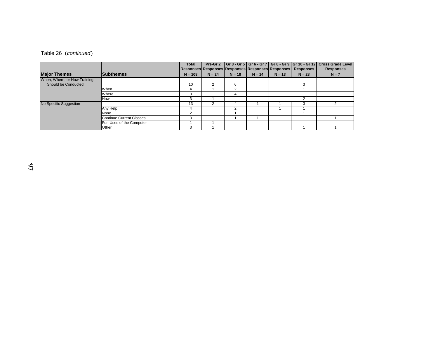| Table 26 (continued) |
|----------------------|
|                      |

|                              |                                 | <b>Total</b>                                      |               |            |          |          | Pre-Gr 2   Gr 3 - Gr 5   Gr 6 - Gr 7   Gr 8 - Gr 9   Gr 10 - Gr 12 | <b>Cross Grade Level</b> |
|------------------------------|---------------------------------|---------------------------------------------------|---------------|------------|----------|----------|--------------------------------------------------------------------|--------------------------|
|                              |                                 | Responses Responses Responses Responses Responses |               |            |          |          | <b>Responses</b>                                                   | <b>Responses</b>         |
| <b>Major Themes</b>          | <b>Subthemes</b>                | $N = 108$                                         | $N = 24$      | $N = 18$   | $N = 14$ | $N = 13$ | $N = 28$                                                           | $N = 7$                  |
| When, Where, or How Training |                                 |                                                   |               |            |          |          |                                                                    |                          |
| Should be Conducted          |                                 | 10                                                | $\mathcal{P}$ | 6          |          |          | з                                                                  |                          |
|                              | When                            |                                                   |               | $\sqrt{2}$ |          |          |                                                                    |                          |
|                              | Where                           | -1                                                |               | 4          |          |          |                                                                    |                          |
|                              | How                             | 3                                                 |               |            |          |          |                                                                    |                          |
| No Specific Suggestion       |                                 | 13                                                |               | 4          |          |          |                                                                    |                          |
|                              | Any Help                        | 4                                                 |               | າ          |          |          |                                                                    |                          |
|                              | None                            |                                                   |               |            |          |          |                                                                    |                          |
|                              | <b>Continue Current Classes</b> | 3                                                 |               |            |          |          |                                                                    |                          |
|                              | Fun Uses of the Computer        |                                                   |               |            |          |          |                                                                    |                          |
|                              | Other                           | -1                                                |               |            |          |          |                                                                    |                          |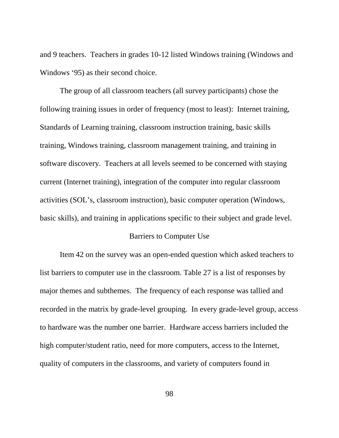and 9 teachers. Teachers in grades 10-12 listed Windows training (Windows and Windows '95) as their second choice.

The group of all classroom teachers (all survey participants) chose the following training issues in order of frequency (most to least): Internet training, Standards of Learning training, classroom instruction training, basic skills training, Windows training, classroom management training, and training in software discovery. Teachers at all levels seemed to be concerned with staying current (Internet training), integration of the computer into regular classroom activities (SOL's, classroom instruction), basic computer operation (Windows, basic skills), and training in applications specific to their subject and grade level.

### Barriers to Computer Use

Item 42 on the survey was an open-ended question which asked teachers to list barriers to computer use in the classroom. Table 27 is a list of responses by major themes and subthemes. The frequency of each response was tallied and recorded in the matrix by grade-level grouping. In every grade-level group, access to hardware was the number one barrier. Hardware access barriers included the high computer/student ratio, need for more computers, access to the Internet, quality of computers in the classrooms, and variety of computers found in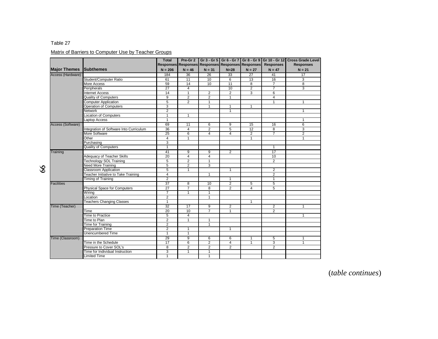### Matrix of Barriers to Computer Use by Teacher Groups

|                     |                                            | <b>Total</b>    |                |                                                   |                         |                |                  | Pre-Gr 2 Gr 3 - Gr 5 Gr 6 - Gr 7 Gr 8 - Gr 9 Gr 10 - Gr 12 Cross Grade Level |
|---------------------|--------------------------------------------|-----------------|----------------|---------------------------------------------------|-------------------------|----------------|------------------|------------------------------------------------------------------------------|
|                     |                                            |                 |                | Responses Responses Responses Responses Responses |                         |                | <b>Responses</b> | <b>Responses</b>                                                             |
| <b>Major Themes</b> | <b>Subthemes</b>                           | $N = 206$       | $N = 46$       | $N = 31$                                          | $N=28$                  | $N = 27$       | $N = 47$         | $N = 21$                                                                     |
| Access (Hardware)   |                                            | 184             | 36             | 26                                                | 33                      | 27             | 41               | 17                                                                           |
|                     | Student/Computer Ratio                     | 61              | 11             | 10                                                | 6                       | 13             | 16               | 3                                                                            |
|                     | More Access                                | 59              | 14             | 10                                                | 11                      | 8              | $\overline{7}$   | 8                                                                            |
|                     | Peripherals                                | 27              | 4              |                                                   | 10                      | 2              | $\overline{7}$   | 3                                                                            |
|                     | <b>Internet Access</b>                     | 14              | $\mathbf{1}$   | $\overline{2}$                                    | $\overline{2}$          | 3              | 6                |                                                                              |
|                     | <b>Quality of Computers</b>                | 9               | $\overline{2}$ | $\overline{2}$                                    | $\mathbf{1}$            |                | 4                |                                                                              |
|                     | <b>Computer Application</b>                | 5               | $\overline{2}$ | $\mathbf{1}$                                      |                         |                | $\mathbf{1}$     | $\mathbf{1}$                                                                 |
|                     | Operation of Computers                     | 3               |                | $\mathbf{1}$                                      | $\mathbf{1}$            | $\mathbf{1}$   |                  |                                                                              |
|                     | Network                                    | $\overline{2}$  |                |                                                   | $\mathbf{1}$            |                |                  | $\mathbf{1}$                                                                 |
|                     | <b>Location of Computers</b>               | $\overline{1}$  | $\mathbf{1}$   |                                                   |                         |                |                  |                                                                              |
|                     | Laptop Access                              | $\mathbf{1}$    |                |                                                   |                         |                |                  | $\mathbf{1}$                                                                 |
| Access (Software)   |                                            | 69              | 11             | 6                                                 | 9                       | 15             | 16               | 6                                                                            |
|                     | Integration of Software Into Curriculum    | 36              | 4              | $\overline{2}$                                    | $\overline{5}$          | 12             | 8                | 3                                                                            |
|                     | More Software                              | $\overline{25}$ | 6              | $\overline{4}$                                    | $\overline{4}$          | $\overline{2}$ | $\overline{7}$   | $\overline{2}$                                                               |
|                     | Other                                      | $\overline{4}$  | $\mathbf{1}$   |                                                   |                         | $\mathbf{1}$   |                  | $\mathbf{1}$                                                                 |
|                     | Purchasing                                 | $\overline{3}$  |                |                                                   |                         |                |                  |                                                                              |
|                     | <b>Quality of Computers</b>                | $\overline{1}$  |                |                                                   |                         |                | $\overline{1}$   |                                                                              |
| Training            |                                            | 41              | 9              | 9                                                 | $\overline{2}$          |                | 17               |                                                                              |
|                     | Adequacy of Teacher Skills                 | 20              | $\overline{4}$ | $\overline{4}$                                    |                         |                | 10               |                                                                              |
|                     | <b>Technology SOL Training</b>             | 5               | $\overline{2}$ | $\mathbf{1}$                                      |                         |                | $\overline{2}$   |                                                                              |
|                     | <b>Need More Training</b>                  | 5               | 2              | 3                                                 |                         |                |                  |                                                                              |
|                     | Classroom Application                      | 5               | $\mathbf{1}$   |                                                   | $\mathbf{1}$            |                | $\overline{c}$   |                                                                              |
|                     | <b>Teacher Initiative to Take Training</b> | $\overline{4}$  |                | $\mathbf{1}$                                      |                         |                | $\overline{2}$   |                                                                              |
|                     | <b>Timing of Training</b>                  | $\overline{2}$  |                |                                                   | $\mathbf{1}$            |                | 1                |                                                                              |
| <b>Facilities</b>   |                                            | 37              | 8              | 10                                                | $\overline{2}$          | 5              | 5                |                                                                              |
|                     | Physical Space for Computers               | $\overline{27}$ | $\overline{7}$ | 8                                                 | $\overline{2}$          | $\overline{4}$ | 5                |                                                                              |
|                     | Wiring                                     | $\overline{7}$  | 1              | $\mathbf{1}$                                      |                         |                |                  |                                                                              |
|                     | _ocation                                   | $\overline{2}$  |                | $\mathbf{1}$                                      |                         |                |                  |                                                                              |
|                     | <b>Teachers Changing Classes</b>           | $\overline{1}$  |                |                                                   |                         | $\mathbf{1}$   |                  |                                                                              |
| Time (Teacher)      |                                            | 32              | 17             | 9                                                 | $\overline{2}$          |                | 2                | $\mathbf{1}$                                                                 |
|                     | Time                                       | $\overline{20}$ | 10             | 7                                                 | $\mathbf{1}$            |                | $\overline{2}$   |                                                                              |
|                     | <b>Time to Practice</b>                    | 5               | $\overline{4}$ |                                                   |                         |                |                  | $\mathbf{1}$                                                                 |
|                     | Time to Plan                               | $\overline{2}$  | $\mathbf{1}$   | $\mathbf{1}$                                      |                         |                |                  |                                                                              |
|                     | Time for Training                          | $\overline{2}$  |                | $\mathbf{1}$                                      |                         |                |                  |                                                                              |
|                     | <b>Preparation Time</b>                    | $\overline{2}$  | $\mathbf{1}$   |                                                   | $\mathbf{1}$            |                |                  |                                                                              |
|                     | <b>Unencumbered Time</b>                   | $\mathbf{1}$    | $\mathbf{1}$   |                                                   |                         |                |                  |                                                                              |
| Time (Classroom)    |                                            | 29              | 9              | 6                                                 | 6                       | 1              | 5                | 1                                                                            |
|                     | Time in the Schedule                       | 17              | 6              | $\overline{2}$                                    | $\overline{\mathbf{4}}$ | $\mathbf{1}$   | 3                | $\mathbf{1}$                                                                 |
|                     | Pressure to Cover SOL's                    | 8               | 2              | $\overline{2}$                                    | $\overline{2}$          |                | 2                |                                                                              |
|                     | Time for Individual Instruction            | 3               | $\mathbf{1}$   | $\mathbf{1}$                                      |                         |                |                  |                                                                              |
|                     | Limited Time                               | $\mathbf{1}$    |                | 1                                                 |                         |                |                  |                                                                              |

66

(*table continues*)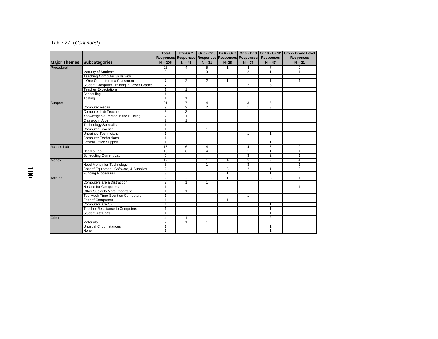### Table 27 (Continued)

|                     |                                           | <b>Total</b>   |                         |                                                   |                |                |                  | Pre-Gr 2   Gr 3 - Gr 5   Gr 6 - Gr 7   Gr 8 - Gr 9   Gr 10 - Gr 12   Cross Grade Level |
|---------------------|-------------------------------------------|----------------|-------------------------|---------------------------------------------------|----------------|----------------|------------------|----------------------------------------------------------------------------------------|
|                     |                                           |                |                         | Responses Responses Responses Responses Responses |                |                | <b>Responses</b> | <b>Responses</b>                                                                       |
| <b>Major Themes</b> | Subcategories                             | $N = 206$      | $N = 46$                | $N = 31$                                          | $N=28$         | $N = 27$       | $N = 47$         | $N = 21$                                                                               |
| Procedural          |                                           | 25             | 4                       | 5                                                 | $\mathbf{1}$   | 4              |                  | 2                                                                                      |
|                     | Maturity of Students                      | $\overline{8}$ |                         | $\overline{3}$                                    |                | $\overline{2}$ | $\overline{1}$   | $\blacktriangleleft$                                                                   |
|                     | <b>Teaching Computer Skills with</b>      |                |                         |                                                   |                |                |                  |                                                                                        |
|                     | One Computer in a Classroom               | $\overline{7}$ | $\overline{2}$          | $\overline{2}$                                    | $\mathbf{1}$   |                | $\mathbf{1}$     | $\mathbf{1}$                                                                           |
|                     | Student Computer Training in Lower Grades | $\overline{7}$ |                         |                                                   |                | 2              | 5                |                                                                                        |
|                     | <b>Teacher Expectations</b>               | $\mathbf{1}$   | 1                       |                                                   |                |                |                  |                                                                                        |
|                     | Scheduling                                | $\mathbf{1}$   |                         |                                                   |                |                |                  |                                                                                        |
|                     | <b>Testing</b>                            | $\mathbf{1}$   | $\mathbf{1}$            |                                                   |                |                |                  |                                                                                        |
| Support             |                                           | 21             | $\overline{7}$          | 4                                                 |                | 3              | 5                |                                                                                        |
|                     | Computer Repair                           | 9              | $\overline{\mathbf{c}}$ | $\overline{2}$                                    |                | $\mathbf{1}$   | 3                |                                                                                        |
|                     | Computer Lab Teacher                      | 3              | 3                       |                                                   |                |                |                  |                                                                                        |
|                     | Knowledgable Person in the Building       | $\overline{2}$ | $\overline{1}$          |                                                   |                | $\mathbf{1}$   |                  |                                                                                        |
|                     | Classroom Aide                            | $\overline{2}$ | $\mathbf{1}$            |                                                   |                |                |                  |                                                                                        |
|                     | <b>Technology Specialist</b>              | $\mathbf{1}$   |                         | $\mathbf{1}$                                      |                |                |                  |                                                                                        |
|                     | Computer Teacher                          | $\mathbf{1}$   |                         | $\mathbf{1}$                                      |                |                |                  |                                                                                        |
|                     | Untrained Technicians                     | $\mathbf{1}$   |                         |                                                   |                | 1              | 1                |                                                                                        |
|                     | <b>Computer Technicians</b>               | $\mathbf{1}$   |                         |                                                   |                |                |                  |                                                                                        |
|                     | <b>Central Office Support</b>             | $\mathbf{1}$   |                         |                                                   |                |                | $\mathbf{1}$     |                                                                                        |
| <b>Access Lab</b>   |                                           | 18             | 6                       | 4                                                 |                | 4              | 3                | $\overline{2}$                                                                         |
|                     | Need a Lab                                | 13             | 6                       | 4                                                 |                | $\mathbf{1}$   | $\mathbf{1}$     | $\mathbf{1}$                                                                           |
|                     | <b>Scheduling Current Lab</b>             | 5              |                         |                                                   |                | 3              | $\overline{2}$   | $\mathbf{1}$                                                                           |
| Money               |                                           | 17             |                         | 1                                                 | $\overline{4}$ | 5              | $\overline{2}$   | $\overline{4}$                                                                         |
|                     | Need Money for Technology                 | 5              |                         | 1                                                 |                | 3              |                  | $\mathbf{1}$                                                                           |
|                     | Cost of Equipment, Software, & Supplies   | 9              |                         |                                                   | 3              | $\overline{2}$ | $\mathbf{1}$     | 3                                                                                      |
|                     | <b>Funding Procedures</b>                 | 3              |                         |                                                   | $\mathbf{1}$   |                | $\mathbf{1}$     |                                                                                        |
| <b>Attitude</b>     |                                           | $\overline{9}$ | $\overline{2}$          | 1                                                 | $\mathbf{1}$   | 1              | 3                | 1                                                                                      |
|                     | Computers are a Distraction               | $\overline{2}$ | $\mathbf{1}$            | 1                                                 |                |                |                  |                                                                                        |
|                     | No Use for Computers                      | $\overline{1}$ |                         |                                                   |                |                |                  | $\mathbf{1}$                                                                           |
|                     | Other Subjects More Important             | $\mathbf{1}$   | 1                       |                                                   |                |                |                  |                                                                                        |
|                     | Too Much Time Spent on Computers          | $\mathbf{1}$   |                         |                                                   |                | $\mathbf{1}$   |                  |                                                                                        |
|                     | Fear of Computers                         | $\mathbf{1}$   |                         |                                                   | $\mathbf{1}$   |                |                  |                                                                                        |
|                     | Computers are OK                          | $\mathbf{1}$   |                         |                                                   |                |                | 1                |                                                                                        |
|                     | <b>Teacher Resistance to Computers</b>    | $\overline{1}$ |                         |                                                   |                |                | $\mathbf{1}$     |                                                                                        |
|                     | <b>Student Attitudes</b>                  | $\overline{1}$ |                         |                                                   |                |                | $\overline{1}$   |                                                                                        |
| Other               |                                           | $\overline{4}$ | $\mathbf{1}$            | $\mathbf{1}$                                      |                |                | $\overline{2}$   |                                                                                        |
|                     | <b>Materials</b>                          | $\overline{2}$ | 1                       | $\mathbf{1}$                                      |                |                |                  |                                                                                        |
|                     | Unusual Circumstances                     | $\mathbf{1}$   |                         |                                                   |                |                | 1                |                                                                                        |
|                     | None                                      | $\mathbf{1}$   |                         |                                                   |                |                | $\mathbf{1}$     |                                                                                        |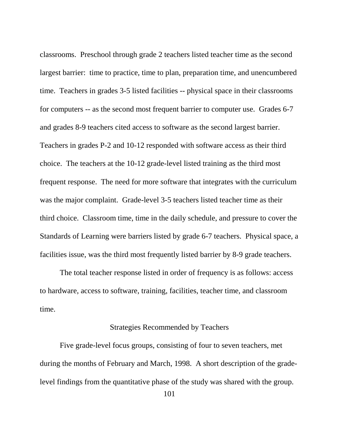classrooms. Preschool through grade 2 teachers listed teacher time as the second largest barrier: time to practice, time to plan, preparation time, and unencumbered time. Teachers in grades 3-5 listed facilities -- physical space in their classrooms for computers -- as the second most frequent barrier to computer use. Grades 6-7 and grades 8-9 teachers cited access to software as the second largest barrier. Teachers in grades P-2 and 10-12 responded with software access as their third choice. The teachers at the 10-12 grade-level listed training as the third most frequent response. The need for more software that integrates with the curriculum was the major complaint. Grade-level 3-5 teachers listed teacher time as their third choice. Classroom time, time in the daily schedule, and pressure to cover the Standards of Learning were barriers listed by grade 6-7 teachers. Physical space, a facilities issue, was the third most frequently listed barrier by 8-9 grade teachers.

The total teacher response listed in order of frequency is as follows: access to hardware, access to software, training, facilities, teacher time, and classroom time.

# Strategies Recommended by Teachers

Five grade-level focus groups, consisting of four to seven teachers, met during the months of February and March, 1998. A short description of the gradelevel findings from the quantitative phase of the study was shared with the group.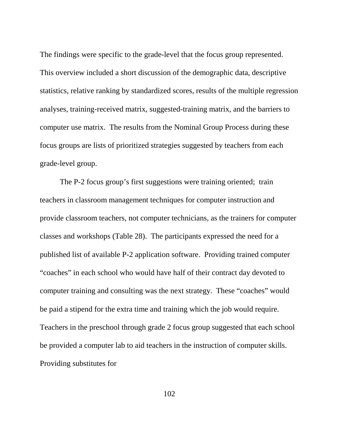The findings were specific to the grade-level that the focus group represented. This overview included a short discussion of the demographic data, descriptive statistics, relative ranking by standardized scores, results of the multiple regression analyses, training-received matrix, suggested-training matrix, and the barriers to computer use matrix. The results from the Nominal Group Process during these focus groups are lists of prioritized strategies suggested by teachers from each grade-level group.

The P-2 focus group's first suggestions were training oriented; train teachers in classroom management techniques for computer instruction and provide classroom teachers, not computer technicians, as the trainers for computer classes and workshops (Table 28). The participants expressed the need for a published list of available P-2 application software. Providing trained computer "coaches" in each school who would have half of their contract day devoted to computer training and consulting was the next strategy. These "coaches" would be paid a stipend for the extra time and training which the job would require. Teachers in the preschool through grade 2 focus group suggested that each school be provided a computer lab to aid teachers in the instruction of computer skills. Providing substitutes for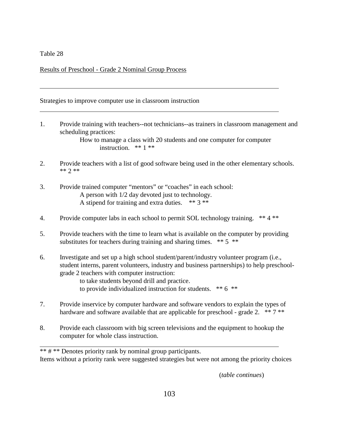$\overline{a}$ 

 $\overline{a}$ 

Results of Preschool - Grade 2 Nominal Group Process

Strategies to improve computer use in classroom instruction

1. Provide training with teachers--not technicians--as trainers in classroom management and scheduling practices:

> How to manage a class with 20 students and one computer for computer instruction. \*\* 1 \*\*

- 2. Provide teachers with a list of good software being used in the other elementary schools. \*\* 2 \*\*
- 3. Provide trained computer "mentors" or "coaches" in each school: A person with 1/2 day devoted just to technology. A stipend for training and extra duties.  $** 3 **$
- 4. Provide computer labs in each school to permit SOL technology training. \*\* 4 \*\*
- 5. Provide teachers with the time to learn what is available on the computer by providing substitutes for teachers during training and sharing times.  $** 5$  \*\*
- 6. Investigate and set up a high school student/parent/industry volunteer program (i.e., student interns, parent volunteers, industry and business partnerships) to help preschoolgrade 2 teachers with computer instruction:
	- to take students beyond drill and practice. to provide individualized instruction for students. \*\* 6 \*\*
- 7. Provide inservice by computer hardware and software vendors to explain the types of hardware and software available that are applicable for preschool - grade 2.  $** 7**$
- 8. Provide each classroom with big screen televisions and the equipment to hookup the computer for whole class instruction.

\*\* # \*\* Denotes priority rank by nominal group participants. Items without a priority rank were suggested strategies but were not among the priority choices

(*table continues*)

 $\overline{a}$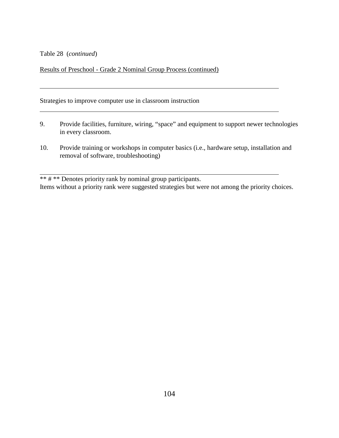Table 28 (*continued*)

 $\overline{a}$ 

 $\overline{a}$ 

Results of Preschool - Grade 2 Nominal Group Process (continued)

Strategies to improve computer use in classroom instruction

9. Provide facilities, furniture, wiring, "space" and equipment to support newer technologies in every classroom.

 $\overline{a}$ 

10. Provide training or workshops in computer basics (i.e., hardware setup, installation and removal of software, troubleshooting)

\*\* # \*\* Denotes priority rank by nominal group participants. Items without a priority rank were suggested strategies but were not among the priority choices.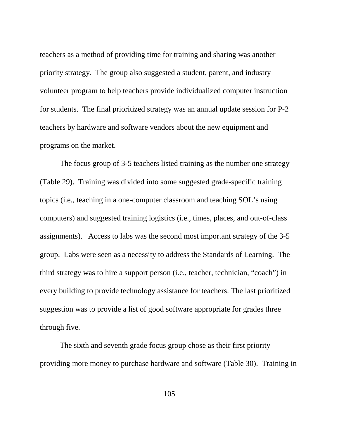teachers as a method of providing time for training and sharing was another priority strategy. The group also suggested a student, parent, and industry volunteer program to help teachers provide individualized computer instruction for students. The final prioritized strategy was an annual update session for P-2 teachers by hardware and software vendors about the new equipment and programs on the market.

The focus group of 3-5 teachers listed training as the number one strategy (Table 29). Training was divided into some suggested grade-specific training topics (i.e., teaching in a one-computer classroom and teaching SOL's using computers) and suggested training logistics (i.e., times, places, and out-of-class assignments). Access to labs was the second most important strategy of the 3-5 group. Labs were seen as a necessity to address the Standards of Learning. The third strategy was to hire a support person (i.e., teacher, technician, "coach") in every building to provide technology assistance for teachers. The last prioritized suggestion was to provide a list of good software appropriate for grades three through five.

The sixth and seventh grade focus group chose as their first priority providing more money to purchase hardware and software (Table 30). Training in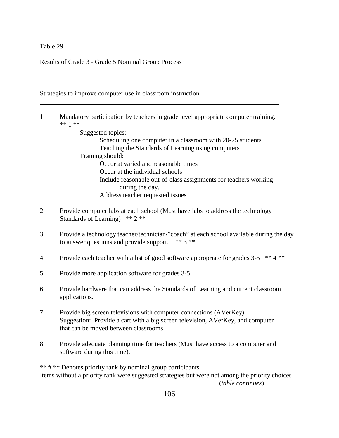$\overline{a}$ 

 $\overline{a}$ 

Results of Grade 3 - Grade 5 Nominal Group Process

Strategies to improve computer use in classroom instruction

1. Mandatory participation by teachers in grade level appropriate computer training. \*\* 1 \*\*

> Suggested topics: Scheduling one computer in a classroom with 20-25 students Teaching the Standards of Learning using computers Training should: Occur at varied and reasonable times Occur at the individual schools Include reasonable out-of-class assignments for teachers working during the day. Address teacher requested issues

 $\overline{a}$ 

- 2. Provide computer labs at each school (Must have labs to address the technology Standards of Learning) \*\* 2 \*\*
- 3. Provide a technology teacher/technician/"coach" at each school available during the day to answer questions and provide support.  $** 3**$
- 4. Provide each teacher with a list of good software appropriate for grades 3-5 \*\* 4 \*\*
- 5. Provide more application software for grades 3-5.
- 6. Provide hardware that can address the Standards of Learning and current classroom applications.
- 7. Provide big screen televisions with computer connections (AVerKey). Suggestion: Provide a cart with a big screen television, AVerKey, and computer that can be moved between classrooms.
- 8. Provide adequate planning time for teachers (Must have access to a computer and software during this time).

\*\* # \*\* Denotes priority rank by nominal group participants.

Items without a priority rank were suggested strategies but were not among the priority choices (*table continues*)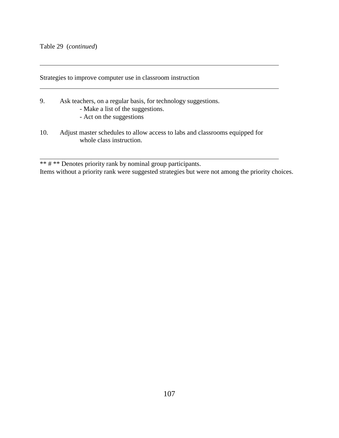$\overline{a}$ 

 $\overline{a}$ 

 $\overline{a}$ 

Strategies to improve computer use in classroom instruction

- 9. Ask teachers, on a regular basis, for technology suggestions.
	- Make a list of the suggestions.
	- Act on the suggestions
- 10. Adjust master schedules to allow access to labs and classrooms equipped for whole class instruction.

\*\* # \*\* Denotes priority rank by nominal group participants. Items without a priority rank were suggested strategies but were not among the priority choices.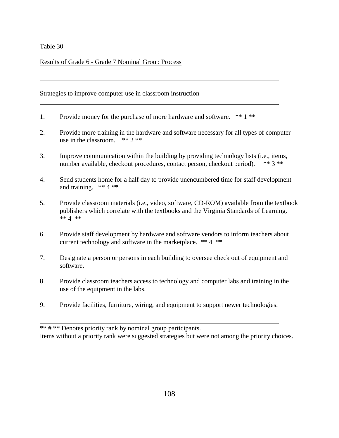$\overline{a}$ 

 $\overline{a}$ 

Results of Grade 6 - Grade 7 Nominal Group Process

Strategies to improve computer use in classroom instruction

- 1. Provide money for the purchase of more hardware and software. \*\* 1 \*\*
- 2. Provide more training in the hardware and software necessary for all types of computer use in the classroom. \*\* 2 \*\*

 $\overline{a}$ 

- 3. Improve communication within the building by providing technology lists (i.e., items, number available, checkout procedures, contact person, checkout period). \*\* 3 \*\*
- 4. Send students home for a half day to provide unencumbered time for staff development and training.  $** 4**$
- 5. Provide classroom materials (i.e., video, software, CD-ROM) available from the textbook publishers which correlate with the textbooks and the Virginia Standards of Learning. \*\*  $4$  \*\*
- 6. Provide staff development by hardware and software vendors to inform teachers about current technology and software in the marketplace. \*\* 4 \*\*
- 7. Designate a person or persons in each building to oversee check out of equipment and software.
- 8. Provide classroom teachers access to technology and computer labs and training in the use of the equipment in the labs.
- 9. Provide facilities, furniture, wiring, and equipment to support newer technologies.

\*\* # \*\* Denotes priority rank by nominal group participants. Items without a priority rank were suggested strategies but were not among the priority choices.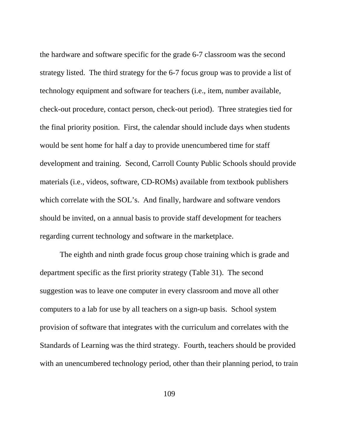the hardware and software specific for the grade 6-7 classroom was the second strategy listed. The third strategy for the 6-7 focus group was to provide a list of technology equipment and software for teachers (i.e., item, number available, check-out procedure, contact person, check-out period). Three strategies tied for the final priority position. First, the calendar should include days when students would be sent home for half a day to provide unencumbered time for staff development and training. Second, Carroll County Public Schools should provide materials (i.e., videos, software, CD-ROMs) available from textbook publishers which correlate with the SOL's. And finally, hardware and software vendors should be invited, on a annual basis to provide staff development for teachers regarding current technology and software in the marketplace.

The eighth and ninth grade focus group chose training which is grade and department specific as the first priority strategy (Table 31). The second suggestion was to leave one computer in every classroom and move all other computers to a lab for use by all teachers on a sign-up basis. School system provision of software that integrates with the curriculum and correlates with the Standards of Learning was the third strategy. Fourth, teachers should be provided with an unencumbered technology period, other than their planning period, to train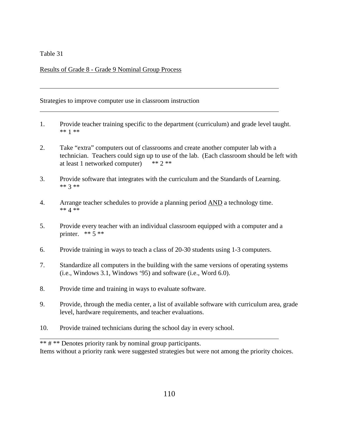$\overline{a}$ 

 $\overline{a}$ 

Results of Grade 8 - Grade 9 Nominal Group Process

Strategies to improve computer use in classroom instruction

1. Provide teacher training specific to the department (curriculum) and grade level taught. \*\* 1 \*\*

 $\overline{a}$ 

- 2. Take "extra" computers out of classrooms and create another computer lab with a technician. Teachers could sign up to use of the lab. (Each classroom should be left with at least 1 networked computer) \*\* 2 \*\*
- 3. Provide software that integrates with the curriculum and the Standards of Learning. \*\* 3 \*\*
- 4. Arrange teacher schedules to provide a planning period AND a technology time. \*\* 4 \*\*
- 5. Provide every teacher with an individual classroom equipped with a computer and a printer.  $** 5 **$
- 6. Provide training in ways to teach a class of 20-30 students using 1-3 computers.
- 7. Standardize all computers in the building with the same versions of operating systems (i.e., Windows 3.1, Windows '95) and software (i.e., Word 6.0).
- 8. Provide time and training in ways to evaluate software.
- 9. Provide, through the media center, a list of available software with curriculum area, grade level, hardware requirements, and teacher evaluations.
- 10. Provide trained technicians during the school day in every school.

\*\* # \*\* Denotes priority rank by nominal group participants. Items without a priority rank were suggested strategies but were not among the priority choices.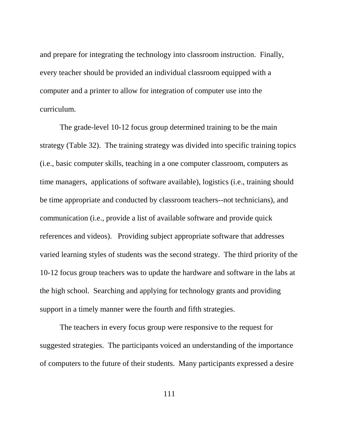and prepare for integrating the technology into classroom instruction. Finally, every teacher should be provided an individual classroom equipped with a computer and a printer to allow for integration of computer use into the curriculum.

The grade-level 10-12 focus group determined training to be the main strategy (Table 32). The training strategy was divided into specific training topics (i.e., basic computer skills, teaching in a one computer classroom, computers as time managers, applications of software available), logistics (i.e., training should be time appropriate and conducted by classroom teachers--not technicians), and communication (i.e., provide a list of available software and provide quick references and videos). Providing subject appropriate software that addresses varied learning styles of students was the second strategy. The third priority of the 10-12 focus group teachers was to update the hardware and software in the labs at the high school. Searching and applying for technology grants and providing support in a timely manner were the fourth and fifth strategies.

The teachers in every focus group were responsive to the request for suggested strategies. The participants voiced an understanding of the importance of computers to the future of their students. Many participants expressed a desire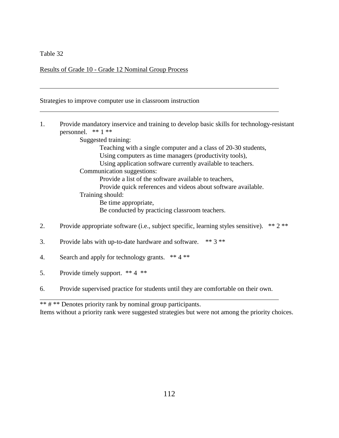$\overline{a}$ 

 $\overline{a}$ 

Results of Grade 10 - Grade 12 Nominal Group Process

Strategies to improve computer use in classroom instruction

1. Provide mandatory inservice and training to develop basic skills for technology-resistant personnel.  $** 1 **$ 

 $\overline{a}$ 

Suggested training:

Teaching with a single computer and a class of 20-30 students, Using computers as time managers (productivity tools), Using application software currently available to teachers. Communication suggestions: Provide a list of the software available to teachers, Provide quick references and videos about software available. Training should: Be time appropriate, Be conducted by practicing classroom teachers.

- 2. Provide appropriate software (i.e., subject specific, learning styles sensitive). \*\* 2 \*\*
- 3. Provide labs with up-to-date hardware and software. \*\* 3 \*\*
- 4. Search and apply for technology grants. \*\* 4 \*\*
- 5. Provide timely support. \*\* 4 \*\*
- 6. Provide supervised practice for students until they are comfortable on their own.

\*\* # \*\* Denotes priority rank by nominal group participants.

Items without a priority rank were suggested strategies but were not among the priority choices.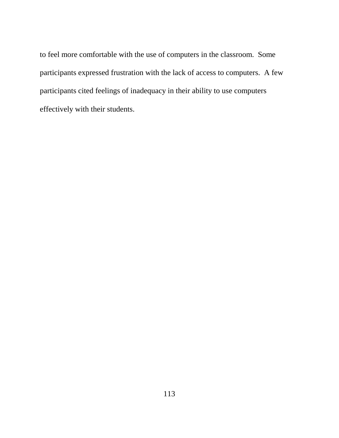to feel more comfortable with the use of computers in the classroom. Some participants expressed frustration with the lack of access to computers. A few participants cited feelings of inadequacy in their ability to use computers effectively with their students.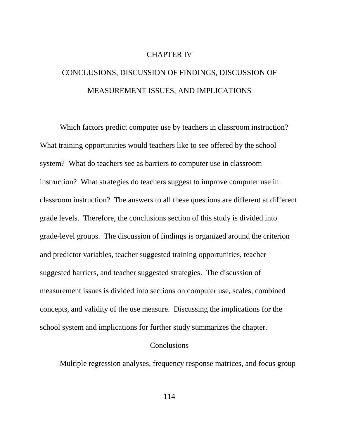### CHAPTER IV

# CONCLUSIONS, DISCUSSION OF FINDINGS, DISCUSSION OF MEASUREMENT ISSUES, AND IMPLICATIONS

Which factors predict computer use by teachers in classroom instruction? What training opportunities would teachers like to see offered by the school system? What do teachers see as barriers to computer use in classroom instruction? What strategies do teachers suggest to improve computer use in classroom instruction? The answers to all these questions are different at different grade levels. Therefore, the conclusions section of this study is divided into grade-level groups. The discussion of findings is organized around the criterion and predictor variables, teacher suggested training opportunities, teacher suggested barriers, and teacher suggested strategies. The discussion of measurement issues is divided into sections on computer use, scales, combined concepts, and validity of the use measure. Discussing the implications for the school system and implications for further study summarizes the chapter.

## **Conclusions**

Multiple regression analyses, frequency response matrices, and focus group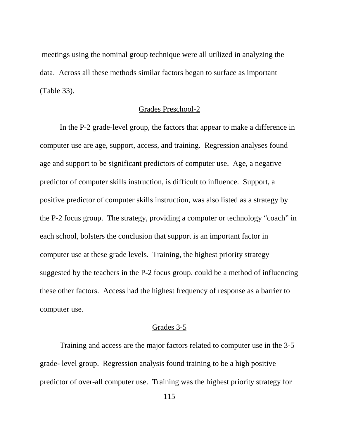meetings using the nominal group technique were all utilized in analyzing the data. Across all these methods similar factors began to surface as important (Table 33).

## Grades Preschool-2

In the P-2 grade-level group, the factors that appear to make a difference in computer use are age, support, access, and training. Regression analyses found age and support to be significant predictors of computer use. Age, a negative predictor of computer skills instruction, is difficult to influence. Support, a positive predictor of computer skills instruction, was also listed as a strategy by the P-2 focus group. The strategy, providing a computer or technology "coach" in each school, bolsters the conclusion that support is an important factor in computer use at these grade levels. Training, the highest priority strategy suggested by the teachers in the P-2 focus group, could be a method of influencing these other factors. Access had the highest frequency of response as a barrier to computer use.

## Grades 3-5

Training and access are the major factors related to computer use in the 3-5 grade- level group. Regression analysis found training to be a high positive predictor of over-all computer use. Training was the highest priority strategy for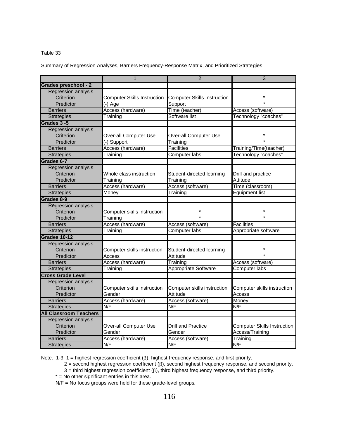Summary of Regression Analyses, Barriers Frequency-Response Matrix, and Prioritized Strategies

|                               | $\mathbf{1}$                       | $\overline{2}$                     | 3                                  |
|-------------------------------|------------------------------------|------------------------------------|------------------------------------|
| Grades preschool - 2          |                                    |                                    |                                    |
| <b>Regression analysis</b>    |                                    |                                    |                                    |
| Criterion                     | <b>Computer Skills Instruction</b> | <b>Computer Skills Instruction</b> |                                    |
| Predictor                     | $(-)$ Age                          | Support                            |                                    |
| <b>Barriers</b>               | Access (hardware)                  | Time (teacher)                     | Access (software)                  |
| Strategies                    | Training                           | Software list                      | Technology "coaches"               |
| Grades 3-5                    |                                    |                                    |                                    |
| Regression analysis           |                                    |                                    |                                    |
| Criterion                     | Over-all Computer Use              | Over-all Computer Use              |                                    |
| Predictor                     | (-) Support                        | Training                           |                                    |
| <b>Barriers</b>               | Access (hardware)                  | <b>Facilities</b>                  | Training/Time(teacher)             |
| <b>Strategies</b>             | Training                           | <b>Computer labs</b>               | Technology "coaches"               |
| Grades 6-7                    |                                    |                                    |                                    |
| <b>Regression analysis</b>    |                                    |                                    |                                    |
| Criterion                     | Whole class instruction            | Student-directed learning          | Drill and practice                 |
| Predictor                     | Training                           | Training                           | Attitude                           |
| <b>Barriers</b>               | Access (hardware)                  | Access (software)                  | Time (classroom)                   |
| <b>Strategies</b>             | Money                              | Training                           | <b>Equipment list</b>              |
| Grades 8-9                    |                                    |                                    |                                    |
| <b>Regression analysis</b>    |                                    |                                    |                                    |
| Criterion                     | Computer skills instruction        |                                    |                                    |
| Predictor                     | Training                           |                                    |                                    |
| <b>Barriers</b>               | Access (hardware)                  | Access (software)                  | <b>Facilities</b>                  |
| <b>Strategies</b>             | Training                           | <b>Computer labs</b>               | Appropriate software               |
| <b>Grades 10-12</b>           |                                    |                                    |                                    |
| Regression analysis           |                                    |                                    |                                    |
| Criterion                     | Computer skills instruction        | Student-directed learning          |                                    |
| Predictor                     | Access                             | Attitude                           |                                    |
| <b>Barriers</b>               | Access (hardware)                  | Training                           | Access (software)                  |
| Strategies                    | Training                           | Appropriate Software               | Computer labs                      |
| <b>Cross Grade Level</b>      |                                    |                                    |                                    |
| Regression analysis           |                                    |                                    |                                    |
| Criterion                     | Computer skills instruction        | Computer skills instruction        | Computer skills instruction        |
| Predictor                     | Gender                             | Attitude                           | Access                             |
| <b>Barriers</b>               | Access (hardware)                  | Access (software)                  | Money                              |
| <b>Strategies</b>             | N/F                                | N/F                                | N/F                                |
| <b>All Classroom Teachers</b> |                                    |                                    |                                    |
| Regression analysis           |                                    |                                    |                                    |
| Criterion                     | Over-all Computer Use              | <b>Drill and Practice</b>          | <b>Computer Skills Instruction</b> |
| Predictor                     | Gender                             | Gender                             | Access/Training                    |
| <b>Barriers</b>               | Access (hardware)                  | Access (software)                  | Training                           |
| <b>Strategies</b>             | N/F                                | N/F                                | N/F                                |

Note. 1-3, 1 = highest regression coefficient ( $\beta$ ), highest frequency response, and first priority.

 $2$  = second highest regression coefficient ( $\beta$ ), second highest frequency response, and second priority.

 $3$  = third highest regression coefficient ( $\beta$ ), third highest frequency response, and third priority.

 $*$  = No other significant entries in this area.

N/F = No focus groups were held for these grade-level groups.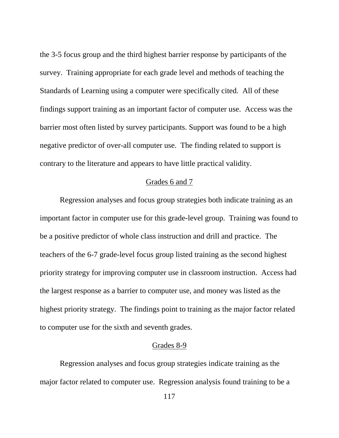the 3-5 focus group and the third highest barrier response by participants of the survey. Training appropriate for each grade level and methods of teaching the Standards of Learning using a computer were specifically cited. All of these findings support training as an important factor of computer use. Access was the barrier most often listed by survey participants. Support was found to be a high negative predictor of over-all computer use. The finding related to support is contrary to the literature and appears to have little practical validity.

## Grades 6 and 7

Regression analyses and focus group strategies both indicate training as an important factor in computer use for this grade-level group. Training was found to be a positive predictor of whole class instruction and drill and practice. The teachers of the 6-7 grade-level focus group listed training as the second highest priority strategy for improving computer use in classroom instruction. Access had the largest response as a barrier to computer use, and money was listed as the highest priority strategy. The findings point to training as the major factor related to computer use for the sixth and seventh grades.

### Grades 8-9

Regression analyses and focus group strategies indicate training as the major factor related to computer use. Regression analysis found training to be a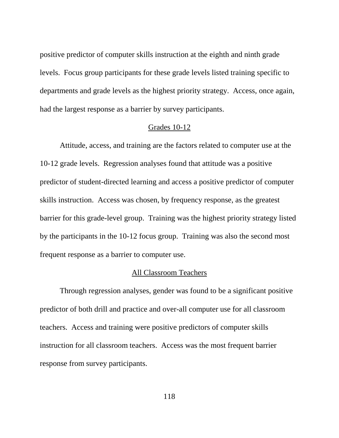positive predictor of computer skills instruction at the eighth and ninth grade levels. Focus group participants for these grade levels listed training specific to departments and grade levels as the highest priority strategy. Access, once again, had the largest response as a barrier by survey participants.

### Grades 10-12

Attitude, access, and training are the factors related to computer use at the 10-12 grade levels. Regression analyses found that attitude was a positive predictor of student-directed learning and access a positive predictor of computer skills instruction. Access was chosen, by frequency response, as the greatest barrier for this grade-level group. Training was the highest priority strategy listed by the participants in the 10-12 focus group. Training was also the second most frequent response as a barrier to computer use.

# All Classroom Teachers

Through regression analyses, gender was found to be a significant positive predictor of both drill and practice and over-all computer use for all classroom teachers. Access and training were positive predictors of computer skills instruction for all classroom teachers. Access was the most frequent barrier response from survey participants.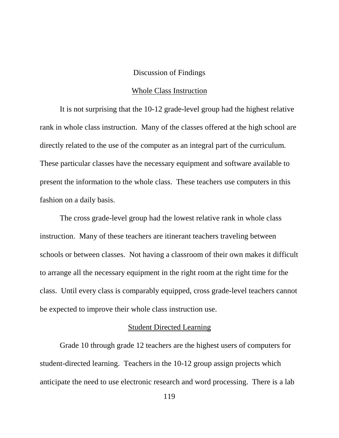### Discussion of Findings

### Whole Class Instruction

It is not surprising that the 10-12 grade-level group had the highest relative rank in whole class instruction. Many of the classes offered at the high school are directly related to the use of the computer as an integral part of the curriculum. These particular classes have the necessary equipment and software available to present the information to the whole class. These teachers use computers in this fashion on a daily basis.

The cross grade-level group had the lowest relative rank in whole class instruction. Many of these teachers are itinerant teachers traveling between schools or between classes. Not having a classroom of their own makes it difficult to arrange all the necessary equipment in the right room at the right time for the class. Until every class is comparably equipped, cross grade-level teachers cannot be expected to improve their whole class instruction use.

# Student Directed Learning

Grade 10 through grade 12 teachers are the highest users of computers for student-directed learning. Teachers in the 10-12 group assign projects which anticipate the need to use electronic research and word processing. There is a lab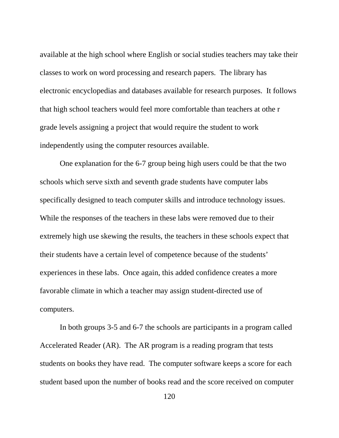available at the high school where English or social studies teachers may take their classes to work on word processing and research papers. The library has electronic encyclopedias and databases available for research purposes. It follows that high school teachers would feel more comfortable than teachers at othe r grade levels assigning a project that would require the student to work independently using the computer resources available.

One explanation for the 6-7 group being high users could be that the two schools which serve sixth and seventh grade students have computer labs specifically designed to teach computer skills and introduce technology issues. While the responses of the teachers in these labs were removed due to their extremely high use skewing the results, the teachers in these schools expect that their students have a certain level of competence because of the students' experiences in these labs. Once again, this added confidence creates a more favorable climate in which a teacher may assign student-directed use of computers.

In both groups 3-5 and 6-7 the schools are participants in a program called Accelerated Reader (AR). The AR program is a reading program that tests students on books they have read. The computer software keeps a score for each student based upon the number of books read and the score received on computer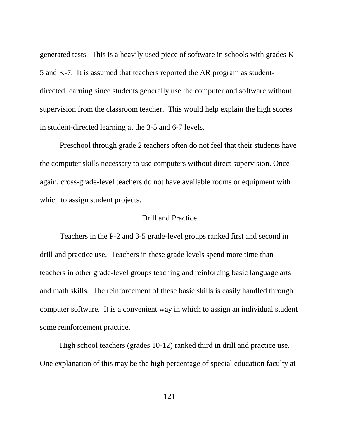generated tests. This is a heavily used piece of software in schools with grades K-5 and K-7. It is assumed that teachers reported the AR program as studentdirected learning since students generally use the computer and software without supervision from the classroom teacher. This would help explain the high scores in student-directed learning at the 3-5 and 6-7 levels.

Preschool through grade 2 teachers often do not feel that their students have the computer skills necessary to use computers without direct supervision. Once again, cross-grade-level teachers do not have available rooms or equipment with which to assign student projects.

### Drill and Practice

Teachers in the P-2 and 3-5 grade-level groups ranked first and second in drill and practice use. Teachers in these grade levels spend more time than teachers in other grade-level groups teaching and reinforcing basic language arts and math skills. The reinforcement of these basic skills is easily handled through computer software. It is a convenient way in which to assign an individual student some reinforcement practice.

High school teachers (grades 10-12) ranked third in drill and practice use. One explanation of this may be the high percentage of special education faculty at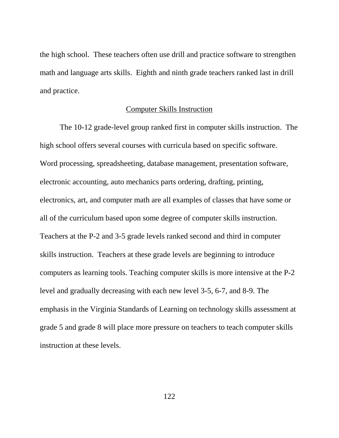the high school. These teachers often use drill and practice software to strengthen math and language arts skills. Eighth and ninth grade teachers ranked last in drill and practice.

### Computer Skills Instruction

The 10-12 grade-level group ranked first in computer skills instruction. The high school offers several courses with curricula based on specific software. Word processing, spreadsheeting, database management, presentation software, electronic accounting, auto mechanics parts ordering, drafting, printing, electronics, art, and computer math are all examples of classes that have some or all of the curriculum based upon some degree of computer skills instruction. Teachers at the P-2 and 3-5 grade levels ranked second and third in computer skills instruction. Teachers at these grade levels are beginning to introduce computers as learning tools. Teaching computer skills is more intensive at the P-2 level and gradually decreasing with each new level 3-5, 6-7, and 8-9. The emphasis in the Virginia Standards of Learning on technology skills assessment at grade 5 and grade 8 will place more pressure on teachers to teach computer skills instruction at these levels.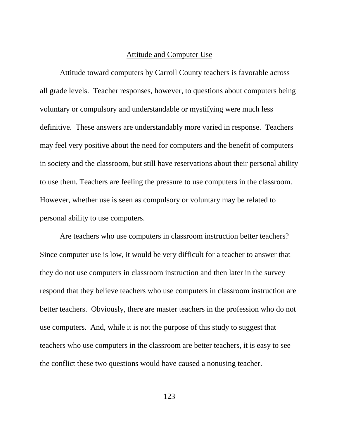### Attitude and Computer Use

Attitude toward computers by Carroll County teachers is favorable across all grade levels. Teacher responses, however, to questions about computers being voluntary or compulsory and understandable or mystifying were much less definitive. These answers are understandably more varied in response. Teachers may feel very positive about the need for computers and the benefit of computers in society and the classroom, but still have reservations about their personal ability to use them. Teachers are feeling the pressure to use computers in the classroom. However, whether use is seen as compulsory or voluntary may be related to personal ability to use computers.

Are teachers who use computers in classroom instruction better teachers? Since computer use is low, it would be very difficult for a teacher to answer that they do not use computers in classroom instruction and then later in the survey respond that they believe teachers who use computers in classroom instruction are better teachers. Obviously, there are master teachers in the profession who do not use computers. And, while it is not the purpose of this study to suggest that teachers who use computers in the classroom are better teachers, it is easy to see the conflict these two questions would have caused a nonusing teacher.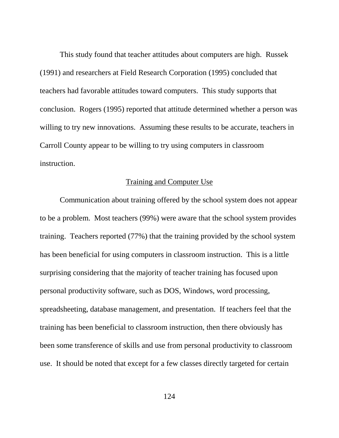This study found that teacher attitudes about computers are high. Russek (1991) and researchers at Field Research Corporation (1995) concluded that teachers had favorable attitudes toward computers. This study supports that conclusion. Rogers (1995) reported that attitude determined whether a person was willing to try new innovations. Assuming these results to be accurate, teachers in Carroll County appear to be willing to try using computers in classroom instruction.

### Training and Computer Use

Communication about training offered by the school system does not appear to be a problem. Most teachers (99%) were aware that the school system provides training. Teachers reported (77%) that the training provided by the school system has been beneficial for using computers in classroom instruction. This is a little surprising considering that the majority of teacher training has focused upon personal productivity software, such as DOS, Windows, word processing, spreadsheeting, database management, and presentation. If teachers feel that the training has been beneficial to classroom instruction, then there obviously has been some transference of skills and use from personal productivity to classroom use. It should be noted that except for a few classes directly targeted for certain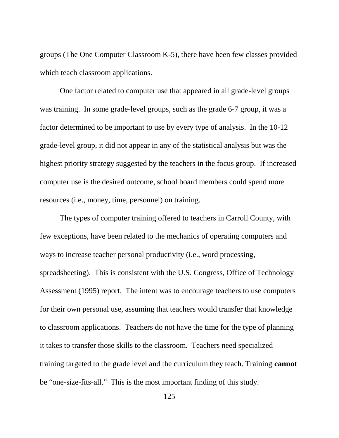groups (The One Computer Classroom K-5), there have been few classes provided which teach classroom applications.

One factor related to computer use that appeared in all grade-level groups was training. In some grade-level groups, such as the grade 6-7 group, it was a factor determined to be important to use by every type of analysis. In the 10-12 grade-level group, it did not appear in any of the statistical analysis but was the highest priority strategy suggested by the teachers in the focus group. If increased computer use is the desired outcome, school board members could spend more resources (i.e., money, time, personnel) on training.

The types of computer training offered to teachers in Carroll County, with few exceptions, have been related to the mechanics of operating computers and ways to increase teacher personal productivity (i.e., word processing, spreadsheeting). This is consistent with the U.S. Congress, Office of Technology Assessment (1995) report. The intent was to encourage teachers to use computers for their own personal use, assuming that teachers would transfer that knowledge to classroom applications. Teachers do not have the time for the type of planning it takes to transfer those skills to the classroom. Teachers need specialized training targeted to the grade level and the curriculum they teach. Training **cannot** be "one-size-fits-all." This is the most important finding of this study.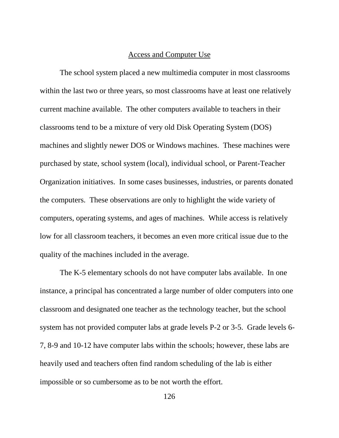#### Access and Computer Use

The school system placed a new multimedia computer in most classrooms within the last two or three years, so most classrooms have at least one relatively current machine available. The other computers available to teachers in their classrooms tend to be a mixture of very old Disk Operating System (DOS) machines and slightly newer DOS or Windows machines. These machines were purchased by state, school system (local), individual school, or Parent-Teacher Organization initiatives. In some cases businesses, industries, or parents donated the computers. These observations are only to highlight the wide variety of computers, operating systems, and ages of machines. While access is relatively low for all classroom teachers, it becomes an even more critical issue due to the quality of the machines included in the average.

The K-5 elementary schools do not have computer labs available. In one instance, a principal has concentrated a large number of older computers into one classroom and designated one teacher as the technology teacher, but the school system has not provided computer labs at grade levels P-2 or 3-5. Grade levels 6- 7, 8-9 and 10-12 have computer labs within the schools; however, these labs are heavily used and teachers often find random scheduling of the lab is either impossible or so cumbersome as to be not worth the effort.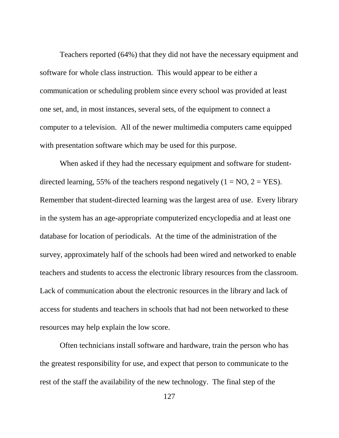Teachers reported (64%) that they did not have the necessary equipment and software for whole class instruction. This would appear to be either a communication or scheduling problem since every school was provided at least one set, and, in most instances, several sets, of the equipment to connect a computer to a television. All of the newer multimedia computers came equipped with presentation software which may be used for this purpose.

When asked if they had the necessary equipment and software for studentdirected learning, 55% of the teachers respond negatively  $(1 = NO, 2 = YES)$ . Remember that student-directed learning was the largest area of use. Every library in the system has an age-appropriate computerized encyclopedia and at least one database for location of periodicals. At the time of the administration of the survey, approximately half of the schools had been wired and networked to enable teachers and students to access the electronic library resources from the classroom. Lack of communication about the electronic resources in the library and lack of access for students and teachers in schools that had not been networked to these resources may help explain the low score.

Often technicians install software and hardware, train the person who has the greatest responsibility for use, and expect that person to communicate to the rest of the staff the availability of the new technology. The final step of the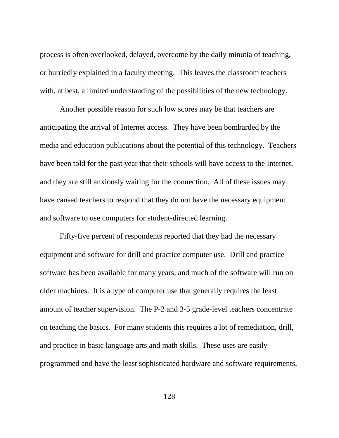process is often overlooked, delayed, overcome by the daily minutia of teaching, or hurriedly explained in a faculty meeting. This leaves the classroom teachers with, at best, a limited understanding of the possibilities of the new technology.

Another possible reason for such low scores may be that teachers are anticipating the arrival of Internet access. They have been bombarded by the media and education publications about the potential of this technology. Teachers have been told for the past year that their schools will have access to the Internet, and they are still anxiously waiting for the connection. All of these issues may have caused teachers to respond that they do not have the necessary equipment and software to use computers for student-directed learning.

Fifty-five percent of respondents reported that they had the necessary equipment and software for drill and practice computer use. Drill and practice software has been available for many years, and much of the software will run on older machines. It is a type of computer use that generally requires the least amount of teacher supervision. The P-2 and 3-5 grade-level teachers concentrate on teaching the basics. For many students this requires a lot of remediation, drill, and practice in basic language arts and math skills. These uses are easily programmed and have the least sophisticated hardware and software requirements,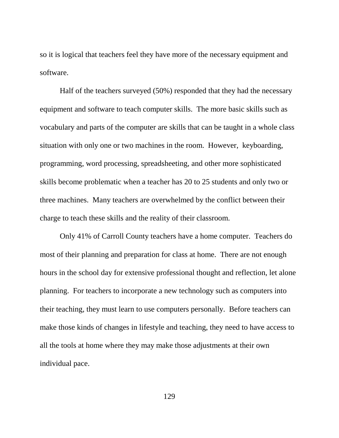so it is logical that teachers feel they have more of the necessary equipment and software.

Half of the teachers surveyed (50%) responded that they had the necessary equipment and software to teach computer skills. The more basic skills such as vocabulary and parts of the computer are skills that can be taught in a whole class situation with only one or two machines in the room. However, keyboarding, programming, word processing, spreadsheeting, and other more sophisticated skills become problematic when a teacher has 20 to 25 students and only two or three machines. Many teachers are overwhelmed by the conflict between their charge to teach these skills and the reality of their classroom.

Only 41% of Carroll County teachers have a home computer. Teachers do most of their planning and preparation for class at home. There are not enough hours in the school day for extensive professional thought and reflection, let alone planning. For teachers to incorporate a new technology such as computers into their teaching, they must learn to use computers personally. Before teachers can make those kinds of changes in lifestyle and teaching, they need to have access to all the tools at home where they may make those adjustments at their own individual pace.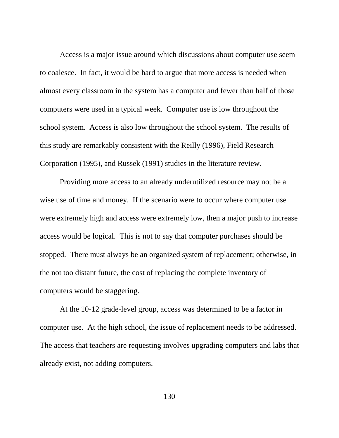Access is a major issue around which discussions about computer use seem to coalesce. In fact, it would be hard to argue that more access is needed when almost every classroom in the system has a computer and fewer than half of those computers were used in a typical week. Computer use is low throughout the school system. Access is also low throughout the school system. The results of this study are remarkably consistent with the Reilly (1996), Field Research Corporation (1995), and Russek (1991) studies in the literature review.

Providing more access to an already underutilized resource may not be a wise use of time and money. If the scenario were to occur where computer use were extremely high and access were extremely low, then a major push to increase access would be logical. This is not to say that computer purchases should be stopped. There must always be an organized system of replacement; otherwise, in the not too distant future, the cost of replacing the complete inventory of computers would be staggering.

At the 10-12 grade-level group, access was determined to be a factor in computer use. At the high school, the issue of replacement needs to be addressed. The access that teachers are requesting involves upgrading computers and labs that already exist, not adding computers.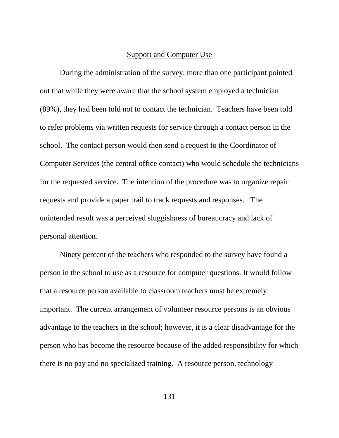#### Support and Computer Use

During the administration of the survey, more than one participant pointed out that while they were aware that the school system employed a technician (89%), they had been told not to contact the technician. Teachers have been told to refer problems via written requests for service through a contact person in the school. The contact person would then send a request to the Coordinator of Computer Services (the central office contact) who would schedule the technicians for the requested service. The intention of the procedure was to organize repair requests and provide a paper trail to track requests and responses. The unintended result was a perceived sluggishness of bureaucracy and lack of personal attention.

Ninety percent of the teachers who responded to the survey have found a person in the school to use as a resource for computer questions. It would follow that a resource person available to classroom teachers must be extremely important. The current arrangement of volunteer resource persons is an obvious advantage to the teachers in the school; however, it is a clear disadvantage for the person who has become the resource because of the added responsibility for which there is no pay and no specialized training. A resource person, technology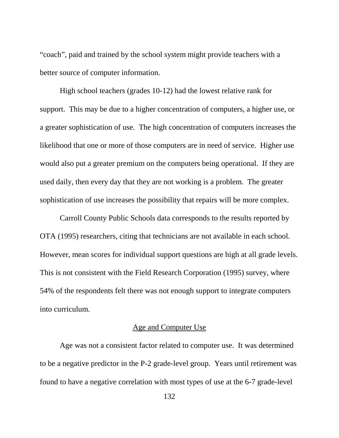"coach", paid and trained by the school system might provide teachers with a better source of computer information.

High school teachers (grades 10-12) had the lowest relative rank for support. This may be due to a higher concentration of computers, a higher use, or a greater sophistication of use. The high concentration of computers increases the likelihood that one or more of those computers are in need of service. Higher use would also put a greater premium on the computers being operational. If they are used daily, then every day that they are not working is a problem. The greater sophistication of use increases the possibility that repairs will be more complex.

Carroll County Public Schools data corresponds to the results reported by OTA (1995) researchers, citing that technicians are not available in each school. However, mean scores for individual support questions are high at all grade levels. This is not consistent with the Field Research Corporation (1995) survey, where 54% of the respondents felt there was not enough support to integrate computers into curriculum.

### Age and Computer Use

Age was not a consistent factor related to computer use. It was determined to be a negative predictor in the P-2 grade-level group. Years until retirement was found to have a negative correlation with most types of use at the 6-7 grade-level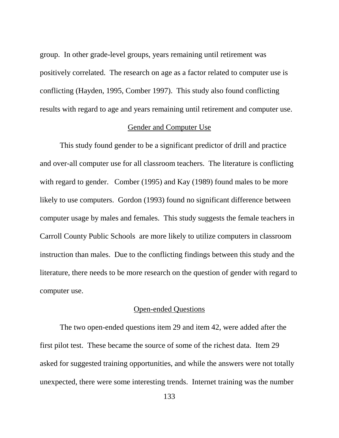group. In other grade-level groups, years remaining until retirement was positively correlated. The research on age as a factor related to computer use is conflicting (Hayden, 1995, Comber 1997). This study also found conflicting results with regard to age and years remaining until retirement and computer use.

#### Gender and Computer Use

This study found gender to be a significant predictor of drill and practice and over-all computer use for all classroom teachers. The literature is conflicting with regard to gender. Comber (1995) and Kay (1989) found males to be more likely to use computers. Gordon (1993) found no significant difference between computer usage by males and females. This study suggests the female teachers in Carroll County Public Schools are more likely to utilize computers in classroom instruction than males. Due to the conflicting findings between this study and the literature, there needs to be more research on the question of gender with regard to computer use.

## Open-ended Questions

The two open-ended questions item 29 and item 42, were added after the first pilot test. These became the source of some of the richest data. Item 29 asked for suggested training opportunities, and while the answers were not totally unexpected, there were some interesting trends. Internet training was the number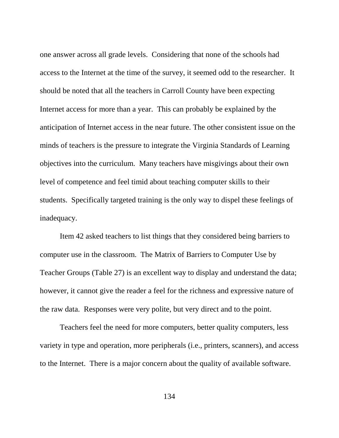one answer across all grade levels. Considering that none of the schools had access to the Internet at the time of the survey, it seemed odd to the researcher. It should be noted that all the teachers in Carroll County have been expecting Internet access for more than a year. This can probably be explained by the anticipation of Internet access in the near future. The other consistent issue on the minds of teachers is the pressure to integrate the Virginia Standards of Learning objectives into the curriculum. Many teachers have misgivings about their own level of competence and feel timid about teaching computer skills to their students. Specifically targeted training is the only way to dispel these feelings of inadequacy.

Item 42 asked teachers to list things that they considered being barriers to computer use in the classroom. The Matrix of Barriers to Computer Use by Teacher Groups (Table 27) is an excellent way to display and understand the data; however, it cannot give the reader a feel for the richness and expressive nature of the raw data. Responses were very polite, but very direct and to the point.

Teachers feel the need for more computers, better quality computers, less variety in type and operation, more peripherals (i.e., printers, scanners), and access to the Internet. There is a major concern about the quality of available software.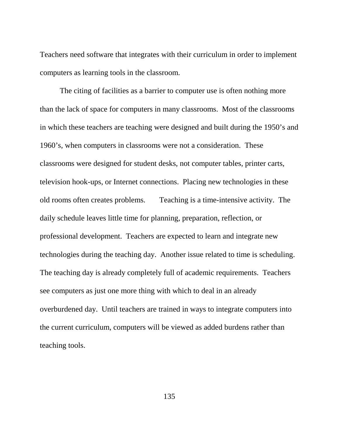Teachers need software that integrates with their curriculum in order to implement computers as learning tools in the classroom.

The citing of facilities as a barrier to computer use is often nothing more than the lack of space for computers in many classrooms. Most of the classrooms in which these teachers are teaching were designed and built during the 1950's and 1960's, when computers in classrooms were not a consideration. These classrooms were designed for student desks, not computer tables, printer carts, television hook-ups, or Internet connections. Placing new technologies in these old rooms often creates problems. Teaching is a time-intensive activity. The daily schedule leaves little time for planning, preparation, reflection, or professional development. Teachers are expected to learn and integrate new technologies during the teaching day. Another issue related to time is scheduling. The teaching day is already completely full of academic requirements. Teachers see computers as just one more thing with which to deal in an already overburdened day. Until teachers are trained in ways to integrate computers into the current curriculum, computers will be viewed as added burdens rather than teaching tools.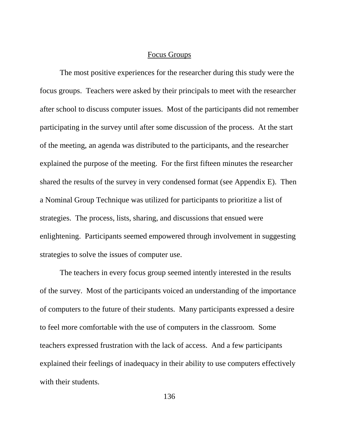#### Focus Groups

The most positive experiences for the researcher during this study were the focus groups. Teachers were asked by their principals to meet with the researcher after school to discuss computer issues. Most of the participants did not remember participating in the survey until after some discussion of the process. At the start of the meeting, an agenda was distributed to the participants, and the researcher explained the purpose of the meeting. For the first fifteen minutes the researcher shared the results of the survey in very condensed format (see Appendix E). Then a Nominal Group Technique was utilized for participants to prioritize a list of strategies. The process, lists, sharing, and discussions that ensued were enlightening. Participants seemed empowered through involvement in suggesting strategies to solve the issues of computer use.

The teachers in every focus group seemed intently interested in the results of the survey. Most of the participants voiced an understanding of the importance of computers to the future of their students. Many participants expressed a desire to feel more comfortable with the use of computers in the classroom. Some teachers expressed frustration with the lack of access. And a few participants explained their feelings of inadequacy in their ability to use computers effectively with their students.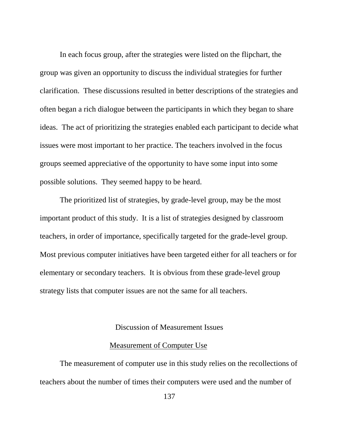In each focus group, after the strategies were listed on the flipchart, the group was given an opportunity to discuss the individual strategies for further clarification. These discussions resulted in better descriptions of the strategies and often began a rich dialogue between the participants in which they began to share ideas. The act of prioritizing the strategies enabled each participant to decide what issues were most important to her practice. The teachers involved in the focus groups seemed appreciative of the opportunity to have some input into some possible solutions. They seemed happy to be heard.

The prioritized list of strategies, by grade-level group, may be the most important product of this study. It is a list of strategies designed by classroom teachers, in order of importance, specifically targeted for the grade-level group. Most previous computer initiatives have been targeted either for all teachers or for elementary or secondary teachers. It is obvious from these grade-level group strategy lists that computer issues are not the same for all teachers.

#### Discussion of Measurement Issues

#### Measurement of Computer Use

The measurement of computer use in this study relies on the recollections of teachers about the number of times their computers were used and the number of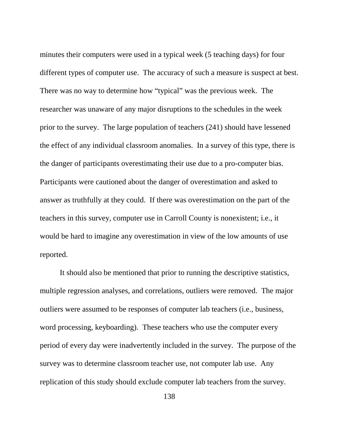minutes their computers were used in a typical week (5 teaching days) for four different types of computer use. The accuracy of such a measure is suspect at best. There was no way to determine how "typical" was the previous week. The researcher was unaware of any major disruptions to the schedules in the week prior to the survey. The large population of teachers (241) should have lessened the effect of any individual classroom anomalies. In a survey of this type, there is the danger of participants overestimating their use due to a pro-computer bias. Participants were cautioned about the danger of overestimation and asked to answer as truthfully at they could. If there was overestimation on the part of the teachers in this survey, computer use in Carroll County is nonexistent; i.e., it would be hard to imagine any overestimation in view of the low amounts of use reported.

It should also be mentioned that prior to running the descriptive statistics, multiple regression analyses, and correlations, outliers were removed. The major outliers were assumed to be responses of computer lab teachers (i.e., business, word processing, keyboarding). These teachers who use the computer every period of every day were inadvertently included in the survey. The purpose of the survey was to determine classroom teacher use, not computer lab use. Any replication of this study should exclude computer lab teachers from the survey.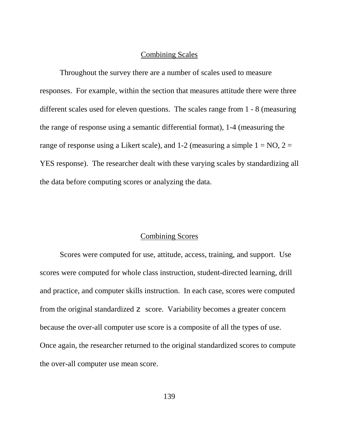#### Combining Scales

Throughout the survey there are a number of scales used to measure responses. For example, within the section that measures attitude there were three different scales used for eleven questions. The scales range from 1 - 8 (measuring the range of response using a semantic differential format), 1-4 (measuring the range of response using a Likert scale), and 1-2 (measuring a simple  $1 = NO$ ,  $2 =$ YES response). The researcher dealt with these varying scales by standardizing all the data before computing scores or analyzing the data.

## Combining Scores

Scores were computed for use, attitude, access, training, and support. Use scores were computed for whole class instruction, student-directed learning, drill and practice, and computer skills instruction. In each case, scores were computed from the original standardized z score. Variability becomes a greater concern because the over-all computer use score is a composite of all the types of use. Once again, the researcher returned to the original standardized scores to compute the over-all computer use mean score.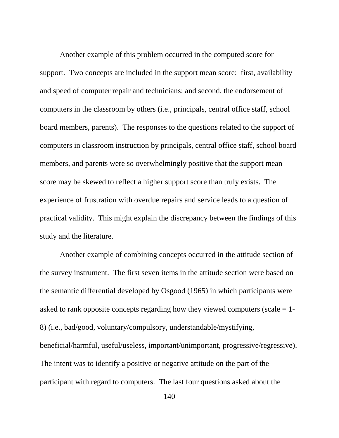Another example of this problem occurred in the computed score for support. Two concepts are included in the support mean score: first, availability and speed of computer repair and technicians; and second, the endorsement of computers in the classroom by others (i.e., principals, central office staff, school board members, parents). The responses to the questions related to the support of computers in classroom instruction by principals, central office staff, school board members, and parents were so overwhelmingly positive that the support mean score may be skewed to reflect a higher support score than truly exists. The experience of frustration with overdue repairs and service leads to a question of practical validity. This might explain the discrepancy between the findings of this study and the literature.

Another example of combining concepts occurred in the attitude section of the survey instrument. The first seven items in the attitude section were based on the semantic differential developed by Osgood (1965) in which participants were asked to rank opposite concepts regarding how they viewed computers (scale = 1- 8) (i.e., bad/good, voluntary/compulsory, understandable/mystifying, beneficial/harmful, useful/useless, important/unimportant, progressive/regressive). The intent was to identify a positive or negative attitude on the part of the participant with regard to computers. The last four questions asked about the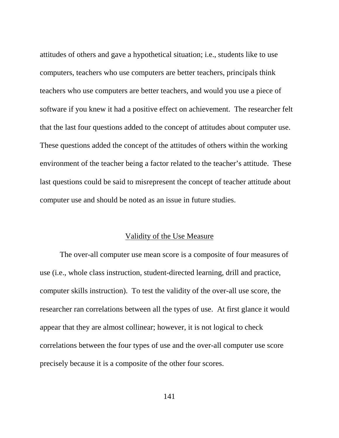attitudes of others and gave a hypothetical situation; i.e., students like to use computers, teachers who use computers are better teachers, principals think teachers who use computers are better teachers, and would you use a piece of software if you knew it had a positive effect on achievement. The researcher felt that the last four questions added to the concept of attitudes about computer use. These questions added the concept of the attitudes of others within the working environment of the teacher being a factor related to the teacher's attitude. These last questions could be said to misrepresent the concept of teacher attitude about computer use and should be noted as an issue in future studies.

#### Validity of the Use Measure

The over-all computer use mean score is a composite of four measures of use (i.e., whole class instruction, student-directed learning, drill and practice, computer skills instruction). To test the validity of the over-all use score, the researcher ran correlations between all the types of use. At first glance it would appear that they are almost collinear; however, it is not logical to check correlations between the four types of use and the over-all computer use score precisely because it is a composite of the other four scores.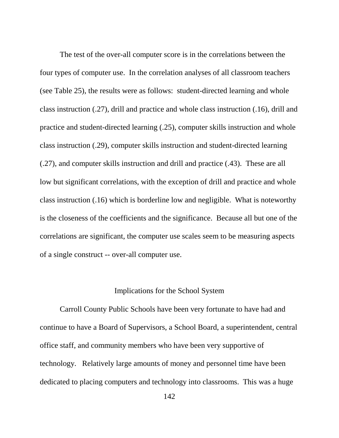The test of the over-all computer score is in the correlations between the four types of computer use. In the correlation analyses of all classroom teachers (see Table 25), the results were as follows: student-directed learning and whole class instruction (.27), drill and practice and whole class instruction (.16), drill and practice and student-directed learning (.25), computer skills instruction and whole class instruction (.29), computer skills instruction and student-directed learning (.27), and computer skills instruction and drill and practice (.43). These are all low but significant correlations, with the exception of drill and practice and whole class instruction (.16) which is borderline low and negligible. What is noteworthy is the closeness of the coefficients and the significance. Because all but one of the correlations are significant, the computer use scales seem to be measuring aspects of a single construct -- over-all computer use.

#### Implications for the School System

Carroll County Public Schools have been very fortunate to have had and continue to have a Board of Supervisors, a School Board, a superintendent, central office staff, and community members who have been very supportive of technology. Relatively large amounts of money and personnel time have been dedicated to placing computers and technology into classrooms. This was a huge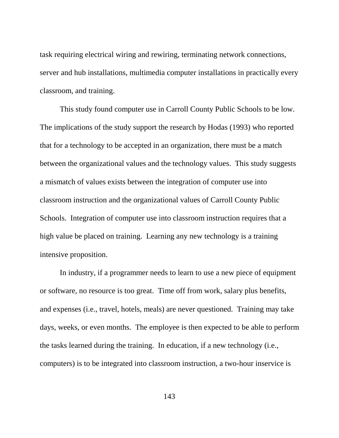task requiring electrical wiring and rewiring, terminating network connections, server and hub installations, multimedia computer installations in practically every classroom, and training.

This study found computer use in Carroll County Public Schools to be low. The implications of the study support the research by Hodas (1993) who reported that for a technology to be accepted in an organization, there must be a match between the organizational values and the technology values. This study suggests a mismatch of values exists between the integration of computer use into classroom instruction and the organizational values of Carroll County Public Schools. Integration of computer use into classroom instruction requires that a high value be placed on training. Learning any new technology is a training intensive proposition.

In industry, if a programmer needs to learn to use a new piece of equipment or software, no resource is too great. Time off from work, salary plus benefits, and expenses (i.e., travel, hotels, meals) are never questioned. Training may take days, weeks, or even months. The employee is then expected to be able to perform the tasks learned during the training. In education, if a new technology (i.e., computers) is to be integrated into classroom instruction, a two-hour inservice is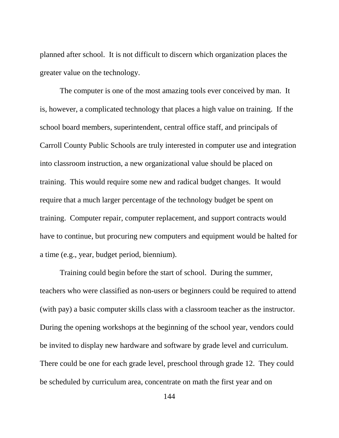planned after school. It is not difficult to discern which organization places the greater value on the technology.

 The computer is one of the most amazing tools ever conceived by man. It is, however, a complicated technology that places a high value on training. If the school board members, superintendent, central office staff, and principals of Carroll County Public Schools are truly interested in computer use and integration into classroom instruction, a new organizational value should be placed on training. This would require some new and radical budget changes. It would require that a much larger percentage of the technology budget be spent on training. Computer repair, computer replacement, and support contracts would have to continue, but procuring new computers and equipment would be halted for a time (e.g., year, budget period, biennium).

Training could begin before the start of school. During the summer, teachers who were classified as non-users or beginners could be required to attend (with pay) a basic computer skills class with a classroom teacher as the instructor. During the opening workshops at the beginning of the school year, vendors could be invited to display new hardware and software by grade level and curriculum. There could be one for each grade level, preschool through grade 12. They could be scheduled by curriculum area, concentrate on math the first year and on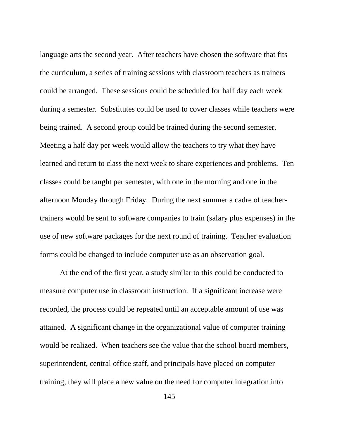language arts the second year. After teachers have chosen the software that fits the curriculum, a series of training sessions with classroom teachers as trainers could be arranged. These sessions could be scheduled for half day each week during a semester. Substitutes could be used to cover classes while teachers were being trained. A second group could be trained during the second semester. Meeting a half day per week would allow the teachers to try what they have learned and return to class the next week to share experiences and problems. Ten classes could be taught per semester, with one in the morning and one in the afternoon Monday through Friday. During the next summer a cadre of teachertrainers would be sent to software companies to train (salary plus expenses) in the use of new software packages for the next round of training. Teacher evaluation forms could be changed to include computer use as an observation goal.

At the end of the first year, a study similar to this could be conducted to measure computer use in classroom instruction. If a significant increase were recorded, the process could be repeated until an acceptable amount of use was attained. A significant change in the organizational value of computer training would be realized. When teachers see the value that the school board members, superintendent, central office staff, and principals have placed on computer training, they will place a new value on the need for computer integration into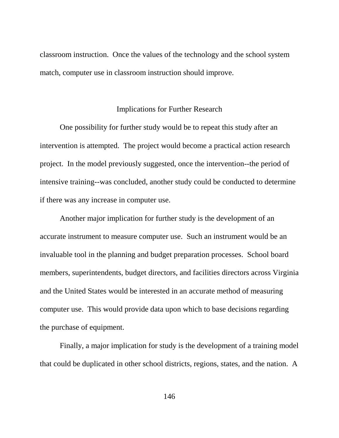classroom instruction. Once the values of the technology and the school system match, computer use in classroom instruction should improve.

## Implications for Further Research

One possibility for further study would be to repeat this study after an intervention is attempted. The project would become a practical action research project. In the model previously suggested, once the intervention--the period of intensive training--was concluded, another study could be conducted to determine if there was any increase in computer use.

Another major implication for further study is the development of an accurate instrument to measure computer use. Such an instrument would be an invaluable tool in the planning and budget preparation processes. School board members, superintendents, budget directors, and facilities directors across Virginia and the United States would be interested in an accurate method of measuring computer use. This would provide data upon which to base decisions regarding the purchase of equipment.

Finally, a major implication for study is the development of a training model that could be duplicated in other school districts, regions, states, and the nation. A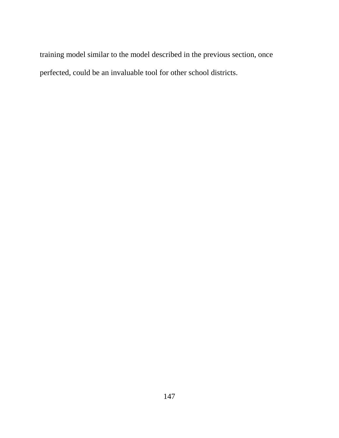training model similar to the model described in the previous section, once perfected, could be an invaluable tool for other school districts.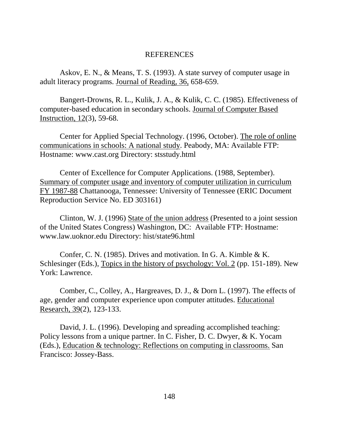## REFERENCES

Askov, E. N., & Means, T. S. (1993). A state survey of computer usage in adult literacy programs. Journal of Reading, 36, 658-659.

Bangert-Drowns, R. L., Kulik, J. A., & Kulik, C. C. (1985). Effectiveness of computer-based education in secondary schools. Journal of Computer Based Instruction, 12(3), 59-68.

Center for Applied Special Technology. (1996, October). The role of online communications in schools: A national study. Peabody, MA: Available FTP: Hostname: www.cast.org Directory: stsstudy.html

Center of Excellence for Computer Applications. (1988, September). Summary of computer usage and inventory of computer utilization in curriculum FY 1987-88 Chattanooga, Tennessee: University of Tennessee (ERIC Document Reproduction Service No. ED 303161)

Clinton, W. J. (1996) State of the union address (Presented to a joint session of the United States Congress) Washington, DC: Available FTP: Hostname: www.law.uoknor.edu Directory: hist/state96.html

Confer, C. N. (1985). Drives and motivation. In G. A. Kimble & K. Schlesinger (Eds.), Topics in the history of psychology: Vol. 2 (pp. 151-189). New York: Lawrence.

Comber, C., Colley, A., Hargreaves, D. J., & Dorn L. (1997). The effects of age, gender and computer experience upon computer attitudes. Educational Research, 39(2), 123-133.

David, J. L. (1996). Developing and spreading accomplished teaching: Policy lessons from a unique partner. In C. Fisher, D. C. Dwyer, & K. Yocam (Eds.), Education & technology: Reflections on computing in classrooms. San Francisco: Jossey-Bass.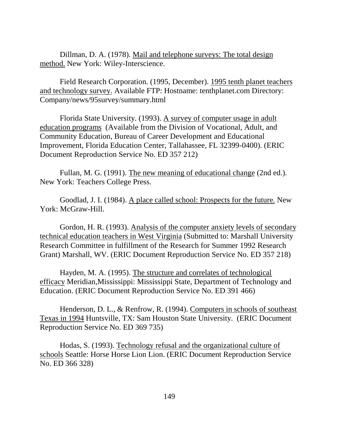Dillman, D. A. (1978). Mail and telephone surveys: The total design method. New York: Wiley-Interscience.

Field Research Corporation. (1995, December). 1995 tenth planet teachers and technology survey. Available FTP: Hostname: tenthplanet.com Directory: Company/news/95survey/summary.html

Florida State University. (1993). A survey of computer usage in adult education programs (Available from the Division of Vocational, Adult, and Community Education, Bureau of Career Development and Educational Improvement, Florida Education Center, Tallahassee, FL 32399-0400). (ERIC Document Reproduction Service No. ED 357 212)

Fullan, M. G. (1991). The new meaning of educational change (2nd ed.). New York: Teachers College Press.

Goodlad, J. I. (1984). A place called school: Prospects for the future. New York: McGraw-Hill.

Gordon, H. R. (1993). Analysis of the computer anxiety levels of secondary technical education teachers in West Virginia (Submitted to: Marshall University Research Committee in fulfillment of the Research for Summer 1992 Research Grant) Marshall, WV. (ERIC Document Reproduction Service No. ED 357 218)

Hayden, M. A. (1995). The structure and correlates of technological efficacy Meridian,Mississippi: Mississippi State, Department of Technology and Education. (ERIC Document Reproduction Service No. ED 391 466)

Henderson, D. L., & Renfrow, R. (1994). Computers in schools of southeast Texas in 1994 Huntsville, TX: Sam Houston State University. (ERIC Document Reproduction Service No. ED 369 735)

Hodas, S. (1993). Technology refusal and the organizational culture of schools Seattle: Horse Horse Lion Lion. (ERIC Document Reproduction Service No. ED 366 328)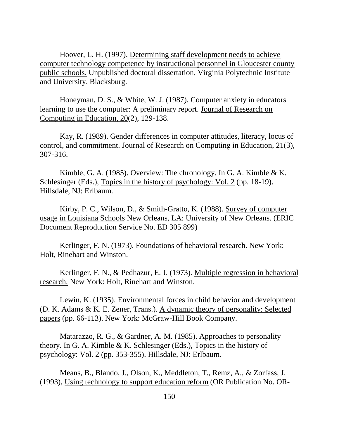Hoover, L. H. (1997). Determining staff development needs to achieve computer technology competence by instructional personnel in Gloucester county public schools. Unpublished doctoral dissertation, Virginia Polytechnic Institute and University, Blacksburg.

Honeyman, D. S., & White, W. J. (1987). Computer anxiety in educators learning to use the computer: A preliminary report. Journal of Research on Computing in Education, 20(2), 129-138.

Kay, R. (1989). Gender differences in computer attitudes, literacy, locus of control, and commitment. Journal of Research on Computing in Education, 21(3), 307-316.

Kimble, G. A. (1985). Overview: The chronology. In G. A. Kimble & K. Schlesinger (Eds.), Topics in the history of psychology: Vol. 2 (pp. 18-19). Hillsdale, NJ: Erlbaum.

Kirby, P. C., Wilson, D., & Smith-Gratto, K. (1988). Survey of computer usage in Louisiana Schools New Orleans, LA: University of New Orleans. (ERIC Document Reproduction Service No. ED 305 899)

Kerlinger, F. N. (1973). Foundations of behavioral research. New York: Holt, Rinehart and Winston.

Kerlinger, F. N., & Pedhazur, E. J. (1973). Multiple regression in behavioral research. New York: Holt, Rinehart and Winston.

Lewin, K. (1935). Environmental forces in child behavior and development (D. K. Adams & K. E. Zener, Trans.). A dynamic theory of personality: Selected papers (pp. 66-113). New York: McGraw-Hill Book Company.

Matarazzo, R. G., & Gardner, A. M. (1985). Approaches to personality theory. In G. A. Kimble & K. Schlesinger (Eds.), Topics in the history of psychology: Vol. 2 (pp. 353-355). Hillsdale, NJ: Erlbaum.

Means, B., Blando, J., Olson, K., Meddleton, T., Remz, A., & Zorfass, J. (1993), Using technology to support education reform (OR Publication No. OR-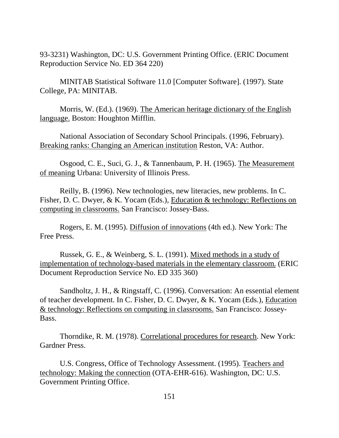93-3231) Washington, DC: U.S. Government Printing Office. (ERIC Document Reproduction Service No. ED 364 220)

MINITAB Statistical Software 11.0 [Computer Software]. (1997). State College, PA: MINITAB.

Morris, W. (Ed.). (1969). The American heritage dictionary of the English language. Boston: Houghton Mifflin.

National Association of Secondary School Principals. (1996, February). Breaking ranks: Changing an American institution Reston, VA: Author.

Osgood, C. E., Suci, G. J., & Tannenbaum, P. H. (1965). The Measurement of meaning Urbana: University of Illinois Press.

Reilly, B. (1996). New technologies, new literacies, new problems. In C. Fisher, D. C. Dwyer, & K. Yocam (Eds.), Education & technology: Reflections on computing in classrooms. San Francisco: Jossey-Bass.

Rogers, E. M. (1995). Diffusion of innovations (4th ed.). New York: The Free Press.

Russek, G. E., & Weinberg, S. L. (1991). Mixed methods in a study of implementation of technology-based materials in the elementary classroom. (ERIC Document Reproduction Service No. ED 335 360)

Sandholtz, J. H., & Ringstaff, C. (1996). Conversation: An essential element of teacher development. In C. Fisher, D. C. Dwyer, & K. Yocam (Eds.), Education & technology: Reflections on computing in classrooms. San Francisco: Jossey-Bass.

Thorndike, R. M. (1978). Correlational procedures for research. New York: Gardner Press.

U.S. Congress, Office of Technology Assessment. (1995). Teachers and technology: Making the connection (OTA-EHR-616). Washington, DC: U.S. Government Printing Office.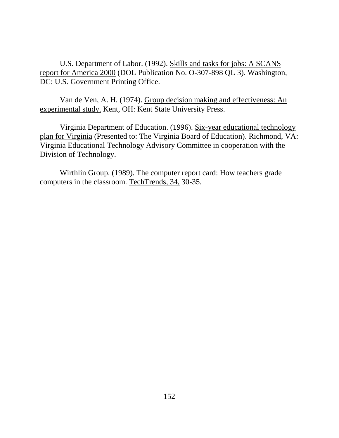U.S. Department of Labor. (1992). Skills and tasks for jobs: A SCANS report for America 2000 (DOL Publication No. O-307-898 QL 3). Washington, DC: U.S. Government Printing Office.

Van de Ven, A. H. (1974). Group decision making and effectiveness: An experimental study. Kent, OH: Kent State University Press.

Virginia Department of Education. (1996). Six-year educational technology plan for Virginia (Presented to: The Virginia Board of Education). Richmond, VA: Virginia Educational Technology Advisory Committee in cooperation with the Division of Technology.

Wirthlin Group. (1989). The computer report card: How teachers grade computers in the classroom. TechTrends, 34, 30-35.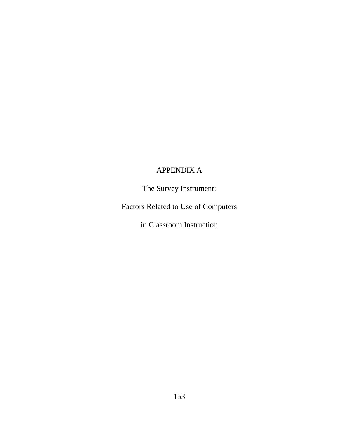## APPENDIX A

The Survey Instrument:

Factors Related to Use of Computers

in Classroom Instruction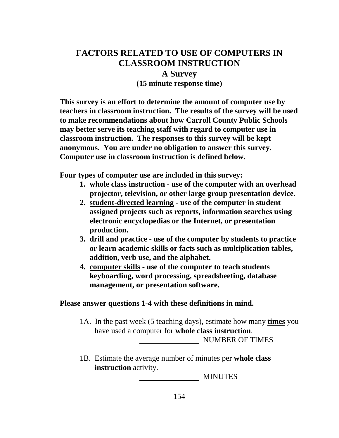# **FACTORS RELATED TO USE OF COMPUTERS IN CLASSROOM INSTRUCTION**

## **A Survey**

**(15 minute response time)**

**This survey is an effort to determine the amount of computer use by teachers in classroom instruction. The results of the survey will be used to make recommendations about how Carroll County Public Schools may better serve its teaching staff with regard to computer use in classroom instruction. The responses to this survey will be kept anonymous. You are under no obligation to answer this survey. Computer use in classroom instruction is defined below.**

**Four types of computer use are included in this survey:**

- **1. whole class instruction use of the computer with an overhead projector, television, or other large group presentation device.**
- **2. student-directed learning use of the computer in student assigned projects such as reports, information searches using electronic encyclopedias or the Internet, or presentation production.**
- **3. drill and practice use of the computer by students to practice or learn academic skills or facts such as multiplication tables, addition, verb use, and the alphabet.**
- **4. computer skills use of the computer to teach students keyboarding, word processing, spreadsheeting, database management, or presentation software.**

## **Please answer questions 1-4 with these definitions in mind.**

1A. In the past week (5 teaching days), estimate how many **times** you have used a computer for **whole class instruction**.

**NUMBER OF TIMES** 

1B. Estimate the average number of minutes per **whole class instruction** activity.

MINUTES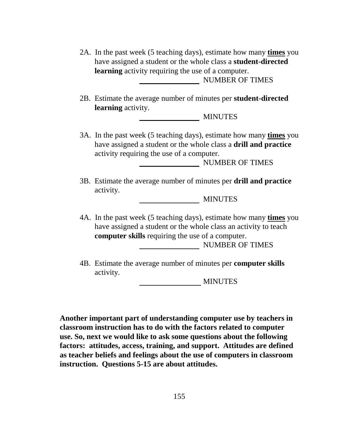| 2A. In the past week (5 teaching days), estimate how many times you<br>have assigned a student or the whole class a student-directed<br>learning activity requiring the use of a computer.<br><b>NUMBER OF TIMES</b> |  |  |  |  |  |  |  |
|----------------------------------------------------------------------------------------------------------------------------------------------------------------------------------------------------------------------|--|--|--|--|--|--|--|
| 2B. Estimate the average number of minutes per student-directed                                                                                                                                                      |  |  |  |  |  |  |  |
| learning activity.                                                                                                                                                                                                   |  |  |  |  |  |  |  |
| <b>MINUTES</b>                                                                                                                                                                                                       |  |  |  |  |  |  |  |
| 3A. In the past week (5 teaching days), estimate how many times you<br>have assigned a student or the whole class a drill and practice<br>activity requiring the use of a computer.<br><b>NUMBER OF TIMES</b>        |  |  |  |  |  |  |  |
| 3B. Estimate the average number of minutes per drill and practice<br>activity.<br><b>MINUTES</b>                                                                                                                     |  |  |  |  |  |  |  |
| 4A. In the past week (5 teaching days), estimate how many times you<br>have assigned a student or the whole class an activity to teach<br><b>computer skills</b> requiring the use of a computer.<br>NUMBER OF TIMES |  |  |  |  |  |  |  |
| 4B. Estimate the average number of minutes per computer skills<br>activity.                                                                                                                                          |  |  |  |  |  |  |  |

MINUTES

**Another important part of understanding computer use by teachers in classroom instruction has to do with the factors related to computer use. So, next we would like to ask some questions about the following factors: attitudes, access, training, and support. Attitudes are defined as teacher beliefs and feelings about the use of computers in classroom instruction. Questions 5-15 are about attitudes.**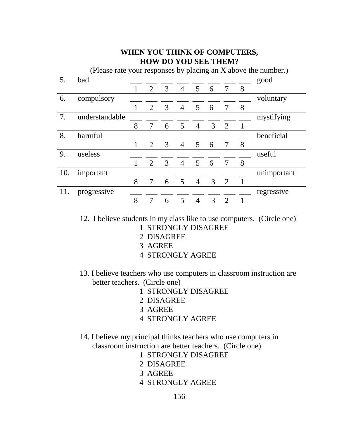## **WHEN YOU THINK OF COMPUTERS, HOW DO YOU SEE THEM?**

| (Please rate your responses by placing an X above the number.) |                |   |                |   |                |                |                |                             |   |             |  |
|----------------------------------------------------------------|----------------|---|----------------|---|----------------|----------------|----------------|-----------------------------|---|-------------|--|
| 5.                                                             | bad            |   |                |   |                |                |                |                             |   | good        |  |
|                                                                |                |   | 2              | 3 | $\overline{4}$ | 5 <sup>5</sup> | 6              |                             | 8 |             |  |
| 6.                                                             | compulsory     |   |                |   |                |                |                |                             |   | voluntary   |  |
|                                                                |                | 1 | 2              | 3 | $\overline{4}$ | 5              | 6              |                             | 8 |             |  |
| 7.                                                             | understandable |   |                |   |                |                |                |                             |   | mystifying  |  |
|                                                                |                | 8 | 7              | 6 | 5              | $\overline{4}$ | $\mathfrak{Z}$ | $\overline{2}$              |   |             |  |
| 8.                                                             | harmful        |   |                |   |                |                |                |                             |   | beneficial  |  |
|                                                                |                |   | $\overline{2}$ | 3 | $\overline{4}$ | 5              | 6              |                             | 8 |             |  |
| 9.                                                             | useless        |   |                |   |                |                |                |                             |   | useful      |  |
|                                                                |                |   | 2              | 3 | $\overline{4}$ | 5              | 6              |                             | 8 |             |  |
| 10.                                                            | important      |   |                |   |                |                |                |                             |   | unimportant |  |
|                                                                |                | 8 | 7              | 6 | 5              | $\overline{4}$ | 3 <sup>1</sup> | 2                           | 1 |             |  |
| 11.                                                            | progressive    |   |                |   |                |                |                |                             |   | regressive  |  |
|                                                                |                | 8 | 7              | 6 | 5              | $\overline{4}$ | 3              | $\mathcal{D}_{\mathcal{L}}$ |   |             |  |

12. I believe students in my class like to use computers. (Circle one)

- 1 STRONGLY DISAGREE
- 2 DISAGREE
- 3 AGREE
- 4 STRONGLY AGREE
- 13. I believe teachers who use computers in classroom instruction are better teachers. (Circle one)
	- 1 STRONGLY DISAGREE
	- 2 DISAGREE
	- 3 AGREE
	- 4 STRONGLY AGREE
- 14. I believe my principal thinks teachers who use computers in classroom instruction are better teachers. (Circle one)
	- 1 STRONGLY DISAGREE
	- 2 DISAGREE
	- 3 AGREE
	- 4 STRONGLY AGREE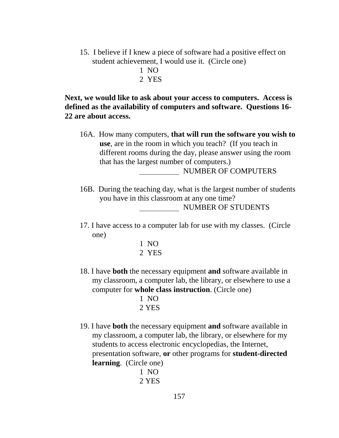- 15. I believe if I knew a piece of software had a positive effect on student achievement, I would use it. (Circle one)
	- 1 NO
	- 2 YES

**Next, we would like to ask about your access to computers. Access is defined as the availability of computers and software. Questions 16- 22 are about access.**

- 16A. How many computers, **that will run the software you wish to use**, are in the room in which you teach? (If you teach in different rooms during the day, please answer using the room that has the largest number of computers.) NUMBER OF COMPUTERS
- 16B. During the teaching day, what is the largest number of students you have in this classroom at any one time? NUMBER OF STUDENTS
- 17. I have access to a computer lab for use with my classes. (Circle one)
	- 1 NO 2 YES
- 18. I have **both** the necessary equipment **and** software available in my classroom, a computer lab, the library, or elsewhere to use a computer for **whole class instruction**. (Circle one)
	- 1 NO 2 YES
- 19. I have **both** the necessary equipment **and** software available in my classroom, a computer lab, the library, or elsewhere for my students to access electronic encyclopedias, the Internet, presentation software, **or** other programs for **student-directed learning**. (Circle one)

$$
\begin{array}{c}\n1 \text{ NO} \\
2 \text{ YES}\n\end{array}
$$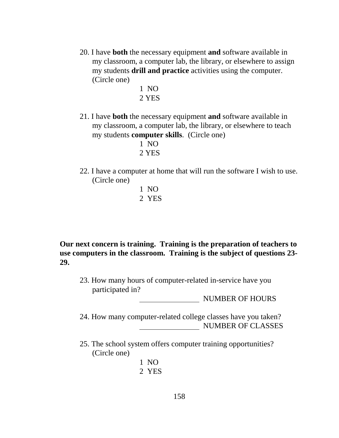- 20. I have **both** the necessary equipment **and** software available in my classroom, a computer lab, the library, or elsewhere to assign my students **drill and practice** activities using the computer. (Circle one)
	- 1 NO 2 YES
- 21. I have **both** the necessary equipment **and** software available in my classroom, a computer lab, the library, or elsewhere to teach my students **computer skills**. (Circle one)
	- 1 NO 2 YES
- 22. I have a computer at home that will run the software I wish to use. (Circle one)
	- 1 NO 2 YES

**Our next concern is training. Training is the preparation of teachers to use computers in the classroom. Training is the subject of questions 23- 29.**

23. How many hours of computer-related in-service have you participated in?

NUMBER OF HOURS

- 24. How many computer-related college classes have you taken? NUMBER OF CLASSES
- 25. The school system offers computer training opportunities? (Circle one)
	- 1 NO 2 YES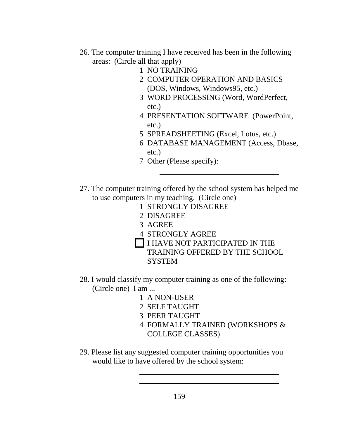- 26. The computer training I have received has been in the following areas: (Circle all that apply)
	- 1 NO TRAINING
	- 2 COMPUTER OPERATION AND BASICS (DOS, Windows, Windows95, etc.)
	- 3 WORD PROCESSING (Word, WordPerfect, etc.)
	- 4 PRESENTATION SOFTWARE (PowerPoint, etc.)
	- 5 SPREADSHEETING (Excel, Lotus, etc.)
	- 6 DATABASE MANAGEMENT (Access, Dbase, etc.)
	- 7 Other (Please specify):
- 27. The computer training offered by the school system has helped me to use computers in my teaching. (Circle one)
	- 1 STRONGLY DISAGREE
	- 2 DISAGREE

- 3 AGREE
- 4 STRONGLY AGREE
- I HAVE NOT PARTICIPATED IN THE TRAINING OFFERED BY THE SCHOOL
	- **SYSTEM**
- 28. I would classify my computer training as one of the following: (Circle one) I am ...
	- 1 A NON-USER
	- 2 SELF TAUGHT
	- 3 PEER TAUGHT

- 4 FORMALLY TRAINED (WORKSHOPS & COLLEGE CLASSES)
- 29. Please list any suggested computer training opportunities you would like to have offered by the school system: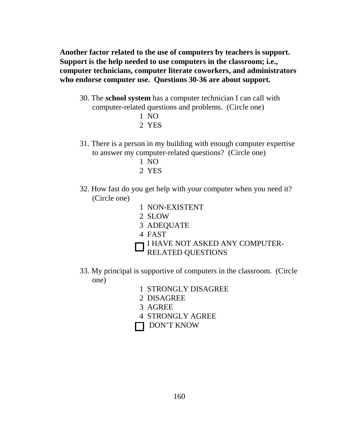**Another factor related to the use of computers by teachers is support. Support is the help needed to use computers in the classroom; i.e., computer technicians, computer literate coworkers, and administrators who endorse computer use. Questions 30-36 are about support.**

- 30. The **school system** has a computer technician I can call with computer-related questions and problems. (Circle one)
	- 1 NO
	- 2 YES
- 31. There is a person in my building with enough computer expertise to answer my computer-related questions? (Circle one)
	- 1 NO
	- 2 YES
- 32. How fast do you get help with your computer when you need it? (Circle one)
	- 1 NON-EXISTENT
	- 2 SLOW
	- 3 ADEQUATE
	- 4 FAST
	- I HAVE NOT ASKED ANY COMPUTER-
	- RELATED QUESTIONS
- 33. My principal is supportive of computers in the classroom. (Circle one)
	- 1 STRONGLY DISAGREE
	- 2 DISAGREE
	- 3 AGREE
	- 4 STRONGLY AGREE
	- DON'T KNOW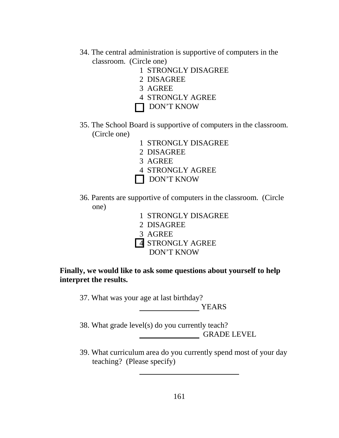- 34. The central administration is supportive of computers in the classroom. (Circle one)
	- 1 STRONGLY DISAGREE
	- 2 DISAGREE
	- 3 AGREE
	- 4 STRONGLY AGREE
	- DON'T KNOW
- 35. The School Board is supportive of computers in the classroom. (Circle one)
	- 1 STRONGLY DISAGREE
	- 2 DISAGREE
	- 3 AGREE
	- 4 STRONGLY AGREE
	- DON'T KNOW
- 36. Parents are supportive of computers in the classroom. (Circle one)
	- 1 STRONGLY DISAGREE
	- 2 DISAGREE
	- 3 AGREE
	- 4 STRONGLY AGREE
		- DON'T KNOW

**Finally, we would like to ask some questions about yourself to help interpret the results.**

37. What was your age at last birthday?

YEARS

38. What grade level(s) do you currently teach? GRADE LEVEL

39. What curriculum area do you currently spend most of your day teaching? (Please specify)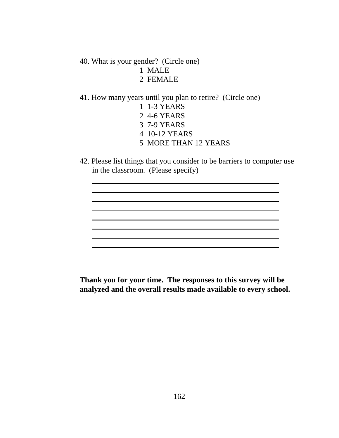40. What is your gender? (Circle one) 1 MALE 2 FEMALE

- 41. How many years until you plan to retire? (Circle one) 1 1-3 YEARS 2 4-6 YEARS
	- 3 7-9 YEARS
	- 4 10-12 YEARS
	- 5 MORE THAN 12 YEARS
- 42. Please list things that you consider to be barriers to computer use in the classroom. (Please specify)

**Thank you for your time. The responses to this survey will be analyzed and the overall results made available to every school.**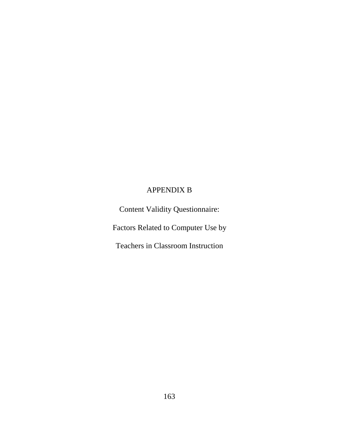# APPENDIX B

Content Validity Questionnaire:

Factors Related to Computer Use by

Teachers in Classroom Instruction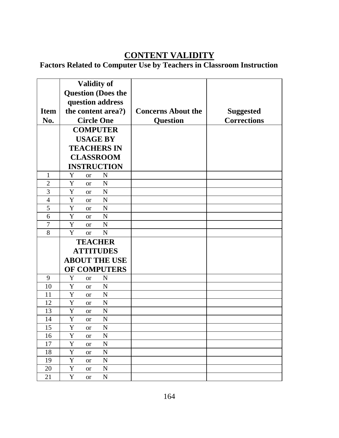# **CONTENT VALIDITY**

# **Factors Related to Computer Use by Teachers in Classroom Instruction**

| <b>Item</b><br>No. | <b>Validity of</b><br><b>Question (Does the</b><br>question address<br>the content area?)<br><b>Circle One</b> | <b>Concerns About the</b><br><b>Question</b> | <b>Suggested</b><br><b>Corrections</b> |
|--------------------|----------------------------------------------------------------------------------------------------------------|----------------------------------------------|----------------------------------------|
|                    | <b>COMPUTER</b>                                                                                                |                                              |                                        |
|                    | <b>USAGE BY</b>                                                                                                |                                              |                                        |
|                    | <b>TEACHERS IN</b>                                                                                             |                                              |                                        |
|                    | <b>CLASSROOM</b>                                                                                               |                                              |                                        |
|                    | <b>INSTRUCTION</b>                                                                                             |                                              |                                        |
| $\mathbf{1}$       | Y<br>N<br><b>or</b>                                                                                            |                                              |                                        |
| $\overline{2}$     | Y<br>$\mathbf N$<br><sub>or</sub>                                                                              |                                              |                                        |
| 3                  | Y<br>$\mathbf N$<br><sub>or</sub>                                                                              |                                              |                                        |
| 4                  | Y<br>N<br>or                                                                                                   |                                              |                                        |
| 5                  | Y<br>$\mathbf N$<br><sub>or</sub>                                                                              |                                              |                                        |
| 6                  | Y<br>$\mathbf N$<br><sub>or</sub>                                                                              |                                              |                                        |
| $\tau$             | Y<br>$\mathbf N$<br><sub>or</sub>                                                                              |                                              |                                        |
| 8                  | Y<br>N<br><sub>or</sub>                                                                                        |                                              |                                        |
|                    | <b>TEACHER</b>                                                                                                 |                                              |                                        |
|                    | <b>ATTITUDES</b>                                                                                               |                                              |                                        |
|                    | <b>ABOUT THE USE</b>                                                                                           |                                              |                                        |
|                    | OF COMPUTERS                                                                                                   |                                              |                                        |
| 9                  | Y<br>N<br><b>or</b>                                                                                            |                                              |                                        |
| 10                 | Y<br>$\mathbf N$<br><sub>or</sub>                                                                              |                                              |                                        |
| 11                 | Y<br>$\mathbf N$<br><sub>or</sub>                                                                              |                                              |                                        |
| 12                 | Y<br>$\mathbf N$<br><sub>or</sub>                                                                              |                                              |                                        |
| 13                 | Y<br>$\mathbf N$<br><b>or</b>                                                                                  |                                              |                                        |
| 14                 | Y<br>$\mathbf N$<br><b>or</b>                                                                                  |                                              |                                        |
| 15                 | Y<br>$\mathbf N$<br><b>or</b>                                                                                  |                                              |                                        |
| 16                 | $\mathbf Y$<br>${\bf N}$<br><b>or</b>                                                                          |                                              |                                        |
| 17                 | Y<br>${\bf N}$<br><b>or</b>                                                                                    |                                              |                                        |
| 18                 | $\mathbf Y$<br>${\bf N}$<br><b>or</b>                                                                          |                                              |                                        |
| 19                 | $\mathbf Y$<br>${\bf N}$<br><b>or</b>                                                                          |                                              |                                        |
| 20                 | Y<br>${\bf N}$<br><b>or</b>                                                                                    |                                              |                                        |
| 21                 | Y<br>${\bf N}$<br><b>or</b>                                                                                    |                                              |                                        |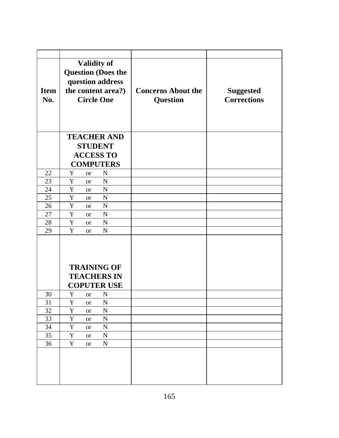| <b>Item</b><br>No. | <b>Validity of</b><br><b>Question (Does the</b><br>question address<br>the content area?)<br><b>Circle One</b> | <b>Concerns About the</b><br><b>Question</b> | <b>Suggested</b><br><b>Corrections</b> |
|--------------------|----------------------------------------------------------------------------------------------------------------|----------------------------------------------|----------------------------------------|
|                    | <b>TEACHER AND</b><br><b>STUDENT</b><br><b>ACCESS TO</b>                                                       |                                              |                                        |
|                    | <b>COMPUTERS</b>                                                                                               |                                              |                                        |
| 22                 | Y<br>N<br><b>or</b>                                                                                            |                                              |                                        |
| 23                 | $\mathbf N$<br>Y<br><b>or</b>                                                                                  |                                              |                                        |
| 24                 | $\mathbf N$<br>Y<br><b>or</b>                                                                                  |                                              |                                        |
| 25                 | Y<br>$\mathbf N$<br><b>or</b>                                                                                  |                                              |                                        |
| 26                 | $\mathbf N$<br>Y<br><b>or</b>                                                                                  |                                              |                                        |
| 27                 | Y<br>$\mathbf N$<br><b>or</b>                                                                                  |                                              |                                        |
| 28                 | Y<br>$\mathbf N$<br><b>or</b>                                                                                  |                                              |                                        |
| 29                 | Y<br>$\mathbf N$<br><b>or</b>                                                                                  |                                              |                                        |
|                    | <b>TRAINING OF</b><br><b>TEACHERS IN</b><br><b>COPUTER USE</b>                                                 |                                              |                                        |
| 30                 | Y<br>$\mathbf N$<br><b>or</b>                                                                                  |                                              |                                        |
| 31<br>32           | Y<br>$\mathbf N$<br><b>or</b><br>$\mathbf Y$<br>${\bf N}$                                                      |                                              |                                        |
| 33                 | <b>or</b><br>${\bf N}$<br>$\mathbf Y$                                                                          |                                              |                                        |
| 34                 | <b>or</b><br>$\mathbf Y$<br>${\bf N}$                                                                          |                                              |                                        |
|                    | <b>or</b>                                                                                                      |                                              |                                        |
| 35                 | $\mathbf Y$<br>${\bf N}$<br><b>or</b>                                                                          |                                              |                                        |
| 36                 | Y<br>${\bf N}$<br><b>or</b>                                                                                    |                                              |                                        |
|                    |                                                                                                                |                                              |                                        |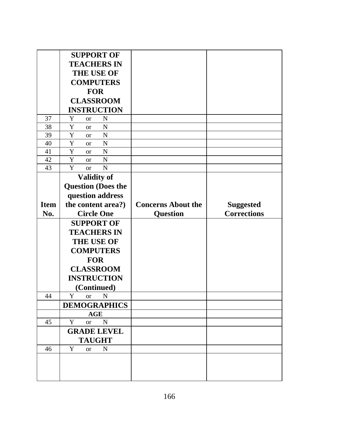|             | <b>SUPPORT OF</b>                 |                           |                    |
|-------------|-----------------------------------|---------------------------|--------------------|
|             | <b>TEACHERS IN</b>                |                           |                    |
|             | <b>THE USE OF</b>                 |                           |                    |
|             | <b>COMPUTERS</b>                  |                           |                    |
|             | <b>FOR</b>                        |                           |                    |
|             | <b>CLASSROOM</b>                  |                           |                    |
|             | <b>INSTRUCTION</b>                |                           |                    |
| 37          | Y<br>N<br><b>or</b>               |                           |                    |
| 38          | Y<br>$\mathbf N$<br><b>or</b>     |                           |                    |
| 39          | Y<br>$\mathbf N$<br><b>or</b>     |                           |                    |
| 40          | Y<br>$\mathbf N$<br><b>or</b>     |                           |                    |
| 41          | Y<br>$\mathbf N$<br><b>or</b>     |                           |                    |
| 42          | Y<br>$\mathbf N$<br><b>or</b>     |                           |                    |
| 43          | Y<br>$\mathbf N$<br><b>or</b>     |                           |                    |
|             | <b>Validity of</b>                |                           |                    |
|             | <b>Question (Does the</b>         |                           |                    |
|             | question address                  |                           |                    |
| <b>Item</b> | the content area?)                | <b>Concerns About the</b> | <b>Suggested</b>   |
|             |                                   |                           |                    |
| No.         | <b>Circle One</b>                 | <b>Question</b>           | <b>Corrections</b> |
|             | <b>SUPPORT OF</b>                 |                           |                    |
|             | <b>TEACHERS IN</b>                |                           |                    |
|             | <b>THE USE OF</b>                 |                           |                    |
|             | <b>COMPUTERS</b>                  |                           |                    |
|             |                                   |                           |                    |
|             | <b>FOR</b>                        |                           |                    |
|             | <b>CLASSROOM</b>                  |                           |                    |
|             | <b>INSTRUCTION</b>                |                           |                    |
|             | (Continued)                       |                           |                    |
| 44          | Y<br>$\mathbf N$<br><sub>or</sub> |                           |                    |
|             | <b>DEMOGRAPHICS</b><br>AGE        |                           |                    |
| 45          | $\mathbf N$<br>Y<br><b>or</b>     |                           |                    |
|             | <b>GRADE LEVEL</b>                |                           |                    |
|             | <b>TAUGHT</b>                     |                           |                    |
| 46          | ${\bf N}$<br>Y<br><b>or</b>       |                           |                    |
|             |                                   |                           |                    |
|             |                                   |                           |                    |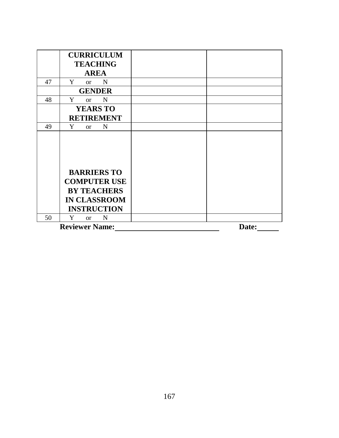|    | <b>CURRICULUM</b>                 |       |
|----|-----------------------------------|-------|
|    | <b>TEACHING</b>                   |       |
|    | <b>AREA</b>                       |       |
| 47 | Y<br>$\mathbf N$<br><sub>or</sub> |       |
|    | <b>GENDER</b>                     |       |
| 48 | Y<br>$\mathbf N$<br><sub>or</sub> |       |
|    | <b>YEARS TO</b>                   |       |
|    | <b>RETIREMENT</b>                 |       |
| 49 | Y<br>$\mathbf N$<br><b>or</b>     |       |
|    |                                   |       |
|    |                                   |       |
|    |                                   |       |
|    |                                   |       |
|    | <b>BARRIERS TO</b>                |       |
|    | <b>COMPUTER USE</b>               |       |
|    | <b>BY TEACHERS</b>                |       |
|    | <b>IN CLASSROOM</b>               |       |
|    | <b>INSTRUCTION</b>                |       |
| 50 | Y<br>N<br><sub>or</sub>           |       |
|    | <b>Reviewer Name:</b>             | Date: |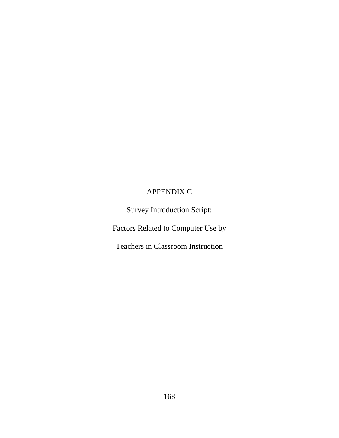# APPENDIX C

Survey Introduction Script:

Factors Related to Computer Use by

Teachers in Classroom Instruction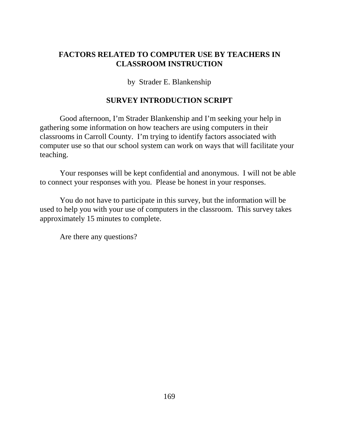# **FACTORS RELATED TO COMPUTER USE BY TEACHERS IN CLASSROOM INSTRUCTION**

by Strader E. Blankenship

# **SURVEY INTRODUCTION SCRIPT**

Good afternoon, I'm Strader Blankenship and I'm seeking your help in gathering some information on how teachers are using computers in their classrooms in Carroll County. I'm trying to identify factors associated with computer use so that our school system can work on ways that will facilitate your teaching.

Your responses will be kept confidential and anonymous. I will not be able to connect your responses with you. Please be honest in your responses.

You do not have to participate in this survey, but the information will be used to help you with your use of computers in the classroom. This survey takes approximately 15 minutes to complete.

Are there any questions?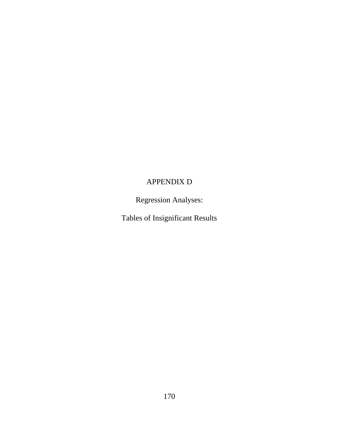# APPENDIX D

Regression Analyses:

Tables of Insignificant Results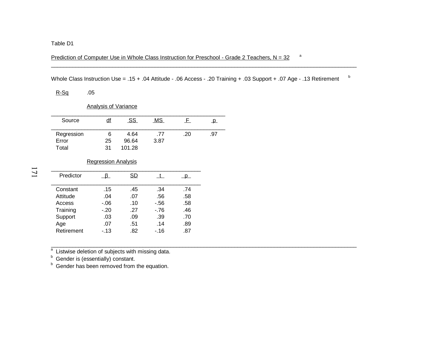## Prediction of Computer Use in Whole Class Instruction for Preschool - Grade 2 Teachers,  $N = 32$  and

Whole Class Instruction Use = .15 + .04 Attitude - .06 Access - .20 Training + .03 Support + .07 Age - .13 Retirement b

R-Sq .05

Analysis of Variance

| Source     | <u>df</u> | SS     | <u>MS</u> |     | ₽   |
|------------|-----------|--------|-----------|-----|-----|
| Regression | 6         | 4.64   | .77       | .20 | .97 |
| Error      | 25        | 96.64  | 3.87      |     |     |
| Total      | 31        | 101.28 |           |     |     |

### Regression Analysis

| Predictor  |         | <b>SD</b> |       |     |
|------------|---------|-----------|-------|-----|
| Constant   | .15     | .45       | .34   | .74 |
| Attitude   | .04     | .07       | .56   | .58 |
| Access     | $-0.06$ | .10       | $-56$ | .58 |
| Training   | $-.20$  | .27       | $-76$ | .46 |
| Support    | .03     | .09       | .39   | .70 |
| Age        | .07     | .51       | .14   | .89 |
| Retirement | $-13$   | .82       | $-16$ | .87 |

 $\frac{a}{b}$  Listwise deletion of subjects with missing data.<br>  $\frac{b}{b}$  Gender is (essentially) constant.<br>  $\frac{b}{b}$  Gender has been removed from the equation.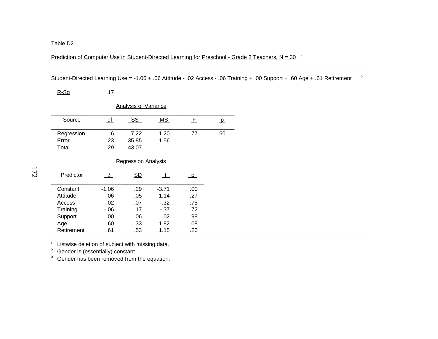Prediction of Computer Use in Student-Directed Learning for Preschool - Grade 2 Teachers,  $N = 30$ <sup>a</sup>

Student-Directed Learning Use = -1.06 + .06 Attitude - .02 Access - .06 Training + .00 Support + .60 Age + .61 Retirement <sup>b</sup>

 $\mathcal{L}_\mathcal{L} = \mathcal{L}_\mathcal{L} = \mathcal{L}_\mathcal{L} = \mathcal{L}_\mathcal{L} = \mathcal{L}_\mathcal{L} = \mathcal{L}_\mathcal{L} = \mathcal{L}_\mathcal{L} = \mathcal{L}_\mathcal{L} = \mathcal{L}_\mathcal{L} = \mathcal{L}_\mathcal{L} = \mathcal{L}_\mathcal{L} = \mathcal{L}_\mathcal{L} = \mathcal{L}_\mathcal{L} = \mathcal{L}_\mathcal{L} = \mathcal{L}_\mathcal{L} = \mathcal{L}_\mathcal{L} = \mathcal{L}_\mathcal{L}$ 

 $R-Sq$  .17

| <b>Analysis of Variance</b> |    |            |           |     |     |  |  |
|-----------------------------|----|------------|-----------|-----|-----|--|--|
| Source                      | df | <u>_SS</u> | <u>MS</u> | F.  | p.  |  |  |
| Regression                  | 6  | 7.22       | 1.20      | .77 | .60 |  |  |
| Error                       | 23 | 35.85      | 1.56      |     |     |  |  |
| Total                       | 29 | 43.07      |           |     |     |  |  |

### Regression Analysis

| Predictor  |         | SD  |         |     |
|------------|---------|-----|---------|-----|
| Constant   | $-1.06$ | .29 | $-3.71$ | .00 |
| Attitude   | .06     | .05 | 1.14    | .27 |
| Access     | $-.02$  | .07 | $-.32$  | .75 |
| Training   | $-06$   | .17 | $-37$   | .72 |
| Support    | .00     | .06 | .02     | .98 |
| Age        | .60     | .33 | 1.82    | .08 |
| Retirement | .61     | .53 | 1.15    | .26 |
|            |         |     |         |     |

<del>△</del> Listwise deletion of subject with missing data.<br><sup>b</sup> Gender is (essentially) constant.

<sup>b</sup> Gender has been removed from the equation.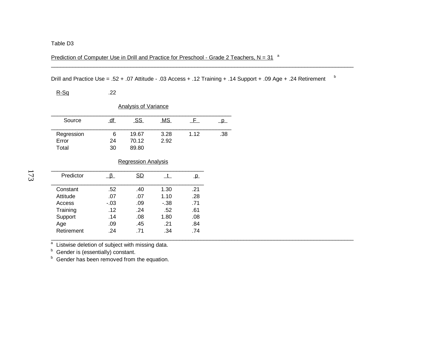Prediction of Computer Use in Drill and Practice for Preschool - Grade 2 Teachers,  $N = 31<sup>a</sup>$ 

Drill and Practice Use = .52 + .07 Attitude - .03 Access + .12 Training + .14 Support + .09 Age + .24 Retirement b

 $.74$ 

\_\_\_\_\_\_\_\_\_\_\_\_\_\_\_\_\_\_\_\_\_\_\_\_\_\_\_\_\_\_\_\_\_\_\_\_\_\_\_\_\_\_\_\_\_\_\_\_\_\_\_\_\_\_\_\_\_\_\_\_\_\_\_\_\_\_\_\_\_\_\_\_\_\_\_\_\_\_\_\_\_\_\_\_\_\_\_\_\_\_\_\_\_\_\_\_\_\_\_

| $R-Sq$                      | .22                        |       |           |              |     |  |  |  |  |
|-----------------------------|----------------------------|-------|-----------|--------------|-----|--|--|--|--|
| <b>Analysis of Variance</b> |                            |       |           |              |     |  |  |  |  |
| Source                      | df                         | SS    | <u>MS</u> | F            | D   |  |  |  |  |
| Regression                  | 6                          | 19.67 | 3.28      | 1.12         | .38 |  |  |  |  |
| Error                       | 24                         | 70.12 | 2.92      |              |     |  |  |  |  |
| Total                       | 30                         | 89.80 |           |              |     |  |  |  |  |
|                             | <b>Regression Analysis</b> |       |           |              |     |  |  |  |  |
| Predictor                   | <u>ß</u>                   | SD    | t.        | $\mathbf{p}$ |     |  |  |  |  |
| Constant                    | .52                        | .40   | 1.30      | .21          |     |  |  |  |  |
| Attitude                    | .07                        | .07   | 1.10      | .28          |     |  |  |  |  |
| Access                      | $-.03$                     | .09   | - 38      | .71          |     |  |  |  |  |
| Training                    | .12                        | .24   | .52       | .61          |     |  |  |  |  |
| Support                     | .14                        | .08   | 1.80      | .08          |     |  |  |  |  |
|                             |                            |       |           |              |     |  |  |  |  |

Age .09 .45 .21 .84

Retirement .24 .71 .34

 $\frac{1}{2}$  Listwise deletion of subject with missing data.<br>  $\frac{1}{2}$  Gender is (essentially) constant.<br>  $\frac{1}{2}$  Gender has been removed from the equation.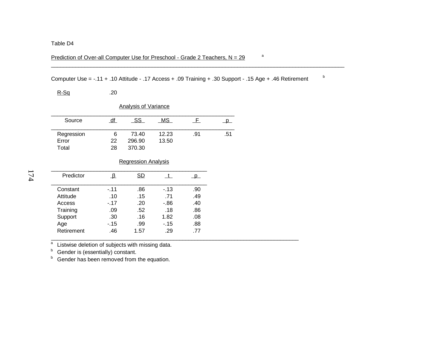## Prediction of Over-all Computer Use for Preschool - Grade 2 Teachers,  $N = 29$ <sup>a</sup>

Computer Use = -.11 + .10 Attitude - .17 Access + .09 Training + .30 Support - .15 Age + .46 Retirement <sup>b</sup>

 $.77$ 

| $R-Sq$     | .20             |                             |           |             |              |
|------------|-----------------|-----------------------------|-----------|-------------|--------------|
|            |                 | <b>Analysis of Variance</b> |           |             |              |
| Source     | $\overline{df}$ | <u>_SS_</u>                 | <b>MS</b> | $\_$ F $\_$ | $\mathsf{p}$ |
| Regression | 6               | 73.40                       | 12.23     | .91         | .51          |
| Error      | 22              | 296.90                      | 13.50     |             |              |
| Total      | 28              | 370.30                      |           |             |              |
|            |                 | <b>Regression Analysis</b>  |           |             |              |
| Predictor  | $\frac{1}{2}$   | SD                          | t         | p.          |              |
| Constant   | $-.11$          | .86                         | $-13$     | .90         |              |
| Attitude   | .10             | .15                         | .71       | .49         |              |
| Access     | $-17$           | .20                         | -.86      | .40         |              |
| Training   | .09             | .52                         | .18       | .86         |              |
| Support    | .30             | .16                         | 1.82      | .08         |              |
| Age        | $-.15$          | .99                         | $-.15$    | .88         |              |

a Listwise deletion of subjects with missing data.<br><sup>b</sup> Gender is (essentially) constant.

Retirement .46 1.57 .29

<sup>b</sup> Gender has been removed from the equation.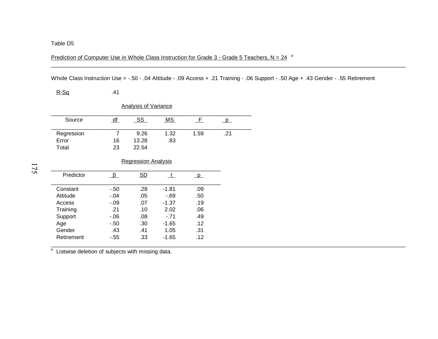Prediction of Computer Use in Whole Class Instruction for Grade  $3$  - Grade 5 Teachers, N = 24  $a$ 

Whole Class Instruction Use = -.50 - .04 Attitude - .09 Access + .21 Training - .06 Support - .50 Age + .43 Gender - .55 Retirement

| <u>R-Sq</u>                 | .41     |                            |              |             |                         |  |  |  |
|-----------------------------|---------|----------------------------|--------------|-------------|-------------------------|--|--|--|
| <b>Analysis of Variance</b> |         |                            |              |             |                         |  |  |  |
| Source                      | df      | <u>SS_</u>                 | MS           | $\_$ F $\_$ | $\overline{\mathsf{P}}$ |  |  |  |
| Regression                  | 7       | 9.26                       | 1.32         | 1.59        | .21                     |  |  |  |
| Error                       | 16      | 13.28                      | .83          |             |                         |  |  |  |
| Total                       | 23      | 22.54                      |              |             |                         |  |  |  |
|                             |         |                            |              |             |                         |  |  |  |
|                             |         | <b>Regression Analysis</b> |              |             |                         |  |  |  |
|                             |         |                            |              |             |                         |  |  |  |
| Predictor                   | $\beta$ | SD                         | $\mathbf{t}$ | $p_{-}$     |                         |  |  |  |
|                             |         |                            |              |             |                         |  |  |  |
| Constant                    | $-.50$  | .28                        | $-1.81$      | .09         |                         |  |  |  |
| Attitude                    | $-.04$  | .05                        | $-69$        | .50         |                         |  |  |  |
| Access                      | $-.09$  | .07                        | $-1.37$      | .19         |                         |  |  |  |
| Training                    | .21     | .10                        | 2.02         | .06         |                         |  |  |  |
| Support                     | $-06$   | .08                        | $-.71$       | .49         |                         |  |  |  |
| Age                         | $-.50$  | .30                        | $-1.65$      | .12         |                         |  |  |  |
| Gender                      | .43     | .41                        | 1.05         | .31         |                         |  |  |  |
| Retirement                  | $-.55$  | .33                        | $-1.65$      | .12         |                         |  |  |  |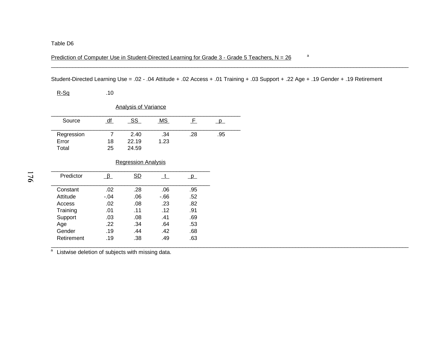Prediction of Computer Use in Student-Directed Learning for Grade  $3$  - Grade 5 Teachers, N = 26  $\cdot$  a

Student-Directed Learning Use = .02 - .04 Attitude + .02 Access + .01 Training + .03 Support + .22 Age + .19 Gender + .19 Retirement

 $R-Sq$  .10

| <b>Analysis of Variance</b> |    |       |           |     |     |  |  |
|-----------------------------|----|-------|-----------|-----|-----|--|--|
| Source                      | df | -SS   | <u>MS</u> |     |     |  |  |
| Regression                  |    | 2.40  | .34       | .28 | .95 |  |  |
| Error                       | 18 | 22.19 | 1.23      |     |     |  |  |
| Total                       | 25 | 24.59 |           |     |     |  |  |

### Regression Analysis

| Predictor  |        | SD  |      |     |
|------------|--------|-----|------|-----|
| Constant   | .02    | .28 | .06  | .95 |
| Attitude   | $-.04$ | .06 | -.66 | .52 |
| Access     | .02    | .08 | .23  | .82 |
| Training   | .01    | .11 | .12  | .91 |
| Support    | .03    | .08 | .41  | .69 |
| Age        | .22    | .34 | .64  | .53 |
| Gender     | .19    | .44 | .42  | .68 |
| Retirement | .19    | .38 | .49  | .63 |
|            |        |     |      |     |

a Listwise deletion of subjects with missing data.<br>a Listwise deletion of subjects with missing data.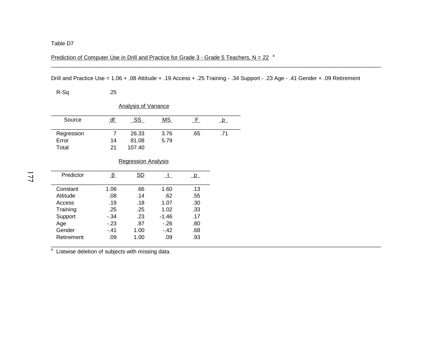Prediction of Computer Use in Drill and Practice for Grade  $3$  - Grade 5 Teachers, N = 22  $a$ 

Drill and Practice Use = 1.06 + .08 Attitude + .19 Access + .25 Training - .34 Support - .23 Age - .41 Gender + .09 Retirement

.68

.93

\_\_\_\_\_\_\_\_\_\_\_\_\_\_\_\_\_\_\_\_\_\_\_\_\_\_\_\_\_\_\_\_\_\_\_\_\_\_\_\_\_\_\_\_\_\_\_\_\_\_\_\_\_\_\_\_\_\_\_\_\_\_\_\_\_\_\_\_\_\_\_\_\_\_\_\_\_\_\_\_\_\_\_\_\_\_\_\_\_\_\_\_\_\_\_\_\_\_\_\_\_\_\_\_\_\_\_\_

\_\_\_\_\_\_\_\_\_\_\_\_\_\_\_\_\_\_\_\_\_\_\_\_\_\_\_\_\_\_\_\_\_\_\_\_\_\_\_\_\_\_\_\_\_\_\_\_\_\_\_\_\_\_\_\_\_\_\_\_\_\_\_\_\_\_\_\_\_\_\_\_\_\_\_\_\_\_\_\_\_\_\_\_\_\_\_\_\_\_\_\_\_\_\_\_\_\_\_\_\_\_\_\_\_\_\_\_

R-Sq .25 Analysis of Variance Source df SS MS F p Regression 7 26.33 3.76 .65 .71 Error 14 81.08 5.79 Total 21 107.40 Regression Analysis Predictorr <u>β SD t</u> p Constant 1.06 .66 1.60  $.13$ Attitude .08 .14 .62 .55 Access .19 .18 1.07  $.30$ Training .25 .25 1.02 .33 Support -.34 .23 -1.46 .17 Age -.23 .87 -.26 .80

<sup>a</sup> Listwise deletion of subjects with missing data.

Gender -.41 1.00 -.42

Retirement .09 1.00 .09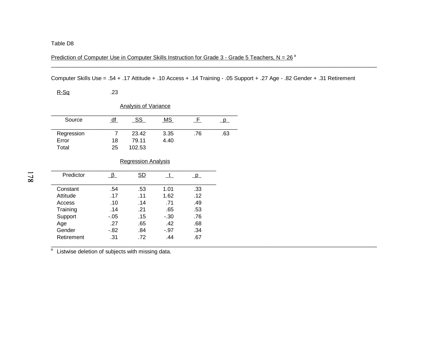Prediction of Computer Use in Computer Skills Instruction for Grade 3 - Grade 5 Teachers, N = 26<sup>a</sup>

Computer Skills Use = .54 + .17 Attitude + .10 Access + .14 Training - .05 Support + .27 Age - .82 Gender + .31 Retirement

\_\_\_\_\_\_\_\_\_\_\_\_\_\_\_\_\_\_\_\_\_\_\_\_\_\_\_\_\_\_\_\_\_\_\_\_\_\_\_\_\_\_\_\_\_\_\_\_\_\_\_\_\_\_\_\_\_\_\_\_\_\_\_\_\_\_\_\_\_\_\_\_\_\_\_\_\_\_\_\_\_\_\_\_\_\_\_\_\_\_\_\_\_\_\_\_\_\_\_\_\_\_\_\_\_\_\_

| <u>R-Sq</u>                 | .23    |                            |        |                         |     |  |  |  |  |
|-----------------------------|--------|----------------------------|--------|-------------------------|-----|--|--|--|--|
| <b>Analysis of Variance</b> |        |                            |        |                         |     |  |  |  |  |
| Source                      | df     | <u>SS</u>                  | MS     | $-F$                    | p   |  |  |  |  |
| Regression                  | 7      | 23.42                      | 3.35   | .76                     | .63 |  |  |  |  |
| Error                       | 18     | 79.11                      | 4.40   |                         |     |  |  |  |  |
| Total                       | 25     | 102.53                     |        |                         |     |  |  |  |  |
|                             |        |                            |        |                         |     |  |  |  |  |
|                             |        | <b>Regression Analysis</b> |        |                         |     |  |  |  |  |
|                             |        |                            |        |                         |     |  |  |  |  |
| Predictor                   | ß.     | SD                         | t.     | $\overline{\mathsf{p}}$ |     |  |  |  |  |
|                             |        |                            |        |                         |     |  |  |  |  |
| Constant                    | .54    | .53                        | 1.01   | .33                     |     |  |  |  |  |
| Attitude                    | .17    | .11                        | 1.62   | .12                     |     |  |  |  |  |
| Access                      | .10    | .14                        | .71    | .49                     |     |  |  |  |  |
| Training                    | .14    | .21                        | .65    | .53                     |     |  |  |  |  |
| Support                     | $-.05$ | .15                        | $-.30$ | .76                     |     |  |  |  |  |
| Age                         | .27    | .65                        | .42    | .68                     |     |  |  |  |  |
| Gender                      | $-.82$ | .84                        | $-.97$ | .34                     |     |  |  |  |  |
| Retirement                  | .31    | .72                        | .44    | .67                     |     |  |  |  |  |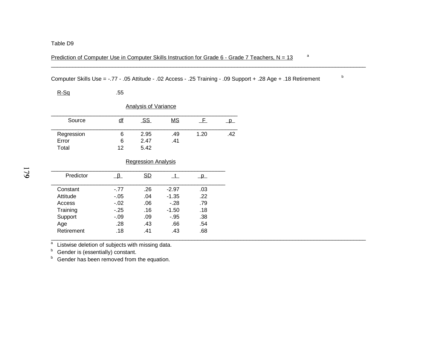Prediction of Computer Use in Computer Skills Instruction for Grade 6 - Grade 7 Teachers, N =  $13$ <sup>a</sup>

Computer Skills Use = -.77 - .05 Attitude - .02 Access - .25 Training - .09 Support + .28 Age + .18 Retirement <sup>b</sup>

.68

 $R-Sq$  .55 Analysis of Variance Source df SS MS F p \_\_\_\_\_\_\_\_\_\_\_\_\_\_\_\_\_\_\_\_\_\_\_\_\_\_\_\_\_\_\_\_\_\_\_\_\_\_\_\_\_\_\_\_\_\_\_\_\_\_\_\_\_\_\_\_\_\_\_\_\_ Regression 6 2.95 .49 1.20 .42 Error 6 2.47 .41Total 12 5.42 Regression Analysis Predictor $\beta$  SD t p Constant -.77 .26 -2.97  $.03$ Attitude -.05 .04 -1.35 .22 Access -.02 .06 -.28 .79 Training -.25 .16 -1.50 .18

Support -.09 .09 -.95 .38 Age .28 .43 .66 .54

aListwise deletion of subjects with missing data.

Retirement .18 .41 .43

bGender is (essentially) constant.

bGender has been removed from the equation.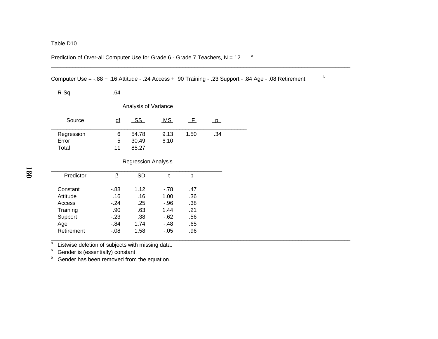## Prediction of Over-all Computer Use for Grade 6 - Grade 7 Teachers,  $N = 12$ <sup>a</sup>

Computer Use = -.88 + .16 Attitude - .24 Access + .90 Training - .23 Support - .84 Age - .08 Retirement <sup>b</sup>

\_\_\_\_\_\_\_\_\_\_\_\_\_\_\_\_\_\_\_\_\_\_\_\_\_\_\_\_\_\_\_\_\_\_\_\_\_\_\_\_\_\_\_\_\_\_\_\_\_\_\_\_\_\_\_\_\_\_\_\_\_\_\_\_\_\_\_\_\_\_\_\_\_\_\_\_\_\_\_\_\_\_\_\_\_\_\_\_\_\_\_\_\_\_\_\_\_\_

| $R-Sq$                      | .64              |                            |        |              |              |  |  |  |  |
|-----------------------------|------------------|----------------------------|--------|--------------|--------------|--|--|--|--|
| <b>Analysis of Variance</b> |                  |                            |        |              |              |  |  |  |  |
| Source                      | $\underline{df}$ | $\_SS$                     | MS     | E            | $\mathsf{p}$ |  |  |  |  |
| Regression                  | 6                | 54.78                      | 9.13   | 1.50         | .34          |  |  |  |  |
| Error                       | 5                | 30.49                      | 6.10   |              |              |  |  |  |  |
| Total                       | 11               | 85.27                      |        |              |              |  |  |  |  |
|                             |                  |                            |        |              |              |  |  |  |  |
|                             |                  | <b>Regression Analysis</b> |        |              |              |  |  |  |  |
| Predictor                   | ⊥£               | SD                         | t.     | <sub>p</sub> |              |  |  |  |  |
| Constant                    | $-0.88$          | 1.12                       | $-78$  | .47          |              |  |  |  |  |
| Attitude                    | .16              | .16                        | 1.00   | .36          |              |  |  |  |  |
| Access                      | $-.24$           | .25                        | $-.96$ | .38          |              |  |  |  |  |
| Training                    | .90              | .63                        | 1.44   | .21          |              |  |  |  |  |
| Support                     | $-.23$           | .38                        | $-.62$ | .56          |              |  |  |  |  |
| Age                         | $-0.84$          | 1.74                       | $-.48$ | .65          |              |  |  |  |  |
| Retirement                  | $-.08$           | 1.58                       | $-.05$ | .96          |              |  |  |  |  |

 $\frac{a}{b}$  Listwise deletion of subjects with missing data.<br>  $\frac{b}{c}$  Gender is (essentially) constant.<br>  $\frac{b}{c}$  Gender has been removed from the equation.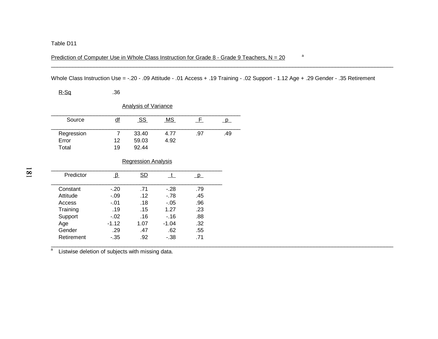Prediction of Computer Use in Whole Class Instruction for Grade 8 - Grade 9 Teachers,  $N = 20$ <sup>a</sup>

Whole Class Instruction Use = -.20 - .09 Attitude - .01 Access + .19 Training - .02 Support - 1.12 Age + .29 Gender - .35 Retirement

 $.55$ 

 $.71$ 

| <u>R-Sq</u>                 | .36               |                            |              |                         |              |  |  |  |
|-----------------------------|-------------------|----------------------------|--------------|-------------------------|--------------|--|--|--|
| <b>Analysis of Variance</b> |                   |                            |              |                         |              |  |  |  |
| Source                      | $\underline{df}$  | SS                         | MS           | F                       | $\mathsf{p}$ |  |  |  |
| Regression                  | 7                 | 33.40                      | 4.77         | .97                     | .49          |  |  |  |
| Error                       | $12 \overline{ }$ | 59.03                      | 4.92         |                         |              |  |  |  |
| Total                       | 19                | 92.44                      |              |                         |              |  |  |  |
|                             |                   | <b>Regression Analysis</b> |              |                         |              |  |  |  |
| Predictor                   | ழ                 | SD                         | $\mathsf{t}$ | $\overline{\mathsf{p}}$ |              |  |  |  |
| Constant                    | $-.20$            | .71                        | $-.28$       | .79                     |              |  |  |  |
| Attitude                    | $-.09$            | .12                        | $-.78$       | .45                     |              |  |  |  |
| Access                      | $-.01$            | .18                        | $-.05$       | .96                     |              |  |  |  |
| Training                    | .19               | .15                        | 1.27         | .23                     |              |  |  |  |
| Support                     | $-.02$            | .16                        | $-16$        | .88                     |              |  |  |  |
| Age                         | $-1.12$           | 1.07                       | $-1.04$      | .32                     |              |  |  |  |

a<br>a Listwise deletion of subjects with missing data. a

Gender .29 .47 .62

Retirement -.35 .92 -.38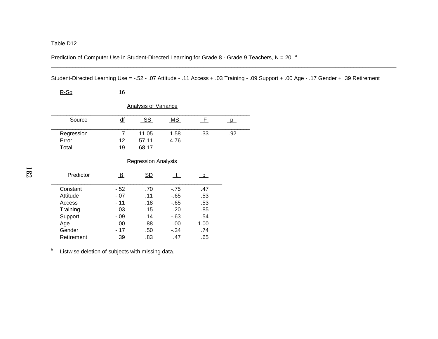Prediction of Computer Use in Student-Directed Learning for Grade 8 - Grade 9 Teachers, N = 20 **<sup>a</sup>**

Student-Directed Learning Use = -.52 - .07 Attitude - .11 Access + .03 Training - .09 Support + .00 Age - .17 Gender + .39 Retirement

\_\_\_\_\_\_\_\_\_\_\_\_\_\_\_\_\_\_\_\_\_\_\_\_\_\_\_\_\_\_\_\_\_\_\_\_\_\_\_\_\_\_\_\_\_\_\_\_\_\_\_\_\_\_\_\_\_\_\_\_\_\_\_\_\_\_\_\_\_\_\_\_\_\_\_\_\_\_\_\_\_\_\_\_\_\_\_\_\_\_\_\_\_\_\_\_\_\_\_\_\_\_\_\_\_\_\_\_\_\_\_\_\_

| $R-Sq$     | .16                    |                             |        |              |     |
|------------|------------------------|-----------------------------|--------|--------------|-----|
|            |                        | <b>Analysis of Variance</b> |        |              |     |
| Source     | $\underline{df}$       | <u>_SS_</u>                 | MS     | <u>_E</u>    | p   |
| Regression | $\overline{7}$         | 11.05                       | 1.58   | .33          | .92 |
| Error      | 12                     | 57.11                       | 4.76   |              |     |
| Total      | 19                     | 68.17                       |        |              |     |
|            |                        | <b>Regression Analysis</b>  |        |              |     |
| Predictor  | $\frac{\beta}{\alpha}$ | SD                          | t      | $\mathsf{p}$ |     |
| Constant   | $-52$                  | .70                         | $-75$  | .47          |     |
| Attitude   | $-.07$                 | .11                         | -.65   | .53          |     |
| Access     | $-.11$                 | .18                         | -.65   | .53          |     |
| Training   | .03                    | .15                         | .20    | .85          |     |
| Support    | $-.09$                 | .14                         | $-63$  | .54          |     |
| Age        | .00                    | .88                         | .00.   | 1.00         |     |
| Gender     | $-.17$                 | .50                         | $-.34$ | .74          |     |
| Retirement | .39                    | .83                         | .47    | .65          |     |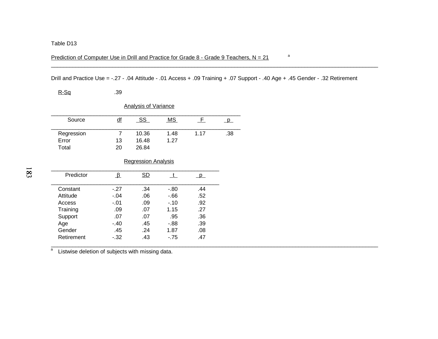Prediction of Computer Use in Drill and Practice for Grade 8 - Grade 9 Teachers,  $N = 21$ <sup>a</sup>

Drill and Practice Use = -.27 - .04 Attitude - .01 Access + .09 Training + .07 Support - .40 Age + .45 Gender - .32 Retirement

| $R-Sq$                       | .39                     |                             |              |              |              |
|------------------------------|-------------------------|-----------------------------|--------------|--------------|--------------|
|                              |                         | <b>Analysis of Variance</b> |              |              |              |
| Source                       | df                      | <u>SS</u>                   | MS           | $\mathsf{F}$ | $\mathsf{p}$ |
| Regression<br>Error<br>Total | 7<br>13<br>20           | 10.36<br>16.48<br>26.84     | 1.48<br>1.27 | 1.17         | .38          |
|                              |                         | <b>Regression Analysis</b>  |              |              |              |
| Predictor                    | $\overline{\mathbb{F}}$ | SD                          | t            | <u>_p_</u>   |              |
| Constant                     | $-.27$                  | .34                         | $-.80$       | .44          |              |
| Attitude                     | $-.04$                  | .06                         | $-66$        | .52          |              |
| Access                       | $-.01$                  | .09                         | $-.10$       | .92          |              |
| Training                     | .09                     | .07                         | 1.15         | .27          |              |
|                              |                         |                             |              |              |              |

# Support .07 .07 .95 .36<br>Age .40 .45 .88 .39 Age -.40 .45 -.88 .39 Gender .45 .24 1.87  $.08$ Retirement -.32 .43 -.75  $.47$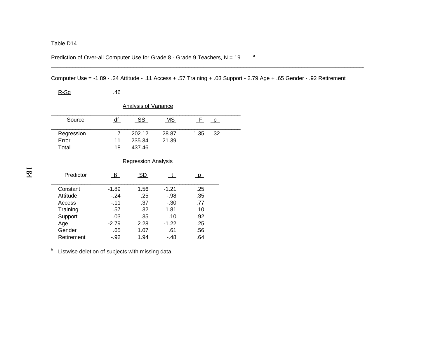### Prediction of Over-all Computer Use for Grade 8 - Grade 9 Teachers,  $N = 19$  and

Computer Use = -1.89 - .24 Attitude - .11 Access + .57 Training + .03 Support - 2.79 Age + .65 Gender - .92 Retirement

\_\_\_\_\_\_\_\_\_\_\_\_\_\_\_\_\_\_\_\_\_\_\_\_\_\_\_\_\_\_\_\_\_\_\_\_\_\_\_\_\_\_\_\_\_\_\_\_\_\_\_\_\_\_\_\_\_\_\_\_\_\_\_\_\_\_\_\_\_\_\_\_\_\_\_\_\_\_\_\_\_\_\_\_\_\_\_\_\_\_\_\_\_\_\_\_\_\_\_\_\_\_\_

 $R-Sq$  .46 Analysis of Variance Source df SS MS F p Regression 7 202.12 28.87 1.35 .32<br>Error 11 235.34 21.39 11 235.34 Total 18 437.46 Regression Analysis Predictor r <u>β SD t</u> p

| Predictor  |         | SD.  |         |     |  |
|------------|---------|------|---------|-----|--|
| Constant   | $-1.89$ | 1.56 | $-1.21$ | .25 |  |
| Attitude   | $-.24$  | .25  | $-.98$  | .35 |  |
| Access     | $-.11$  | .37  | $-0.30$ | .77 |  |
| Training   | .57     | .32  | 1.81    | .10 |  |
| Support    | .03     | .35  | .10     | .92 |  |
| Age        | $-2.79$ | 2.28 | $-1.22$ | .25 |  |
| Gender     | .65     | 1.07 | .61     | .56 |  |
| Retirement | $-.92$  | 1.94 | $-48$   | .64 |  |
|            |         |      |         |     |  |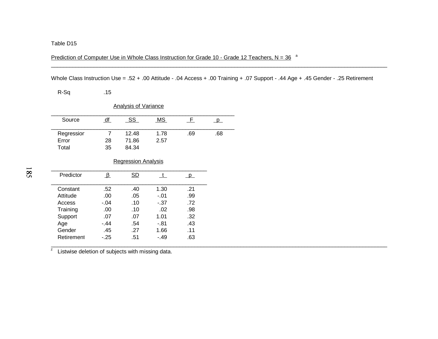Prediction of Computer Use in Whole Class Instruction for Grade 10 - Grade 12 Teachers,  $N = 36^{-a}$ 

Whole Class Instruction Use = .52 + .00 Attitude - .04 Access + .00 Training + .07 Support - .44 Age + .45 Gender - .25 Retirement

\_\_\_\_\_\_\_\_\_\_\_\_\_\_\_\_\_\_\_\_\_\_\_\_\_\_\_\_\_\_\_\_\_\_\_\_\_\_\_\_\_\_\_\_\_\_\_\_\_\_\_\_\_\_\_\_\_\_\_\_\_\_\_\_\_\_\_\_\_\_\_\_\_\_\_\_\_\_\_\_\_\_\_\_\_\_\_\_\_\_\_\_\_\_\_\_\_\_\_\_\_\_\_\_\_\_\_\_\_\_

R-Sq .15

| <b>Analysis of Variance</b> |    |       |      |     |     |  |  |
|-----------------------------|----|-------|------|-----|-----|--|--|
| Source                      | df | SS    | MS.  | H.  |     |  |  |
| Regressior                  |    | 12.48 | 1.78 | .69 | .68 |  |  |
| Error                       | 28 | 71.86 | 2.57 |     |     |  |  |
| Total                       | 35 | 84.34 |      |     |     |  |  |

### Regression Analysis

|        | SD  |        |     |
|--------|-----|--------|-----|
| .52    | .40 | 1.30   | .21 |
| .00    | .05 | $-.01$ | .99 |
| $-.04$ | .10 | $-.37$ | .72 |
| .00    | .10 | .02    | .98 |
| .07    | .07 | 1.01   | .32 |
| $-.44$ | .54 | -.81   | .43 |
| .45    | .27 | 1.66   | .11 |
| $-25$  | .51 | $-.49$ | .63 |
|        |     |        |     |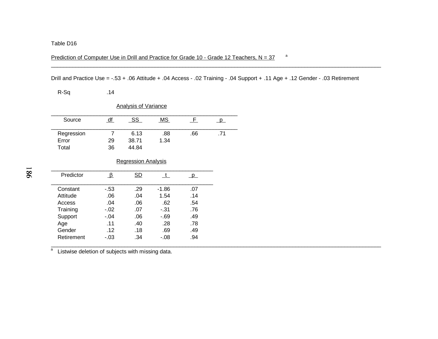Prediction of Computer Use in Drill and Practice for Grade 10 - Grade 12 Teachers,  $N = 37$  a

Drill and Practice Use = -.53 + .06 Attitude + .04 Access - .02 Training - .04 Support + .11 Age + .12 Gender - .03 Retirement

\_\_\_\_\_\_\_\_\_\_\_\_\_\_\_\_\_\_\_\_\_\_\_\_\_\_\_\_\_\_\_\_\_\_\_\_\_\_\_\_\_\_\_\_\_\_\_\_\_\_\_\_\_\_\_\_\_\_\_\_\_\_\_\_\_\_\_\_\_\_\_\_\_\_\_\_\_\_\_\_\_\_\_\_\_\_\_\_\_\_\_\_\_\_\_\_\_\_\_\_\_\_\_\_\_\_\_\_

R-Sq .14

| <b>Analysis of Variance</b> |    |       |      |      |     |  |  |
|-----------------------------|----|-------|------|------|-----|--|--|
| Source                      | df | - SS  | MS.  | . E. |     |  |  |
| Regression                  |    | 6.13  | .88  | .66  | .71 |  |  |
| Error                       | 29 | 38.71 | 1.34 |      |     |  |  |
| Total                       | 36 | 44.84 |      |      |     |  |  |

### Regression Analysis

| Predictor  |        | SD  |         |     |
|------------|--------|-----|---------|-----|
| Constant   | $-53$  | .29 | $-1.86$ | .07 |
| Attitude   | .06    | .04 | 1.54    | .14 |
| Access     | .04    | .06 | .62     | .54 |
| Training   | $-.02$ | .07 | $-31$   | .76 |
| Support    | $-.04$ | .06 | $-69$   | .49 |
| Age        | .11    | .40 | .28     | .78 |
| Gender     | .12    | .18 | .69     | .49 |
| Retirement | $-.03$ | .34 | $-.08$  | .94 |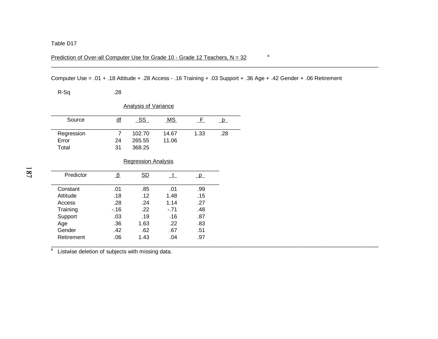## Prediction of Over-all Computer Use for Grade 10 - Grade 12 Teachers,  $N = 32$ <sup>a</sup>

Computer Use = .01 + .18 Attitude + .28 Access - .16 Training + .03 Support + .36 Age + .42 Gender + .06 Retirement

 $.97$ 

\_\_\_\_\_\_\_\_\_\_\_\_\_\_\_\_\_\_\_\_\_\_\_\_\_\_\_\_\_\_\_\_\_\_\_\_\_\_\_\_\_\_\_\_\_\_\_\_\_\_\_\_\_\_\_\_\_\_\_\_\_\_\_\_\_\_\_\_\_\_\_\_\_\_\_\_\_\_\_\_\_\_\_\_\_\_\_\_\_\_\_\_\_\_\_\_\_\_\_\_\_\_\_\_\_\_\_\_

| R-Sq       | .28                       |                             |        |          |     |
|------------|---------------------------|-----------------------------|--------|----------|-----|
|            |                           | <b>Analysis of Variance</b> |        |          |     |
| Source     | $\underline{df}$          | <u>_SS_</u>                 | MS     | E        | p   |
| Regression | 7                         | 102.70                      | 14.67  | 1.33     | .28 |
| Error      | 24                        | 265.55                      | 11.06  |          |     |
| Total      | 31                        | 368.25                      |        |          |     |
|            |                           | <b>Regression Analysis</b>  |        |          |     |
| Predictor  | $\mathbf{\mathbf{\beta}}$ | SD                          | t      | $\Box$ p |     |
| Constant   | .01                       | .85                         | .01    | .99      |     |
| Attitude   | .18                       | .12                         | 1.48   | .15      |     |
| Access     | .28                       | .24                         | 1.14   | .27      |     |
| Training   | $-16$                     | .22                         | $-.71$ | .48      |     |
| Support    | .03                       | .19                         | .16    | .87      |     |
| Age        | .36                       | 1.63                        | .22    | .83      |     |
| Gender     | .42                       | .62                         | .67    | .51      |     |

a<br>a Listwise deletion of subjects with missing data.

Retirement .06 1.43 .04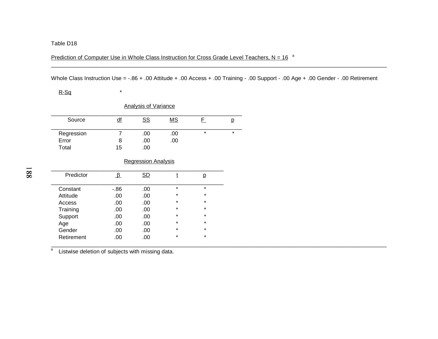Prediction of Computer Use in Whole Class Instruction for Cross Grade Level Teachers,  $N = 16^{-a}$ 

Whole Class Instruction Use = -.86 + .00 Attitude + .00 Access + .00 Training - .00 Support - .00 Age + .00 Gender - .00 Retirement

\_\_\_\_\_\_\_\_\_\_\_\_\_\_\_\_\_\_\_\_\_\_\_\_\_\_\_\_\_\_\_\_\_\_\_\_\_\_\_\_\_\_\_\_\_\_\_\_\_\_\_\_\_\_\_\_\_\_\_\_\_\_\_\_\_\_\_\_\_\_\_\_\_\_\_\_\_\_\_\_\_\_\_\_\_\_\_\_\_\_\_\_\_\_\_\_\_\_\_\_\_\_\_\_\_\_\_\_\_

## $R-Sq$   $*$

|            |    | <b>Analysis of Variance</b> |     |         |         |
|------------|----|-----------------------------|-----|---------|---------|
| Source     | df | <u>SS</u>                   | MS  |         |         |
| Regression |    | .00                         | .00 | $\star$ | $\star$ |
| Error      |    | .00                         | .00 |         |         |
| Total      | 15 | .00                         |     |         |         |

### Regression Analysis

| Predictor  |      | SD  |         |         |
|------------|------|-----|---------|---------|
| Constant   | -.86 | .00 | $\star$ | $\star$ |
| Attitude   | .00  | .00 | $\star$ | $\star$ |
| Access     | .00  | .00 | $\star$ | $\star$ |
| Training   | .00  | .00 | $\star$ | $\star$ |
| Support    | .00  | .00 | $\star$ | $\star$ |
| Age        | .00  | .00 | $\star$ | $\star$ |
| Gender     | .00  | .00 | $\star$ | $\star$ |
| Retirement | .00  | .00 | $\star$ | $\star$ |
|            |      |     |         |         |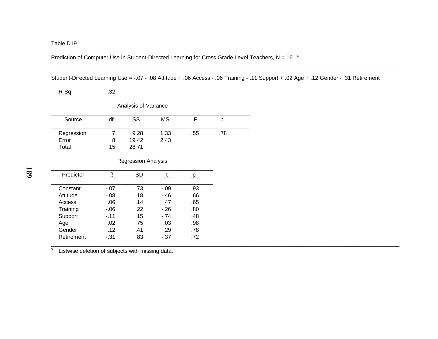Prediction of Computer Use in Student-Directed Learning for Cross Grade Level Teachers,  $N = 16^{-a}$ 

Student-Directed Learning Use = -.07 - .08 Attitude + .06 Access - .06 Training - .11 Support + .02 Age + .12 Gender - .31 Retirement

 $.78$ 

| <u>R-Sq</u> | .32       |                             |        |              |          |  |
|-------------|-----------|-----------------------------|--------|--------------|----------|--|
|             |           | <b>Analysis of Variance</b> |        |              |          |  |
| Source      | df        | <u>_SS_</u>                 | MS     | $\mathsf{F}$ | $\Box$ p |  |
| Regression  | 7         | 9.28                        | 1.33   | .55          | .78      |  |
| Error       | 8         | 19.42                       | 2.43   |              |          |  |
| Total       | 15        | 28.71                       |        |              |          |  |
|             |           | <b>Regression Analysis</b>  |        |              |          |  |
| Predictor   | <u>_β</u> | SD                          | t      | <sub>p</sub> |          |  |
| Constant    | $-.07$    | .73                         | $-.09$ | .93          |          |  |
| Attitude    | -.08      | .18                         | $-.46$ | .66          |          |  |
| Access      | .06       | .14                         | .47    | .65          |          |  |
| Training    | -.06      | .22                         | $-26$  | .80          |          |  |

Training -.06 .22 -.26 .80 Support -.11 .15 -.74 .48<br>Age .02 .75 .03 .98 Age .02 .75 .03 .98 Gender .12 .41 .29

Retirement -.31 .83 -.37 .72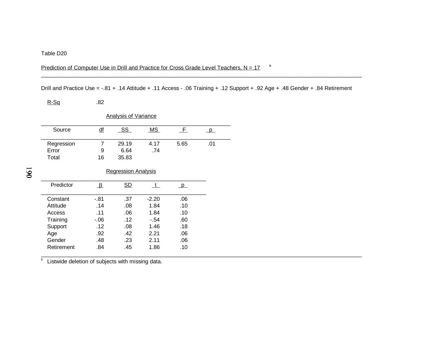## Prediction of Computer Use in Drill and Practice for Cross Grade Level Teachers,  $N = 17$ <sup>a</sup>

Drill and Practice Use = -.81 + .14 Attitude + .11 Access - .06 Training + .12 Support + .92 Age + .48 Gender + .84 Retirement

\_\_\_\_\_\_\_\_\_\_\_\_\_\_\_\_\_\_\_\_\_\_\_\_\_\_\_\_\_\_\_\_\_\_\_\_\_\_\_\_\_\_\_\_\_\_\_\_\_\_\_\_\_\_\_\_\_\_\_\_\_\_\_\_\_\_\_\_\_\_\_\_\_\_\_\_\_\_\_\_\_\_\_\_\_\_\_\_\_\_\_\_\_\_\_\_\_\_\_\_\_\_\_\_\_

 $R-Sq$  .82

| <b>Analysis of Variance</b> |                            |                            |             |          |          |  |
|-----------------------------|----------------------------|----------------------------|-------------|----------|----------|--|
| Source                      | df                         | SS                         | MS          | $\_F$    | <b>p</b> |  |
| Regression<br>Error         | 7<br>9                     | 29.19<br>6.64              | 4.17<br>.74 | 5.65     | .01      |  |
| Total                       | 16                         | 35.83                      |             |          |          |  |
|                             |                            | <b>Regression Analysis</b> |             |          |          |  |
| Predictor                   | $\mathbf{\mathbf{\Delta}}$ | SD                         | t.          | $\Box$ p |          |  |
| Constant                    | $-0.81$                    | .37                        | $-2.20$     | .06      |          |  |
| Attitude                    | .14                        | .08                        | 1.84        | .10      |          |  |
| Access                      | .11                        | .06                        | 1.84        | .10      |          |  |
| Training                    | $-0.06$                    | .12                        | $-.54$      | .60      |          |  |
| Support                     | .12                        | .08                        | 1.46        | .18      |          |  |
| Age                         | .92                        | .42                        | 2.21        | .06      |          |  |
| Gender                      | .48                        | .23                        | 2.11        | .06      |          |  |
| Retirement                  | .84                        | .45                        | 1.86        | .10      |          |  |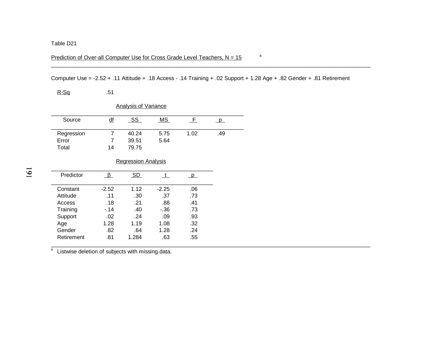## Prediction of Over-all Computer Use for Cross Grade Level Teachers,  $N = 15$ <sup>a</sup>

## Computer Use = -2.52 + .11 Attitude + .18 Access - .14 Training + .02 Support + 1.28 Age + .82 Gender + .81 Retirement

\_\_\_\_\_\_\_\_\_\_\_\_\_\_\_\_\_\_\_\_\_\_\_\_\_\_\_\_\_\_\_\_\_\_\_\_\_\_\_\_\_\_\_\_\_\_\_\_\_\_\_\_\_\_\_\_\_\_\_\_\_\_\_\_\_\_\_\_\_\_\_\_\_\_\_\_\_\_\_\_\_\_\_\_\_\_\_\_\_\_\_\_\_\_\_\_\_\_\_\_\_\_\_\_\_

R-Sq .51

| <b>Analysis of Variance</b> |                  |       |      |      |     |  |
|-----------------------------|------------------|-------|------|------|-----|--|
| Source                      | $\underline{df}$ | -SS   | MS.  | H.   |     |  |
| Regression                  |                  | 40.24 | 5.75 | 1.02 | .49 |  |
| Error                       |                  | 39.51 | 5.64 |      |     |  |
| Total                       | 14               | 79.75 |      |      |     |  |

### Regression Analysis

| Predictor  |         | SD    |         |     |  |
|------------|---------|-------|---------|-----|--|
| Constant   | $-2.52$ | 1.12  | $-2.25$ | .06 |  |
| Attitude   | .11     | .30   | .37     | .73 |  |
| Access     | .18     | -21   | .88     | .41 |  |
| Training   | $-.14$  | .40   | - 36    | .73 |  |
| Support    | .02     | .24   | .09     | .93 |  |
| Age        | 1.28    | 1.19  | 1.08    | .32 |  |
| Gender     | .82     | .64   | 1.28    | .24 |  |
| Retirement | .81     | 1.284 | .63     | .55 |  |
|            |         |       |         |     |  |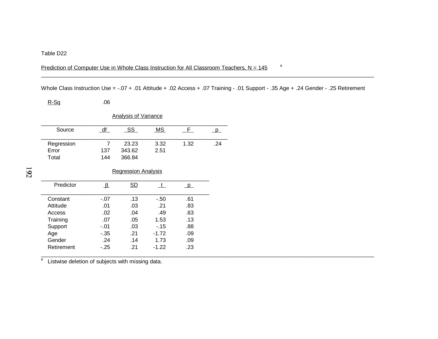### Prediction of Computer Use in Whole Class Instruction for All Classroom Teachers,  $N = 145$ <sup>a</sup>

Whole Class Instruction Use = -.07 + .01 Attitude + .02 Access + .07 Training - .01 Support - .35 Age + .24 Gender - .25 Retirement

 $.09$ 

 $R-Sq$  .06

| <b>Analysis of Variance</b>  |                       |                            |              |              |              |  |
|------------------------------|-----------------------|----------------------------|--------------|--------------|--------------|--|
| Source                       | df                    | <u>_SS_</u>                | MS           | F.           | $\mathsf{p}$ |  |
| Regression<br>Error<br>Total | 7<br>137<br>144       | 23.23<br>343.62<br>366.84  | 3.32<br>2.51 | 1.32         | .24          |  |
|                              |                       | <b>Regression Analysis</b> |              |              |              |  |
| Predictor                    | $\mathbf{\mathbb{F}}$ | SD                         | t            | $\mathsf{p}$ |              |  |
| Constant                     | $-.07$                | .13                        | -.50         | .61          |              |  |
| Attitude                     | .01                   | .03                        | .21          | .83          |              |  |
| Access                       | .02                   | .04                        | .49          | .63          |              |  |
| Training                     | .07                   | .05                        | 1.53         | .13          |              |  |
| Support                      | $-.01$                | .03                        | $-15$        | .88          |              |  |
| Age                          | $-35$                 | .21                        | $-1.72$      | .09          |              |  |

Age -.35 .21 -1.72 .09

Retirement -.25 .21 -1.22 .23

a<br>a Listwise deletion of subjects with missing data. a

Gender .24 .14 1.73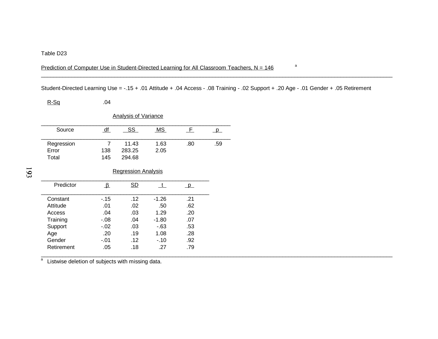## Prediction of Computer Use in Student-Directed Learning for All Classroom Teachers,  $N = 146$ <sup>a</sup>

Student-Directed Learning Use = -.15 + .01 Attitude + .04 Access - .08 Training - .02 Support + .20 Age - .01 Gender + .05 Retirement

 $.92$ 

 $R-Sq$  .04

|            |                            | <b>Analysis of Variance</b> |           |              |     |
|------------|----------------------------|-----------------------------|-----------|--------------|-----|
| Source     | df                         | SS                          | <b>MS</b> | F.           | D   |
| Regression | 7                          | 11.43                       | 1.63      | .80          | .59 |
| Error      | 138                        | 283.25                      | 2.05      |              |     |
| Total      | 145                        | 294.68                      |           |              |     |
|            |                            | <b>Regression Analysis</b>  |           |              |     |
| Predictor  | $\mathbf{\mathbf{\Delta}}$ | SD                          | t.        | $\mathsf{p}$ |     |
| Constant   | $-.15$                     | .12                         | $-1.26$   | .21          |     |
| Attitude   | .01                        | .02                         | .50       | .62          |     |
| Access     | .04                        | .03                         | 1.29      | .20          |     |
| Training   | -.08                       | .04                         | -1.80     | .07          |     |
| Support    | $-.02$                     | .03                         | $-63$     | .53          |     |

Support -.02 .03 -.63 .53<br>Age .20 .19 1.08 .28 Age .20 .19 1.08 .28

Retirement .05 .18 .27 .79

a<br>a Listwise deletion of subjects with missing data. a

Gender -.01 .12 -.10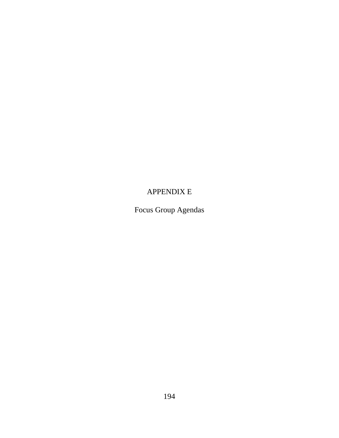# APPENDIX E

Focus Group Agendas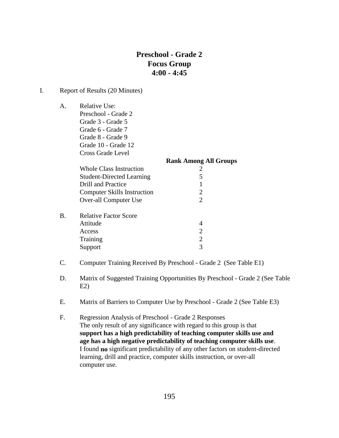# **Preschool - Grade 2 Focus Group 4:00 - 4:45**

### I. Report of Results (20 Minutes)

A. Relative Use: Preschool - Grade 2 Grade 3 - Grade 5

Grade 6 - Grade 7 Grade 8 - Grade 9 Grade 10 - Grade 12 Cross Grade Level

|    |                                    | <b>Rank Among All Groups</b>                                                                                                                                                                                                                                                                                                                                                                                                                                                        |
|----|------------------------------------|-------------------------------------------------------------------------------------------------------------------------------------------------------------------------------------------------------------------------------------------------------------------------------------------------------------------------------------------------------------------------------------------------------------------------------------------------------------------------------------|
|    | Whole Class Instruction            |                                                                                                                                                                                                                                                                                                                                                                                                                                                                                     |
|    | <b>Student-Directed Learning</b>   | 5                                                                                                                                                                                                                                                                                                                                                                                                                                                                                   |
|    | Drill and Practice                 |                                                                                                                                                                                                                                                                                                                                                                                                                                                                                     |
|    | <b>Computer Skills Instruction</b> | $\mathcal{D}_{\mathcal{L}}$                                                                                                                                                                                                                                                                                                                                                                                                                                                         |
|    | Over-all Computer Use              | $\mathcal{D}_{\mathcal{A}}^{\mathcal{A}}(\mathcal{A}) = \mathcal{D}_{\mathcal{A}}^{\mathcal{A}}(\mathcal{A}) = \mathcal{D}_{\mathcal{A}}^{\mathcal{A}}(\mathcal{A}) = \mathcal{D}_{\mathcal{A}}^{\mathcal{A}}(\mathcal{A}) = \mathcal{D}_{\mathcal{A}}^{\mathcal{A}}(\mathcal{A}) = \mathcal{D}_{\mathcal{A}}^{\mathcal{A}}(\mathcal{A}) = \mathcal{D}_{\mathcal{A}}^{\mathcal{A}}(\mathcal{A}) = \mathcal{D}_{\mathcal{A}}^{\mathcal{A}}(\mathcal{A}) = \mathcal{D}_{\mathcal{A}}$ |
| B. | <b>Relative Factor Score</b>       |                                                                                                                                                                                                                                                                                                                                                                                                                                                                                     |
|    | Attitude                           |                                                                                                                                                                                                                                                                                                                                                                                                                                                                                     |
|    | Access                             | $\mathcal{D}$                                                                                                                                                                                                                                                                                                                                                                                                                                                                       |
|    | Training                           | 2                                                                                                                                                                                                                                                                                                                                                                                                                                                                                   |
|    | Support                            | 3                                                                                                                                                                                                                                                                                                                                                                                                                                                                                   |

- C. Computer Training Received By Preschool Grade 2 (See Table E1)
- D. Matrix of Suggested Training Opportunities By Preschool Grade 2 (See Table  $E2$
- E. Matrix of Barriers to Computer Use by Preschool Grade 2 (See Table E3)
- F. Regression Analysis of Preschool Grade 2 Responses The only result of any significance with regard to this group is that **support has a high predictability of teaching computer skills use and age has a high negative predictability of teaching computer skills use**. I found **no** significant predictability of any other factors on student-directed learning, drill and practice, computer skills instruction, or over-all computer use.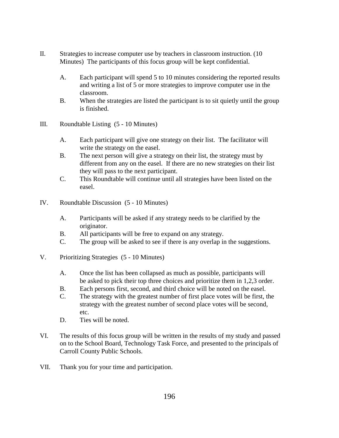- II. Strategies to increase computer use by teachers in classroom instruction. (10 Minutes) The participants of this focus group will be kept confidential.
	- A. Each participant will spend 5 to 10 minutes considering the reported results and writing a list of 5 or more strategies to improve computer use in the classroom.
	- B. When the strategies are listed the participant is to sit quietly until the group is finished.
- III. Roundtable Listing (5 10 Minutes)
	- A. Each participant will give one strategy on their list. The facilitator will write the strategy on the easel.
	- B. The next person will give a strategy on their list, the strategy must by different from any on the easel. If there are no new strategies on their list they will pass to the next participant.
	- C. This Roundtable will continue until all strategies have been listed on the easel.
- IV. Roundtable Discussion (5 10 Minutes)
	- A. Participants will be asked if any strategy needs to be clarified by the originator.
	- B. All participants will be free to expand on any strategy.
	- C. The group will be asked to see if there is any overlap in the suggestions.
- V. Prioritizing Strategies (5 10 Minutes)
	- A. Once the list has been collapsed as much as possible, participants will be asked to pick their top three choices and prioritize them in 1,2,3 order.
	- B. Each persons first, second, and third choice will be noted on the easel.
	- C. The strategy with the greatest number of first place votes will be first, the strategy with the greatest number of second place votes will be second, etc.
	- D. Ties will be noted.
- VI. The results of this focus group will be written in the results of my study and passed on to the School Board, Technology Task Force, and presented to the principals of Carroll County Public Schools.
- VII. Thank you for your time and participation.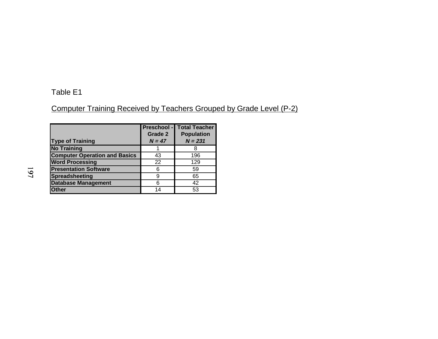## Table E1

# Computer Training Received by Teachers Grouped by Grade Level (P-2)

| <b>Type of Training</b>              | <b>Preschool -</b><br><b>Grade 2</b><br>$N = 47$ | <b>Total Teacher</b><br><b>Population</b><br>$N = 231$ |
|--------------------------------------|--------------------------------------------------|--------------------------------------------------------|
| <b>No Training</b>                   |                                                  |                                                        |
| <b>Computer Operation and Basics</b> | 43                                               | 196                                                    |
| <b>Word Processing</b>               | 22                                               | 129                                                    |
| <b>Presentation Software</b>         | 6                                                | 59                                                     |
| <b>Spreadsheeting</b>                | 9                                                | 65                                                     |
| <b>Database Management</b>           | 6                                                | 42                                                     |
| <b>Other</b>                         | 14                                               | 53                                                     |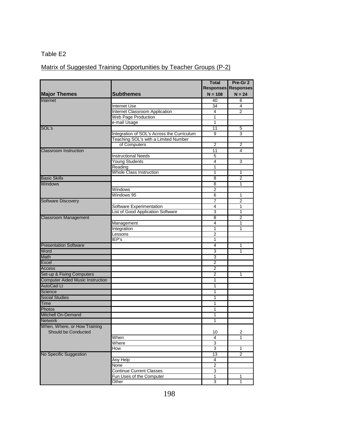### Matrix of Suggested Training Opportunities by Teacher Groups (P-2)

|                                         |                                            | <b>Total</b>            | Pre-Gr 2                   |
|-----------------------------------------|--------------------------------------------|-------------------------|----------------------------|
|                                         |                                            |                         | <b>Responses Responses</b> |
| <b>Major Themes</b>                     | <b>Subthemes</b>                           | $N = 108$               | $N = 24$                   |
| Internet                                |                                            | 40                      | 6                          |
|                                         | Internet Use                               | 34                      | 4                          |
|                                         | <b>Internet Classroom Application</b>      | 4                       | $\overline{2}$             |
|                                         | <b>Web Page Production</b>                 | $\mathbf{1}$            |                            |
|                                         | e-mail Usage                               | 1                       |                            |
| SOL's                                   |                                            | 11                      | 5                          |
|                                         | Integration of SOL's Across the Curriculum | 9                       | 3                          |
|                                         | Teaching SOL's with a Limited Number       |                         |                            |
|                                         | of Computers                               | $\overline{2}$          | 2                          |
| <b>Classroom Instruction</b>            |                                            | 11                      | 4                          |
|                                         | <b>Instructional Needs</b>                 | 5                       |                            |
|                                         | Young Students                             | $\overline{4}$          | 3                          |
|                                         | Reading                                    | 1                       |                            |
|                                         | <b>Whole Class Instruction</b>             | 1                       | 1                          |
| <b>Basic Skills</b>                     |                                            | $\overline{8}$          | $\overline{2}$             |
| <b>Windows</b>                          |                                            | $\overline{\mathbf{8}}$ | 1                          |
|                                         | Windows                                    | 2                       |                            |
|                                         | Windows 95                                 | 6                       | 1                          |
| <b>Software Discovery</b>               |                                            | 7                       | $\overline{2}$             |
|                                         | Software Experimentation                   | 4                       | 1                          |
|                                         | List of Good Application Software          | 3                       | 1                          |
| <b>Classroom Management</b>             |                                            | $\overline{8}$          | $\overline{2}$             |
|                                         | Management                                 | 4                       | 1                          |
|                                         | Integration                                | 1                       | 1                          |
|                                         | Lessons                                    | $\overline{2}$          |                            |
|                                         | EPIS                                       | 1                       |                            |
| <b>Presentation Software</b>            |                                            | 4                       | 1                          |
| Word                                    |                                            | 3                       | 1                          |
| Math                                    |                                            | 3                       |                            |
| Excel                                   |                                            | $\overline{2}$          |                            |
| <b>Access</b>                           |                                            | 2                       |                            |
| Set-up & Fixing Computers               |                                            | $\overline{2}$          | 1                          |
| <b>Computer Aided Music Instruction</b> |                                            | 1                       |                            |
| <b>AutoCad Lt</b>                       |                                            | 1                       |                            |
| Science                                 |                                            | 1                       |                            |
| <b>Social Studies</b>                   |                                            | 1                       |                            |
| <b>Time</b>                             |                                            | 1                       |                            |
| Photos                                  |                                            | 1                       |                            |
| <b>Mitchell On-Demand</b>               |                                            | 1                       |                            |
| <b>Network</b>                          |                                            | 1                       |                            |
| When, Where, or How Training            |                                            |                         |                            |
| Should be Conducted                     |                                            | 10                      | 2                          |
|                                         | When                                       | 4                       | 1                          |
|                                         | Where                                      | 3                       |                            |
|                                         | How                                        | 3                       | 1                          |
| No Specific Suggestion                  |                                            | 13                      | 2                          |
|                                         | Any Help                                   | 4                       |                            |
|                                         | None                                       | $\overline{2}$          |                            |
|                                         | <b>Continue Current Classes</b>            | 3                       |                            |
|                                         | Fun Uses of the Computer                   | 1                       | 1                          |
|                                         | Other                                      | 3                       | $\mathbf{1}$               |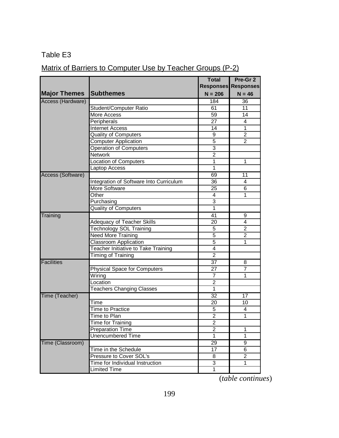# Matrix of Barriers to Computer Use by Teacher Groups (P-2)

|                     |                                            | <b>Total</b>    | Pre-Gr <sub>2</sub>        |
|---------------------|--------------------------------------------|-----------------|----------------------------|
|                     |                                            |                 | <b>Responses Responses</b> |
| <b>Major Themes</b> | <b>Subthemes</b>                           | $N = 206$       | $N = 46$                   |
| Access (Hardware)   |                                            | 184             | 36                         |
|                     | Student/Computer Ratio                     | 61              | 11                         |
|                     | More Access                                | 59              | 14                         |
|                     | Peripherals                                | $\overline{27}$ | 4                          |
|                     | <b>Internet Access</b>                     | 14              | 1                          |
|                     | <b>Quality of Computers</b>                | 9               | $\overline{2}$             |
|                     | <b>Computer Application</b>                | $\overline{5}$  | $\overline{2}$             |
|                     | Operation of Computers                     | $\overline{3}$  |                            |
|                     | <b>Network</b>                             | $\overline{2}$  |                            |
|                     | <b>Location of Computers</b>               | 1               | 1                          |
|                     | <b>Laptop Access</b>                       | 1               |                            |
| Access (Software)   |                                            | 69              | 11                         |
|                     | Integration of Software Into Curriculum    | 36              | 4                          |
|                     | <b>More Software</b>                       | 25              | 6                          |
|                     | Other                                      | 4               | 1                          |
|                     | Purchasing                                 | $\overline{3}$  |                            |
|                     | <b>Quality of Computers</b>                | 1               |                            |
| Training            |                                            | 41              | 9                          |
|                     | Adequacy of Teacher Skills                 | 20              | $\overline{\mathbf{4}}$    |
|                     | Technology SOL Training                    | 5               | $\overline{2}$             |
|                     | <b>Need More Training</b>                  | 5               | $\overline{2}$             |
|                     | <b>Classroom Application</b>               | $\overline{5}$  | 1                          |
|                     | <b>Teacher Initiative to Take Training</b> | 4               |                            |
|                     | Timing of Training                         | $\overline{2}$  |                            |
| <b>Facilities</b>   |                                            | $\overline{37}$ | 8                          |
|                     | Physical Space for Computers               | 27              | 7                          |
|                     | Wiring                                     | 7               | 1                          |
|                     | Location                                   | 2               |                            |
|                     | <b>Teachers Changing Classes</b>           | 1               |                            |
| Time (Teacher)      |                                            | $\overline{32}$ | 17                         |
|                     | Time                                       | 20              | 10                         |
|                     | <b>Time to Practice</b>                    | 5               | 4                          |
|                     | Time to Plan                               | $\overline{2}$  | 1                          |
|                     | <b>Time for Training</b>                   | $\overline{2}$  |                            |
|                     | <b>Preparation Time</b>                    | $\mathbf 2$     | 1                          |
|                     | <b>Unencumbered Time</b>                   | $\mathbf{1}$    | $\mathbf{1}$               |
| Time (Classroom)    |                                            | 29              | 9                          |
|                     | Time in the Schedule                       | 17              | 6                          |
|                     | Pressure to Cover SOL's                    | 8               | $\overline{c}$             |
|                     | Time for Individual Instruction            | 3               | 1                          |
|                     | <b>Limited Time</b>                        | $\mathbf{1}$    |                            |

(*table continues*)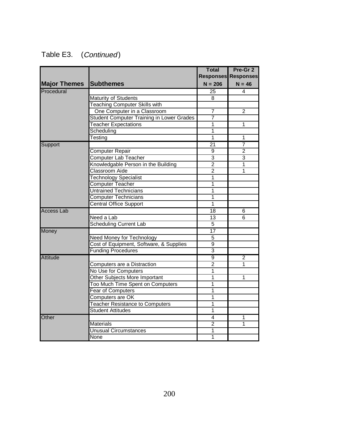| Table E3. | (Continued) |
|-----------|-------------|
|-----------|-------------|

|                     |                                                  | <b>Total</b>    | Pre-Gr 2                   |
|---------------------|--------------------------------------------------|-----------------|----------------------------|
|                     |                                                  |                 | <b>Responses Responses</b> |
| <b>Major Themes</b> | <b>Subthemes</b>                                 | $N = 206$       | $N = 46$                   |
| Procedural          |                                                  | 25              | 4                          |
|                     | Maturity of Students                             | 8               |                            |
|                     | <b>Teaching Computer Skills with</b>             |                 |                            |
|                     | One Computer in a Classroom                      | $\overline{7}$  | $\overline{2}$             |
|                     | <b>Student Computer Training in Lower Grades</b> | $\overline{7}$  |                            |
|                     | <b>Teacher Expectations</b>                      | 1               | 1                          |
|                     | Scheduling                                       | 1               |                            |
|                     | Testing                                          | 1               | 1                          |
| Support             |                                                  | $\overline{21}$ | 7                          |
|                     | Computer Repair                                  | 9               | $\overline{2}$             |
|                     | <b>Computer Lab Teacher</b>                      | $\overline{3}$  | 3                          |
|                     | Knowledgable Person in the Building              | $\overline{2}$  | 1                          |
|                     | <b>Classroom Aide</b>                            | $\overline{2}$  | 1                          |
|                     | <b>Technology Specialist</b>                     | 1               |                            |
|                     | <b>Computer Teacher</b>                          | 1               |                            |
|                     | <b>Untrained Technicians</b>                     | $\overline{1}$  |                            |
|                     | <b>Computer Technicians</b>                      | 1               |                            |
|                     | Central Office Support                           | 1               |                            |
| <b>Access Lab</b>   |                                                  | $\overline{18}$ | 6                          |
|                     | Need a Lab                                       | 13              | 6                          |
|                     | <b>Scheduling Current Lab</b>                    | $\overline{5}$  |                            |
| Money               |                                                  | $\overline{17}$ |                            |
|                     | Need Money for Technology                        | $\overline{5}$  |                            |
|                     | Cost of Equipment, Software, & Supplies          | $\overline{9}$  |                            |
|                     | <b>Funding Procedures</b>                        | $\overline{3}$  |                            |
| <b>Attitude</b>     |                                                  | $\overline{9}$  | 2                          |
|                     | Computers are a Distraction                      | $\overline{2}$  | 1                          |
|                     | No Use for Computers                             | 1               |                            |
|                     | Other Subjects More Important                    | 1               | 1                          |
|                     | Too Much Time Spent on Computers                 | 1               |                            |
|                     | Fear of Computers                                | 1               |                            |
|                     | Computers are OK                                 | 1               |                            |
|                     | <b>Teacher Resistance to Computers</b>           | 1               |                            |
|                     | <b>Student Attitudes</b>                         | 1               |                            |
| Other               |                                                  | 4               | 1                          |
|                     | <b>Materials</b>                                 | $\overline{2}$  | 1                          |
|                     | <b>Unusual Circumstances</b>                     | 1               |                            |
|                     | None                                             | 1               |                            |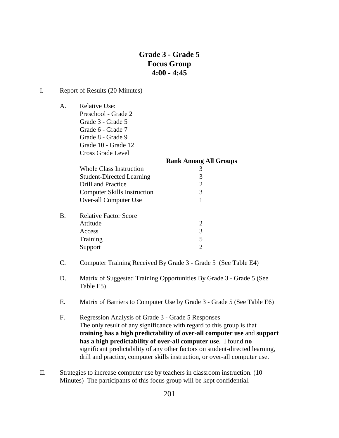## **Grade 3 - Grade 5 Focus Group 4:00 - 4:45**

#### I. Report of Results (20 Minutes)

A. Relative Use:

Preschool - Grade 2 Grade 3 - Grade 5 Grade 6 - Grade 7 Grade 8 - Grade 9 Grade 10 - Grade 12 Cross Grade Level

|    |                                    | <b>Rank Among All Groups</b> |
|----|------------------------------------|------------------------------|
|    | Whole Class Instruction            |                              |
|    | <b>Student-Directed Learning</b>   | 3                            |
|    | Drill and Practice                 | $\mathcal{D}_{\cdot}$        |
|    | <b>Computer Skills Instruction</b> | 3                            |
|    | Over-all Computer Use              |                              |
| B. | <b>Relative Factor Score</b>       |                              |
|    | Attitude                           | $\mathcal{D}_{\mathcal{L}}$  |
|    | Access                             | 3                            |
|    | Training                           | 5                            |
|    | Support                            |                              |

- C. Computer Training Received By Grade 3 Grade 5 (See Table E4)
- D. Matrix of Suggested Training Opportunities By Grade 3 Grade 5 (See Table E5)
- E. Matrix of Barriers to Computer Use by Grade 3 Grade 5 (See Table E6)
- F. Regression Analysis of Grade 3 Grade 5 Responses The only result of any significance with regard to this group is that **training has a high predictability of over-all computer use** and **support has a high predictability of over-all computer use**. I found **no**  significant predictability of any other factors on student-directed learning, drill and practice, computer skills instruction, or over-all computer use.
- II. Strategies to increase computer use by teachers in classroom instruction. (10 Minutes) The participants of this focus group will be kept confidential.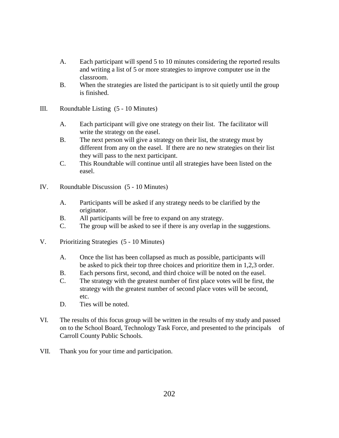- A. Each participant will spend 5 to 10 minutes considering the reported results and writing a list of 5 or more strategies to improve computer use in the classroom.
- B. When the strategies are listed the participant is to sit quietly until the group is finished.
- III. Roundtable Listing (5 10 Minutes)
	- A. Each participant will give one strategy on their list. The facilitator will write the strategy on the easel.
	- B. The next person will give a strategy on their list, the strategy must by different from any on the easel. If there are no new strategies on their list they will pass to the next participant.
	- C. This Roundtable will continue until all strategies have been listed on the easel.
- IV. Roundtable Discussion (5 10 Minutes)
	- A. Participants will be asked if any strategy needs to be clarified by the originator.
	- B. All participants will be free to expand on any strategy.
	- C. The group will be asked to see if there is any overlap in the suggestions.
- V. Prioritizing Strategies (5 10 Minutes)
	- A. Once the list has been collapsed as much as possible, participants will be asked to pick their top three choices and prioritize them in 1,2,3 order.
	- B. Each persons first, second, and third choice will be noted on the easel.
	- C. The strategy with the greatest number of first place votes will be first, the strategy with the greatest number of second place votes will be second, etc.
	- D. Ties will be noted.
- VI. The results of this focus group will be written in the results of my study and passed on to the School Board, Technology Task Force, and presented to the principals of Carroll County Public Schools.
- VII. Thank you for your time and participation.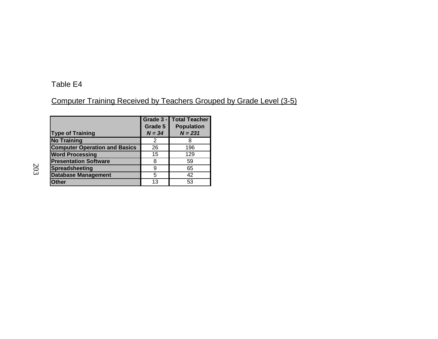# Computer Training Received by Teachers Grouped by Grade Level (3-5)

| <b>Type of Training</b>              | Grade 3 -<br>Grade 5<br>$N = 34$ | <b>Total Teacher</b><br><b>Population</b><br>$N = 231$ |
|--------------------------------------|----------------------------------|--------------------------------------------------------|
| <b>No Training</b>                   | 2                                |                                                        |
| <b>Computer Operation and Basics</b> | 26                               | 196                                                    |
| <b>Word Processing</b>               | 15                               | 129                                                    |
| <b>Presentation Software</b>         | 8                                | 59                                                     |
| Spreadsheeting                       | 9                                | 65                                                     |
| <b>Database Management</b>           | 5                                | 42                                                     |
| <b>Other</b>                         | 13                               | 53                                                     |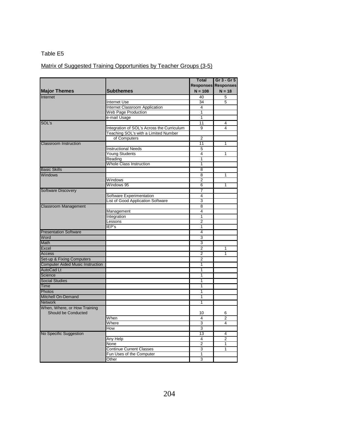## Matrix of Suggested Training Opportunities by Teacher Groups (3-5)

|                                         |                                            | <b>Total</b>            | Gr 3 - Gr 5                |
|-----------------------------------------|--------------------------------------------|-------------------------|----------------------------|
|                                         |                                            |                         | <b>Responses Responses</b> |
| <b>Major Themes</b>                     | <b>Subthemes</b>                           | $N = 108$               | $N = 18$                   |
| Internet                                |                                            | 40                      | 5                          |
|                                         | Internet Use                               | 34                      | 5                          |
|                                         | Internet Classroom Application             | 4                       |                            |
|                                         | Web Page Production                        | $\overline{1}$          |                            |
|                                         | e-mail Usage                               | 1                       |                            |
| SOL's                                   |                                            | $\overline{11}$         | 4                          |
|                                         | Integration of SOL's Across the Curriculum | 9                       | 4                          |
|                                         | Teaching SOL's with a Limited Number       |                         |                            |
|                                         | of Computers                               | $\overline{2}$          |                            |
| <b>Classroom Instruction</b>            |                                            | $\overline{11}$         | 1                          |
|                                         | <b>Instructional Needs</b>                 | 5                       |                            |
|                                         | <b>Young Students</b>                      | $\overline{\mathbf{4}}$ | 1                          |
|                                         | Reading                                    | $\overline{1}$          |                            |
|                                         | Whole Class Instruction                    | 1                       |                            |
| <b>Basic Skills</b>                     |                                            | 8                       |                            |
| <b>Windows</b>                          |                                            | $\overline{8}$          | 1                          |
|                                         | Windows                                    | 2                       |                            |
|                                         | Windows 95                                 | 6                       | 1                          |
| <b>Software Discovery</b>               |                                            | 7                       |                            |
|                                         | Software Experimentation                   | 4                       |                            |
|                                         | List of Good Application Software          | 3                       |                            |
| <b>Classroom Management</b>             |                                            | $\overline{8}$          |                            |
|                                         | Management                                 | 4                       |                            |
|                                         | Integration                                | 1                       |                            |
|                                         | Lessons                                    | $\overline{2}$          |                            |
|                                         | IEP's                                      | 1                       |                            |
| <b>Presentation Software</b>            |                                            | $\overline{4}$          |                            |
| Word                                    |                                            | 3                       |                            |
| Math                                    |                                            | 3                       |                            |
| Excel                                   |                                            | $\overline{2}$          | 1                          |
| <b>Access</b>                           |                                            | 2                       | 1                          |
| Set-up & Fixing Computers               |                                            | $\overline{2}$          |                            |
|                                         |                                            | 1                       |                            |
| <b>Computer Aided Music Instruction</b> |                                            |                         |                            |
| <b>AutoCad Lt</b>                       |                                            | 1                       |                            |
| Science                                 |                                            | 1                       |                            |
| <b>Social Studies</b>                   |                                            | $\overline{1}$          |                            |
| <b>Time</b>                             |                                            | 1                       |                            |
| <b>Photos</b>                           |                                            | 1                       |                            |
| Mitchell On-Demand                      |                                            | $\overline{1}$          |                            |
| <b>Network</b>                          |                                            | 1                       |                            |
| When, Where, or How Training            |                                            |                         |                            |
| Should be Conducted                     |                                            | 10                      | 6                          |
|                                         | When                                       | 4                       | 2                          |
|                                         | Where                                      | 3                       | 4                          |
|                                         | How                                        | 3                       |                            |
| No Specific Suggestion                  |                                            | 13                      | $\overline{4}$             |
|                                         | Any Help                                   | 4                       | $\overline{2}$             |
|                                         | None                                       | 2                       | 1                          |
|                                         | <b>Continue Current Classes</b>            | 3                       | 1                          |
|                                         | Fun Uses of the Computer                   | $\mathbf{1}$            |                            |
|                                         | Other                                      | 3                       |                            |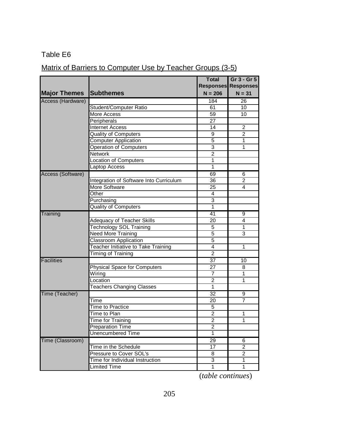# Matrix of Barriers to Computer Use by Teacher Groups (3-5)

|                     |                                            | <b>Total</b>    | Gr 3 - Gr 5                |
|---------------------|--------------------------------------------|-----------------|----------------------------|
|                     |                                            |                 | <b>Responses Responses</b> |
| <b>Major Themes</b> | <b>Subthemes</b>                           | $N = 206$       | $N = 31$                   |
| Access (Hardware)   |                                            | 184             | 26                         |
|                     | Student/Computer Ratio                     | 61              | 10                         |
|                     | More Access                                | 59              | 10                         |
|                     | Peripherals                                | 27              |                            |
|                     | <b>Internet Access</b>                     | 14              | $\overline{2}$             |
|                     | <b>Quality of Computers</b>                | 9               | $\overline{c}$             |
|                     | <b>Computer Application</b>                | $\overline{5}$  | 1                          |
|                     | Operation of Computers                     | $\overline{3}$  | 1                          |
|                     | Network                                    | $\overline{2}$  |                            |
|                     | Location of Computers                      | 1               |                            |
|                     | Laptop Access                              | 1               |                            |
| Access (Software)   |                                            | 69              | 6                          |
|                     | Integration of Software Into Curriculum    | 36              | 2                          |
|                     | More Software                              | 25              | 4                          |
|                     | Other                                      | 4               |                            |
|                     | Purchasing                                 | 3               |                            |
|                     | <b>Quality of Computers</b>                | $\mathbf{1}$    |                            |
| Training            |                                            | 41              | 9                          |
|                     | <b>Adequacy of Teacher Skills</b>          | 20              | 4                          |
|                     | <b>Technology SOL Training</b>             | 5               | 1                          |
|                     | <b>Need More Training</b>                  | 5               | 3                          |
|                     | Classroom Application                      | 5               |                            |
|                     | <b>Teacher Initiative to Take Training</b> | 4               | 1                          |
|                     | Timing of Training                         | $\overline{2}$  |                            |
| Facilities          |                                            | 37              | 10                         |
|                     | <b>Physical Space for Computers</b>        | 27              | 8                          |
|                     | Wiring                                     | $\overline{7}$  | $\overline{1}$             |
|                     | Location                                   | $\overline{2}$  | 1                          |
|                     | <b>Teachers Changing Classes</b>           | 1               |                            |
| Time (Teacher)      |                                            | 32              | 9                          |
|                     | Time                                       | 20              | $\overline{7}$             |
|                     | <b>Time to Practice</b>                    | $\overline{5}$  |                            |
|                     | Time to Plan                               | $\overline{2}$  | 1                          |
|                     | <b>Time for Training</b>                   | $\overline{2}$  | 1                          |
|                     | <b>Preparation Time</b>                    | $\overline{c}$  |                            |
|                     | <b>Unencumbered Time</b>                   | 1               |                            |
| Time (Classroom)    |                                            | $\overline{29}$ | 6                          |
|                     | Time in the Schedule                       | 17              | $\overline{2}$             |
|                     | Pressure to Cover SOL's                    | 8               | $\overline{2}$             |
|                     | Time for Individual Instruction            | $\overline{3}$  | $\overline{1}$             |
|                     | Limited Time                               | $\overline{1}$  | $\overline{1}$             |

(*table continues*)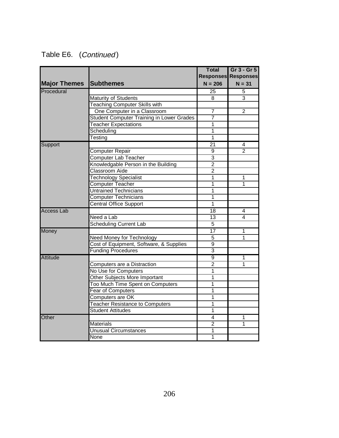|                     |                                           | <b>Total</b>              | Gr 3 - Gr 5                |
|---------------------|-------------------------------------------|---------------------------|----------------------------|
|                     |                                           |                           | <b>Responses Responses</b> |
| <b>Major Themes</b> | <b>Subthemes</b>                          | $N = 206$                 | $N = 31$                   |
| Procedural          |                                           | $\overline{25}$           | 5                          |
|                     | <b>Maturity of Students</b>               | 8                         | $\overline{3}$             |
|                     | <b>Teaching Computer Skills with</b>      |                           |                            |
|                     | One Computer in a Classroom               | 7                         | $\overline{2}$             |
|                     | Student Computer Training in Lower Grades | $\overline{7}$            |                            |
|                     | <b>Teacher Expectations</b>               | $\overline{1}$            |                            |
|                     | Scheduling                                | 1                         |                            |
|                     | Testing                                   | $\overline{1}$            |                            |
| Support             |                                           | $\overline{21}$           | 4                          |
|                     | Computer Repair                           | 9                         | $\overline{2}$             |
|                     | <b>Computer Lab Teacher</b>               | $\overline{3}$            |                            |
|                     | Knowledgable Person in the Building       | $\overline{2}$            |                            |
|                     | <b>Classroom Aide</b>                     | $\overline{2}$            |                            |
|                     | <b>Technology Specialist</b>              | 1                         | 1                          |
|                     | Computer Teacher                          | 1                         | 1                          |
|                     | <b>Untrained Technicians</b>              | $\overline{1}$            |                            |
|                     | <b>Computer Technicians</b>               | 1                         |                            |
|                     | <b>Central Office Support</b>             | 1                         |                            |
| <b>Access Lab</b>   |                                           | $\overline{18}$           | 4                          |
|                     | Need a Lab                                | $\overline{13}$           | 4                          |
|                     | <b>Scheduling Current Lab</b>             | $\overline{5}$            |                            |
| Money               |                                           | $\overline{17}$           | $\overline{1}$             |
|                     | Need Money for Technology                 | $\overline{5}$            | 1                          |
|                     | Cost of Equipment, Software, & Supplies   | $\overline{9}$            |                            |
|                     | <b>Funding Procedures</b>                 | $\overline{\overline{3}}$ |                            |
| Attitude            |                                           | 9                         | 1                          |
|                     | Computers are a Distraction               | $\overline{2}$            | $\overline{1}$             |
|                     | No Use for Computers                      | $\overline{1}$            |                            |
|                     | Other Subjects More Important             | 1                         |                            |
|                     | Too Much Time Spent on Computers          | 1                         |                            |
|                     | <b>Fear of Computers</b>                  | $\overline{1}$            |                            |
|                     | Computers are OK                          | $\overline{1}$            |                            |
|                     | <b>Teacher Resistance to Computers</b>    | $\overline{1}$            |                            |
|                     | <b>Student Attitudes</b>                  | $\overline{1}$            |                            |
| Other               |                                           | 4                         | 1                          |
|                     | <b>Materials</b>                          | $\overline{2}$            | $\overline{1}$             |
|                     | <b>Unusual Circumstances</b>              | 1                         |                            |
|                     | None                                      | $\overline{1}$            |                            |
|                     |                                           |                           |                            |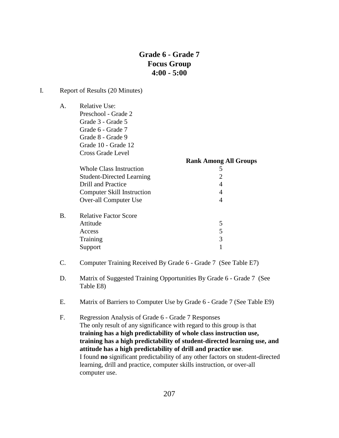## **Grade 6 - Grade 7 Focus Group 4:00 - 5:00**

**Rank Among All Groups**

#### I. Report of Results (20 Minutes)

A. Relative Use: Preschool - Grade 2

Grade 3 - Grade 5 Grade 6 - Grade 7 Grade 8 - Grade 9 Grade 10 - Grade 12 Cross Grade Level

> Whole Class Instruction 5 Student-Directed Learning 2 Drill and Practice 4 Computer Skill Instruction 4 Over-all Computer Use 4

- B. Relative Factor Score Attitude 5 Access 5 Training 3 Support 1
- C. Computer Training Received By Grade 6 Grade 7 (See Table E7)
- D. Matrix of Suggested Training Opportunities By Grade 6 Grade 7 (See Table E8)
- E. Matrix of Barriers to Computer Use by Grade 6 Grade 7 (See Table E9)
- F. Regression Analysis of Grade 6 Grade 7 Responses The only result of any significance with regard to this group is that **training has a high predictability of whole class instruction use, training has a high predictability of student-directed learning use, and attitude has a high predictability of drill and practice use**. I found **no** significant predictability of any other factors on student-directed learning, drill and practice, computer skills instruction, or over-all computer use.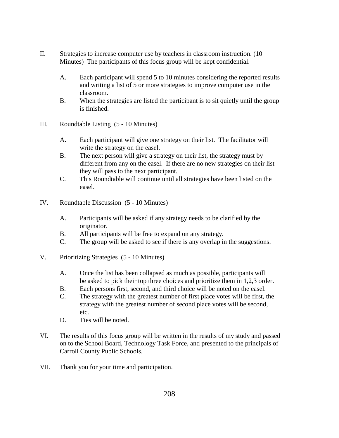- II. Strategies to increase computer use by teachers in classroom instruction. (10 Minutes) The participants of this focus group will be kept confidential.
	- A. Each participant will spend 5 to 10 minutes considering the reported results and writing a list of 5 or more strategies to improve computer use in the classroom.
	- B. When the strategies are listed the participant is to sit quietly until the group is finished.
- III. Roundtable Listing (5 10 Minutes)
	- A. Each participant will give one strategy on their list. The facilitator will write the strategy on the easel.
	- B. The next person will give a strategy on their list, the strategy must by different from any on the easel. If there are no new strategies on their list they will pass to the next participant.
	- C. This Roundtable will continue until all strategies have been listed on the easel.
- IV. Roundtable Discussion (5 10 Minutes)
	- A. Participants will be asked if any strategy needs to be clarified by the originator.
	- B. All participants will be free to expand on any strategy.
	- C. The group will be asked to see if there is any overlap in the suggestions.
- V. Prioritizing Strategies (5 10 Minutes)
	- A. Once the list has been collapsed as much as possible, participants will be asked to pick their top three choices and prioritize them in 1,2,3 order.
	- B. Each persons first, second, and third choice will be noted on the easel.
	- C. The strategy with the greatest number of first place votes will be first, the strategy with the greatest number of second place votes will be second, etc.
	- D. Ties will be noted.
- VI. The results of this focus group will be written in the results of my study and passed on to the School Board, Technology Task Force, and presented to the principals of Carroll County Public Schools.
- VII. Thank you for your time and participation.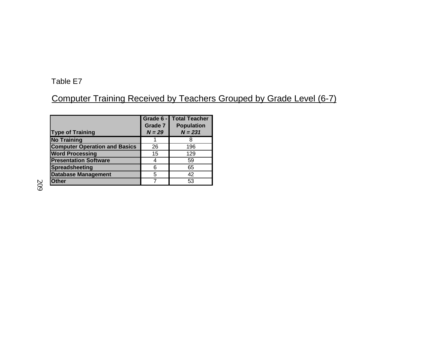Computer Training Received by Teachers Grouped by Grade Level (6-7)

| <b>Type of Training</b>              | Grade 6 -<br>Grade 7<br>$N = 29$ | Total Teacher<br><b>Population</b><br>$N = 231$ |
|--------------------------------------|----------------------------------|-------------------------------------------------|
| <b>No Training</b>                   |                                  |                                                 |
| <b>Computer Operation and Basics</b> | 26                               | 196                                             |
| <b>Word Processing</b>               | 15                               | 129                                             |
| <b>Presentation Software</b>         |                                  | 59                                              |
| Spreadsheeting                       | 6                                | 65                                              |
| <b>Database Management</b>           | 5                                | 42                                              |
| <b>Other</b>                         |                                  | 53                                              |

209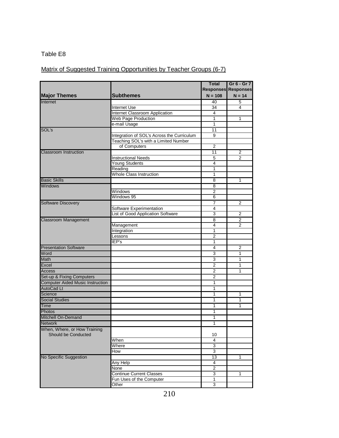# Matrix of Suggested Training Opportunities by Teacher Groups (6-7)

|                                                     |                                            | <b>Total</b>            | Gr 6 - Gr 7                |
|-----------------------------------------------------|--------------------------------------------|-------------------------|----------------------------|
|                                                     |                                            |                         | <b>Responses Responses</b> |
| <b>Major Themes</b>                                 | <b>Subthemes</b>                           | $N = 108$               | $N = 14$                   |
| Internet                                            |                                            | 40                      | 5                          |
|                                                     | <b>Internet Use</b>                        | $\overline{34}$         | 4                          |
|                                                     | <b>Internet Classroom Application</b>      | 4                       |                            |
|                                                     | Web Page Production                        | $\mathbf{1}$            | 1                          |
|                                                     | e-mail Usage                               | 1                       |                            |
| SOL's                                               |                                            | 11                      |                            |
|                                                     | Integration of SOL's Across the Curriculum | 9                       |                            |
|                                                     | Teaching SOL's with a Limited Number       |                         |                            |
|                                                     | of Computers                               | $\overline{2}$          |                            |
| Classroom Instruction                               |                                            | 11                      | 2                          |
|                                                     | <b>Instructional Needs</b>                 | 5                       | 2                          |
|                                                     | Young Students                             | 4                       |                            |
|                                                     | Reading                                    | $\overline{1}$          |                            |
|                                                     | <b>Whole Class Instruction</b>             | 1                       |                            |
| <b>Basic Skills</b>                                 |                                            | $\overline{\mathbf{8}}$ | 1                          |
| <b>Windows</b>                                      |                                            | 8                       |                            |
|                                                     | Windows                                    | $\overline{2}$          |                            |
|                                                     | Windows 95                                 | 6                       |                            |
| Software Discovery                                  |                                            | 7                       | 2                          |
|                                                     | <b>Software Experimentation</b>            | 4                       |                            |
|                                                     | List of Good Application Software          | 3                       | $\overline{2}$             |
| <b>Classroom Management</b>                         |                                            | 8                       | 2                          |
|                                                     | Management                                 | 4                       | $\overline{2}$             |
|                                                     | Integration                                | 1                       |                            |
|                                                     | Lessons                                    | $\overline{2}$          |                            |
|                                                     | IEP's                                      | 1                       |                            |
| <b>Presentation Software</b>                        |                                            | 4                       | $\overline{2}$             |
| Word                                                |                                            | 3                       | 1                          |
| <b>Math</b>                                         |                                            | 3                       | 1                          |
| Excel                                               |                                            | $\overline{2}$          | 1                          |
| <b>Access</b>                                       |                                            | $\overline{2}$          | 1                          |
| Set-up & Fixing Computers                           |                                            | $\overline{2}$          |                            |
| <b>Computer Aided Music Instruction</b>             |                                            | 1                       |                            |
| <b>AutoCad Lt</b>                                   |                                            | 1                       |                            |
| Science                                             |                                            | 1                       | 1                          |
| <b>Social Studies</b>                               |                                            | 1                       | 1                          |
| <b>Time</b>                                         |                                            | 1                       | 1                          |
|                                                     |                                            | 1                       |                            |
| Photos                                              |                                            |                         |                            |
| <b>Mitchell On-Demand</b>                           |                                            | 1                       |                            |
| <b>Network</b>                                      |                                            | 1                       |                            |
| When, Where, or How Training<br>Should be Conducted |                                            | 10                      |                            |
|                                                     | When                                       | 4                       |                            |
|                                                     | Where                                      | 3                       |                            |
|                                                     | How                                        | $\overline{3}$          |                            |
| No Specific Suggestion                              |                                            | 13                      | 1                          |
|                                                     | Any Help                                   | 4                       |                            |
|                                                     | None                                       | $\overline{2}$          |                            |
|                                                     | <b>Continue Current Classes</b>            | 3                       | 1                          |
|                                                     | Fun Uses of the Computer                   | 1                       |                            |
|                                                     | Other                                      | $\overline{3}$          |                            |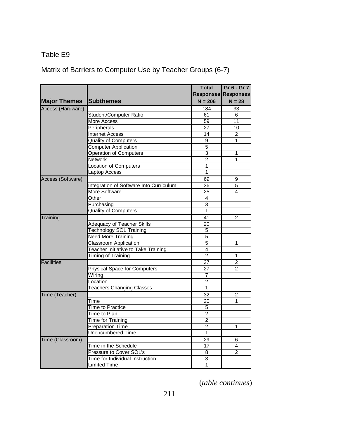# Matrix of Barriers to Computer Use by Teacher Groups (6-7)

|                     |                                         | <b>Total</b>    | Gr 6 - Gr 7                |
|---------------------|-----------------------------------------|-----------------|----------------------------|
|                     |                                         |                 | <b>Responses Responses</b> |
| <b>Major Themes</b> | Subthemes                               | $N = 206$       | $N = 28$                   |
| Access (Hardware)   |                                         | 184             | 33                         |
|                     | Student/Computer Ratio                  | 61              | 6                          |
|                     | <b>More Access</b>                      | 59              | $\overline{11}$            |
|                     | Peripherals                             | 27              | $\overline{10}$            |
|                     | <b>Internet Access</b>                  | 14              | 2                          |
|                     | <b>Quality of Computers</b>             | $\overline{9}$  | 1                          |
|                     | <b>Computer Application</b>             | 5               |                            |
|                     | <b>Operation of Computers</b>           | 3               | 1                          |
|                     | Network                                 | $\overline{2}$  | 1                          |
|                     | Location of Computers                   | 1               |                            |
|                     | Laptop Access                           | 1               |                            |
| Access (Software)   |                                         | 69              | 9                          |
|                     | Integration of Software Into Curriculum | 36              | 5                          |
|                     | More Software                           | $\overline{25}$ | 4                          |
|                     | Other                                   | 4               |                            |
|                     | Purchasing                              | $\overline{3}$  |                            |
|                     | Quality of Computers                    | 1               |                            |
| Training            |                                         | 41              | $\overline{2}$             |
|                     | <b>Adequacy of Teacher Skills</b>       | 20              |                            |
|                     | <b>Technology SOL Training</b>          | 5               |                            |
|                     | <b>Need More Training</b>               | $\overline{5}$  |                            |
|                     | Classroom Application                   | $\overline{5}$  | 1                          |
|                     | Teacher Initiative to Take Training     | $\overline{4}$  |                            |
|                     | <b>Timing of Training</b>               | $\overline{2}$  | 1                          |
| <b>Facilities</b>   |                                         | 37              | $\overline{2}$             |
|                     | <b>Physical Space for Computers</b>     | 27              | $\mathfrak{p}$             |
|                     | Wiring                                  | 7               |                            |
|                     | .ocation                                | $\overline{2}$  |                            |
|                     | <b>Teachers Changing Classes</b>        | 1               |                            |
| Time (Teacher)      |                                         | $\overline{32}$ | 2                          |
|                     | Time                                    | 20              | 1                          |
|                     | <b>Time to Practice</b>                 | $\overline{5}$  |                            |
|                     | Time to Plan                            | $\overline{2}$  |                            |
|                     | <b>Time for Training</b>                | $\overline{2}$  |                            |
|                     | <b>Preparation Time</b>                 | $\overline{2}$  | 1                          |
|                     | <b>Unencumbered Time</b>                | 1               |                            |
| Time (Classroom)    |                                         | 29              | 6                          |
|                     | Time in the Schedule                    | 17              | 4                          |
|                     | Pressure to Cover SOL's                 | 8               | $\mathcal{P}$              |
|                     | Time for Individual Instruction         | 3               |                            |
|                     | Limited Time                            | 1               |                            |

(*table continues*)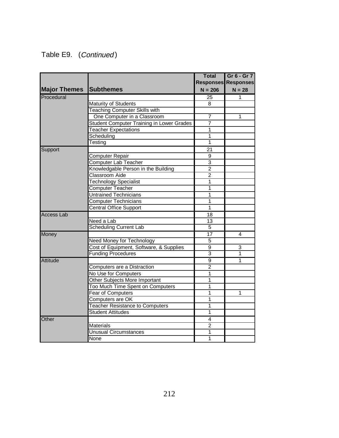# Table E9. (Continued)

|                     |                                                  | <b>Total</b>    | Gr 6 - Gr 7                |
|---------------------|--------------------------------------------------|-----------------|----------------------------|
|                     |                                                  |                 | <b>Responses Responses</b> |
| <b>Major Themes</b> | <b>Subthemes</b>                                 | $N = 206$       | $N = 28$                   |
| Procedural          |                                                  | $\overline{25}$ | 1                          |
|                     | Maturity of Students                             | 8               |                            |
|                     | <b>Teaching Computer Skills with</b>             |                 |                            |
|                     | One Computer in a Classroom                      | 7               | 1                          |
|                     | <b>Student Computer Training in Lower Grades</b> | $\overline{7}$  |                            |
|                     | <b>Teacher Expectations</b>                      | $\overline{1}$  |                            |
|                     | Scheduling                                       | $\overline{1}$  |                            |
|                     | Testing                                          | 1               |                            |
| Support             |                                                  | 21              |                            |
|                     | <b>Computer Repair</b>                           | $\overline{9}$  |                            |
|                     | Computer Lab Teacher                             | $\overline{3}$  |                            |
|                     | Knowledgable Person in the Building              | $\overline{2}$  |                            |
|                     | <b>Classroom Aide</b>                            | $\overline{2}$  |                            |
|                     | <b>Technology Specialist</b>                     | $\overline{1}$  |                            |
|                     | Computer Teacher                                 | $\mathbf 1$     |                            |
|                     | <b>Untrained Technicians</b>                     | 1               |                            |
|                     | <b>Computer Technicians</b>                      | 1               |                            |
|                     | <b>Central Office Support</b>                    | 1               |                            |
| <b>Access Lab</b>   |                                                  | $\overline{18}$ |                            |
|                     | Need a Lab                                       | $\overline{13}$ |                            |
|                     | <b>Scheduling Current Lab</b>                    | $\overline{5}$  |                            |
| Money               |                                                  | $\overline{17}$ | 4                          |
|                     | <b>Need Money for Technology</b>                 | 5               |                            |
|                     | Cost of Equipment, Software, & Supplies          | 9               | 3                          |
|                     | <b>Funding Procedures</b>                        | 3               | 1                          |
| <b>Attitude</b>     |                                                  | $\overline{9}$  | 1                          |
|                     | Computers are a Distraction                      | $\overline{2}$  |                            |
|                     | No Use for Computers                             | 1               |                            |
|                     | Other Subjects More Important                    | 1               |                            |
|                     | Too Much Time Spent on Computers                 | 1               |                            |
|                     | <b>Fear of Computers</b>                         | $\overline{1}$  | 1                          |
|                     | Computers are OK                                 | 1               |                            |
|                     | <b>Teacher Resistance to Computers</b>           | $\mathbf 1$     |                            |
|                     | <b>Student Attitudes</b>                         | $\overline{1}$  |                            |
| Other               |                                                  | 4               |                            |
|                     | <b>Materials</b>                                 | $\overline{2}$  |                            |
|                     | <b>Unusual Circumstances</b>                     | 1               |                            |
|                     | None                                             | $\overline{1}$  |                            |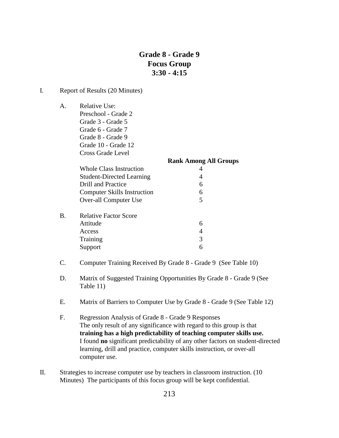## **Grade 8 - Grade 9 Focus Group 3:30 - 4:15**

#### I. Report of Results (20 Minutes)

A. Relative Use: Preschool - Grade 2 Grade 3 - Grade 5 Grade 6 - Grade 7

> Grade 8 - Grade 9 Grade 10 - Grade 12

|    | Cross Grade Level                  |                              |
|----|------------------------------------|------------------------------|
|    |                                    | <b>Rank Among All Groups</b> |
|    | Whole Class Instruction            |                              |
|    | <b>Student-Directed Learning</b>   | 4                            |
|    | <b>Drill and Practice</b>          | 6                            |
|    | <b>Computer Skills Instruction</b> | 6                            |
|    | Over-all Computer Use              | 5                            |
| B. | <b>Relative Factor Score</b>       |                              |
|    | Attitude                           | 6                            |
|    | Access                             | 4                            |
|    | Training                           | 3                            |
|    | Support                            | 6                            |

- C. Computer Training Received By Grade 8 Grade 9 (See Table 10)
- D. Matrix of Suggested Training Opportunities By Grade 8 Grade 9 (See Table 11)
- E. Matrix of Barriers to Computer Use by Grade 8 Grade 9 (See Table 12)
- F. Regression Analysis of Grade 8 Grade 9 Responses The only result of any significance with regard to this group is that **training has a high predictability of teaching computer skills use.** I found **no** significant predictability of any other factors on student-directed learning, drill and practice, computer skills instruction, or over-all computer use.
- II. Strategies to increase computer use by teachers in classroom instruction. (10 Minutes) The participants of this focus group will be kept confidential.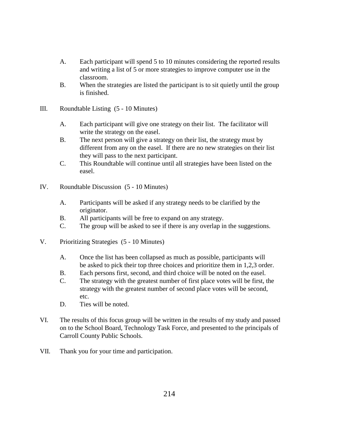- A. Each participant will spend 5 to 10 minutes considering the reported results and writing a list of 5 or more strategies to improve computer use in the classroom.
- B. When the strategies are listed the participant is to sit quietly until the group is finished.
- III. Roundtable Listing (5 10 Minutes)
	- A. Each participant will give one strategy on their list. The facilitator will write the strategy on the easel.
	- B. The next person will give a strategy on their list, the strategy must by different from any on the easel. If there are no new strategies on their list they will pass to the next participant.
	- C. This Roundtable will continue until all strategies have been listed on the easel.
- IV. Roundtable Discussion (5 10 Minutes)
	- A. Participants will be asked if any strategy needs to be clarified by the originator.
	- B. All participants will be free to expand on any strategy.
	- C. The group will be asked to see if there is any overlap in the suggestions.
- V. Prioritizing Strategies (5 10 Minutes)
	- A. Once the list has been collapsed as much as possible, participants will be asked to pick their top three choices and prioritize them in 1,2,3 order.
	- B. Each persons first, second, and third choice will be noted on the easel.
	- C. The strategy with the greatest number of first place votes will be first, the strategy with the greatest number of second place votes will be second, etc.
	- D. Ties will be noted.
- VI. The results of this focus group will be written in the results of my study and passed on to the School Board, Technology Task Force, and presented to the principals of Carroll County Public Schools.
- VII. Thank you for your time and participation.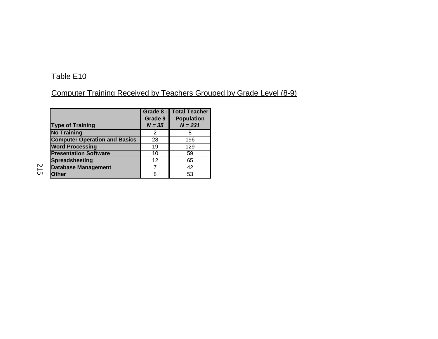# Computer Training Received by Teachers Grouped by Grade Level (8-9)

| <b>Type of Training</b>              | Grade 8 -<br>Grade 9<br>$N = 35$ | <b>Total Teacher</b><br><b>Population</b><br>$N = 231$ |
|--------------------------------------|----------------------------------|--------------------------------------------------------|
| <b>No Training</b>                   | 2                                |                                                        |
| <b>Computer Operation and Basics</b> | 28                               | 196                                                    |
| <b>Word Processing</b>               | 19                               | 129                                                    |
| <b>Presentation Software</b>         | 10                               | 59                                                     |
| <b>Spreadsheeting</b>                | 12                               | 65                                                     |
| <b>Database Management</b>           |                                  | 42                                                     |
| <b>Other</b>                         | я                                | 53                                                     |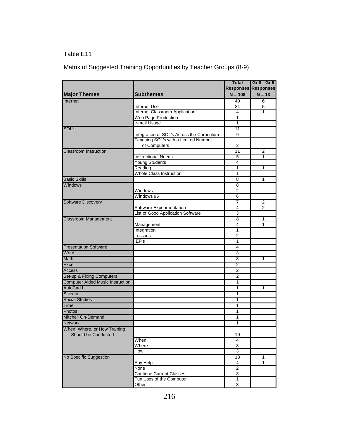# Matrix of Suggested Training Opportunities by Teacher Groups (8-9)

|                                         |                                            | <b>Total</b>        | Gr 8 - Gr 9                |
|-----------------------------------------|--------------------------------------------|---------------------|----------------------------|
|                                         |                                            |                     | <b>Responses Responses</b> |
| <b>Major Themes</b>                     | <b>Subthemes</b>                           | $N = 108$           | $N = 13$                   |
| Internet                                |                                            | 40                  | 6                          |
|                                         | <b>Internet Use</b>                        | 34                  | 5                          |
|                                         | Internet Classroom Application             | 4                   | 1                          |
|                                         | Web Page Production                        | 1                   |                            |
|                                         | e-mail Usage                               | 1                   |                            |
| SOL's                                   |                                            | 11                  |                            |
|                                         | Integration of SOL's Across the Curriculum | 9                   |                            |
|                                         | Teaching SOL's with a Limited Number       |                     |                            |
|                                         | of Computers                               | $\overline{2}$      |                            |
| <b>Classroom Instruction</b>            | <b>Instructional Needs</b>                 | 11                  | 2                          |
|                                         |                                            | 5                   | 1                          |
|                                         | <b>Young Students</b>                      | 4                   |                            |
|                                         | Reading<br><b>Whole Class Instruction</b>  | 1<br>$\mathbf{1}$   | 1                          |
|                                         |                                            |                     |                            |
| <b>Basic Skills</b>                     |                                            | $\overline{8}$      | $\overline{1}$             |
| <b>Windows</b>                          |                                            | 8                   |                            |
|                                         | Windows                                    | $\overline{2}$      |                            |
|                                         | Windows 95                                 | 6                   |                            |
| <b>Software Discovery</b>               |                                            | 7                   | 2                          |
|                                         | Software Experimentation                   | $\overline{4}$<br>3 | 2                          |
|                                         | List of Good Application Software          |                     |                            |
| <b>Classroom Management</b>             |                                            | $\overline{8}$      | 1                          |
|                                         | Management                                 | 4                   | 1                          |
|                                         | Integration                                | $\mathbf{1}$        |                            |
|                                         | Lessons                                    | $\overline{2}$      |                            |
|                                         | IEP's                                      | 1                   |                            |
| <b>Presentation Software</b>            |                                            | 4                   |                            |
| Word                                    |                                            | 3                   |                            |
| Math                                    |                                            | 3                   | 1                          |
| Excel                                   |                                            | $\overline{2}$      |                            |
| Access                                  |                                            | $\overline{2}$      |                            |
| Set-up & Fixing Computers               |                                            | $\overline{2}$      |                            |
| <b>Computer Aided Music Instruction</b> |                                            | 1                   |                            |
| <b>AutoCad Lt</b>                       |                                            | 1                   | 1                          |
| Science                                 |                                            | 1                   |                            |
| <b>Social Studies</b>                   |                                            | 1                   |                            |
| Time                                    |                                            | 1                   |                            |
| Photos                                  |                                            | 1                   |                            |
| <b>Mitchell On-Demand</b>               |                                            | 1                   |                            |
| <b>Network</b>                          |                                            | $\mathbf{1}$        |                            |
| When, Where, or How Training            |                                            |                     |                            |
| Should be Conducted                     |                                            | 10                  |                            |
|                                         | When                                       | 4                   |                            |
|                                         | Where                                      | 3                   |                            |
|                                         | How                                        | 3                   |                            |
| No Specific Suggestion                  |                                            | 13                  | 1                          |
|                                         | Any Help                                   | 4                   | 1                          |
|                                         | None                                       | $\mathbf 2$         |                            |
|                                         | <b>Continue Current Classes</b>            | 3                   |                            |
|                                         | Fun Uses of the Computer                   | 1                   |                            |
|                                         | Other                                      | 3                   |                            |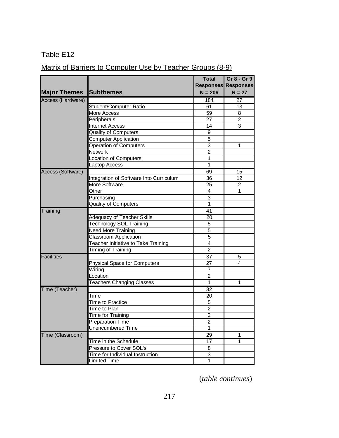# Matrix of Barriers to Computer Use by Teacher Groups (8-9)

|                     |                                         | <b>Total</b>    | Gr 8 - Gr 9                |
|---------------------|-----------------------------------------|-----------------|----------------------------|
|                     |                                         |                 | <b>Responses Responses</b> |
| <b>Major Themes</b> | <b>Subthemes</b>                        | $N = 206$       | $N = 27$                   |
| Access (Hardware)   |                                         | 184             | 27                         |
|                     | Student/Computer Ratio                  | 61              | 13                         |
|                     | More Access                             | 59              | 8                          |
|                     | Peripherals                             | 27              | 2                          |
|                     | <b>Internet Access</b>                  | 14              | 3                          |
|                     | <b>Quality of Computers</b>             | 9               |                            |
|                     | <b>Computer Application</b>             | 5               |                            |
|                     | Operation of Computers                  | 3               | 1                          |
|                     | <b>Network</b>                          | $\overline{2}$  |                            |
|                     | Location of Computers                   | $\mathbf{1}$    |                            |
|                     | Laptop Access                           | $\mathbf{1}$    |                            |
| Access (Software)   |                                         | 69              | 15                         |
|                     | Integration of Software Into Curriculum | 36              | 12                         |
|                     | More Software                           | 25              | 2                          |
|                     | Other                                   | 4               | 1                          |
|                     | Purchasing                              | $\overline{3}$  |                            |
|                     | <b>Quality of Computers</b>             | 1               |                            |
| Training            |                                         | 41              |                            |
|                     | Adequacy of Teacher Skills              | 20              |                            |
|                     | Technology SOL Training                 | $\overline{5}$  |                            |
|                     | <b>Need More Training</b>               | 5               |                            |
|                     | <b>Classroom Application</b>            | $\overline{5}$  |                            |
|                     | Teacher Initiative to Take Training     | $\overline{4}$  |                            |
|                     | Timing of Training                      | $\overline{2}$  |                            |
| <b>Facilities</b>   |                                         | $\overline{37}$ | 5                          |
|                     | <b>Physical Space for Computers</b>     | 27              | 4                          |
|                     | Wiring                                  | $\overline{7}$  |                            |
|                     | Location                                | $\overline{2}$  |                            |
|                     | <b>Teachers Changing Classes</b>        | $\mathbf{1}$    | 1                          |
| Time (Teacher)      |                                         | $\overline{32}$ |                            |
|                     | Time                                    | 20              |                            |
|                     | <b>Time to Practice</b>                 | $\,$ 5 $\,$     |                            |
|                     | Time to Plan                            | $\overline{c}$  |                            |
|                     | Time for Training                       | $\overline{c}$  |                            |
|                     | <b>Preparation Time</b>                 | $\overline{2}$  |                            |
|                     | <b>Unencumbered Time</b>                | $\mathbf{1}$    |                            |
| Time (Classroom)    |                                         | 29              | 1                          |
|                     | Time in the Schedule                    | 17              | 1                          |
|                     | Pressure to Cover SOL's                 | 8               |                            |
|                     | Time for Individual Instruction         | 3               |                            |
|                     | Limited Time                            | 1               |                            |

(*table continues*)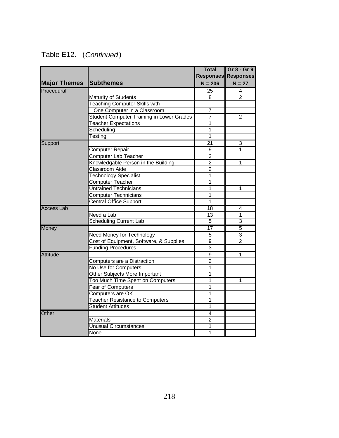|                     |                                                  | <b>Total</b>    | Gr 8 - Gr 9                |
|---------------------|--------------------------------------------------|-----------------|----------------------------|
|                     |                                                  |                 | <b>Responses Responses</b> |
| <b>Major Themes</b> | <b>Subthemes</b>                                 | $N = 206$       | $N = 27$                   |
| Procedural          |                                                  | 25              | 4                          |
|                     | <b>Maturity of Students</b>                      | 8               | $\overline{2}$             |
|                     | <b>Teaching Computer Skills with</b>             |                 |                            |
|                     | One Computer in a Classroom                      | 7               |                            |
|                     | <b>Student Computer Training in Lower Grades</b> | $\overline{7}$  | $\overline{2}$             |
|                     | <b>Teacher Expectations</b>                      | 1               |                            |
|                     | Scheduling                                       | 1               |                            |
|                     | Testing                                          | 1               |                            |
| Support             |                                                  | 21              | 3                          |
|                     | <b>Computer Repair</b>                           | 9               | 1                          |
|                     | Computer Lab Teacher                             | $\overline{3}$  |                            |
|                     | Knowledgable Person in the Building              | $\overline{2}$  | 1                          |
|                     | <b>Classroom Aide</b>                            | $\overline{2}$  |                            |
|                     | <b>Technology Specialist</b>                     | 1               |                            |
|                     | <b>Computer Teacher</b>                          | 1               |                            |
|                     | <b>Untrained Technicians</b>                     | 1               | 1                          |
|                     | <b>Computer Technicians</b>                      | 1               |                            |
|                     | <b>Central Office Support</b>                    | $\mathbf{1}$    |                            |
| <b>Access Lab</b>   |                                                  | 18              | 4                          |
|                     | Need a Lab                                       | 13              | 1                          |
|                     | <b>Scheduling Current Lab</b>                    | 5               | 3                          |
| <b>Money</b>        |                                                  | $\overline{17}$ | $\overline{5}$             |
|                     | Need Money for Technology                        | $\overline{5}$  | 3                          |
|                     | Cost of Equipment, Software, & Supplies          | 9               | $\overline{2}$             |
|                     | <b>Funding Procedures</b>                        | $\overline{3}$  |                            |
| Attitude            |                                                  | $\overline{9}$  | 1                          |
|                     | Computers are a Distraction                      | $\overline{2}$  |                            |
|                     | No Use for Computers                             | $\mathbf{1}$    |                            |
|                     | Other Subjects More Important                    | 1               |                            |
|                     | Too Much Time Spent on Computers                 | 1               | $\overline{1}$             |
|                     | Fear of Computers                                | 1               |                            |
|                     | Computers are OK                                 | 1               |                            |
|                     | <b>Teacher Resistance to Computers</b>           | 1               |                            |
|                     | <b>Student Attitudes</b>                         | $\overline{1}$  |                            |
| Other               |                                                  | 4               |                            |
|                     | <b>Materials</b>                                 | $\overline{2}$  |                            |
|                     | <b>Unusual Circumstances</b>                     | 1               |                            |
|                     | None                                             | $\overline{1}$  |                            |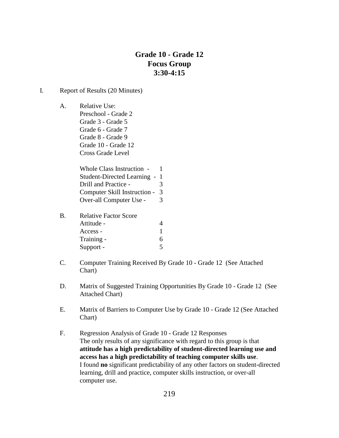## **Grade 10 - Grade 12 Focus Group 3:30-4:15**

#### I. Report of Results (20 Minutes)

A. Relative Use: Preschool - Grade 2 Grade 3 - Grade 5 Grade 6 - Grade 7 Grade 8 - Grade 9 Grade 10 - Grade 12 Cross Grade Level

> Whole Class Instruction - 1 Student-Directed Learning - 1 Drill and Practice - 3 Computer Skill Instruction - 3 Over-all Computer Use - 3

| B. | <b>Relative Factor Score</b> |   |  |
|----|------------------------------|---|--|
|    | Attitude -                   | 4 |  |
|    | Access -                     |   |  |
|    | Training -                   | 6 |  |
|    | Support -                    | 5 |  |

- C. Computer Training Received By Grade 10 Grade 12 (See Attached Chart)
- D. Matrix of Suggested Training Opportunities By Grade 10 Grade 12 (See Attached Chart)
- E. Matrix of Barriers to Computer Use by Grade 10 Grade 12 (See Attached Chart)
- F. Regression Analysis of Grade 10 Grade 12 Responses The only results of any significance with regard to this group is that **attitude has a high predictability of student-directed learning use and access has a high predictability of teaching computer skills use**. I found **no** significant predictability of any other factors on student-directed learning, drill and practice, computer skills instruction, or over-all computer use.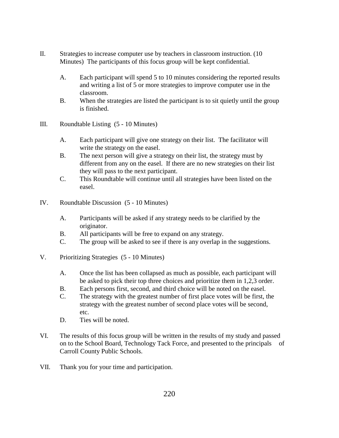- II. Strategies to increase computer use by teachers in classroom instruction. (10 Minutes) The participants of this focus group will be kept confidential.
	- A. Each participant will spend 5 to 10 minutes considering the reported results and writing a list of 5 or more strategies to improve computer use in the classroom.
	- B. When the strategies are listed the participant is to sit quietly until the group is finished.
- III. Roundtable Listing (5 10 Minutes)
	- A. Each participant will give one strategy on their list. The facilitator will write the strategy on the easel.
	- B. The next person will give a strategy on their list, the strategy must by different from any on the easel. If there are no new strategies on their list they will pass to the next participant.
	- C. This Roundtable will continue until all strategies have been listed on the easel.
- IV. Roundtable Discussion (5 10 Minutes)
	- A. Participants will be asked if any strategy needs to be clarified by the originator.
	- B. All participants will be free to expand on any strategy.
	- C. The group will be asked to see if there is any overlap in the suggestions.
- V. Prioritizing Strategies (5 10 Minutes)
	- A. Once the list has been collapsed as much as possible, each participant will be asked to pick their top three choices and prioritize them in 1,2,3 order.
	- B. Each persons first, second, and third choice will be noted on the easel.
	- C. The strategy with the greatest number of first place votes will be first, the strategy with the greatest number of second place votes will be second, etc.
	- D. Ties will be noted.
- VI. The results of this focus group will be written in the results of my study and passed on to the School Board, Technology Tack Force, and presented to the principals of Carroll County Public Schools.
- VII. Thank you for your time and participation.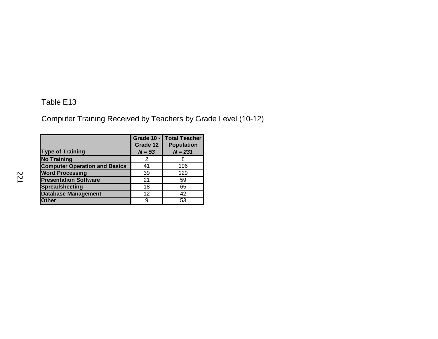Computer Training Received by Teachers by Grade Level (10-12)

| <b>Type of Training</b>              | Grade 12<br>$N = 53$ | <b>Grade 10 - Total Teacher</b><br><b>Population</b><br>$N = 231$ |
|--------------------------------------|----------------------|-------------------------------------------------------------------|
| <b>No Training</b>                   | 2                    |                                                                   |
| <b>Computer Operation and Basics</b> | 41                   | 196                                                               |
| <b>Word Processing</b>               | 39                   | 129                                                               |
| <b>Presentation Software</b>         | 21                   | 59                                                                |
| <b>Spreadsheeting</b>                | 18                   | 65                                                                |
| <b>Database Management</b>           | 12 <sup>2</sup>      | 42                                                                |
| <b>Other</b>                         | 9                    | 53                                                                |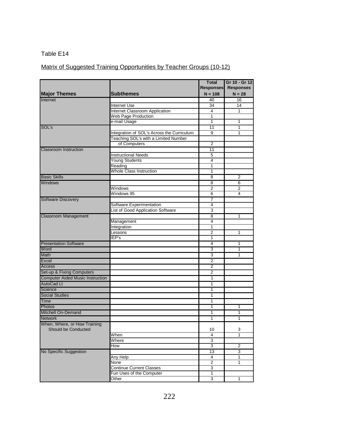# Matrix of Suggested Training Opportunities by Teacher Groups (10-12)

|                                         |                                            | <b>Total</b><br><b>Responses</b> | Gr 10 - Gr 12<br><b>Responses</b> |
|-----------------------------------------|--------------------------------------------|----------------------------------|-----------------------------------|
| <b>Major Themes</b>                     | <b>Subthemes</b>                           | $N = 108$                        | $N = 28$                          |
| Internet                                | <b>Internet Use</b>                        | 40<br>34                         | 16<br>14                          |
|                                         | Internet Classroom Application             | 4                                | 1                                 |
|                                         | Web Page Production                        | 1                                |                                   |
|                                         | e-mail Usage                               | 1                                | 1                                 |
| SOL's                                   |                                            | 11                               | 1                                 |
|                                         | Integration of SOL's Across the Curriculum | 9                                | 1                                 |
|                                         | Teaching SOL's with a Limited Number       |                                  |                                   |
|                                         | of Computers                               | $\overline{2}$                   |                                   |
| <b>Classroom Instruction</b>            |                                            | 11                               |                                   |
|                                         | <b>Instructional Needs</b>                 | $\overline{5}$                   |                                   |
|                                         | <b>Young Students</b>                      | 4                                |                                   |
|                                         |                                            | 1                                |                                   |
|                                         | Reading<br>Whole Class Instruction         | 1                                |                                   |
| <b>Basic Skills</b>                     |                                            | 8                                | 2                                 |
|                                         |                                            |                                  |                                   |
| <b>Windows</b>                          |                                            | 8<br>$\overline{2}$              | 6                                 |
|                                         | Windows<br>Windows 95                      |                                  | $\overline{2}$                    |
|                                         |                                            | 6                                | 4                                 |
| Software Discovery                      |                                            | 7                                |                                   |
|                                         | Software Experimentation                   | 4                                |                                   |
|                                         | List of Good Application Software          | 3                                |                                   |
| <b>Classroom Management</b>             |                                            | 8                                | 1                                 |
|                                         | Management                                 | 4                                |                                   |
|                                         | Integration                                | 1                                |                                   |
|                                         | Lessons                                    | 2                                | 1                                 |
|                                         | $\overline{IEP}$ 's                        | 1                                |                                   |
| <b>Presentation Software</b>            |                                            | 4                                | 1                                 |
| Word                                    |                                            | 3                                | 1                                 |
| <b>Math</b>                             |                                            | 3                                | 1                                 |
| Excel                                   |                                            | $\overline{2}$                   |                                   |
| Access                                  |                                            | $\overline{2}$                   |                                   |
| Set-up & Fixing Computers               |                                            | 2                                |                                   |
| <b>Computer Aided Music Instruction</b> |                                            | 1                                |                                   |
| <b>AutoCad Lt</b>                       |                                            | 1                                |                                   |
| Science                                 |                                            | 1                                |                                   |
| <b>Social Studies</b>                   |                                            | 1                                |                                   |
| Time                                    |                                            | 1                                |                                   |
| Photos                                  |                                            | 1                                | 1                                 |
| <b>Mitchell On-Demand</b>               |                                            | 1                                | 1                                 |
| <b>Network</b>                          |                                            | 1                                | 1                                 |
| When, Where, or How Training            |                                            |                                  |                                   |
| Should be Conducted                     |                                            | 10                               | 3                                 |
|                                         | When                                       | $\overline{4}$                   | 1                                 |
|                                         | Where                                      | $\overline{3}$                   |                                   |
|                                         | How                                        | 3                                | $\overline{2}$                    |
| No Specific Suggestion                  |                                            | 13                               | 3                                 |
|                                         | Any Help                                   | 4                                | 1                                 |
|                                         | None                                       | $\overline{2}$                   | 1                                 |
|                                         | <b>Continue Current Classes</b>            | 3                                |                                   |
|                                         | Fun Uses of the Computer                   | $\mathbf 1$                      |                                   |
|                                         | Other                                      | 3                                | 1                                 |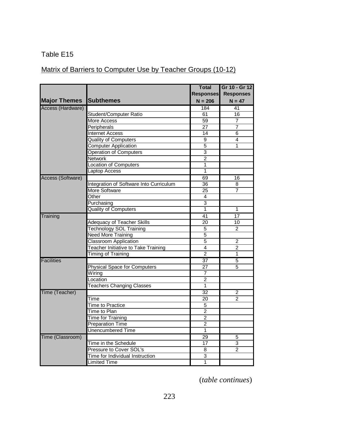# Matrix of Barriers to Computer Use by Teacher Groups (10-12)

|                     |                                            | <b>Total</b>     | Gr 10 - Gr 12    |
|---------------------|--------------------------------------------|------------------|------------------|
|                     |                                            | <b>Responses</b> | <b>Responses</b> |
| <b>Major Themes</b> | <b>Subthemes</b>                           | $N = 206$        | $N = 47$         |
| Access (Hardware)   |                                            | 184              | 41               |
|                     | Student/Computer Ratio                     | 61               | 16               |
|                     | <b>More Access</b>                         | 59               | 7                |
|                     | Peripherals                                | 27               | 7                |
|                     | <b>Internet Access</b>                     | 14               | 6                |
|                     | <b>Quality of Computers</b>                | $\overline{9}$   | 4                |
|                     | <b>Computer Application</b>                | $\overline{5}$   | 1                |
|                     | <b>Operation of Computers</b>              | $\overline{3}$   |                  |
|                     | Network                                    | $\overline{2}$   |                  |
|                     | <b>Location of Computers</b>               | 1                |                  |
|                     | <b>Laptop Access</b>                       | 1                |                  |
| Access (Software)   |                                            | 69               | 16               |
|                     | Integration of Software Into Curriculum    | 36               | 8                |
|                     | <b>More Software</b>                       | $\overline{25}$  | 7                |
|                     | Other                                      | 4                |                  |
|                     | Purchasing                                 | $\overline{3}$   |                  |
|                     | <b>Quality of Computers</b>                | 1                | 1                |
| Training            |                                            | 41               | 17               |
|                     | Adequacy of Teacher Skills                 | 20               | 10               |
|                     | <b>Technology SOL Training</b>             | $\overline{5}$   | $\overline{2}$   |
|                     | <b>Need More Training</b>                  | $\overline{5}$   |                  |
|                     | <b>Classroom Application</b>               | $\overline{5}$   | $\overline{2}$   |
|                     | <b>Teacher Initiative to Take Training</b> | 4                | $\overline{2}$   |
|                     | <b>Timing of Training</b>                  | $\overline{2}$   | 1                |
| <b>Facilities</b>   |                                            | $\overline{37}$  | $\overline{5}$   |
|                     | <b>Physical Space for Computers</b>        | $\overline{27}$  | 5                |
|                     | Wiring                                     | 7                |                  |
|                     | Location                                   | $\overline{2}$   |                  |
|                     | <b>Teachers Changing Classes</b>           | 1                |                  |
| Time (Teacher)      |                                            | $\overline{32}$  | 2                |
|                     | Time                                       | 20               | 2                |
|                     | <b>Time to Practice</b>                    | $\overline{5}$   |                  |
|                     | Time to Plan                               | $\overline{2}$   |                  |
|                     | <b>Time for Training</b>                   | $\overline{2}$   |                  |
|                     | <b>Preparation Time</b>                    | $\overline{2}$   |                  |
|                     | <b>Unencumbered Time</b>                   | 1                |                  |
| Time (Classroom)    |                                            | 29               | 5                |
|                     | Time in the Schedule                       | 17               | 3                |
|                     | Pressure to Cover SOL's                    | $\overline{8}$   | $\overline{2}$   |
|                     | Time for Individual Instruction            | $\overline{3}$   |                  |
|                     | Limited Time                               | 1                |                  |
|                     |                                            |                  |                  |

(*table continues*)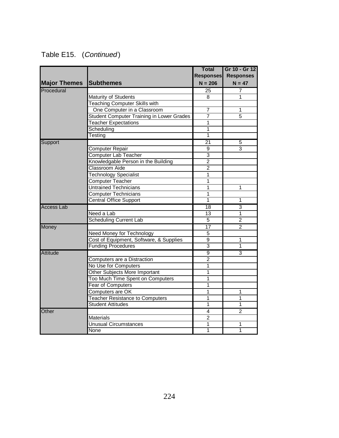| Table E15. | (Continued) |
|------------|-------------|
|------------|-------------|

|                     |                                                  | <b>Total</b>     | Gr 10 - Gr 12    |
|---------------------|--------------------------------------------------|------------------|------------------|
|                     |                                                  | <b>Responses</b> | <b>Responses</b> |
| <b>Major Themes</b> | <b>Subthemes</b>                                 | $N = 206$        | $N = 47$         |
| Procedural          |                                                  | $\overline{25}$  | 7                |
|                     | Maturity of Students                             | 8                | 1                |
|                     | <b>Teaching Computer Skills with</b>             |                  |                  |
|                     | One Computer in a Classroom                      | $\overline{7}$   | 1                |
|                     | <b>Student Computer Training in Lower Grades</b> | 7                | 5                |
|                     | <b>Teacher Expectations</b>                      | $\overline{1}$   |                  |
|                     | Scheduling                                       | 1                |                  |
|                     | Testing                                          | 1                |                  |
| Support             |                                                  | 21               | 5                |
|                     | <b>Computer Repair</b>                           | $\boldsymbol{9}$ | 3                |
|                     | <b>Computer Lab Teacher</b>                      | $\overline{3}$   |                  |
|                     | Knowledgable Person in the Building              | $\overline{2}$   |                  |
|                     | <b>Classroom Aide</b>                            | $\overline{2}$   |                  |
|                     | <b>Technology Specialist</b>                     | 1                |                  |
|                     | <b>Computer Teacher</b>                          | $\overline{1}$   |                  |
|                     | <b>Untrained Technicians</b>                     | 1                | 1                |
|                     | <b>Computer Technicians</b>                      | $\overline{1}$   |                  |
|                     | <b>Central Office Support</b>                    | 1                | 1                |
| <b>Access Lab</b>   |                                                  | $\overline{18}$  | 3                |
|                     | Need a Lab                                       | $\overline{13}$  | 1                |
|                     | <b>Scheduling Current Lab</b>                    | $\overline{5}$   | $\overline{2}$   |
| Money               |                                                  | $\overline{17}$  | 2                |
|                     | <b>Need Money for Technology</b>                 | $\overline{5}$   |                  |
|                     | Cost of Equipment, Software, & Supplies          | 9                | 1                |
|                     | <b>Funding Procedures</b>                        | 3                | 1                |
| Attitude            |                                                  | $\overline{9}$   | 3                |
|                     | Computers are a Distraction                      | $\overline{2}$   |                  |
|                     | No Use for Computers                             | 1                |                  |
|                     | Other Subjects More Important                    | 1                |                  |
|                     | Too Much Time Spent on Computers                 | 1                |                  |
|                     | <b>Fear of Computers</b>                         | 1                |                  |
|                     | Computers are OK                                 | $\overline{1}$   | 1                |
|                     | <b>Teacher Resistance to Computers</b>           | 1                | 1                |
|                     | <b>Student Attitudes</b>                         | 1                | 1                |
| Other               |                                                  | 4                | $\overline{2}$   |
|                     | <b>Materials</b>                                 | $\overline{2}$   |                  |
|                     | <b>Unusual Circumstances</b>                     | $\overline{1}$   | 1                |
|                     | <b>None</b>                                      | 1                | 1                |
|                     |                                                  |                  |                  |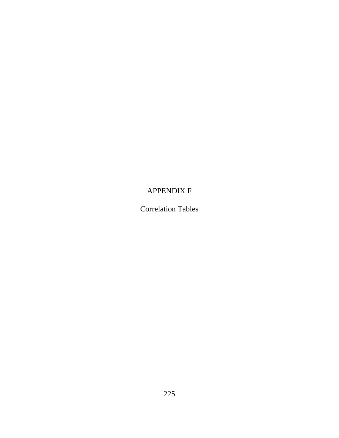# APPENDIX F

Correlation Tables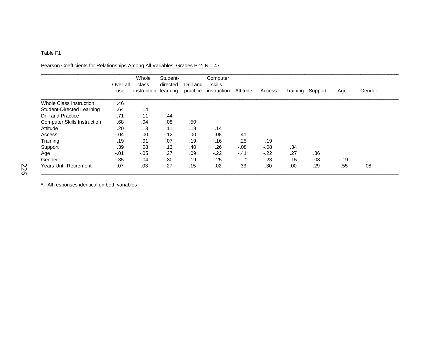#### Pearson Coefficients for Relationships Among All Variables, Grades P-2, N = 47

|                                    | Over-all<br>use | Whole<br>class<br>instruction | Student-<br>directed<br>learning | Drill and<br>practice | Computer<br>skills<br>instruction | Attitude | Access | Training | Support | Age   | Gender |
|------------------------------------|-----------------|-------------------------------|----------------------------------|-----------------------|-----------------------------------|----------|--------|----------|---------|-------|--------|
| <b>Whole Class Instruction</b>     | .46             |                               |                                  |                       |                                   |          |        |          |         |       |        |
| Student-Directed Learning          | .64             | .14                           |                                  |                       |                                   |          |        |          |         |       |        |
| <b>Drill and Practice</b>          | .71             | $-.11$                        | .44                              |                       |                                   |          |        |          |         |       |        |
| <b>Computer Skills Instruction</b> | .68             | .04                           | .08                              | .50                   |                                   |          |        |          |         |       |        |
| Attitude                           | .20             | .13                           | .11                              | .18                   | .14                               |          |        |          |         |       |        |
| Access                             | $-.04$          | .00                           | $-12$                            | .00                   | .08                               | .41      |        |          |         |       |        |
| Training                           | .19             | .01                           | .07                              | .19                   | .16                               | .25      | .19    |          |         |       |        |
| Support                            | .39             | .08                           | .13                              | .40                   | .26                               | $-0.08$  | $-.08$ | .34      |         |       |        |
| Age                                | $-.01$          | $-.05$                        | .27                              | .09                   | $-22$                             | $-.41$   | $-.22$ | .27      | .36     |       |        |
| Gender                             | $-35$           | $-.04$                        | $-.30$                           | $-.19$                | $-.25$                            | $\ast$   | $-.23$ | $-.15$   | $-0.08$ | $-19$ |        |
| <b>Years Until Retirement</b>      | $-07$           | .03                           | $-.27$                           | $-15$                 | $-.02$                            | .33      | .30    | .00      | $-29$   | $-55$ | .08    |

\* All responses identical on both variables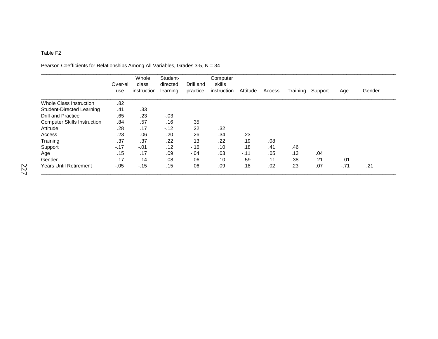Pearson Coefficients for Relationships Among All Variables, Grades 3-5,  $N = 34$ 

|                                    | Over-all<br>use | Whole<br>class<br>instruction | Student-<br>directed<br>learning | Drill and<br>practice | Computer<br>skills<br>instruction | Attitude | Access | Training | Support | Age    | Gender |
|------------------------------------|-----------------|-------------------------------|----------------------------------|-----------------------|-----------------------------------|----------|--------|----------|---------|--------|--------|
| <b>Whole Class Instruction</b>     | .82             |                               |                                  |                       |                                   |          |        |          |         |        |        |
| Student-Directed Learning          | .41             | .33                           |                                  |                       |                                   |          |        |          |         |        |        |
| <b>Drill and Practice</b>          | .65             | .23                           | $-.03$                           |                       |                                   |          |        |          |         |        |        |
| <b>Computer Skills Instruction</b> | .84             | .57                           | .16                              | .35                   |                                   |          |        |          |         |        |        |
| Attitude                           | .28             | .17                           | $-12$                            | .22                   | .32                               |          |        |          |         |        |        |
| Access                             | .23             | .06                           | .20                              | .26                   | .34                               | .23      |        |          |         |        |        |
| Training                           | .37             | .37                           | .22                              | .13                   | .22                               | .19      | .08    |          |         |        |        |
| Support                            | $-.17$          | $-.01$                        | .12                              | $-16$                 | .10                               | .18      | .41    | .46      |         |        |        |
| Age                                | .15             | .17                           | .09                              | $-.04$                | .03                               | $-.11$   | .05    | .13      | .04     |        |        |
| Gender                             | .17             | .14                           | .08                              | .06                   | .10                               | .59      | .11    | .38      | .21     | .01    |        |
| <b>Years Until Retirement</b>      | $-.05$          | $-15$                         | .15                              | .06                   | .09                               | .18      | .02    | .23      | .07     | $-.71$ | .21    |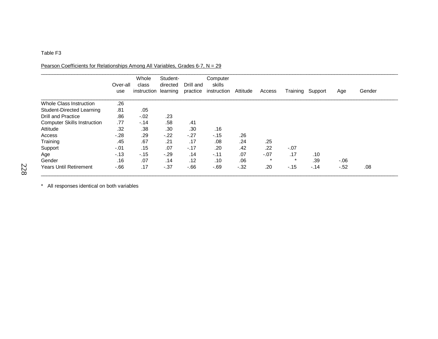#### Pearson Coefficients for Relationships Among All Variables, Grades 6-7, N = 29

|                                    | Over-all<br>use | Whole<br>class<br>instruction | Student-<br>directed<br>learning | Drill and<br>practice | Computer<br>skills<br>instruction | Attitude | Access  | Training | Support | Age    | Gender |
|------------------------------------|-----------------|-------------------------------|----------------------------------|-----------------------|-----------------------------------|----------|---------|----------|---------|--------|--------|
| Whole Class Instruction            | .26             |                               |                                  |                       |                                   |          |         |          |         |        |        |
| Student-Directed Learning          | .81             | .05                           |                                  |                       |                                   |          |         |          |         |        |        |
| <b>Drill and Practice</b>          | .86             | $-.02$                        | .23                              |                       |                                   |          |         |          |         |        |        |
| <b>Computer Skills Instruction</b> | .77             | $-.14$                        | .58                              | .41                   |                                   |          |         |          |         |        |        |
| Attitude                           | .32             | .38                           | .30                              | .30                   | .16                               |          |         |          |         |        |        |
| Access                             | $-28$           | .29                           | $-.22$                           | $-.27$                | $-.15$                            | .26      |         |          |         |        |        |
| Training                           | .45             | .67                           | .21                              | .17                   | .08                               | .24      | .25     |          |         |        |        |
| Support                            | $-.01$          | .15                           | .07                              | $-.17$                | .20                               | .42      | .22     | $-.07$   |         |        |        |
| Age                                | $-.13$          | $-.15$                        | $-.29$                           | .14                   | $-.11$                            | .07      | $-.07$  | .17      | .10     |        |        |
| Gender                             | .16             | .07                           | .14                              | .12                   | .10                               | .06      | $\star$ | $\star$  | .39     | $-06$  |        |
| <b>Years Until Retirement</b>      | $-66$           | .17                           | $-37$                            | $-66$                 | $-69$                             | $-.32$   | .20     | $-15$    | $-.14$  | $-.52$ | .08    |

\_\_\_\_\_\_\_\_\_\_\_\_\_\_\_\_\_\_\_\_\_\_\_\_\_\_\_\_\_\_\_\_\_\_\_\_\_\_\_\_\_\_\_\_\_\_\_\_\_\_\_\_\_\_\_\_\_\_\_\_\_\_\_\_\_\_\_\_\_\_\_\_\_\_\_\_\_\_\_\_\_\_\_\_\_\_\_\_\_\_\_\_\_\_\_\_\_\_\_\_\_\_\_\_\_\_\_\_\_\_\_\_\_\_\_\_\_\_\_\_\_\_\_\_\_\_\_\_

\* All responses identical on both variables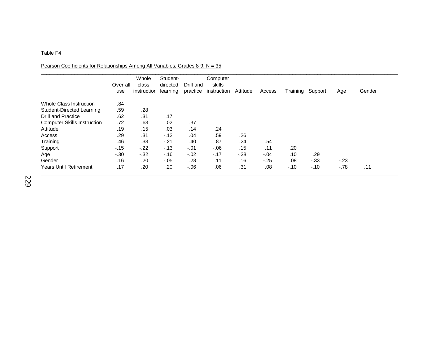#### Pearson Coefficients for Relationships Among All Variables, Grades 8-9, N = 35

|                                    | Over-all<br>use | Whole<br>class<br>instruction | Student-<br>directed<br>learning | Drill and<br>practice | Computer<br>skills<br>instruction | Attitude | Access | Training | Support | Age    | Gender |
|------------------------------------|-----------------|-------------------------------|----------------------------------|-----------------------|-----------------------------------|----------|--------|----------|---------|--------|--------|
| Whole Class Instruction            | .84             |                               |                                  |                       |                                   |          |        |          |         |        |        |
| Student-Directed Learning          | .59             | .28                           |                                  |                       |                                   |          |        |          |         |        |        |
| <b>Drill and Practice</b>          | .62             | .31                           | .17                              |                       |                                   |          |        |          |         |        |        |
| <b>Computer Skills Instruction</b> | .72             | .63                           | .02                              | .37                   |                                   |          |        |          |         |        |        |
| Attitude                           | .19             | .15                           | .03                              | .14                   | .24                               |          |        |          |         |        |        |
| Access                             | .29             | .31                           | $-.12$                           | .04                   | .59                               | .26      |        |          |         |        |        |
| Training                           | .46             | .33                           | $-21$                            | .40                   | .87                               | .24      | .54    |          |         |        |        |
| Support                            | $-15$           | $-.22$                        | $-13$                            | $-.01$                | $-0.06$                           | .15      | .11    | .20      |         |        |        |
| Age                                | $-30$           | $-32$                         | $-.16$                           | $-.02$                | $-.17$                            | $-.28$   | $-.04$ | .10      | .29     |        |        |
| Gender                             | .16             | .20                           | $-.05$                           | .28                   | .11                               | .16      | $-.25$ | .08      | $-.33$  | $-23$  |        |
| <b>Years Until Retirement</b>      | .17             | .20                           | .20                              | $-0.06$               | .06                               | .31      | .08    | $-10$    | $-.10$  | $-.78$ | .11    |

\_\_\_\_\_\_\_\_\_\_\_\_\_\_\_\_\_\_\_\_\_\_\_\_\_\_\_\_\_\_\_\_\_\_\_\_\_\_\_\_\_\_\_\_\_\_\_\_\_\_\_\_\_\_\_\_\_\_\_\_\_\_\_\_\_\_\_\_\_\_\_\_\_\_\_\_\_\_\_\_\_\_\_\_\_\_\_\_\_\_\_\_\_\_\_\_\_\_\_\_\_\_\_\_\_\_\_\_\_\_\_\_\_\_\_\_\_\_\_\_\_\_\_\_\_\_\_\_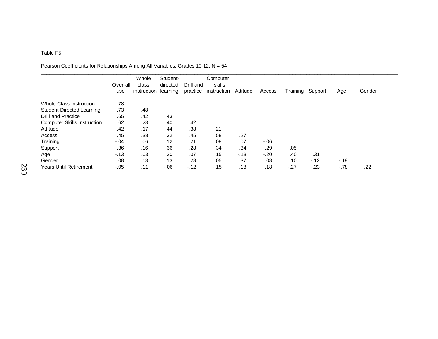#### Pearson Coefficients for Relationships Among All Variables, Grades 10-12,  $N = 54$

|                                    | Over-all<br>use | Whole<br>class<br>instruction | Student-<br>directed<br>learning | Drill and<br>practice | Computer<br>skills<br>instruction | Attitude | Access | Training | Support | Age    | Gender |
|------------------------------------|-----------------|-------------------------------|----------------------------------|-----------------------|-----------------------------------|----------|--------|----------|---------|--------|--------|
| Whole Class Instruction            | .78             |                               |                                  |                       |                                   |          |        |          |         |        |        |
| Student-Directed Learning          | .73             | .48                           |                                  |                       |                                   |          |        |          |         |        |        |
| <b>Drill and Practice</b>          | .65             | .42                           | .43                              |                       |                                   |          |        |          |         |        |        |
| <b>Computer Skills Instruction</b> | .62             | .23                           | .40                              | .42                   |                                   |          |        |          |         |        |        |
| Attitude                           | .42             | .17                           | .44                              | .38                   | .21                               |          |        |          |         |        |        |
| Access                             | .45             | .38                           | .32                              | .45                   | .58                               | .27      |        |          |         |        |        |
| Training                           | $-0.04$         | .06                           | .12                              | .21                   | .08                               | .07      | $-06$  |          |         |        |        |
| Support                            | .36             | .16                           | .36                              | .28                   | .34                               | .34      | .29    | .05      |         |        |        |
| Age                                | $-13$           | .03                           | .20                              | .07                   | .15                               | $-13$    | $-20$  | .40      | .31     |        |        |
| Gender                             | .08             | .13                           | .13                              | .28                   | .05                               | .37      | .08    | .10      | $-.12$  | $-.19$ |        |
| <b>Years Until Retirement</b>      | $-.05$          | .11                           | $-0.06$                          | $-12$                 | $-.15$                            | .18      | .18    | $-27$    | $-23$   | $-.78$ | .22    |

\_\_\_\_\_\_\_\_\_\_\_\_\_\_\_\_\_\_\_\_\_\_\_\_\_\_\_\_\_\_\_\_\_\_\_\_\_\_\_\_\_\_\_\_\_\_\_\_\_\_\_\_\_\_\_\_\_\_\_\_\_\_\_\_\_\_\_\_\_\_\_\_\_\_\_\_\_\_\_\_\_\_\_\_\_\_\_\_\_\_\_\_\_\_\_\_\_\_\_\_\_\_\_\_\_\_\_\_\_\_\_\_\_\_\_\_\_\_\_\_\_\_\_\_\_\_\_\_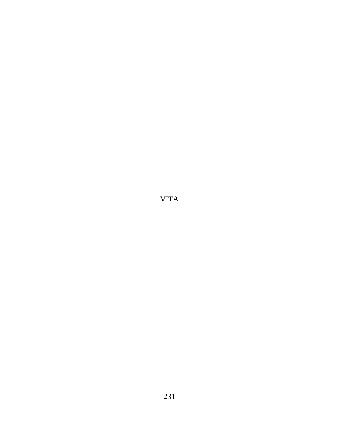VITA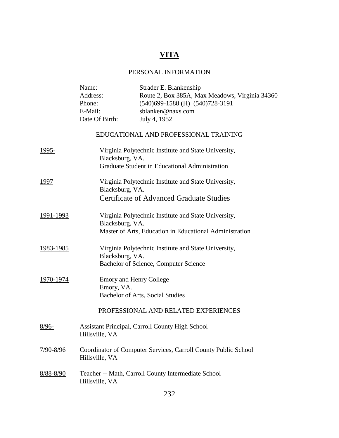# **VITA**

### PERSONAL INFORMATION

|           | Name:<br>Address: | Strader E. Blankenship<br>Route 2, Box 385A, Max Meadows, Virginia 34360 |
|-----------|-------------------|--------------------------------------------------------------------------|
|           | Phone:            | (540)699-1588 (H) (540)728-3191                                          |
|           | E-Mail:           | sblanken@naxs.com                                                        |
|           | Date Of Birth:    | July 4, 1952                                                             |
|           |                   | EDUCATIONAL AND PROFESSIONAL TRAINING                                    |
| 1995-     | Blacksburg, VA.   | Virginia Polytechnic Institute and State University,                     |
|           |                   | Graduate Student in Educational Administration                           |
| 1997      | Blacksburg, VA.   | Virginia Polytechnic Institute and State University,                     |
|           |                   | <b>Certificate of Advanced Graduate Studies</b>                          |
| 1991-1993 | Blacksburg, VA.   | Virginia Polytechnic Institute and State University,                     |
|           |                   | Master of Arts, Education in Educational Administration                  |
| 1983-1985 | Blacksburg, VA.   | Virginia Polytechnic Institute and State University,                     |
|           |                   | Bachelor of Science, Computer Science                                    |
| 1970-1974 |                   | <b>Emory and Henry College</b>                                           |
|           | Emory, VA.        | Bachelor of Arts, Social Studies                                         |
|           |                   | PROFESSIONAL AND RELATED EXPERIENCES                                     |
| $8/96-$   | Hillsville, VA    | <b>Assistant Principal, Carroll County High School</b>                   |
| 7/90-8/96 | Hillsville, VA    | Coordinator of Computer Services, Carroll County Public School           |
| 8/88-8/90 | Hillsville, VA    | Teacher -- Math, Carroll County Intermediate School                      |